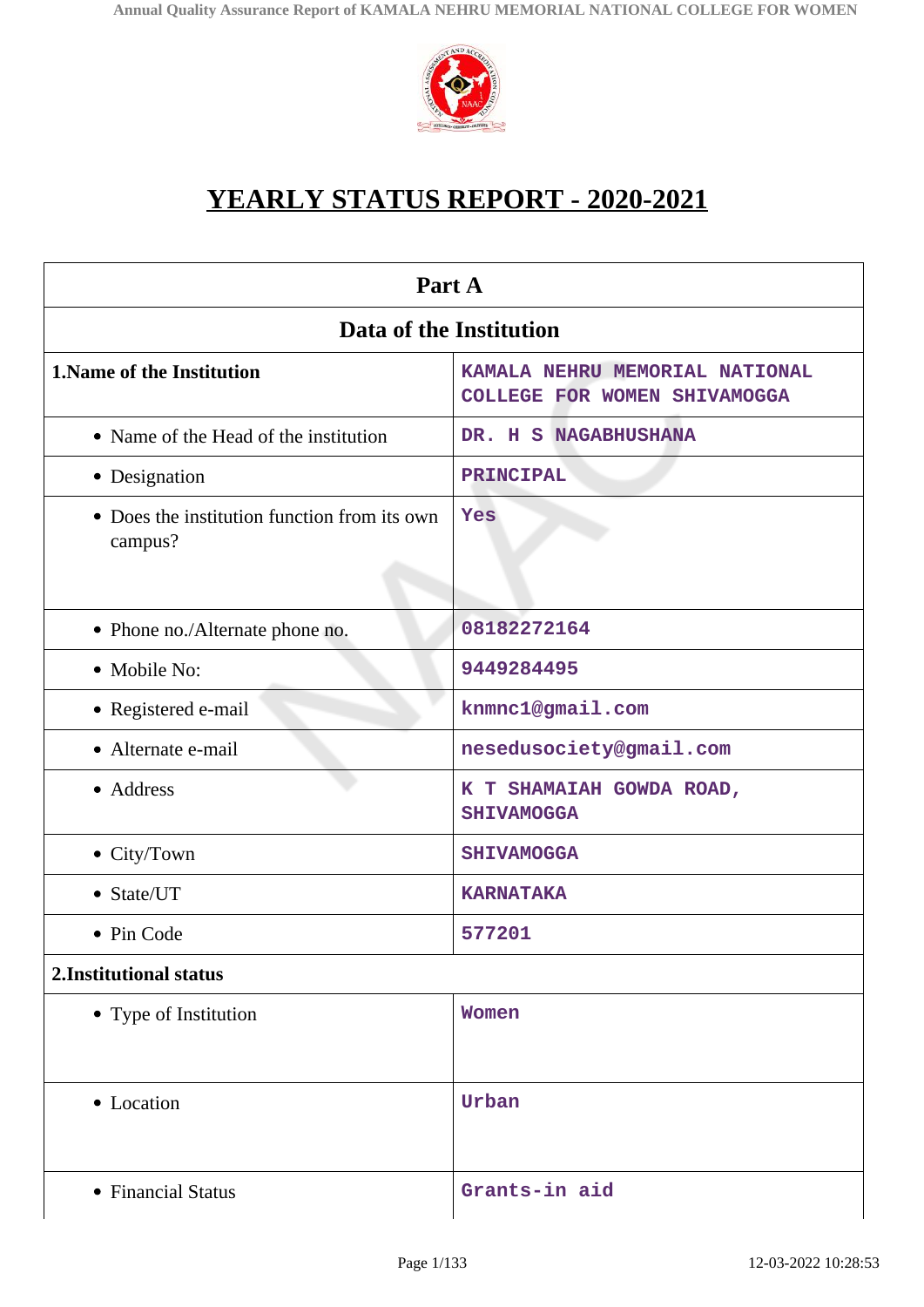

# **YEARLY STATUS REPORT - 2020-2021**

| Part A                                                  |                                                                |  |
|---------------------------------------------------------|----------------------------------------------------------------|--|
| Data of the Institution                                 |                                                                |  |
| 1. Name of the Institution                              | KAMALA NEHRU MEMORIAL NATIONAL<br>COLLEGE FOR WOMEN SHIVAMOGGA |  |
| • Name of the Head of the institution                   | DR. H S NAGABHUSHANA                                           |  |
| • Designation                                           | PRINCIPAL                                                      |  |
| • Does the institution function from its own<br>campus? | Yes                                                            |  |
| • Phone no./Alternate phone no.                         | 08182272164                                                    |  |
| • Mobile No:                                            | 9449284495                                                     |  |
| • Registered e-mail                                     | knmnc1@gmail.com                                               |  |
| • Alternate e-mail                                      | nesedusociety@gmail.com                                        |  |
| • Address                                               | K T SHAMAIAH GOWDA ROAD,<br><b>SHIVAMOGGA</b>                  |  |
| • City/Town                                             | <b>SHIVAMOGGA</b>                                              |  |
| • State/UT                                              | <b>KARNATAKA</b>                                               |  |
| • Pin Code                                              | 577201                                                         |  |
| 2.Institutional status                                  |                                                                |  |
| • Type of Institution                                   | Women                                                          |  |
| • Location                                              | Urban                                                          |  |
| • Financial Status                                      | Grants-in aid                                                  |  |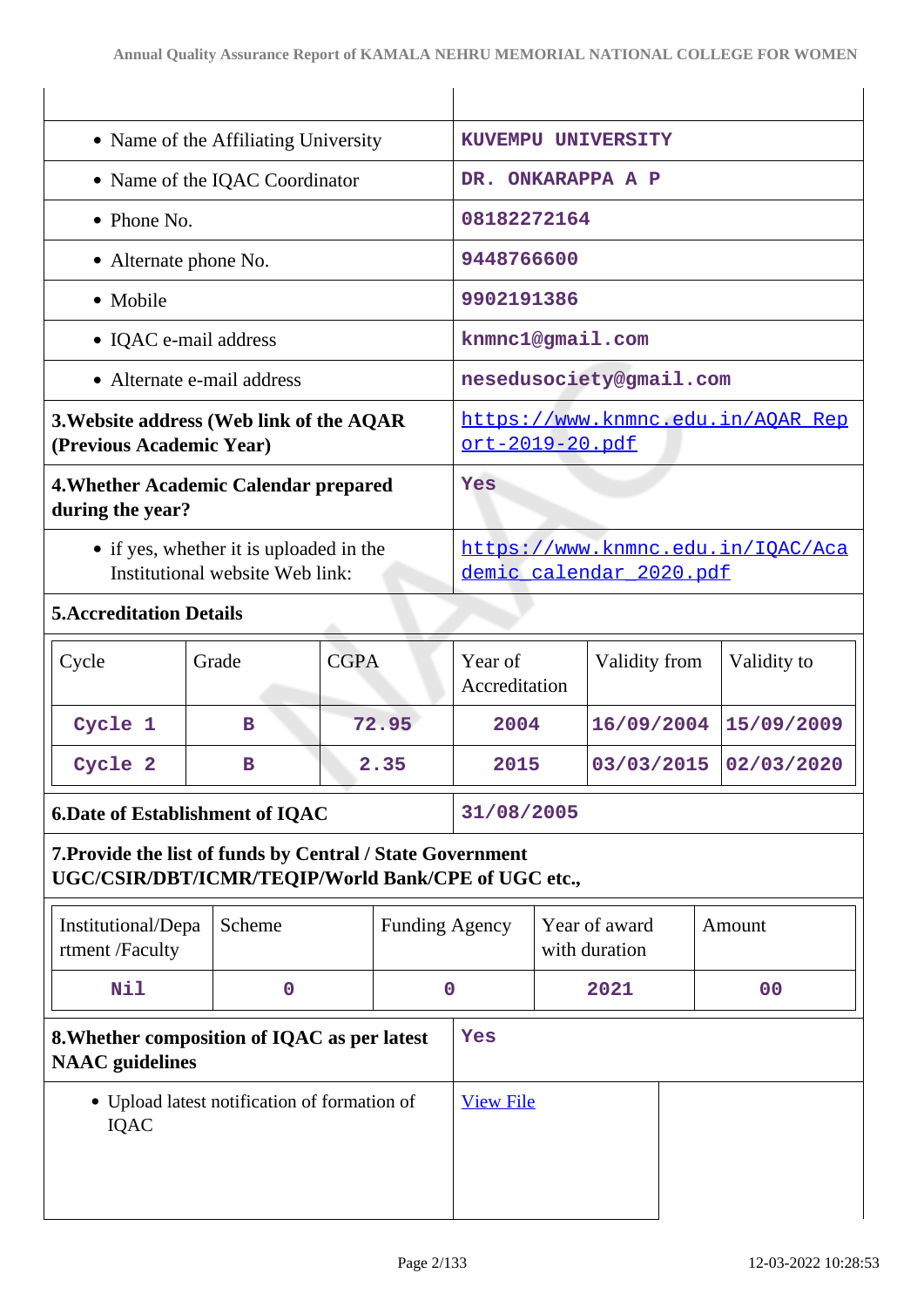| • Name of the Affiliating University                                                                              |             |                                                              | KUVEMPU UNIVERSITY    |                                                      |                                |               |                       |
|-------------------------------------------------------------------------------------------------------------------|-------------|--------------------------------------------------------------|-----------------------|------------------------------------------------------|--------------------------------|---------------|-----------------------|
| • Name of the IQAC Coordinator                                                                                    |             |                                                              |                       | DR. ONKARAPPA A P                                    |                                |               |                       |
| • Phone No.                                                                                                       |             |                                                              |                       | 08182272164                                          |                                |               |                       |
| • Alternate phone No.                                                                                             |             |                                                              |                       | 9448766600                                           |                                |               |                       |
| • Mobile                                                                                                          |             |                                                              |                       | 9902191386                                           |                                |               |                       |
| • IQAC e-mail address                                                                                             |             |                                                              |                       | knmnc1@gmail.com                                     |                                |               |                       |
| • Alternate e-mail address                                                                                        |             |                                                              |                       | nesedusociety@gmail.com                              |                                |               |                       |
| 3. Website address (Web link of the AQAR<br>(Previous Academic Year)                                              |             |                                                              |                       | https://www.knmnc.edu.in/AQAR Rep<br>ort-2019-20.pdf |                                |               |                       |
| 4. Whether Academic Calendar prepared<br>during the year?                                                         |             |                                                              | Yes                   |                                                      |                                |               |                       |
| • if yes, whether it is uploaded in the<br>Institutional website Web link:                                        |             | https://www.knmnc.edu.in/IQAC/Aca<br>demic_calendar_2020.pdf |                       |                                                      |                                |               |                       |
| <b>5. Accreditation Details</b>                                                                                   |             |                                                              |                       |                                                      |                                |               |                       |
| Cycle                                                                                                             | Grade       | <b>CGPA</b>                                                  |                       | Year of<br>Accreditation                             |                                | Validity from | Validity to           |
| Cycle 1                                                                                                           | в           |                                                              | 72.95                 | 2004                                                 |                                | 16/09/2004    | 15/09/2009            |
| Cycle 2                                                                                                           | в           |                                                              | 2.35                  | 2015                                                 |                                |               | 03/03/2015 02/03/2020 |
| <b>6.Date of Establishment of IQAC</b>                                                                            |             |                                                              |                       | 31/08/2005                                           |                                |               |                       |
| 7. Provide the list of funds by Central / State Government<br>UGC/CSIR/DBT/ICMR/TEQIP/World Bank/CPE of UGC etc., |             |                                                              |                       |                                                      |                                |               |                       |
| Institutional/Depa<br>rtment /Faculty                                                                             | Scheme      |                                                              | <b>Funding Agency</b> |                                                      | Year of award<br>with duration |               | Amount                |
| Nil                                                                                                               | $\mathbf 0$ |                                                              |                       | $\mathbf 0$                                          | 2021                           |               | 0 <sub>0</sub>        |
| 8. Whether composition of IQAC as per latest<br><b>NAAC</b> guidelines                                            |             | Yes                                                          |                       |                                                      |                                |               |                       |
| • Upload latest notification of formation of<br><b>IQAC</b>                                                       |             | <b>View File</b>                                             |                       |                                                      |                                |               |                       |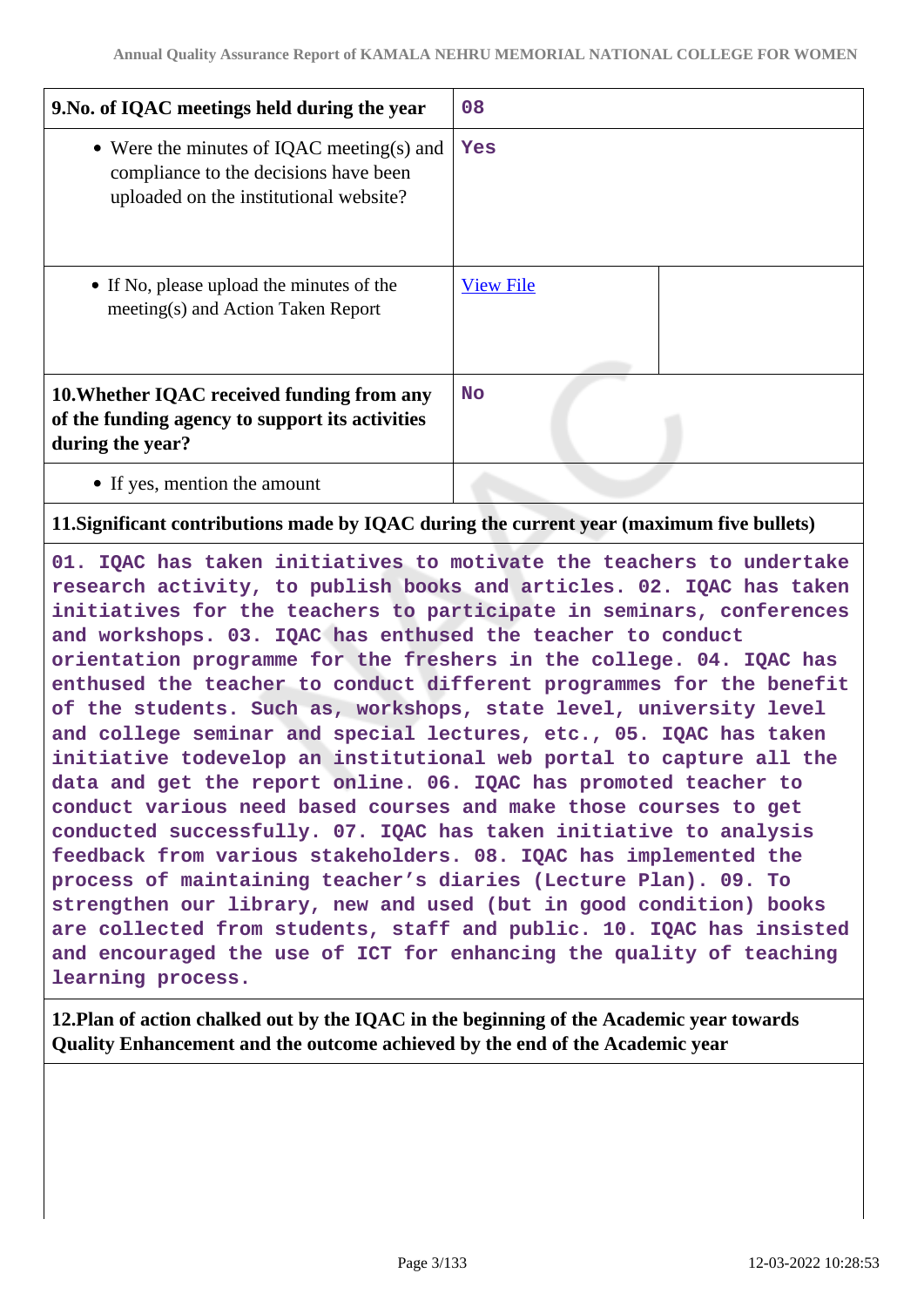| 9. No. of IQAC meetings held during the year                                                                                 | 08               |
|------------------------------------------------------------------------------------------------------------------------------|------------------|
| • Were the minutes of IQAC meeting(s) and<br>compliance to the decisions have been<br>uploaded on the institutional website? | Yes              |
| • If No, please upload the minutes of the<br>meeting(s) and Action Taken Report                                              | <b>View File</b> |
| 10. Whether IQAC received funding from any<br>of the funding agency to support its activities<br>during the year?            | <b>No</b>        |
| • If yes, mention the amount                                                                                                 |                  |

# **11.Significant contributions made by IQAC during the current year (maximum five bullets)**

**01. IQAC has taken initiatives to motivate the teachers to undertake research activity, to publish books and articles. 02. IQAC has taken initiatives for the teachers to participate in seminars, conferences and workshops. 03. IQAC has enthused the teacher to conduct orientation programme for the freshers in the college. 04. IQAC has enthused the teacher to conduct different programmes for the benefit of the students. Such as, workshops, state level, university level and college seminar and special lectures, etc., 05. IQAC has taken initiative todevelop an institutional web portal to capture all the data and get the report online. 06. IQAC has promoted teacher to conduct various need based courses and make those courses to get conducted successfully. 07. IQAC has taken initiative to analysis feedback from various stakeholders. 08. IQAC has implemented the process of maintaining teacher's diaries (Lecture Plan). 09. To strengthen our library, new and used (but in good condition) books are collected from students, staff and public. 10. IQAC has insisted and encouraged the use of ICT for enhancing the quality of teaching learning process.**

**12.Plan of action chalked out by the IQAC in the beginning of the Academic year towards Quality Enhancement and the outcome achieved by the end of the Academic year**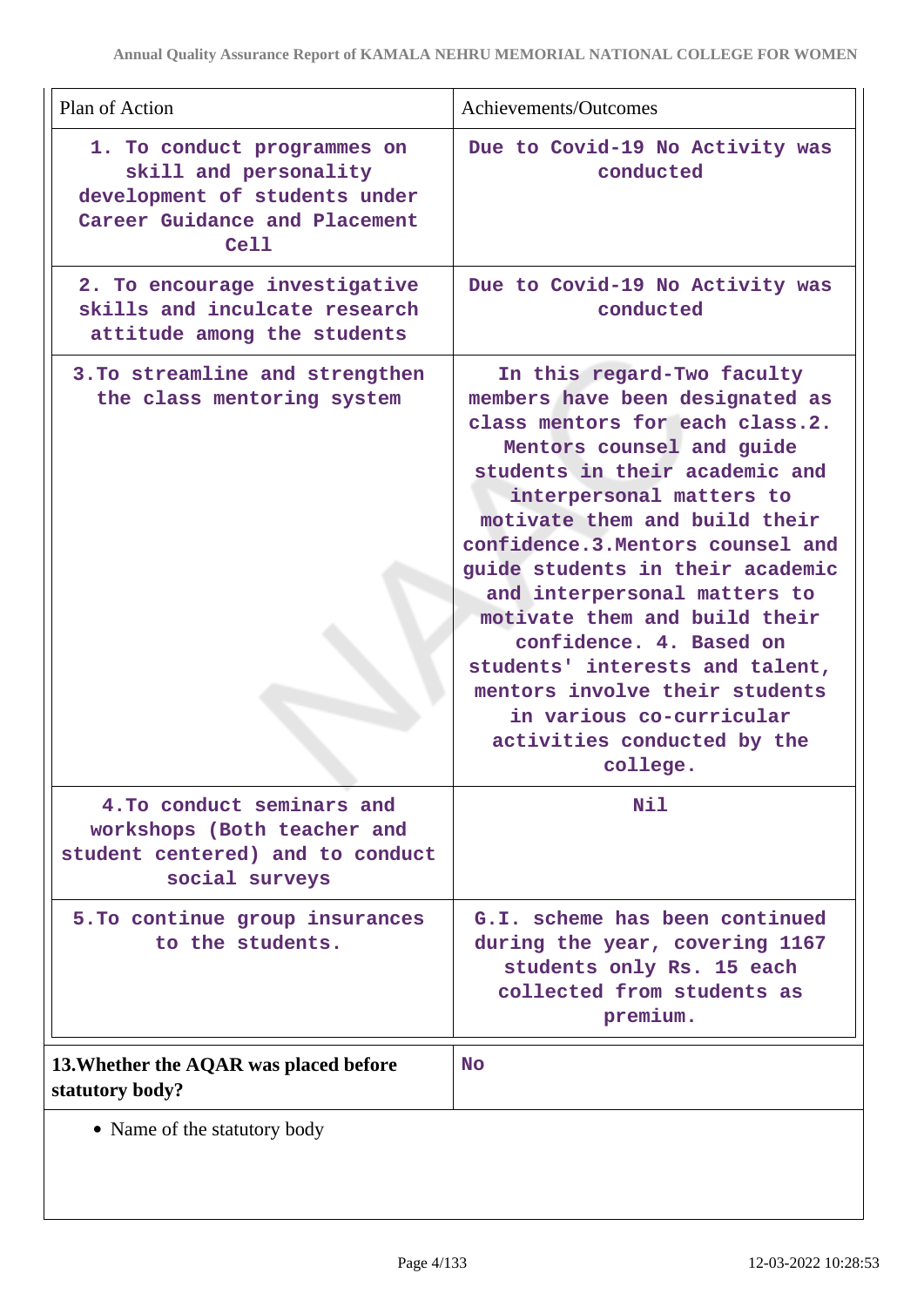| Plan of Action                                                                                                                 | Achievements/Outcomes                                                                                                                                                                                                                                                                                                                                                                                                                                                                                                                         |
|--------------------------------------------------------------------------------------------------------------------------------|-----------------------------------------------------------------------------------------------------------------------------------------------------------------------------------------------------------------------------------------------------------------------------------------------------------------------------------------------------------------------------------------------------------------------------------------------------------------------------------------------------------------------------------------------|
| 1. To conduct programmes on<br>skill and personality<br>development of students under<br>Career Guidance and Placement<br>Cell | Due to Covid-19 No Activity was<br>conducted                                                                                                                                                                                                                                                                                                                                                                                                                                                                                                  |
| 2. To encourage investigative<br>skills and inculcate research<br>attitude among the students                                  | Due to Covid-19 No Activity was<br>conducted                                                                                                                                                                                                                                                                                                                                                                                                                                                                                                  |
| 3. To streamline and strengthen<br>the class mentoring system                                                                  | In this regard-Two faculty<br>members have been designated as<br>class mentors for each class.2.<br>Mentors counsel and guide<br>students in their academic and<br>interpersonal matters to<br>motivate them and build their<br>confidence.3. Mentors counsel and<br>guide students in their academic<br>and interpersonal matters to<br>motivate them and build their<br>confidence. 4. Based on<br>students' interests and talent,<br>mentors involve their students<br>in various co-curricular<br>activities conducted by the<br>college. |
| 4. To conduct seminars and<br>workshops (Both teacher and<br>student centered) and to conduct<br>social surveys                | Nil                                                                                                                                                                                                                                                                                                                                                                                                                                                                                                                                           |
| 5. To continue group insurances<br>to the students.                                                                            | G.I. scheme has been continued<br>during the year, covering 1167<br>students only Rs. 15 each<br>collected from students as<br>premium.                                                                                                                                                                                                                                                                                                                                                                                                       |
| 13. Whether the AQAR was placed before<br>statutory body?                                                                      | <b>No</b>                                                                                                                                                                                                                                                                                                                                                                                                                                                                                                                                     |
| • Name of the statutory body                                                                                                   |                                                                                                                                                                                                                                                                                                                                                                                                                                                                                                                                               |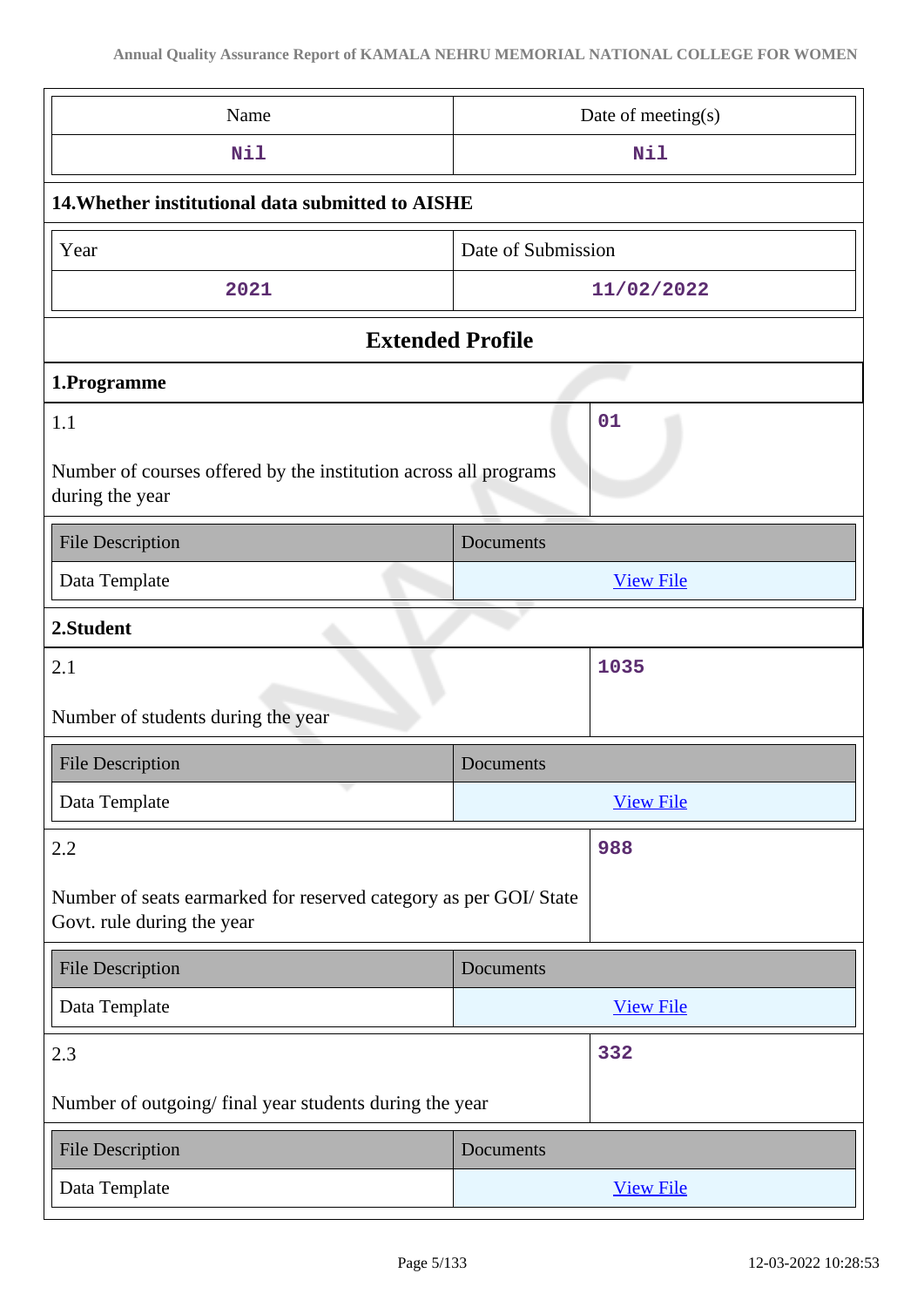| Name                                                                                            | Date of meeting(s) |  |
|-------------------------------------------------------------------------------------------------|--------------------|--|
| <b>Nil</b>                                                                                      | Nil                |  |
| 14. Whether institutional data submitted to AISHE                                               |                    |  |
| Year                                                                                            | Date of Submission |  |
| 2021                                                                                            | 11/02/2022         |  |
| <b>Extended Profile</b>                                                                         |                    |  |
| 1.Programme                                                                                     |                    |  |
| 1.1<br>Number of courses offered by the institution across all programs<br>during the year      | 01                 |  |
| <b>File Description</b>                                                                         | Documents          |  |
| Data Template                                                                                   | <b>View File</b>   |  |
| 2.Student                                                                                       |                    |  |
| 2.1                                                                                             | 1035               |  |
| Number of students during the year                                                              |                    |  |
| <b>File Description</b>                                                                         | Documents          |  |
| i, a<br>Data Template                                                                           | <b>View File</b>   |  |
| 2.2                                                                                             | 988                |  |
| Number of seats earmarked for reserved category as per GOI/ State<br>Govt. rule during the year |                    |  |
| <b>File Description</b>                                                                         | Documents          |  |
| Data Template                                                                                   | <b>View File</b>   |  |
| 2.3                                                                                             | 332                |  |
| Number of outgoing/final year students during the year                                          |                    |  |
|                                                                                                 |                    |  |
| <b>File Description</b>                                                                         | Documents          |  |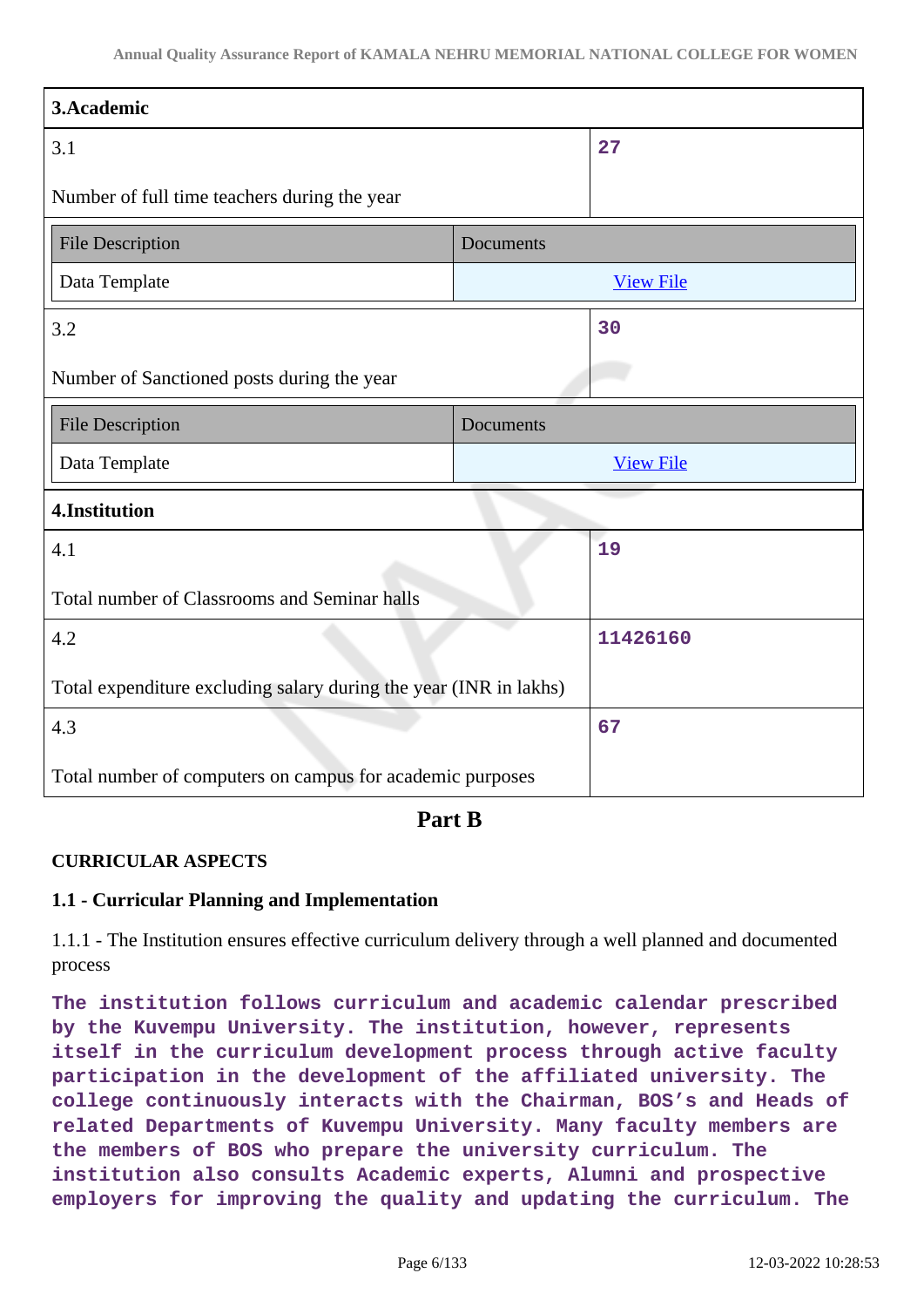| 3.Academic                                                        |           |                  |
|-------------------------------------------------------------------|-----------|------------------|
| 3.1                                                               |           | 27               |
| Number of full time teachers during the year                      |           |                  |
| <b>File Description</b>                                           | Documents |                  |
| Data Template                                                     |           | <b>View File</b> |
| 3.2                                                               |           | 30               |
| Number of Sanctioned posts during the year                        |           |                  |
| <b>File Description</b>                                           | Documents |                  |
| Data Template                                                     |           | <b>View File</b> |
| 4.Institution                                                     |           |                  |
| 4.1                                                               |           | 19               |
| Total number of Classrooms and Seminar halls                      |           |                  |
| 4.2                                                               |           | 11426160         |
| Total expenditure excluding salary during the year (INR in lakhs) |           |                  |
| 4.3                                                               |           | 67               |
| Total number of computers on campus for academic purposes         |           |                  |

**Part B**

### **CURRICULAR ASPECTS**

### **1.1 - Curricular Planning and Implementation**

1.1.1 - The Institution ensures effective curriculum delivery through a well planned and documented process

**The institution follows curriculum and academic calendar prescribed by the Kuvempu University. The institution, however, represents itself in the curriculum development process through active faculty participation in the development of the affiliated university. The college continuously interacts with the Chairman, BOS's and Heads of related Departments of Kuvempu University. Many faculty members are the members of BOS who prepare the university curriculum. The institution also consults Academic experts, Alumni and prospective employers for improving the quality and updating the curriculum. The**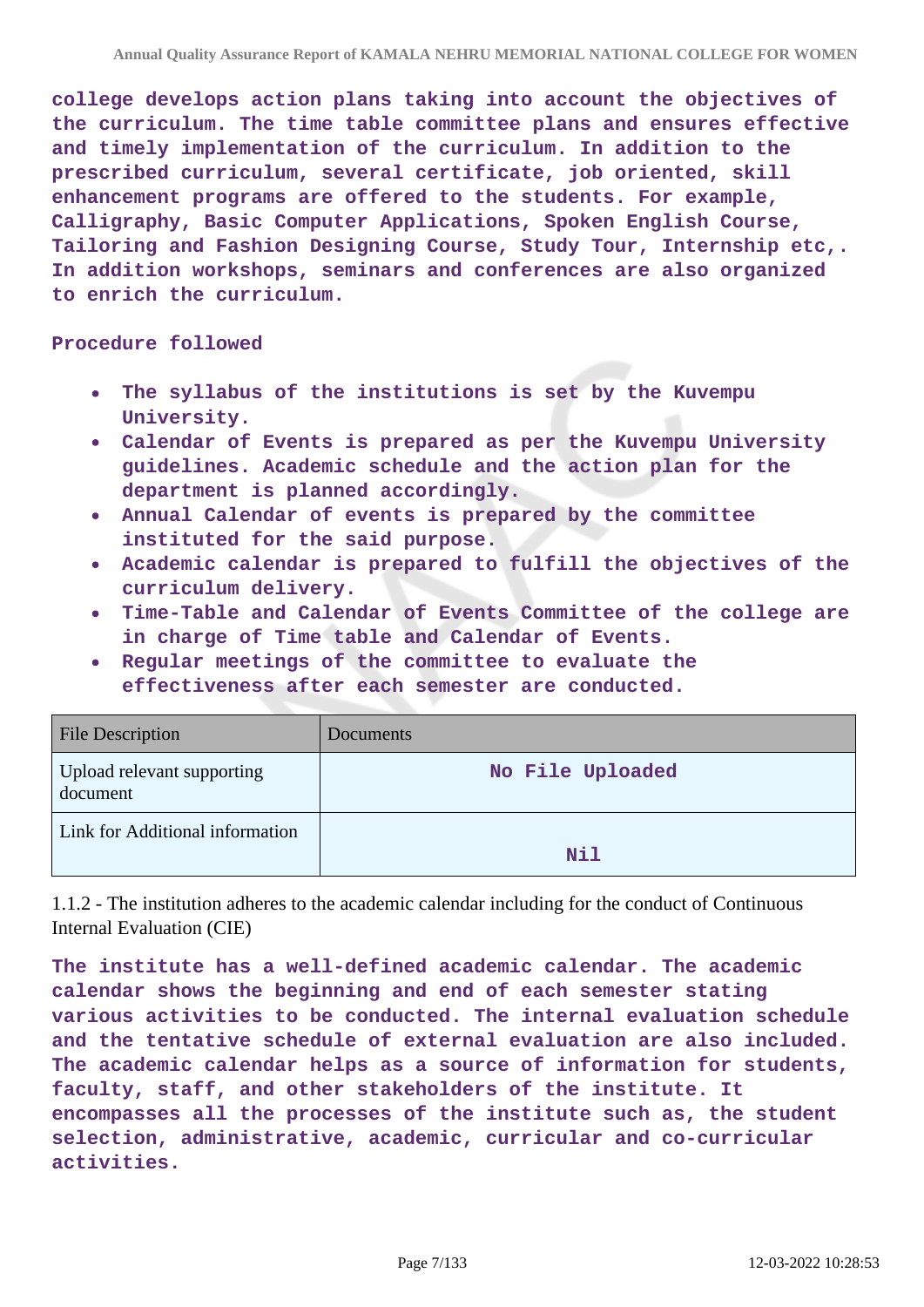**college develops action plans taking into account the objectives of the curriculum. The time table committee plans and ensures effective and timely implementation of the curriculum. In addition to the prescribed curriculum, several certificate, job oriented, skill enhancement programs are offered to the students. For example, Calligraphy, Basic Computer Applications, Spoken English Course, Tailoring and Fashion Designing Course, Study Tour, Internship etc,. In addition workshops, seminars and conferences are also organized to enrich the curriculum.**

### **Procedure followed**

- $\bullet$ **The syllabus of the institutions is set by the Kuvempu University.**
- **Calendar of Events is prepared as per the Kuvempu University guidelines. Academic schedule and the action plan for the department is planned accordingly.**
- **Annual Calendar of events is prepared by the committee instituted for the said purpose.**
- **Academic calendar is prepared to fulfill the objectives of the curriculum delivery.**
- **Time-Table and Calendar of Events Committee of the college are in charge of Time table and Calendar of Events.**
- **Regular meetings of the committee to evaluate the effectiveness after each semester are conducted.**

| <b>File Description</b>                | Documents        |
|----------------------------------------|------------------|
| Upload relevant supporting<br>document | No File Uploaded |
| Link for Additional information        | Nil              |

1.1.2 - The institution adheres to the academic calendar including for the conduct of Continuous Internal Evaluation (CIE)

**The institute has a well-defined academic calendar. The academic calendar shows the beginning and end of each semester stating various activities to be conducted. The internal evaluation schedule and the tentative schedule of external evaluation are also included. The academic calendar helps as a source of information for students, faculty, staff, and other stakeholders of the institute. It encompasses all the processes of the institute such as, the student selection, administrative, academic, curricular and co-curricular activities.**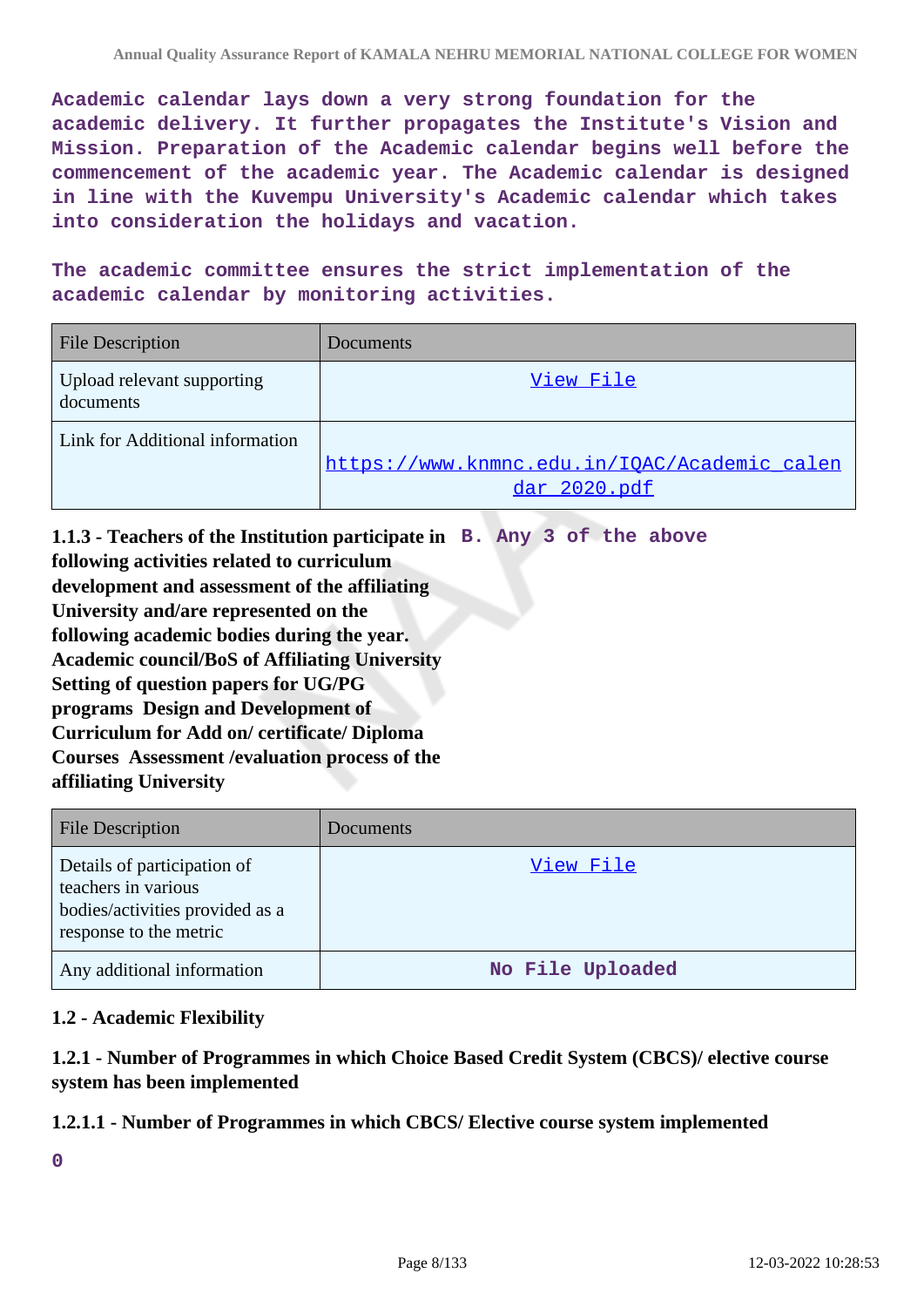**Academic calendar lays down a very strong foundation for the academic delivery. It further propagates the Institute's Vision and Mission. Preparation of the Academic calendar begins well before the commencement of the academic year. The Academic calendar is designed in line with the Kuvempu University's Academic calendar which takes into consideration the holidays and vacation.**

**The academic committee ensures the strict implementation of the academic calendar by monitoring activities.**

| <b>File Description</b>                 | Documents                                                    |
|-----------------------------------------|--------------------------------------------------------------|
| Upload relevant supporting<br>documents | View File                                                    |
| Link for Additional information         | https://www.knmnc.edu.in/IQAC/Academic calen<br>dar 2020.pdf |

**1.1.3 - Teachers of the Institution participate in B. Any 3 of the above following activities related to curriculum development and assessment of the affiliating University and/are represented on the following academic bodies during the year. Academic council/BoS of Affiliating University Setting of question papers for UG/PG programs Design and Development of Curriculum for Add on/ certificate/ Diploma Courses Assessment /evaluation process of the affiliating University**

| <b>File Description</b>                                                                                         | <b>Documents</b> |
|-----------------------------------------------------------------------------------------------------------------|------------------|
| Details of participation of<br>teachers in various<br>bodies/activities provided as a<br>response to the metric | View File        |
| Any additional information                                                                                      | No File Uploaded |

### **1.2 - Academic Flexibility**

**1.2.1 - Number of Programmes in which Choice Based Credit System (CBCS)/ elective course system has been implemented**

### **1.2.1.1 - Number of Programmes in which CBCS/ Elective course system implemented**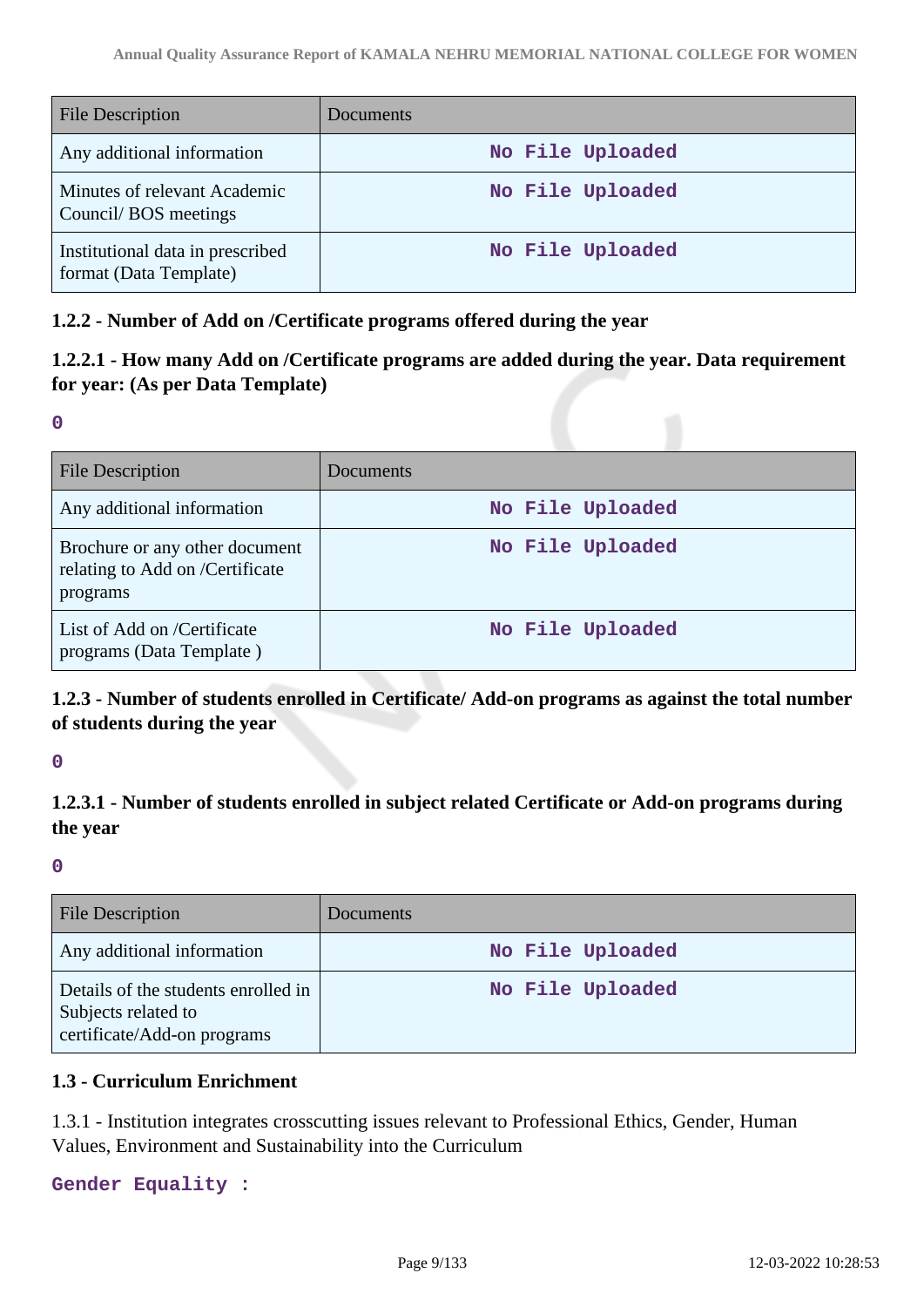| <b>File Description</b>                                    | <b>Documents</b> |
|------------------------------------------------------------|------------------|
| Any additional information                                 | No File Uploaded |
| Minutes of relevant Academic<br>Council/BOS meetings       | No File Uploaded |
| Institutional data in prescribed<br>format (Data Template) | No File Uploaded |

### **1.2.2 - Number of Add on /Certificate programs offered during the year**

# **1.2.2.1 - How many Add on /Certificate programs are added during the year. Data requirement for year: (As per Data Template)**

**0**

| <b>File Description</b>                                                       | <b>Documents</b> |
|-------------------------------------------------------------------------------|------------------|
| Any additional information                                                    | No File Uploaded |
| Brochure or any other document<br>relating to Add on /Certificate<br>programs | No File Uploaded |
| List of Add on /Certificate<br>programs (Data Template)                       | No File Uploaded |

# **1.2.3 - Number of students enrolled in Certificate/ Add-on programs as against the total number of students during the year**

**0**

# **1.2.3.1 - Number of students enrolled in subject related Certificate or Add-on programs during the year**

**0**

| <b>File Description</b>                                                                   | Documents        |
|-------------------------------------------------------------------------------------------|------------------|
| Any additional information                                                                | No File Uploaded |
| Details of the students enrolled in<br>Subjects related to<br>certificate/Add-on programs | No File Uploaded |

# **1.3 - Curriculum Enrichment**

1.3.1 - Institution integrates crosscutting issues relevant to Professional Ethics, Gender, Human Values, Environment and Sustainability into the Curriculum

**Gender Equality :**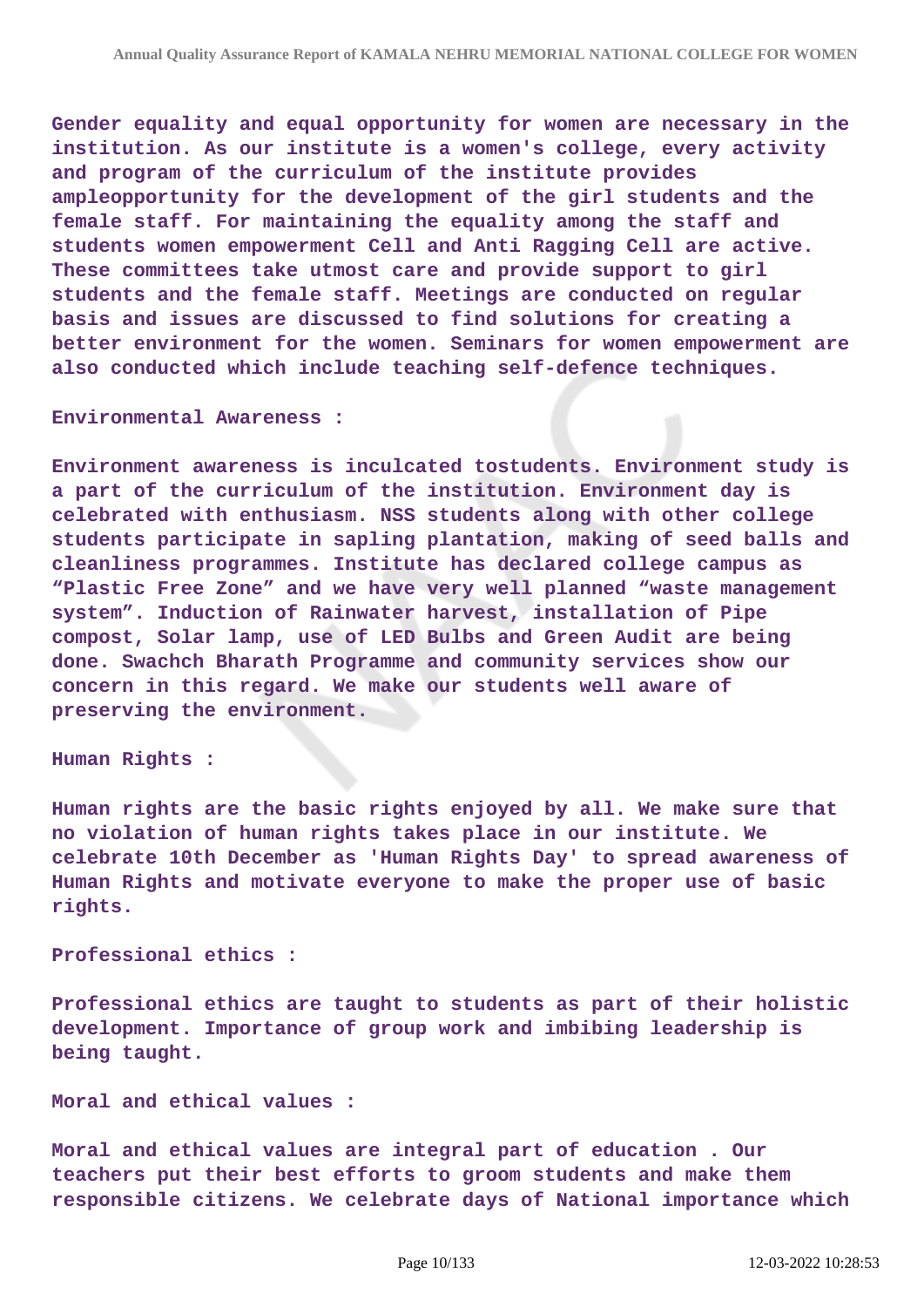**Gender equality and equal opportunity for women are necessary in the institution. As our institute is a women's college, every activity and program of the curriculum of the institute provides ampleopportunity for the development of the girl students and the female staff. For maintaining the equality among the staff and students women empowerment Cell and Anti Ragging Cell are active. These committees take utmost care and provide support to girl students and the female staff. Meetings are conducted on regular basis and issues are discussed to find solutions for creating a better environment for the women. Seminars for women empowerment are also conducted which include teaching self-defence techniques.**

#### **Environmental Awareness :**

**Environment awareness is inculcated tostudents. Environment study is a part of the curriculum of the institution. Environment day is celebrated with enthusiasm. NSS students along with other college students participate in sapling plantation, making of seed balls and cleanliness programmes. Institute has declared college campus as "Plastic Free Zone" and we have very well planned "waste management system". Induction of Rainwater harvest, installation of Pipe compost, Solar lamp, use of LED Bulbs and Green Audit are being done. Swachch Bharath Programme and community services show our concern in this regard. We make our students well aware of preserving the environment.**

#### **Human Rights :**

**Human rights are the basic rights enjoyed by all. We make sure that no violation of human rights takes place in our institute. We celebrate 10th December as 'Human Rights Day' to spread awareness of Human Rights and motivate everyone to make the proper use of basic rights.**

#### **Professional ethics :**

**Professional ethics are taught to students as part of their holistic development. Importance of group work and imbibing leadership is being taught.**

#### **Moral and ethical values :**

**Moral and ethical values are integral part of education . Our teachers put their best efforts to groom students and make them responsible citizens. We celebrate days of National importance which**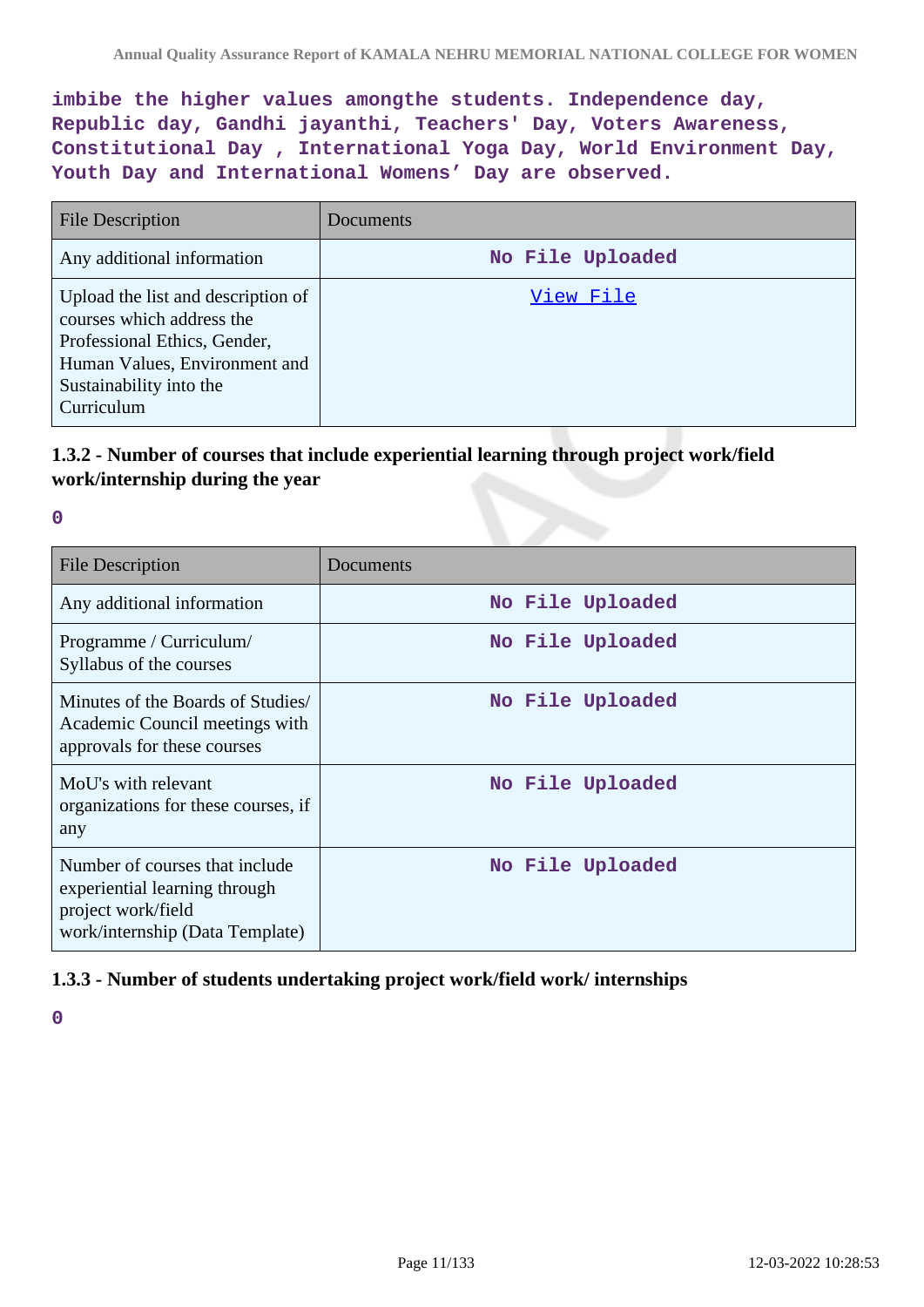**imbibe the higher values amongthe students. Independence day, Republic day, Gandhi jayanthi, Teachers' Day, Voters Awareness, Constitutional Day , International Yoga Day, World Environment Day, Youth Day and International Womens' Day are observed.**

| <b>File Description</b>                                                                                                                                                   | Documents        |
|---------------------------------------------------------------------------------------------------------------------------------------------------------------------------|------------------|
| Any additional information                                                                                                                                                | No File Uploaded |
| Upload the list and description of<br>courses which address the<br>Professional Ethics, Gender,<br>Human Values, Environment and<br>Sustainability into the<br>Curriculum | View File        |

# **1.3.2 - Number of courses that include experiential learning through project work/field work/internship during the year**

| P. |    |   |  |
|----|----|---|--|
|    |    |   |  |
|    |    |   |  |
|    | ۰. | c |  |

| <b>File Description</b>                                                                                                  | Documents        |
|--------------------------------------------------------------------------------------------------------------------------|------------------|
| Any additional information                                                                                               | No File Uploaded |
| Programme / Curriculum/<br>Syllabus of the courses                                                                       | No File Uploaded |
| Minutes of the Boards of Studies<br>Academic Council meetings with<br>approvals for these courses                        | No File Uploaded |
| MoU's with relevant<br>organizations for these courses, if<br>any                                                        | No File Uploaded |
| Number of courses that include<br>experiential learning through<br>project work/field<br>work/internship (Data Template) | No File Uploaded |

### **1.3.3 - Number of students undertaking project work/field work/ internships**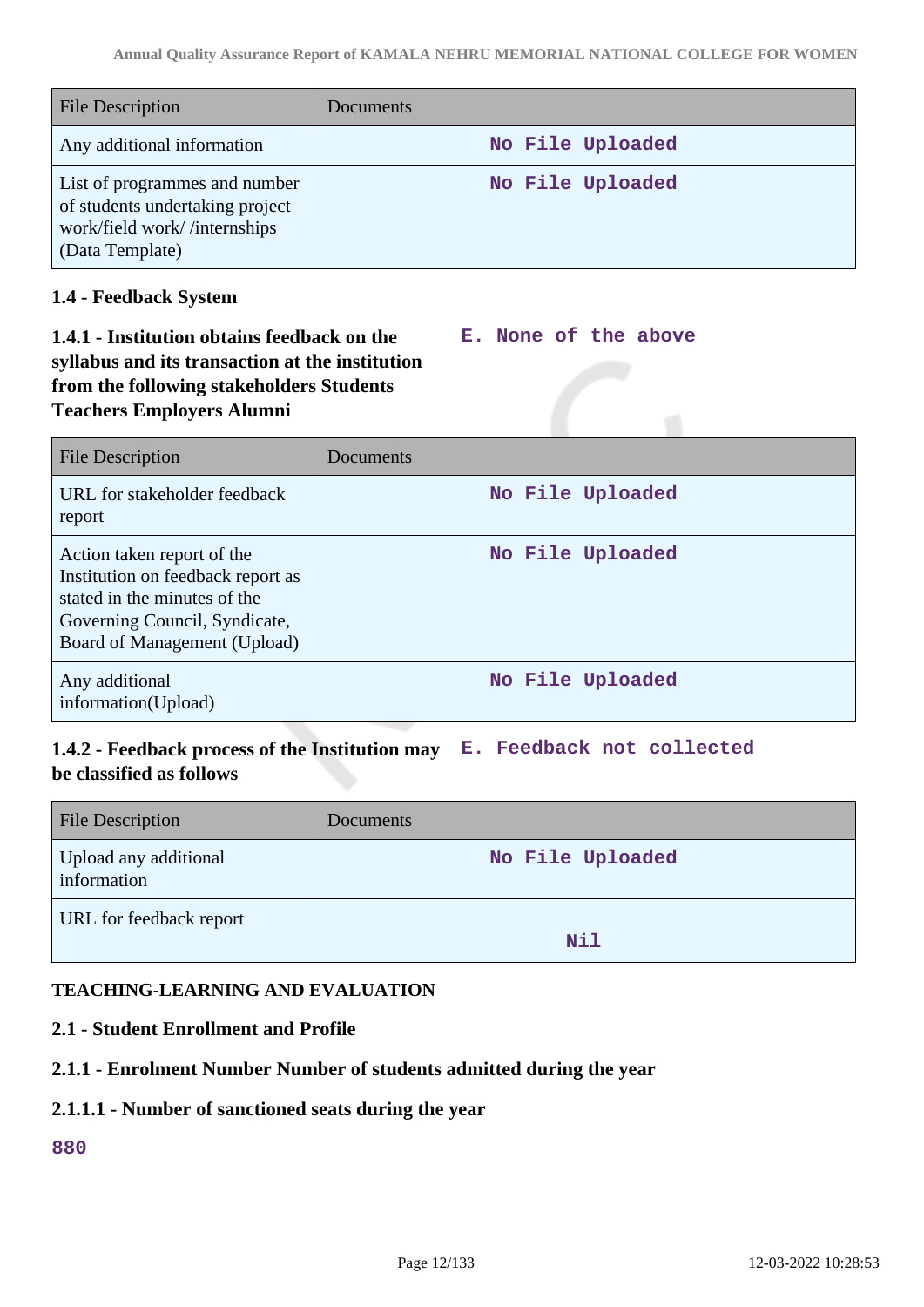| <b>File Description</b>                                                                                             | <b>Documents</b> |
|---------------------------------------------------------------------------------------------------------------------|------------------|
| Any additional information                                                                                          | No File Uploaded |
| List of programmes and number<br>of students undertaking project<br>work/field work//internships<br>(Data Template) | No File Uploaded |

## **1.4 - Feedback System**

#### **1.4.1 - Institution obtains feedback on the syllabus and its transaction at the institution from the following stakeholders Students Teachers Employers Alumni E. None of the above**

| <b>File Description</b>                                                                                                                                          | Documents        |
|------------------------------------------------------------------------------------------------------------------------------------------------------------------|------------------|
| URL for stakeholder feedback<br>report                                                                                                                           | No File Uploaded |
| Action taken report of the<br>Institution on feedback report as<br>stated in the minutes of the<br>Governing Council, Syndicate,<br>Board of Management (Upload) | No File Uploaded |
| Any additional<br>information(Upload)                                                                                                                            | No File Uploaded |

# **1.4.2 - Feedback process of the Institution may E. Feedback not collected be classified as follows**

| <b>File Description</b>              | Documents        |
|--------------------------------------|------------------|
| Upload any additional<br>information | No File Uploaded |
| URL for feedback report              | Nil              |

# **TEACHING-LEARNING AND EVALUATION**

# **2.1 - Student Enrollment and Profile**

### **2.1.1 - Enrolment Number Number of students admitted during the year**

### **2.1.1.1 - Number of sanctioned seats during the year**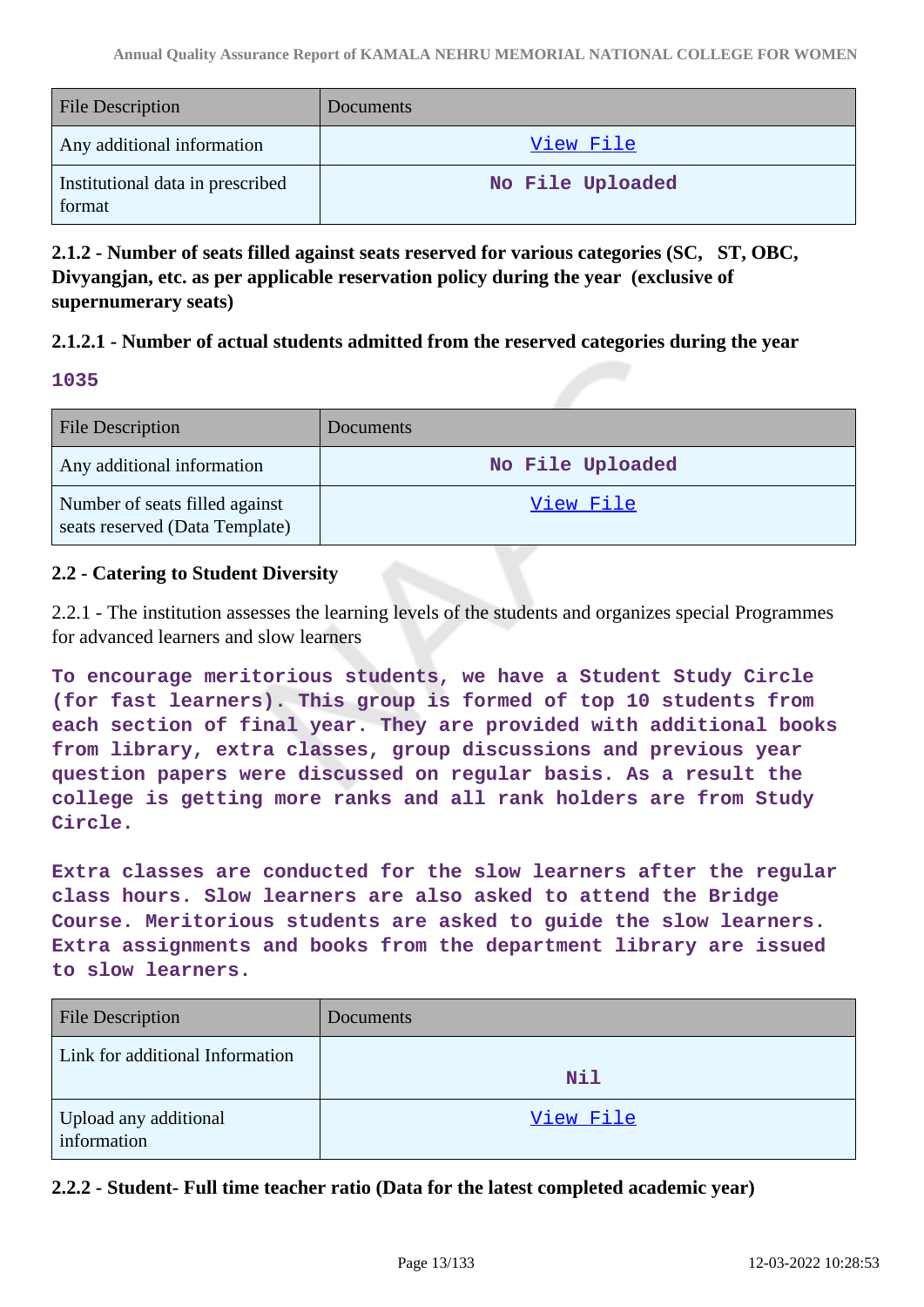| <b>File Description</b>                    | Documents        |
|--------------------------------------------|------------------|
| Any additional information                 | <u>View File</u> |
| Institutional data in prescribed<br>format | No File Uploaded |

**2.1.2 - Number of seats filled against seats reserved for various categories (SC, ST, OBC, Divyangjan, etc. as per applicable reservation policy during the year (exclusive of supernumerary seats)**

### **2.1.2.1 - Number of actual students admitted from the reserved categories during the year**

### **1035**

| <b>File Description</b>                                          | Documents        |
|------------------------------------------------------------------|------------------|
| Any additional information                                       | No File Uploaded |
| Number of seats filled against<br>seats reserved (Data Template) | View File        |

### **2.2 - Catering to Student Diversity**

2.2.1 - The institution assesses the learning levels of the students and organizes special Programmes for advanced learners and slow learners

**To encourage meritorious students, we have a Student Study Circle (for fast learners). This group is formed of top 10 students from each section of final year. They are provided with additional books from library, extra classes, group discussions and previous year question papers were discussed on regular basis. As a result the college is getting more ranks and all rank holders are from Study Circle.**

**Extra classes are conducted for the slow learners after the regular class hours. Slow learners are also asked to attend the Bridge Course. Meritorious students are asked to guide the slow learners. Extra assignments and books from the department library are issued to slow learners.**

| <b>File Description</b>              | <b>Documents</b> |
|--------------------------------------|------------------|
| Link for additional Information      | Nil              |
| Upload any additional<br>information | View File        |

**2.2.2 - Student- Full time teacher ratio (Data for the latest completed academic year)**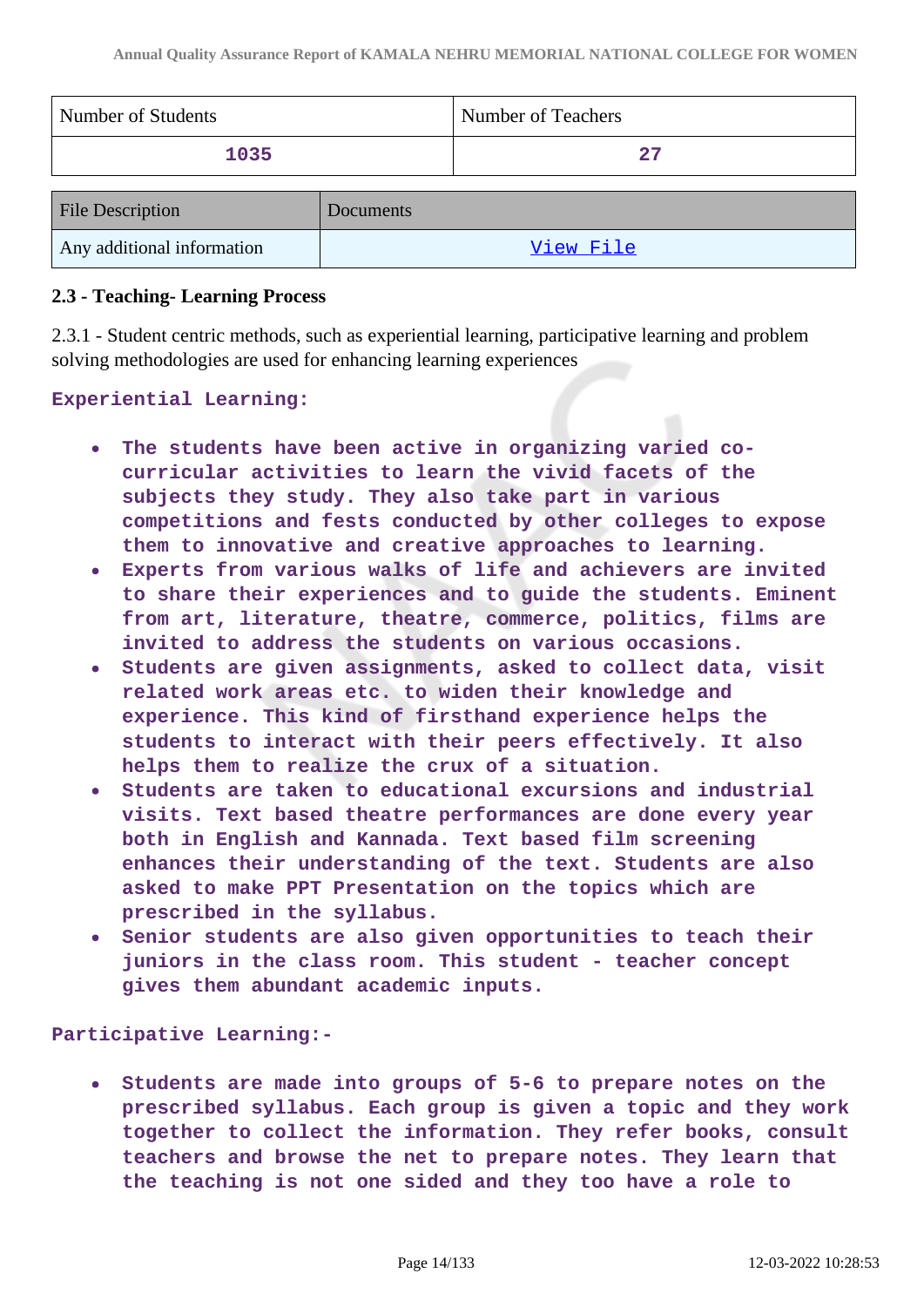| Number of Students         |           | Number of Teachers |
|----------------------------|-----------|--------------------|
| 1035                       |           | 27                 |
| <b>File Description</b>    | Documents |                    |
| Any additional information |           | View File          |

### **2.3 - Teaching- Learning Process**

2.3.1 - Student centric methods, such as experiential learning, participative learning and problem solving methodologies are used for enhancing learning experiences

**Experiential Learning:**

- **The students have been active in organizing varied cocurricular activities to learn the vivid facets of the subjects they study. They also take part in various competitions and fests conducted by other colleges to expose them to innovative and creative approaches to learning.**
- **Experts from various walks of life and achievers are invited to share their experiences and to guide the students. Eminent from art, literature, theatre, commerce, politics, films are invited to address the students on various occasions.**
- **Students are given assignments, asked to collect data, visit**  $\bullet$ **related work areas etc. to widen their knowledge and experience. This kind of firsthand experience helps the students to interact with their peers effectively. It also helps them to realize the crux of a situation.**
- **Students are taken to educational excursions and industrial visits. Text based theatre performances are done every year both in English and Kannada. Text based film screening enhances their understanding of the text. Students are also asked to make PPT Presentation on the topics which are prescribed in the syllabus.**
- **Senior students are also given opportunities to teach their juniors in the class room. This student - teacher concept gives them abundant academic inputs.**

**Participative Learning:-**

**Students are made into groups of 5-6 to prepare notes on the**  $\bullet$ **prescribed syllabus. Each group is given a topic and they work together to collect the information. They refer books, consult teachers and browse the net to prepare notes. They learn that the teaching is not one sided and they too have a role to**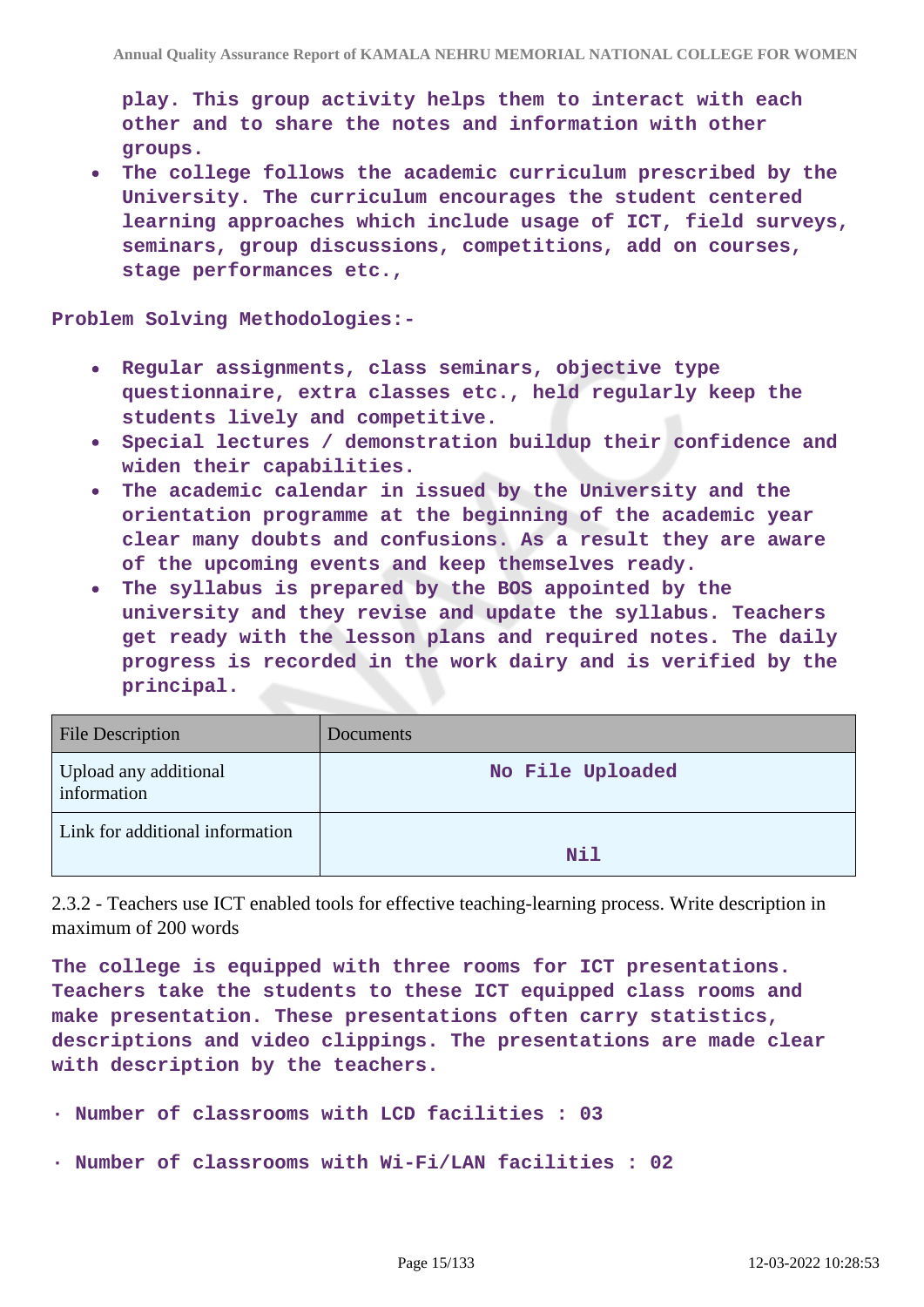**play. This group activity helps them to interact with each other and to share the notes and information with other groups.**

**The college follows the academic curriculum prescribed by the University. The curriculum encourages the student centered learning approaches which include usage of ICT, field surveys, seminars, group discussions, competitions, add on courses, stage performances etc.,**

**Problem Solving Methodologies:-**

- **Regular assignments, class seminars, objective type**  $\bullet$ **questionnaire, extra classes etc., held regularly keep the students lively and competitive.**
- **Special lectures / demonstration buildup their confidence and widen their capabilities.**
- **The academic calendar in issued by the University and the**  $\bullet$ **orientation programme at the beginning of the academic year clear many doubts and confusions. As a result they are aware of the upcoming events and keep themselves ready.**
- **The syllabus is prepared by the BOS appointed by the university and they revise and update the syllabus. Teachers get ready with the lesson plans and required notes. The daily progress is recorded in the work dairy and is verified by the principal.**

| <b>File Description</b>              | Documents        |
|--------------------------------------|------------------|
| Upload any additional<br>information | No File Uploaded |
| Link for additional information      | Nil              |

2.3.2 - Teachers use ICT enabled tools for effective teaching-learning process. Write description in maximum of 200 words

**The college is equipped with three rooms for ICT presentations. Teachers take the students to these ICT equipped class rooms and make presentation. These presentations often carry statistics, descriptions and video clippings. The presentations are made clear with description by the teachers.**

- **· Number of classrooms with LCD facilities : 03**
- **· Number of classrooms with Wi-Fi/LAN facilities : 02**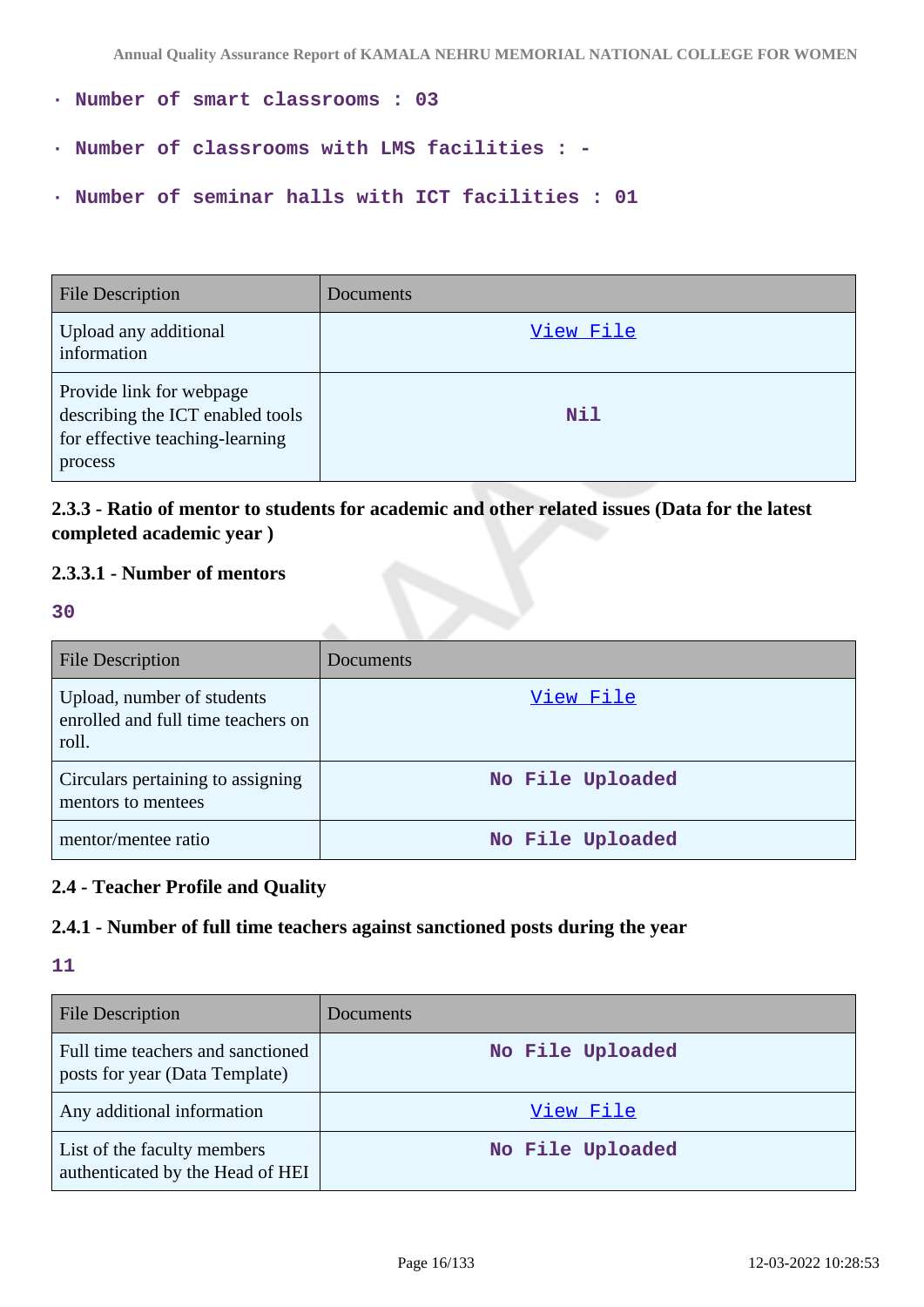- **· Number of smart classrooms : 03**
- **· Number of classrooms with LMS facilities : -**
- **· Number of seminar halls with ICT facilities : 01**

| <b>File Description</b>                                                                                    | Documents |
|------------------------------------------------------------------------------------------------------------|-----------|
| Upload any additional<br>information                                                                       | View File |
| Provide link for webpage<br>describing the ICT enabled tools<br>for effective teaching-learning<br>process | Nil       |

# **2.3.3 - Ratio of mentor to students for academic and other related issues (Data for the latest completed academic year )**

# **2.3.3.1 - Number of mentors**

**30**

| <b>File Description</b>                                                   | Documents        |
|---------------------------------------------------------------------------|------------------|
| Upload, number of students<br>enrolled and full time teachers on<br>roll. | View File        |
| Circulars pertaining to assigning<br>mentors to mentees                   | No File Uploaded |
| mentor/mentee ratio                                                       | No File Uploaded |

# **2.4 - Teacher Profile and Quality**

# **2.4.1 - Number of full time teachers against sanctioned posts during the year**

| <b>File Description</b>                                             | <b>Documents</b> |
|---------------------------------------------------------------------|------------------|
| Full time teachers and sanctioned<br>posts for year (Data Template) | No File Uploaded |
| Any additional information                                          | View File        |
| List of the faculty members<br>authenticated by the Head of HEI     | No File Uploaded |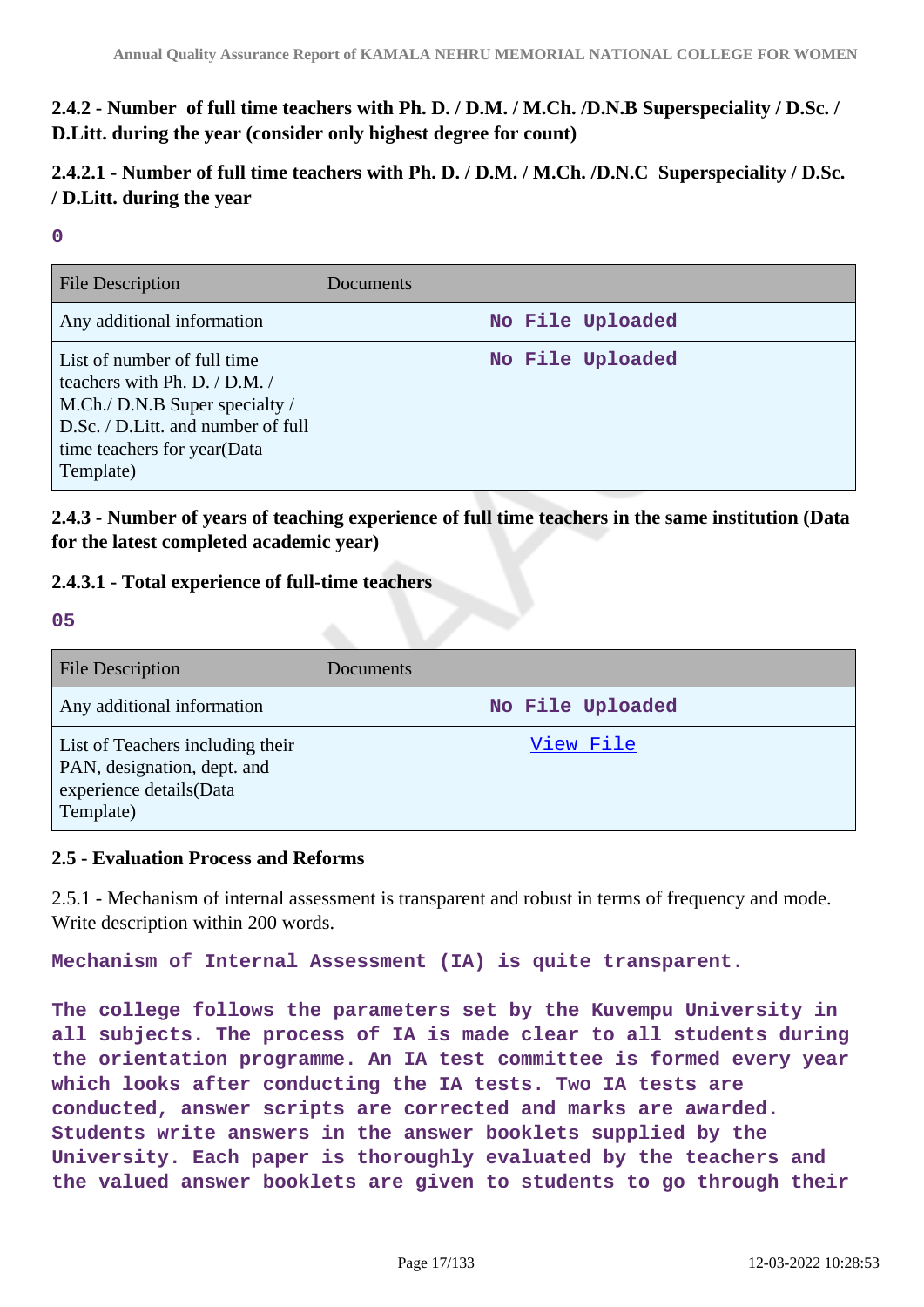**2.4.2 - Number of full time teachers with Ph. D. / D.M. / M.Ch. /D.N.B Superspeciality / D.Sc. / D.Litt. during the year (consider only highest degree for count)**

**2.4.2.1 - Number of full time teachers with Ph. D. / D.M. / M.Ch. /D.N.C Superspeciality / D.Sc. / D.Litt. during the year**

**0**

| <b>File Description</b>                                                                                                                                                              | Documents        |
|--------------------------------------------------------------------------------------------------------------------------------------------------------------------------------------|------------------|
| Any additional information                                                                                                                                                           | No File Uploaded |
| List of number of full time<br>teachers with Ph. D. $/$ D.M. $/$<br>M.Ch./ D.N.B Super specialty /<br>D.Sc. / D.Litt. and number of full<br>time teachers for year(Data<br>Template) | No File Uploaded |

**2.4.3 - Number of years of teaching experience of full time teachers in the same institution (Data for the latest completed academic year)**

- **2.4.3.1 Total experience of full-time teachers**
- **05**

| <b>File Description</b>                                                                                 | Documents        |
|---------------------------------------------------------------------------------------------------------|------------------|
| Any additional information                                                                              | No File Uploaded |
| List of Teachers including their<br>PAN, designation, dept. and<br>experience details(Data<br>Template) | View File        |

### **2.5 - Evaluation Process and Reforms**

2.5.1 - Mechanism of internal assessment is transparent and robust in terms of frequency and mode. Write description within 200 words.

**Mechanism of Internal Assessment (IA) is quite transparent.**

**The college follows the parameters set by the Kuvempu University in all subjects. The process of IA is made clear to all students during the orientation programme. An IA test committee is formed every year which looks after conducting the IA tests. Two IA tests are conducted, answer scripts are corrected and marks are awarded. Students write answers in the answer booklets supplied by the University. Each paper is thoroughly evaluated by the teachers and the valued answer booklets are given to students to go through their**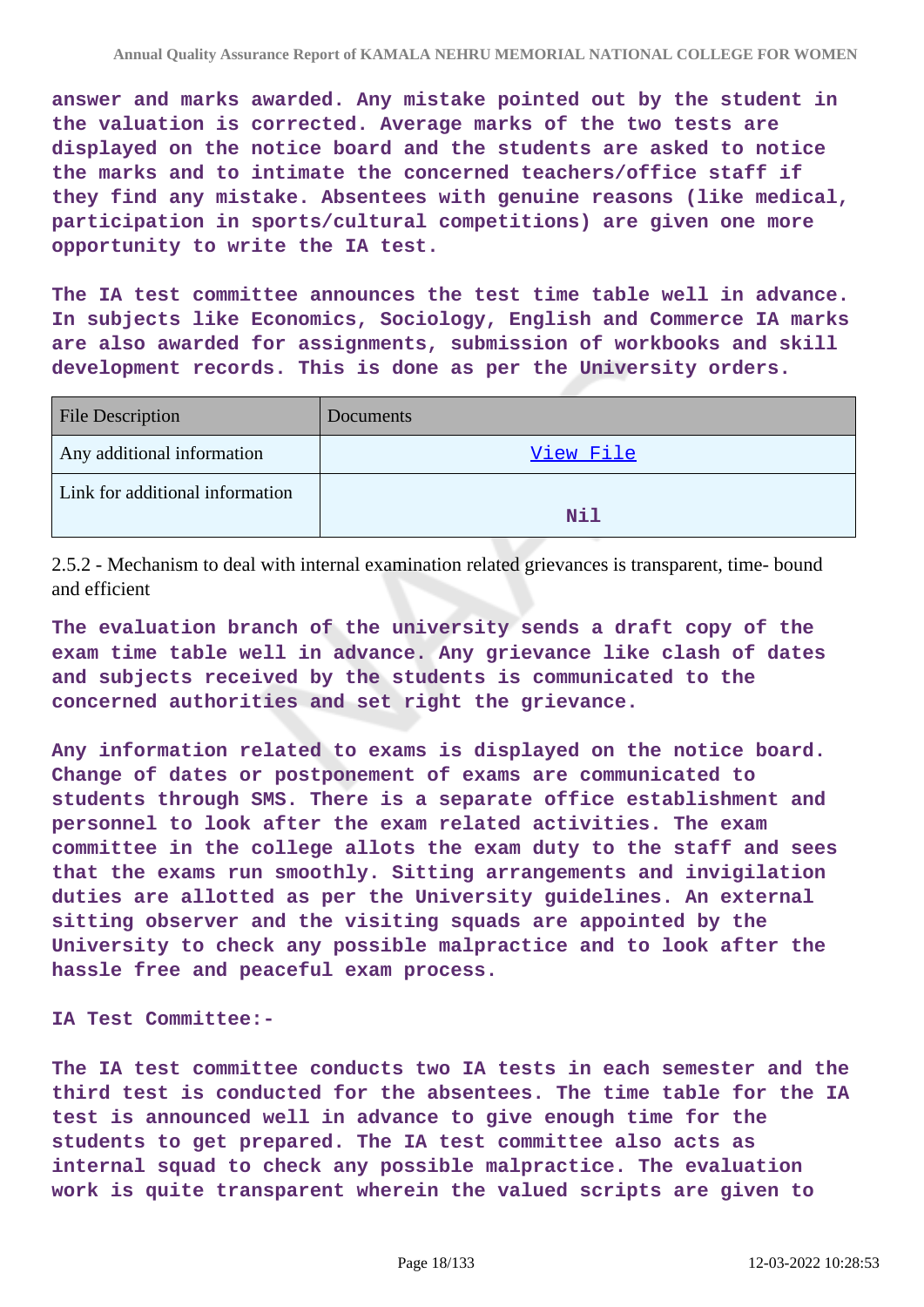**answer and marks awarded. Any mistake pointed out by the student in the valuation is corrected. Average marks of the two tests are displayed on the notice board and the students are asked to notice the marks and to intimate the concerned teachers/office staff if they find any mistake. Absentees with genuine reasons (like medical, participation in sports/cultural competitions) are given one more opportunity to write the IA test.**

**The IA test committee announces the test time table well in advance. In subjects like Economics, Sociology, English and Commerce IA marks are also awarded for assignments, submission of workbooks and skill development records. This is done as per the University orders.**

| <b>File Description</b>         | Documents |
|---------------------------------|-----------|
| Any additional information      | View File |
| Link for additional information | Nil       |

2.5.2 - Mechanism to deal with internal examination related grievances is transparent, time- bound and efficient

**The evaluation branch of the university sends a draft copy of the exam time table well in advance. Any grievance like clash of dates and subjects received by the students is communicated to the concerned authorities and set right the grievance.**

**Any information related to exams is displayed on the notice board. Change of dates or postponement of exams are communicated to students through SMS. There is a separate office establishment and personnel to look after the exam related activities. The exam committee in the college allots the exam duty to the staff and sees that the exams run smoothly. Sitting arrangements and invigilation duties are allotted as per the University guidelines. An external sitting observer and the visiting squads are appointed by the University to check any possible malpractice and to look after the hassle free and peaceful exam process.**

**IA Test Committee:-**

**The IA test committee conducts two IA tests in each semester and the third test is conducted for the absentees. The time table for the IA test is announced well in advance to give enough time for the students to get prepared. The IA test committee also acts as internal squad to check any possible malpractice. The evaluation work is quite transparent wherein the valued scripts are given to**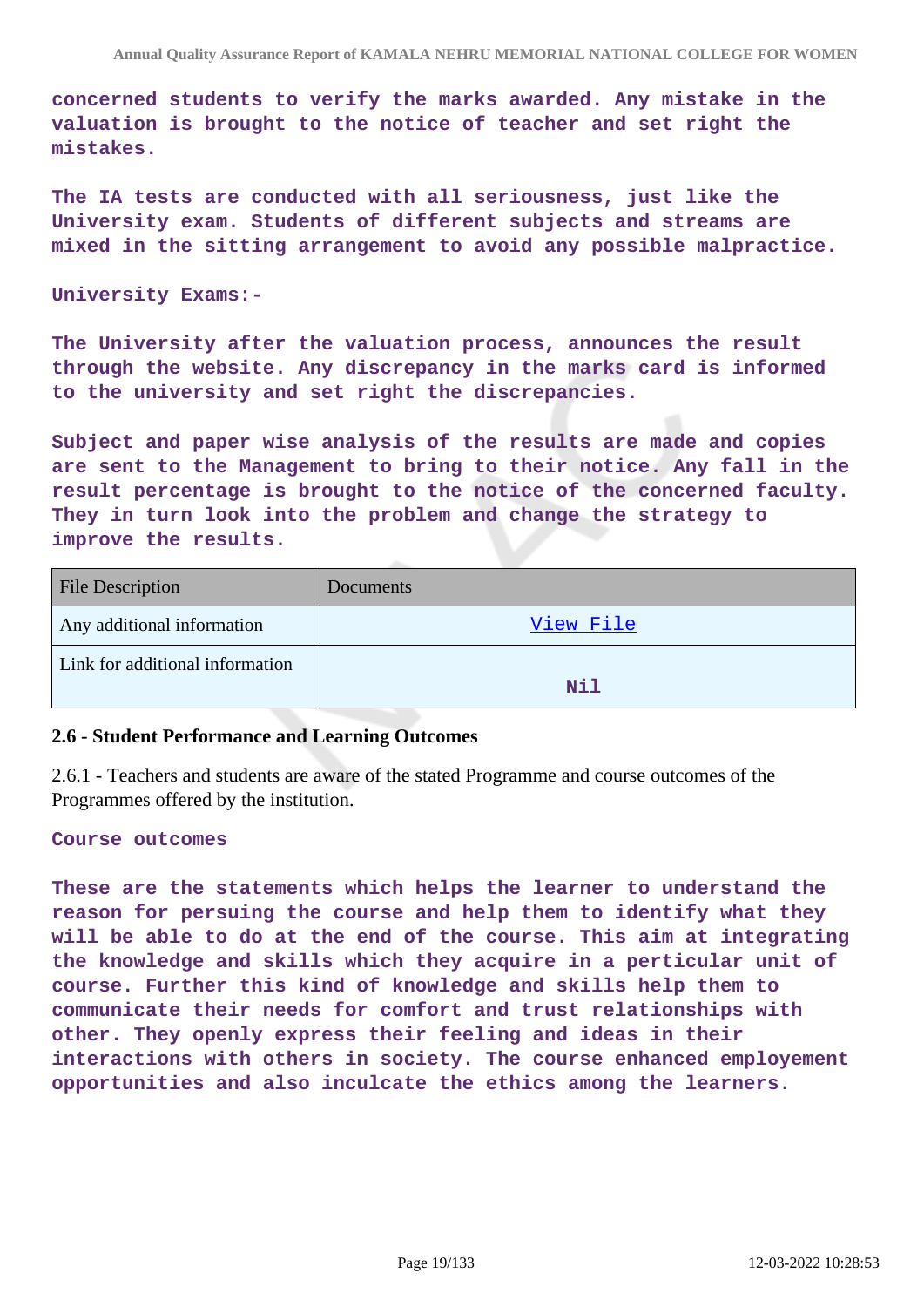**concerned students to verify the marks awarded. Any mistake in the valuation is brought to the notice of teacher and set right the mistakes.**

**The IA tests are conducted with all seriousness, just like the University exam. Students of different subjects and streams are mixed in the sitting arrangement to avoid any possible malpractice.**

**University Exams:-**

**The University after the valuation process, announces the result through the website. Any discrepancy in the marks card is informed to the university and set right the discrepancies.**

**Subject and paper wise analysis of the results are made and copies are sent to the Management to bring to their notice. Any fall in the result percentage is brought to the notice of the concerned faculty. They in turn look into the problem and change the strategy to improve the results.**

| Documents |
|-----------|
| View File |
| Nil       |
|           |

#### **2.6 - Student Performance and Learning Outcomes**

2.6.1 - Teachers and students are aware of the stated Programme and course outcomes of the Programmes offered by the institution.

#### **Course outcomes**

**These are the statements which helps the learner to understand the reason for persuing the course and help them to identify what they will be able to do at the end of the course. This aim at integrating the knowledge and skills which they acquire in a perticular unit of course. Further this kind of knowledge and skills help them to communicate their needs for comfort and trust relationships with other. They openly express their feeling and ideas in their interactions with others in society. The course enhanced employement opportunities and also inculcate the ethics among the learners.**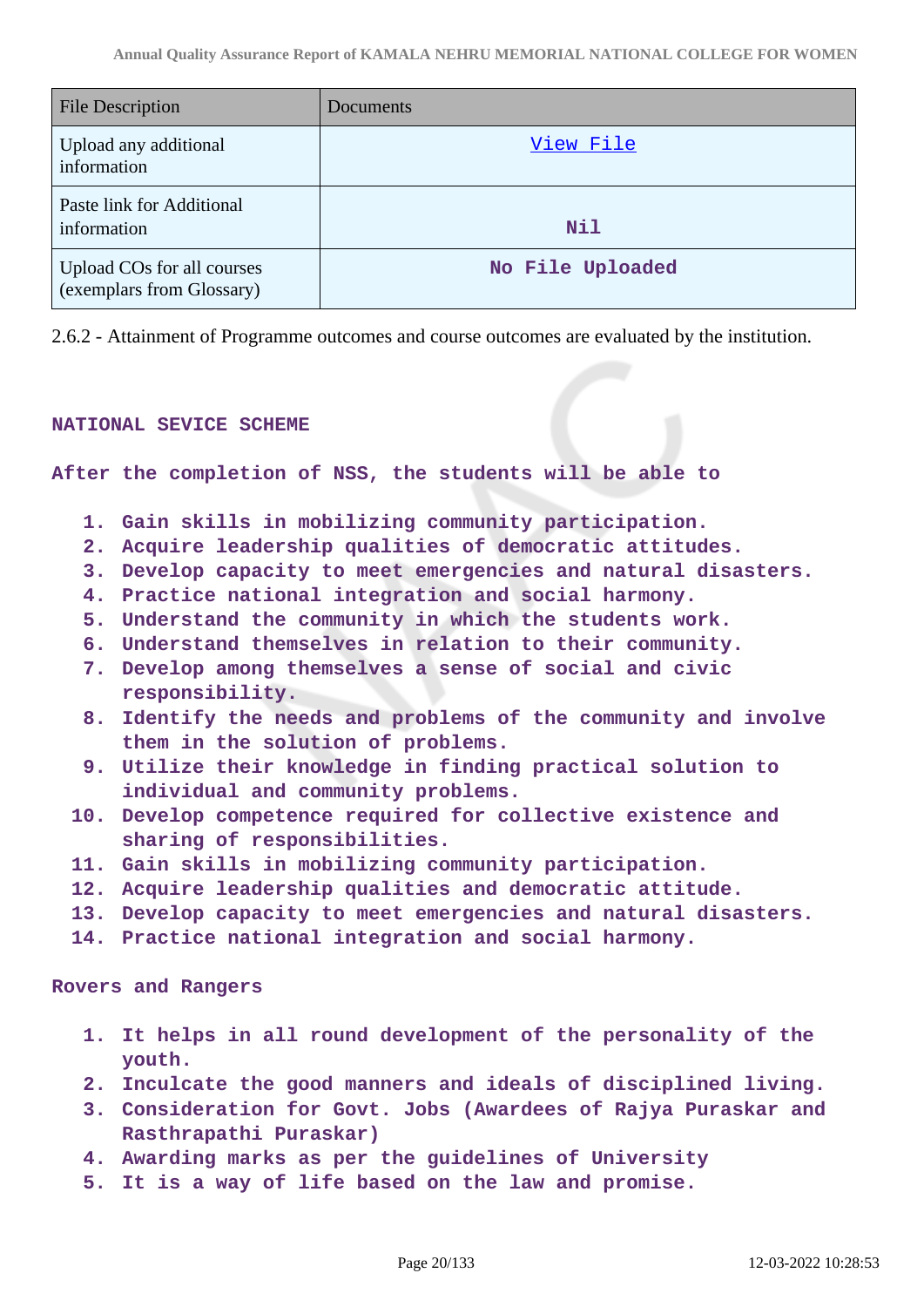| <b>File Description</b>                                 | Documents        |
|---------------------------------------------------------|------------------|
| Upload any additional<br>information                    | View File        |
| Paste link for Additional<br>information                | Nil              |
| Upload COs for all courses<br>(exemplars from Glossary) | No File Uploaded |

2.6.2 - Attainment of Programme outcomes and course outcomes are evaluated by the institution.

#### **NATIONAL SEVICE SCHEME**

**After the completion of NSS, the students will be able to**

- **1. Gain skills in mobilizing community participation.**
- **2. Acquire leadership qualities of democratic attitudes.**
- **3. Develop capacity to meet emergencies and natural disasters.**
- **4. Practice national integration and social harmony.**
- **5. Understand the community in which the students work.**
- **6. Understand themselves in relation to their community.**
- **7. Develop among themselves a sense of social and civic responsibility.**
- **8. Identify the needs and problems of the community and involve them in the solution of problems.**
- **9. Utilize their knowledge in finding practical solution to individual and community problems.**
- **10. Develop competence required for collective existence and sharing of responsibilities.**
- **11. Gain skills in mobilizing community participation.**
- **12. Acquire leadership qualities and democratic attitude.**
- **13. Develop capacity to meet emergencies and natural disasters.**
- **14. Practice national integration and social harmony.**

#### **Rovers and Rangers**

- **1. It helps in all round development of the personality of the youth.**
- **2. Inculcate the good manners and ideals of disciplined living.**
- **3. Consideration for Govt. Jobs (Awardees of Rajya Puraskar and Rasthrapathi Puraskar)**
- **4. Awarding marks as per the guidelines of University**
- **5. It is a way of life based on the law and promise.**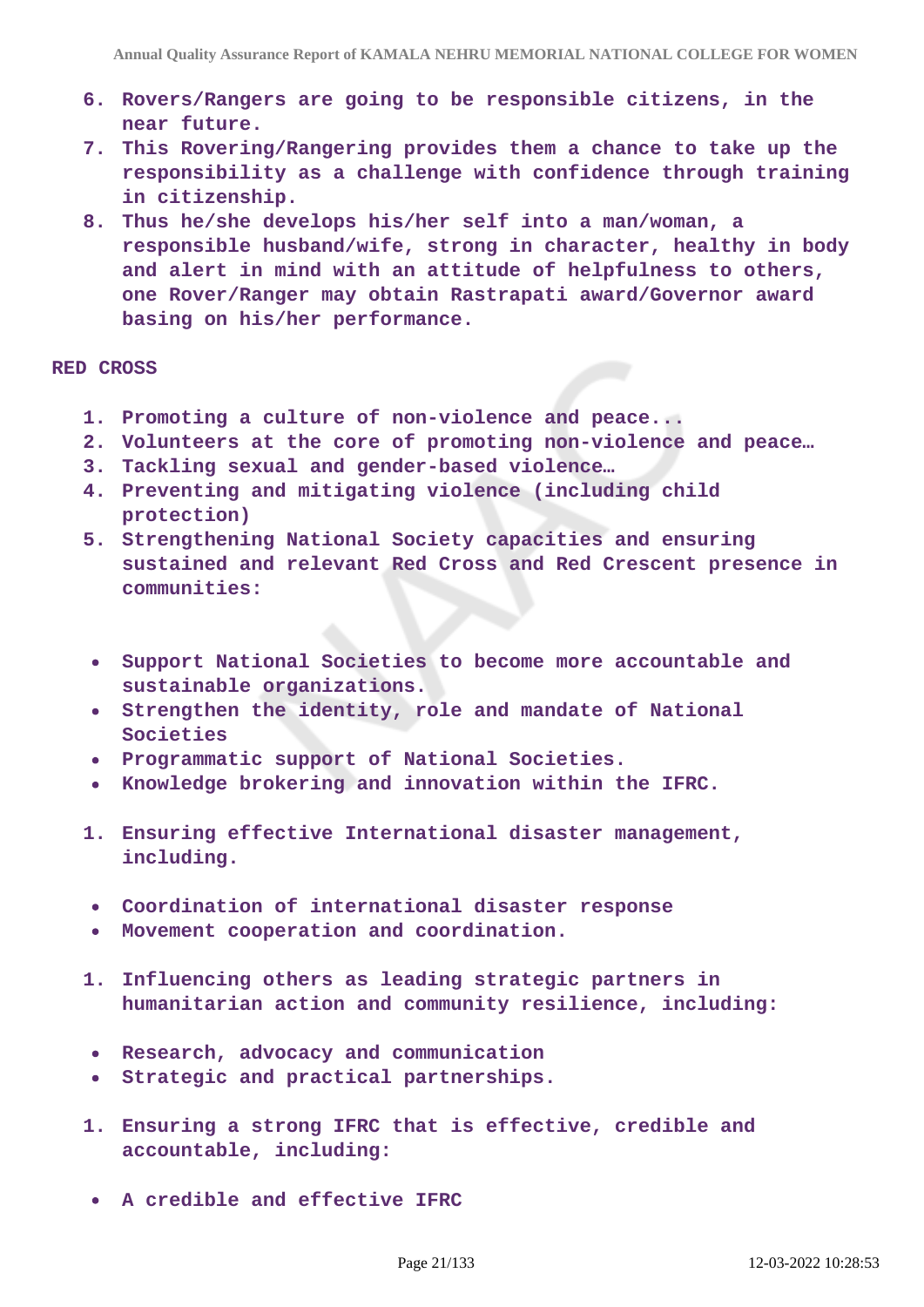- **6. Rovers/Rangers are going to be responsible citizens, in the near future.**
- **7. This Rovering/Rangering provides them a chance to take up the responsibility as a challenge with confidence through training in citizenship.**
- **8. Thus he/she develops his/her self into a man/woman, a responsible husband/wife, strong in character, healthy in body and alert in mind with an attitude of helpfulness to others, one Rover/Ranger may obtain Rastrapati award/Governor award basing on his/her performance.**

### **RED CROSS**

- **1. Promoting a culture of non-violence and peace...**
- **2. Volunteers at the core of promoting non-violence and peace…**
- **3. Tackling sexual and gender-based violence…**
- **4. Preventing and mitigating violence (including child protection)**
- **5. Strengthening National Society capacities and ensuring sustained and relevant Red Cross and Red Crescent presence in communities:**
- **Support National Societies to become more accountable and sustainable organizations.**
- **Strengthen the identity, role and mandate of National Societies**
- **Programmatic support of National Societies.**
- **Knowledge brokering and innovation within the IFRC.**
- **1. Ensuring effective International disaster management, including.**
- **Coordination of international disaster response**
- **Movement cooperation and coordination.**
- **1. Influencing others as leading strategic partners in humanitarian action and community resilience, including:**
- **Research, advocacy and communication**
- **Strategic and practical partnerships.**
- **1. Ensuring a strong IFRC that is effective, credible and accountable, including:**
- **A credible and effective IFRC**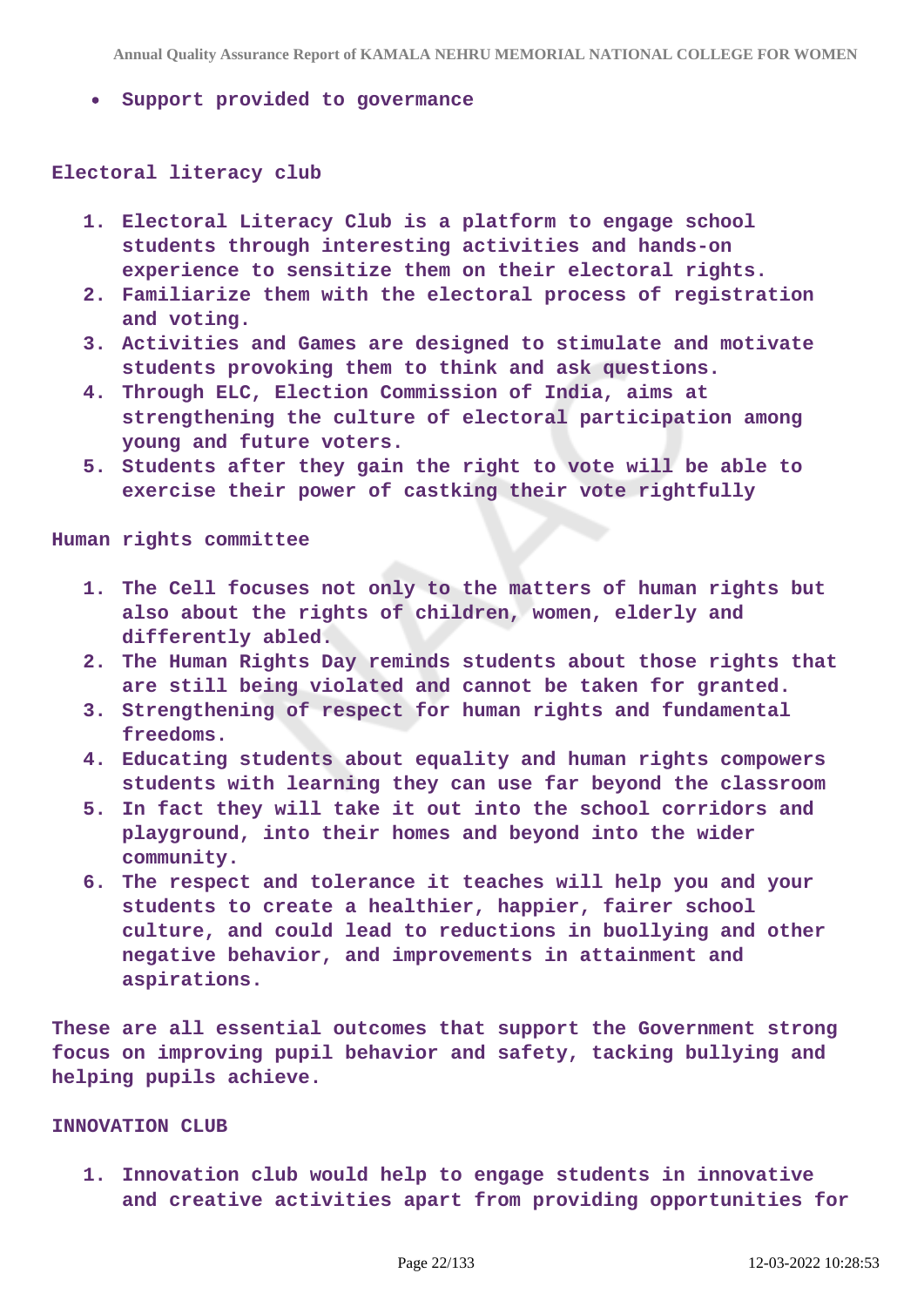**Support provided to govermance**

#### **Electoral literacy club**

- **1. Electoral Literacy Club is a platform to engage school students through interesting activities and hands-on experience to sensitize them on their electoral rights.**
- **2. Familiarize them with the electoral process of registration and voting.**
- **3. Activities and Games are designed to stimulate and motivate students provoking them to think and ask questions.**
- **4. Through ELC, Election Commission of India, aims at strengthening the culture of electoral participation among young and future voters.**
- **5. Students after they gain the right to vote will be able to exercise their power of castking their vote rightfully**

**Human rights committee**

- **1. The Cell focuses not only to the matters of human rights but also about the rights of children, women, elderly and differently abled.**
- **2. The Human Rights Day reminds students about those rights that are still being violated and cannot be taken for granted.**
- **3. Strengthening of respect for human rights and fundamental freedoms.**
- **4. Educating students about equality and human rights compowers students with learning they can use far beyond the classroom**
- **5. In fact they will take it out into the school corridors and playground, into their homes and beyond into the wider community.**
- **6. The respect and tolerance it teaches will help you and your students to create a healthier, happier, fairer school culture, and could lead to reductions in buollying and other negative behavior, and improvements in attainment and aspirations.**

**These are all essential outcomes that support the Government strong focus on improving pupil behavior and safety, tacking bullying and helping pupils achieve.**

#### **INNOVATION CLUB**

**1. Innovation club would help to engage students in innovative and creative activities apart from providing opportunities for**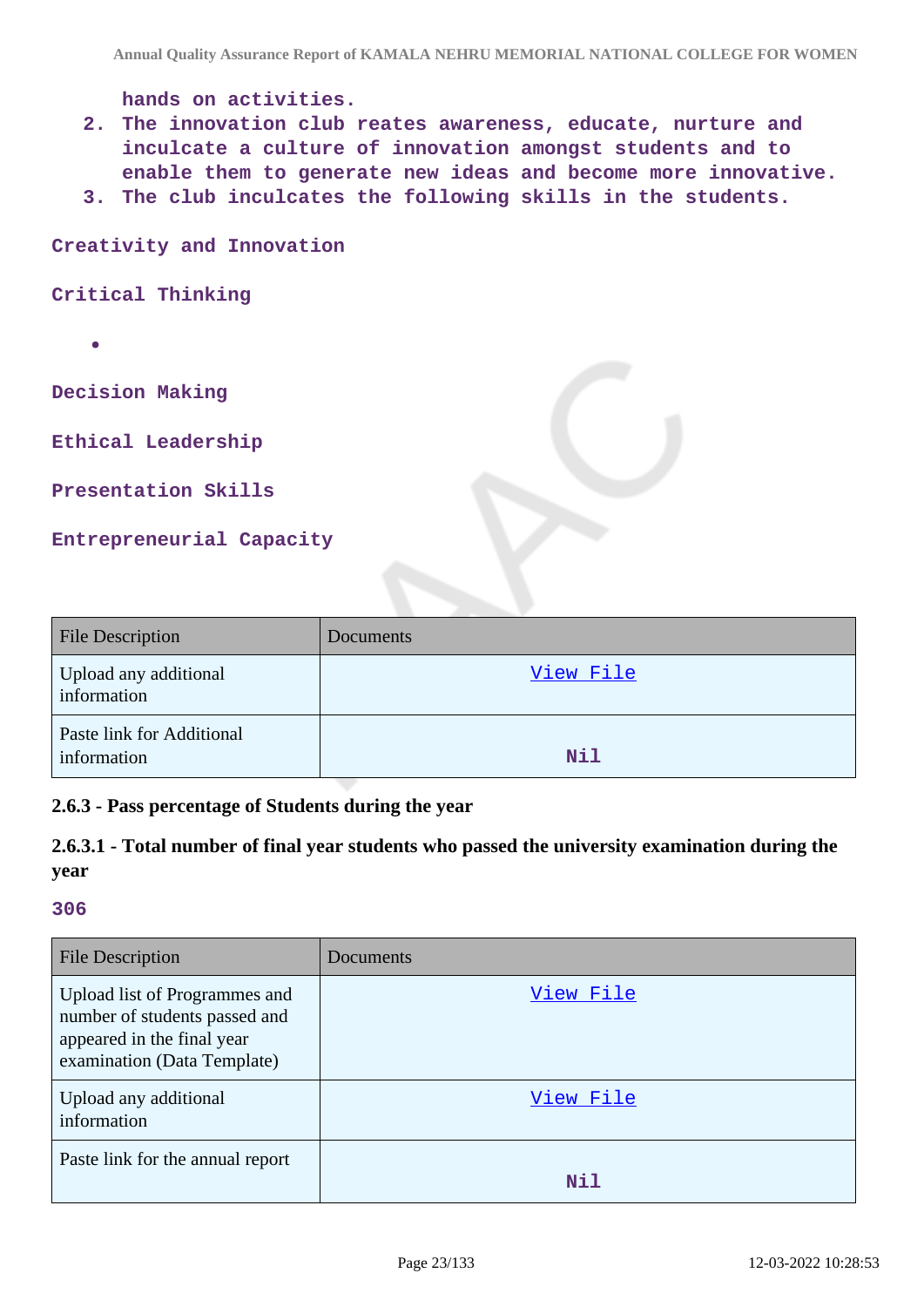**hands on activities.**

- **2. The innovation club reates awareness, educate, nurture and inculcate a culture of innovation amongst students and to enable them to generate new ideas and become more innovative.**
- **3. The club inculcates the following skills in the students.**

**Creativity and Innovation**

**Critical Thinking**

**Decision Making**

**Ethical Leadership**

**Presentation Skills**

**Entrepreneurial Capacity**

| <b>File Description</b>                  | <b>Documents</b> |
|------------------------------------------|------------------|
| Upload any additional<br>information     | View File        |
| Paste link for Additional<br>information | Nil              |

### **2.6.3 - Pass percentage of Students during the year**

|      | 2.6.3.1 - Total number of final year students who passed the university examination during the |  |  |  |
|------|------------------------------------------------------------------------------------------------|--|--|--|
| vear |                                                                                                |  |  |  |

| <b>File Description</b>                                                                                                     | Documents |
|-----------------------------------------------------------------------------------------------------------------------------|-----------|
| Upload list of Programmes and<br>number of students passed and<br>appeared in the final year<br>examination (Data Template) | View File |
| Upload any additional<br>information                                                                                        | View File |
| Paste link for the annual report                                                                                            | Nil       |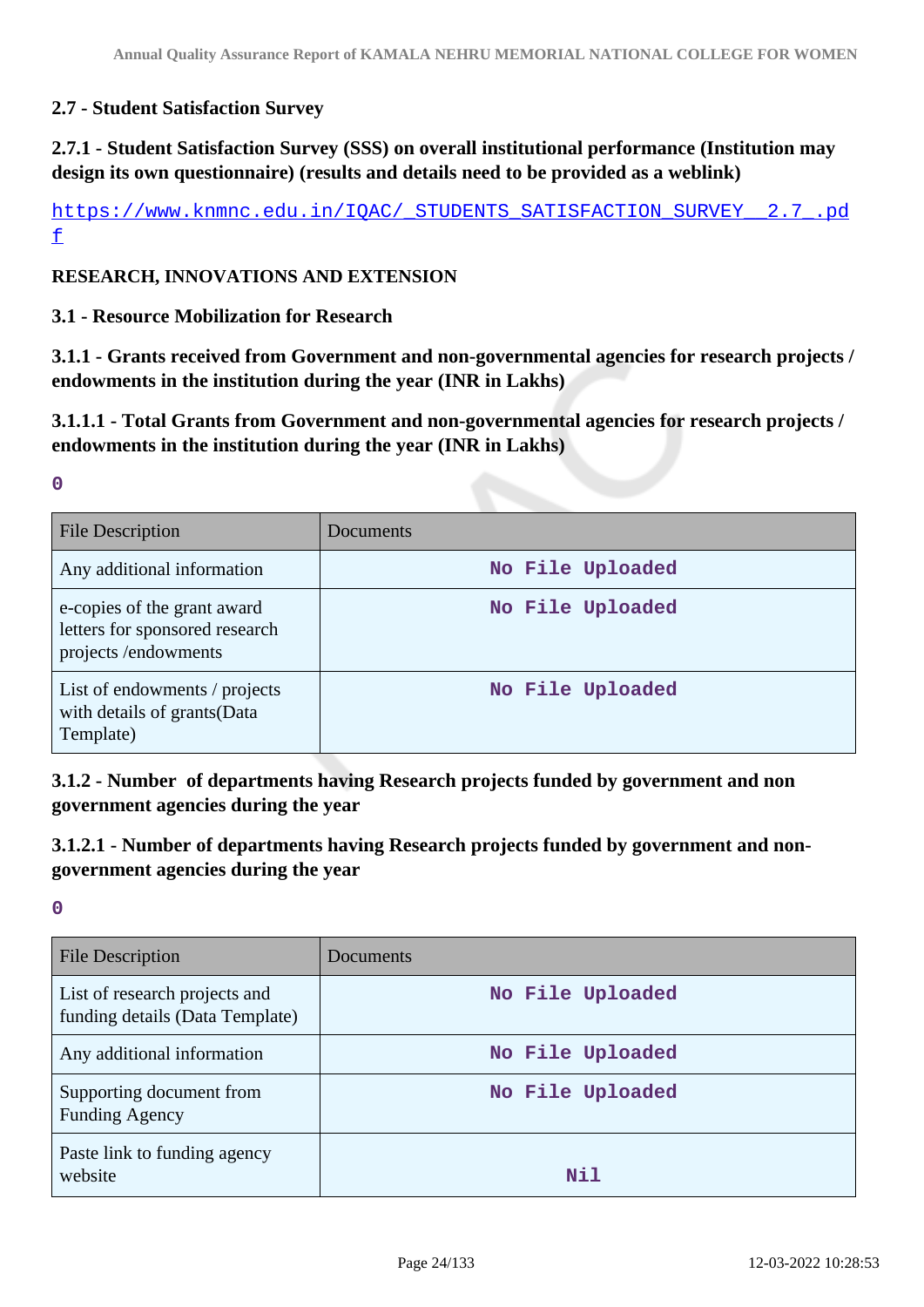## **2.7 - Student Satisfaction Survey**

# **2.7.1 - Student Satisfaction Survey (SSS) on overall institutional performance (Institution may design its own questionnaire) (results and details need to be provided as a weblink)**

[https://www.knmnc.edu.in/IQAC/\\_STUDENTS\\_SATISFACTION\\_SURVEY\\_\\_2.7\\_.pd](https://www.knmnc.edu.in/IQAC/_STUDENTS_SATISFACTION_SURVEY__2.7_.pdf) [f](https://www.knmnc.edu.in/IQAC/_STUDENTS_SATISFACTION_SURVEY__2.7_.pdf)

### **RESEARCH, INNOVATIONS AND EXTENSION**

### **3.1 - Resource Mobilization for Research**

**3.1.1 - Grants received from Government and non-governmental agencies for research projects / endowments in the institution during the year (INR in Lakhs)**

**3.1.1.1 - Total Grants from Government and non-governmental agencies for research projects / endowments in the institution during the year (INR in Lakhs)**

**0**

| File Description                                                                     | Documents        |
|--------------------------------------------------------------------------------------|------------------|
| Any additional information                                                           | No File Uploaded |
| e-copies of the grant award<br>letters for sponsored research<br>projects/endowments | No File Uploaded |
| List of endowments / projects<br>with details of grants(Data<br>Template)            | No File Uploaded |

**3.1.2 - Number of departments having Research projects funded by government and non government agencies during the year**

# **3.1.2.1 - Number of departments having Research projects funded by government and nongovernment agencies during the year**

| File Description                                                 | Documents        |
|------------------------------------------------------------------|------------------|
| List of research projects and<br>funding details (Data Template) | No File Uploaded |
| Any additional information                                       | No File Uploaded |
| Supporting document from<br><b>Funding Agency</b>                | No File Uploaded |
| Paste link to funding agency<br>website                          | Nil              |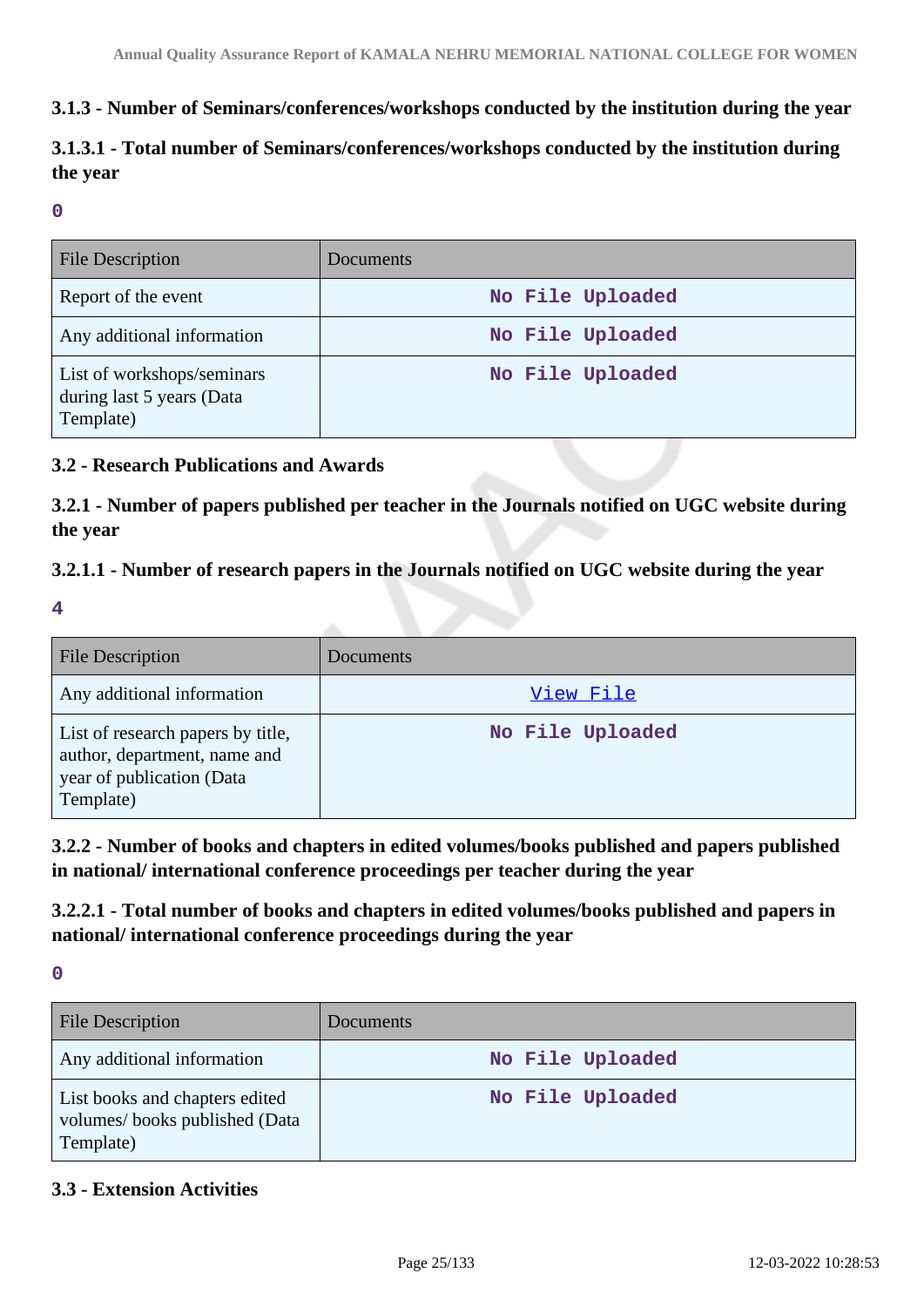# **3.1.3 - Number of Seminars/conferences/workshops conducted by the institution during the year**

# **3.1.3.1 - Total number of Seminars/conferences/workshops conducted by the institution during the year**

### **0**

| <b>File Description</b>                                              | Documents        |
|----------------------------------------------------------------------|------------------|
| Report of the event                                                  | No File Uploaded |
| Any additional information                                           | No File Uploaded |
| List of workshops/seminars<br>during last 5 years (Data<br>Template) | No File Uploaded |

### **3.2 - Research Publications and Awards**

**3.2.1 - Number of papers published per teacher in the Journals notified on UGC website during the year**

# **3.2.1.1 - Number of research papers in the Journals notified on UGC website during the year**

**4**

| <b>File Description</b>                                                                                     | Documents        |
|-------------------------------------------------------------------------------------------------------------|------------------|
| Any additional information                                                                                  | View File        |
| List of research papers by title,<br>author, department, name and<br>year of publication (Data<br>Template) | No File Uploaded |

**3.2.2 - Number of books and chapters in edited volumes/books published and papers published in national/ international conference proceedings per teacher during the year**

**3.2.2.1 - Total number of books and chapters in edited volumes/books published and papers in national/ international conference proceedings during the year**

**0**

| <b>File Description</b>                                                      | Documents        |
|------------------------------------------------------------------------------|------------------|
| Any additional information                                                   | No File Uploaded |
| List books and chapters edited<br>volumes/books published (Data<br>Template) | No File Uploaded |

## **3.3 - Extension Activities**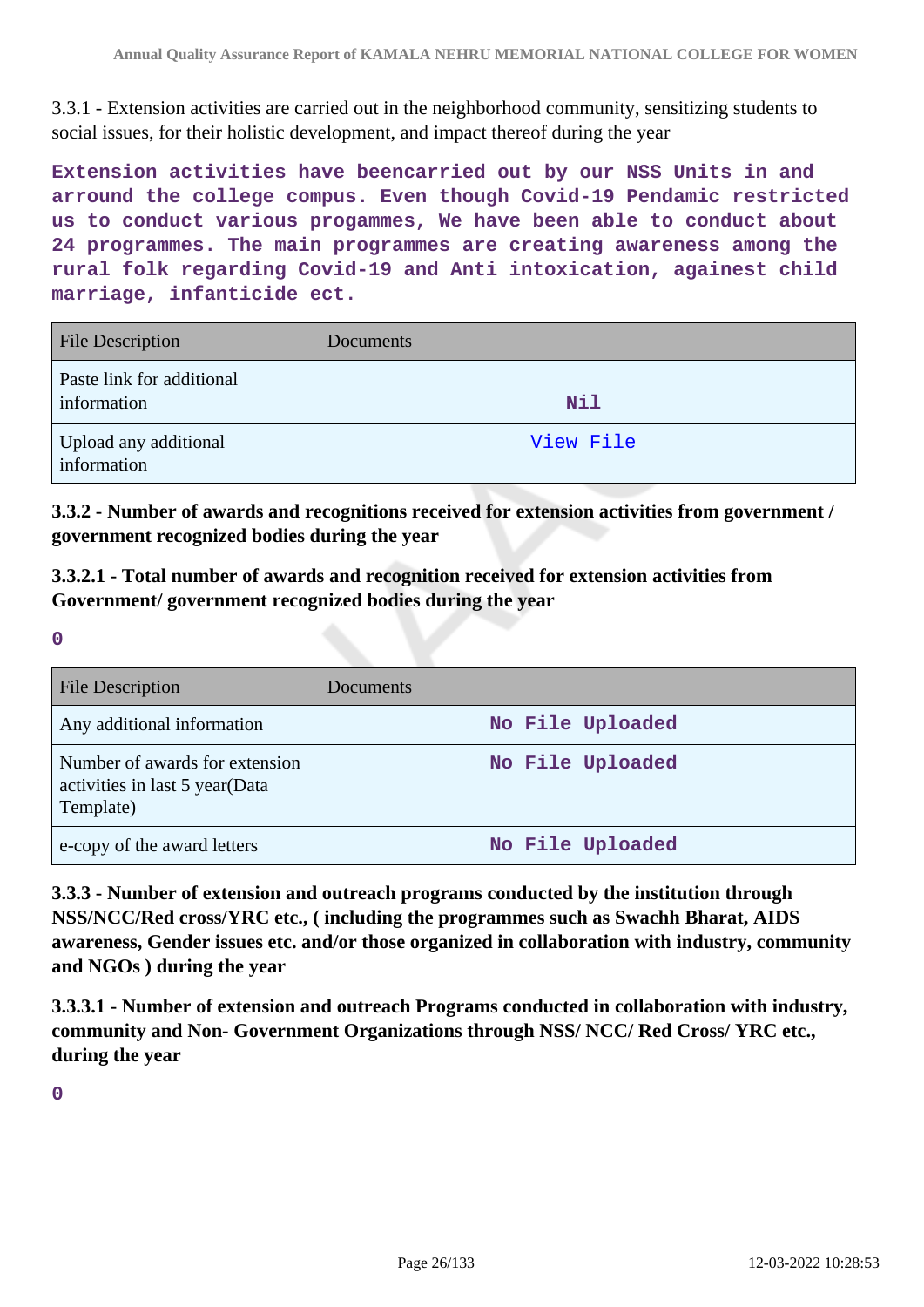3.3.1 - Extension activities are carried out in the neighborhood community, sensitizing students to social issues, for their holistic development, and impact thereof during the year

**Extension activities have beencarried out by our NSS Units in and arround the college compus. Even though Covid-19 Pendamic restricted us to conduct various progammes, We have been able to conduct about 24 programmes. The main programmes are creating awareness among the rural folk regarding Covid-19 and Anti intoxication, againest child marriage, infanticide ect.**

| <b>File Description</b>                  | Documents |
|------------------------------------------|-----------|
| Paste link for additional<br>information | Nil       |
| Upload any additional<br>information     | View File |

**3.3.2 - Number of awards and recognitions received for extension activities from government / government recognized bodies during the year**

**3.3.2.1 - Total number of awards and recognition received for extension activities from Government/ government recognized bodies during the year**

**0**

| <b>File Description</b>                                                       | Documents        |
|-------------------------------------------------------------------------------|------------------|
| Any additional information                                                    | No File Uploaded |
| Number of awards for extension<br>activities in last 5 year(Data<br>Template) | No File Uploaded |
| e-copy of the award letters                                                   | No File Uploaded |

**3.3.3 - Number of extension and outreach programs conducted by the institution through NSS/NCC/Red cross/YRC etc., ( including the programmes such as Swachh Bharat, AIDS awareness, Gender issues etc. and/or those organized in collaboration with industry, community and NGOs ) during the year**

**3.3.3.1 - Number of extension and outreach Programs conducted in collaboration with industry, community and Non- Government Organizations through NSS/ NCC/ Red Cross/ YRC etc., during the year**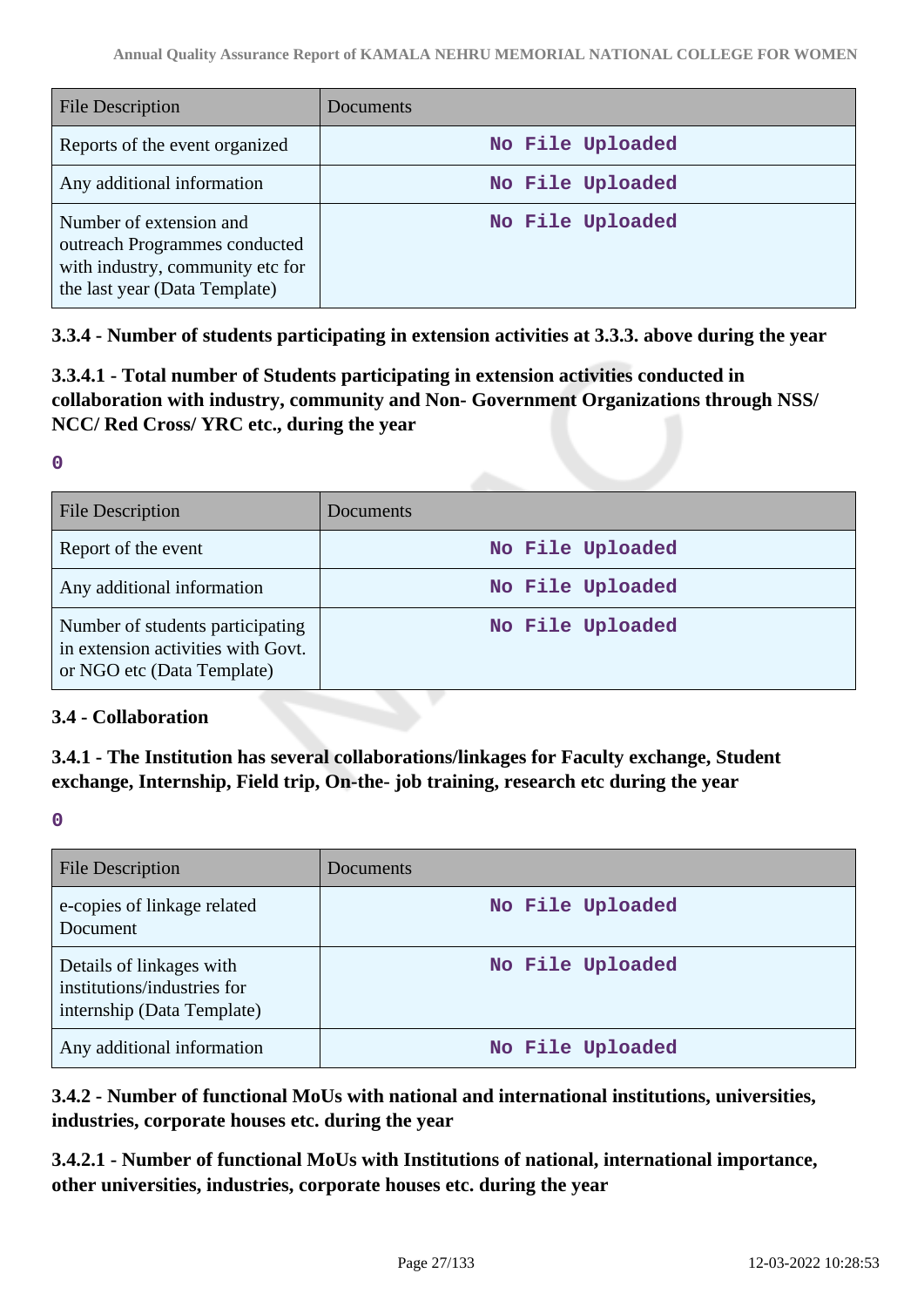| <b>File Description</b>                                                                                                       | Documents        |
|-------------------------------------------------------------------------------------------------------------------------------|------------------|
| Reports of the event organized                                                                                                | No File Uploaded |
| Any additional information                                                                                                    | No File Uploaded |
| Number of extension and<br>outreach Programmes conducted<br>with industry, community etc for<br>the last year (Data Template) | No File Uploaded |

**3.3.4 - Number of students participating in extension activities at 3.3.3. above during the year**

**3.3.4.1 - Total number of Students participating in extension activities conducted in collaboration with industry, community and Non- Government Organizations through NSS/ NCC/ Red Cross/ YRC etc., during the year**

**0**

| <b>File Description</b>                                                                              | Documents        |
|------------------------------------------------------------------------------------------------------|------------------|
| Report of the event                                                                                  | No File Uploaded |
| Any additional information                                                                           | No File Uploaded |
| Number of students participating<br>in extension activities with Govt.<br>or NGO etc (Data Template) | No File Uploaded |

### **3.4 - Collaboration**

**3.4.1 - The Institution has several collaborations/linkages for Faculty exchange, Student exchange, Internship, Field trip, On-the- job training, research etc during the year**

**0**

| <b>File Description</b>                                                               | Documents        |
|---------------------------------------------------------------------------------------|------------------|
| e-copies of linkage related<br>Document                                               | No File Uploaded |
| Details of linkages with<br>institutions/industries for<br>internship (Data Template) | No File Uploaded |
| Any additional information                                                            | No File Uploaded |

**3.4.2 - Number of functional MoUs with national and international institutions, universities, industries, corporate houses etc. during the year**

**3.4.2.1 - Number of functional MoUs with Institutions of national, international importance, other universities, industries, corporate houses etc. during the year**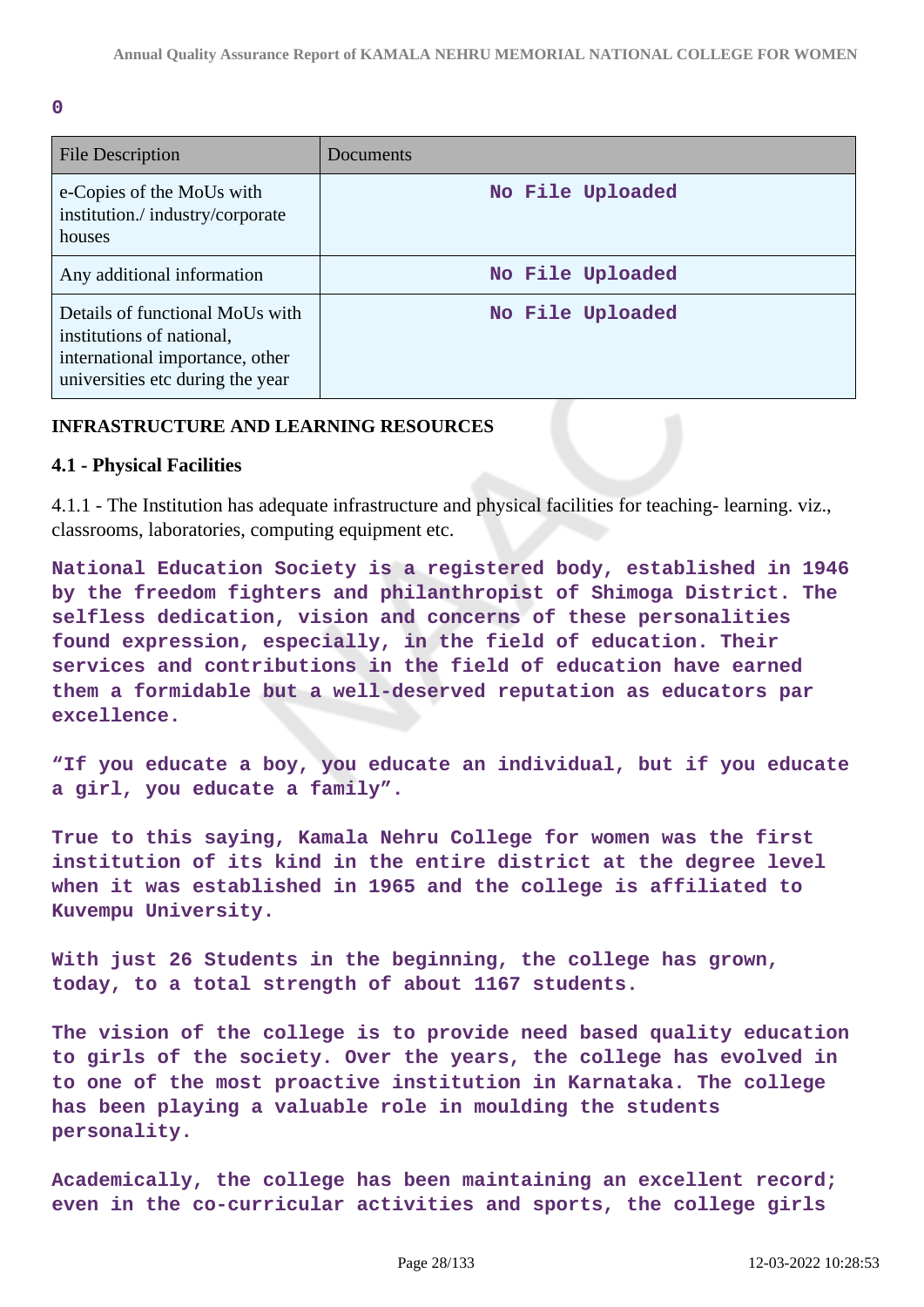**0**

| <b>File Description</b>                                                                                                             | Documents        |
|-------------------------------------------------------------------------------------------------------------------------------------|------------------|
| e-Copies of the MoUs with<br>institution./industry/corporate<br>houses                                                              | No File Uploaded |
| Any additional information                                                                                                          | No File Uploaded |
| Details of functional MoUs with<br>institutions of national,<br>international importance, other<br>universities etc during the year | No File Uploaded |

### **INFRASTRUCTURE AND LEARNING RESOURCES**

### **4.1 - Physical Facilities**

4.1.1 - The Institution has adequate infrastructure and physical facilities for teaching- learning. viz., classrooms, laboratories, computing equipment etc.

**National Education Society is a registered body, established in 1946 by the freedom fighters and philanthropist of Shimoga District. The selfless dedication, vision and concerns of these personalities found expression, especially, in the field of education. Their services and contributions in the field of education have earned them a formidable but a well-deserved reputation as educators par excellence.**

**"If you educate a boy, you educate an individual, but if you educate a girl, you educate a family".**

**True to this saying, Kamala Nehru College for women was the first institution of its kind in the entire district at the degree level when it was established in 1965 and the college is affiliated to Kuvempu University.**

**With just 26 Students in the beginning, the college has grown, today, to a total strength of about 1167 students.**

**The vision of the college is to provide need based quality education to girls of the society. Over the years, the college has evolved in to one of the most proactive institution in Karnataka. The college has been playing a valuable role in moulding the students personality.**

**Academically, the college has been maintaining an excellent record; even in the co-curricular activities and sports, the college girls**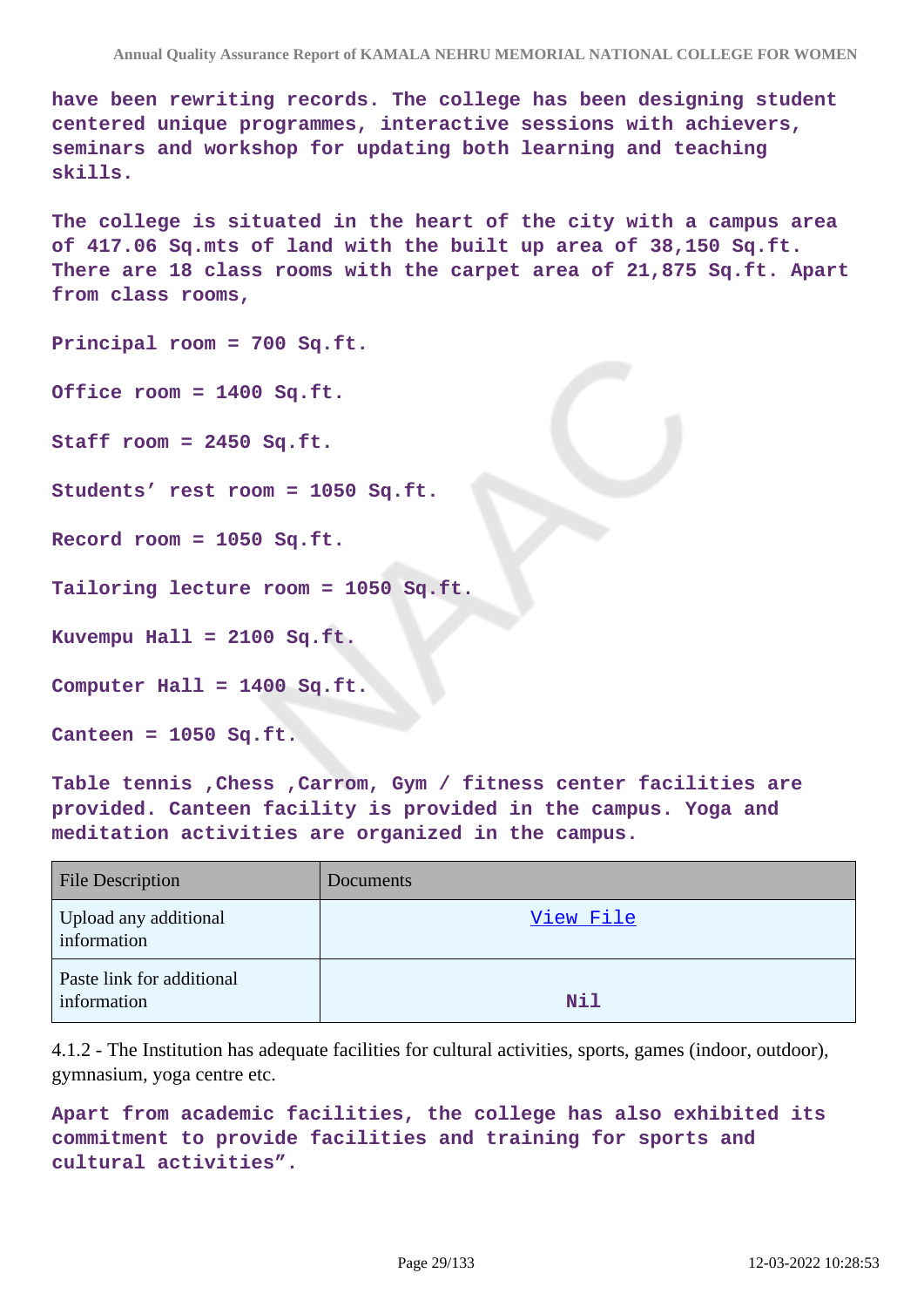**have been rewriting records. The college has been designing student centered unique programmes, interactive sessions with achievers, seminars and workshop for updating both learning and teaching skills.**

**The college is situated in the heart of the city with a campus area of 417.06 Sq.mts of land with the built up area of 38,150 Sq.ft. There are 18 class rooms with the carpet area of 21,875 Sq.ft. Apart from class rooms,**

**Principal room = 700 Sq.ft.**

**Office room = 1400 Sq.ft.**

**Staff room = 2450 Sq.ft.**

**Students' rest room = 1050 Sq.ft.**

**Record room = 1050 Sq.ft.**

**Tailoring lecture room = 1050 Sq.ft.**

**Kuvempu Hall = 2100 Sq.ft.**

**Computer Hall = 1400 Sq.ft.**

**Canteen = 1050 Sq.ft.**

**Table tennis ,Chess ,Carrom, Gym / fitness center facilities are provided. Canteen facility is provided in the campus. Yoga and meditation activities are organized in the campus.**

| <b>File Description</b>                  | Documents |
|------------------------------------------|-----------|
| Upload any additional<br>information     | View File |
| Paste link for additional<br>information | Nil       |

4.1.2 - The Institution has adequate facilities for cultural activities, sports, games (indoor, outdoor), gymnasium, yoga centre etc.

**Apart from academic facilities, the college has also exhibited its commitment to provide facilities and training for sports and cultural activities".**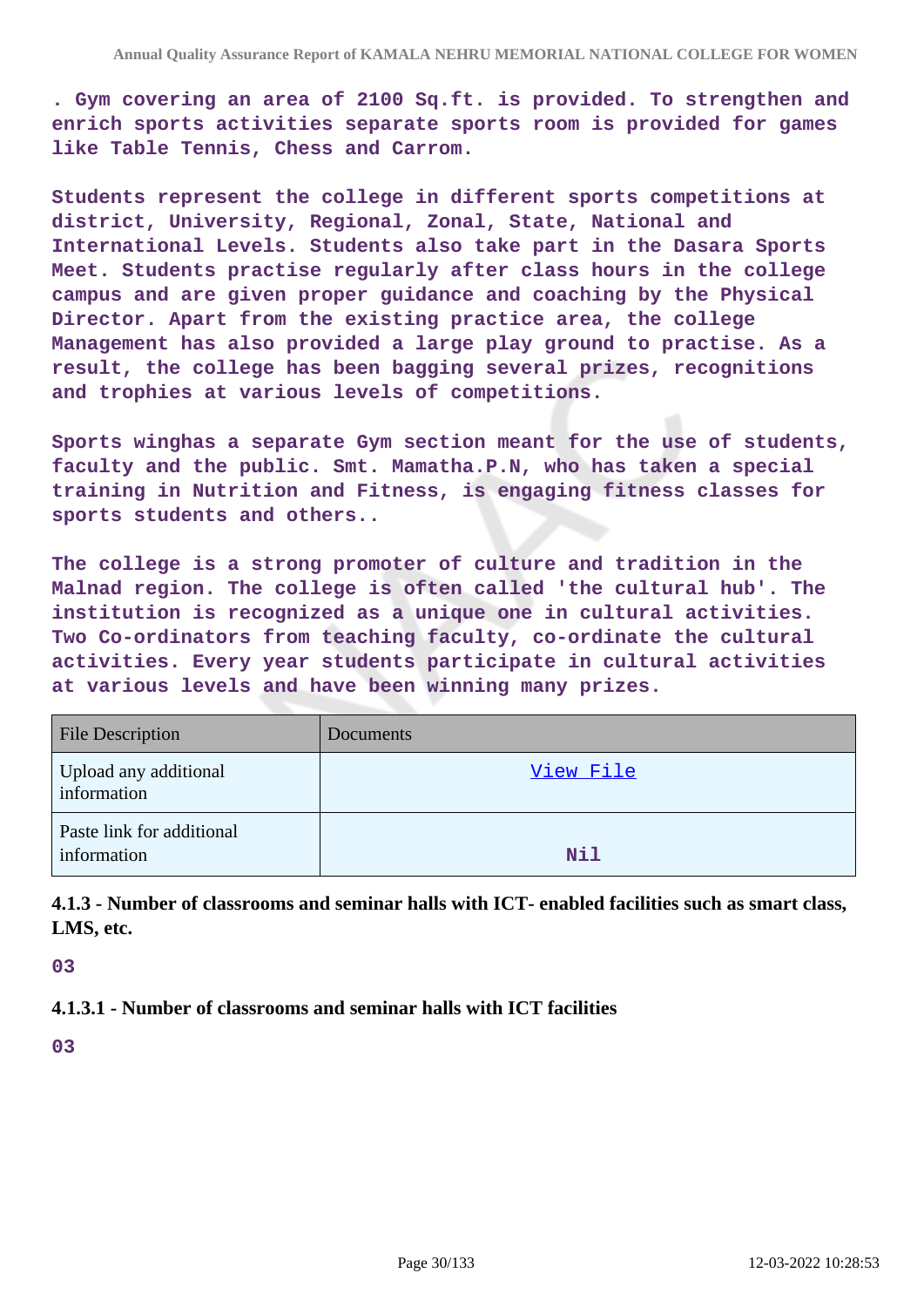**. Gym covering an area of 2100 Sq.ft. is provided. To strengthen and enrich sports activities separate sports room is provided for games like Table Tennis, Chess and Carrom.**

**Students represent the college in different sports competitions at district, University, Regional, Zonal, State, National and International Levels. Students also take part in the Dasara Sports Meet. Students practise regularly after class hours in the college campus and are given proper guidance and coaching by the Physical Director. Apart from the existing practice area, the college Management has also provided a large play ground to practise. As a result, the college has been bagging several prizes, recognitions and trophies at various levels of competitions.**

**Sports winghas a separate Gym section meant for the use of students, faculty and the public. Smt. Mamatha.P.N, who has taken a special training in Nutrition and Fitness, is engaging fitness classes for sports students and others..**

**The college is a strong promoter of culture and tradition in the Malnad region. The college is often called 'the cultural hub'. The institution is recognized as a unique one in cultural activities. Two Co-ordinators from teaching faculty, co-ordinate the cultural activities. Every year students participate in cultural activities at various levels and have been winning many prizes.**

| <b>File Description</b>                  | Documents |
|------------------------------------------|-----------|
| Upload any additional<br>information     | View File |
| Paste link for additional<br>information | Nil       |

**4.1.3 - Number of classrooms and seminar halls with ICT- enabled facilities such as smart class, LMS, etc.**

#### **03**

### **4.1.3.1 - Number of classrooms and seminar halls with ICT facilities**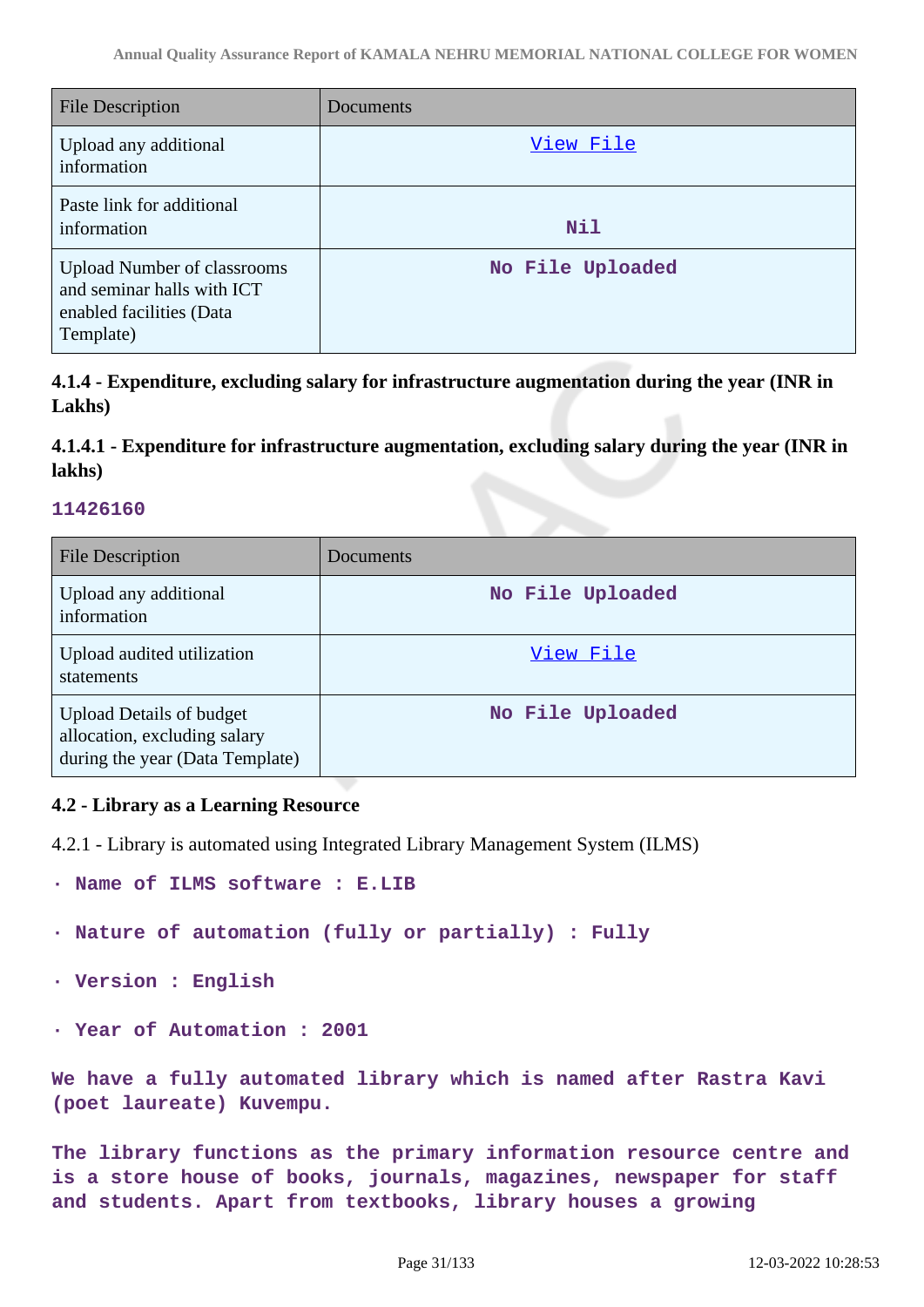| <b>File Description</b>                                                                                   | Documents        |
|-----------------------------------------------------------------------------------------------------------|------------------|
| Upload any additional<br>information                                                                      | View File        |
| Paste link for additional<br>information                                                                  | <b>Nil</b>       |
| <b>Upload Number of classrooms</b><br>and seminar halls with ICT<br>enabled facilities (Data<br>Template) | No File Uploaded |

**4.1.4 - Expenditure, excluding salary for infrastructure augmentation during the year (INR in Lakhs)**

**4.1.4.1 - Expenditure for infrastructure augmentation, excluding salary during the year (INR in lakhs)**

### **11426160**

| <b>File Description</b>                                                                            | Documents        |
|----------------------------------------------------------------------------------------------------|------------------|
| Upload any additional<br>information                                                               | No File Uploaded |
| Upload audited utilization<br>statements                                                           | View File        |
| <b>Upload Details of budget</b><br>allocation, excluding salary<br>during the year (Data Template) | No File Uploaded |

### **4.2 - Library as a Learning Resource**

4.2.1 - Library is automated using Integrated Library Management System (ILMS)

- **· Name of ILMS software : E.LIB**
- **· Nature of automation (fully or partially) : Fully**
- **· Version : English**
- **· Year of Automation : 2001**

**We have a fully automated library which is named after Rastra Kavi (poet laureate) Kuvempu.**

**The library functions as the primary information resource centre and is a store house of books, journals, magazines, newspaper for staff and students. Apart from textbooks, library houses a growing**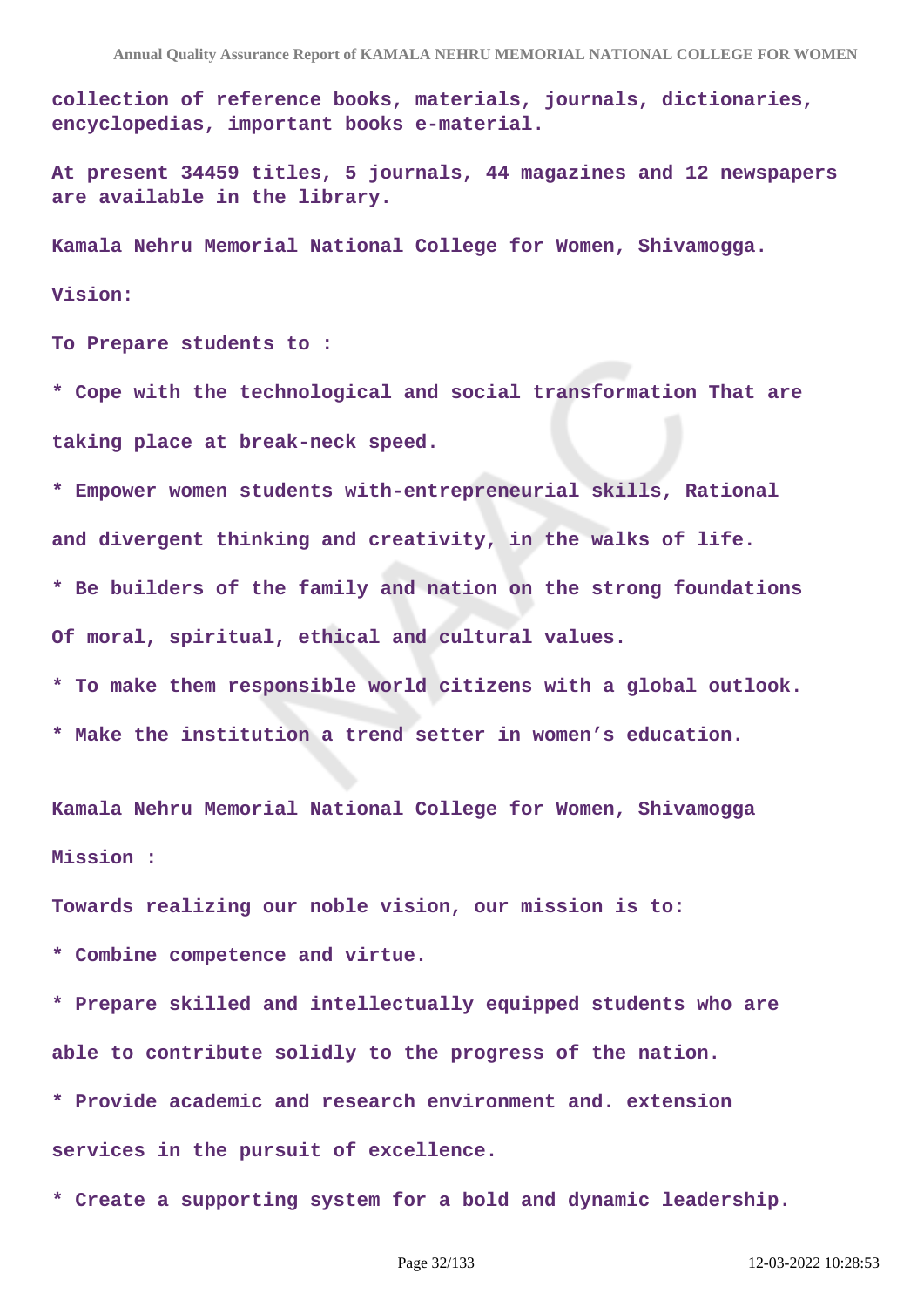**collection of reference books, materials, journals, dictionaries, encyclopedias, important books e-material.**

**At present 34459 titles, 5 journals, 44 magazines and 12 newspapers are available in the library.**

**Kamala Nehru Memorial National College for Women, Shivamogga.**

#### **Vision:**

**To Prepare students to :**

**\* Cope with the technological and social transformation That are taking place at break-neck speed.**

**\* Empower women students with-entrepreneurial skills, Rational and divergent thinking and creativity, in the walks of life.**

**\* Be builders of the family and nation on the strong foundations Of moral, spiritual, ethical and cultural values.**

- **\* To make them responsible world citizens with a global outlook.**
- **\* Make the institution a trend setter in women's education.**

**Kamala Nehru Memorial National College for Women, Shivamogga Mission :** 

**Towards realizing our noble vision, our mission is to:**

**\* Combine competence and virtue.**

**\* Prepare skilled and intellectually equipped students who are able to contribute solidly to the progress of the nation.**

**\* Provide academic and research environment and. extension services in the pursuit of excellence.**

**\* Create a supporting system for a bold and dynamic leadership.**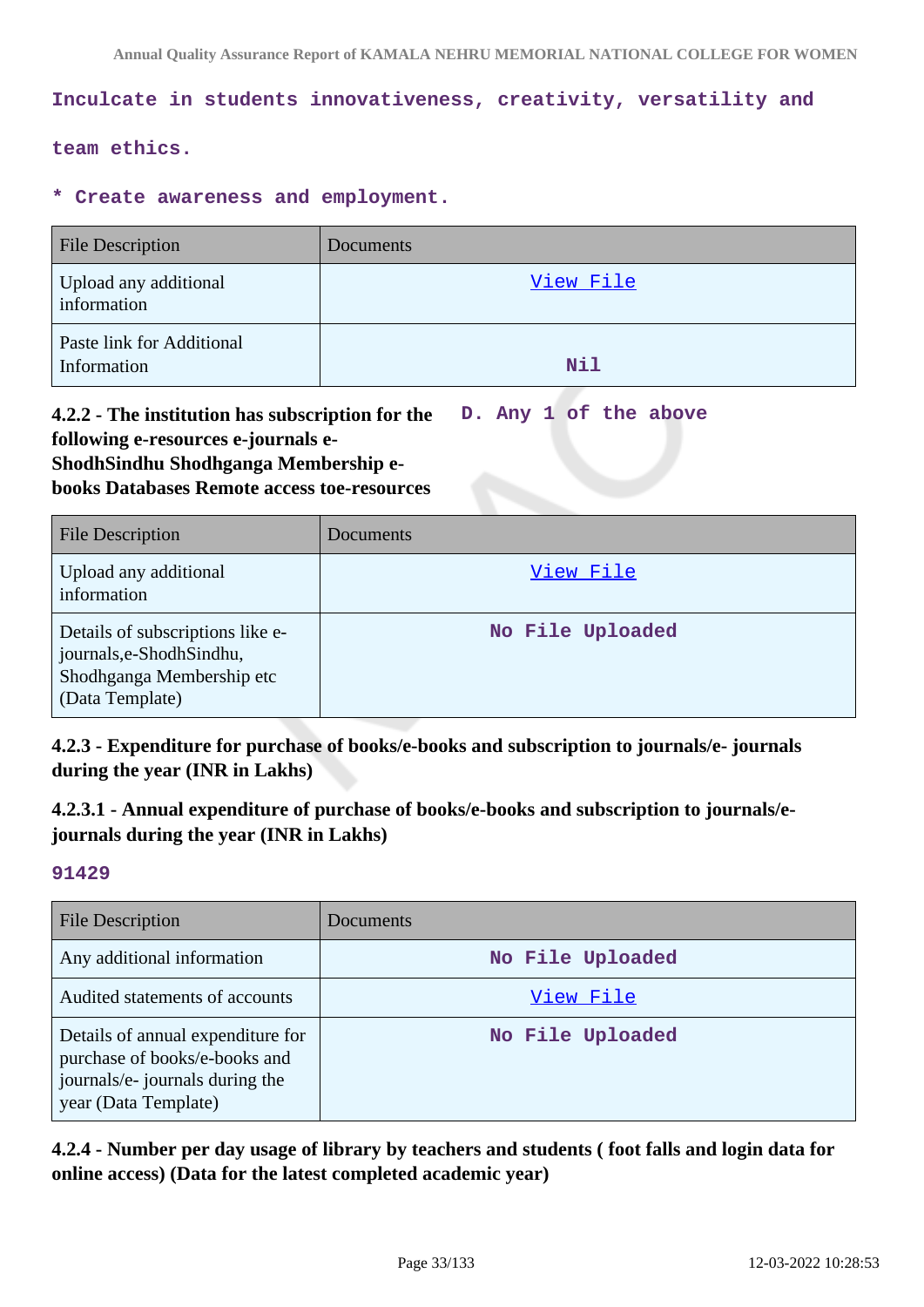### **Inculcate in students innovativeness, creativity, versatility and**

### **team ethics.**

#### **\* Create awareness and employment.**

| <b>File Description</b>                  | Documents |
|------------------------------------------|-----------|
| Upload any additional<br>information     | View File |
| Paste link for Additional<br>Information | Nil       |

#### **4.2.2 - The institution has subscription for the following e-resources e-journals e-ShodhSindhu Shodhganga Membership ebooks Databases Remote access toe-resources D. Any 1 of the above**

| <b>File Description</b>                                                                                       | Documents        |
|---------------------------------------------------------------------------------------------------------------|------------------|
| Upload any additional<br>information                                                                          | View File        |
| Details of subscriptions like e-<br>journals, e-Shodh Sindhu,<br>Shodhganga Membership etc<br>(Data Template) | No File Uploaded |

**4.2.3 - Expenditure for purchase of books/e-books and subscription to journals/e- journals during the year (INR in Lakhs)**

**4.2.3.1 - Annual expenditure of purchase of books/e-books and subscription to journals/ejournals during the year (INR in Lakhs)**

#### **91429**

| <b>File Description</b>                                                                                                       | <b>Documents</b> |
|-------------------------------------------------------------------------------------------------------------------------------|------------------|
| Any additional information                                                                                                    | No File Uploaded |
| Audited statements of accounts                                                                                                | View File        |
| Details of annual expenditure for<br>purchase of books/e-books and<br>journals/e- journals during the<br>year (Data Template) | No File Uploaded |

**4.2.4 - Number per day usage of library by teachers and students ( foot falls and login data for online access) (Data for the latest completed academic year)**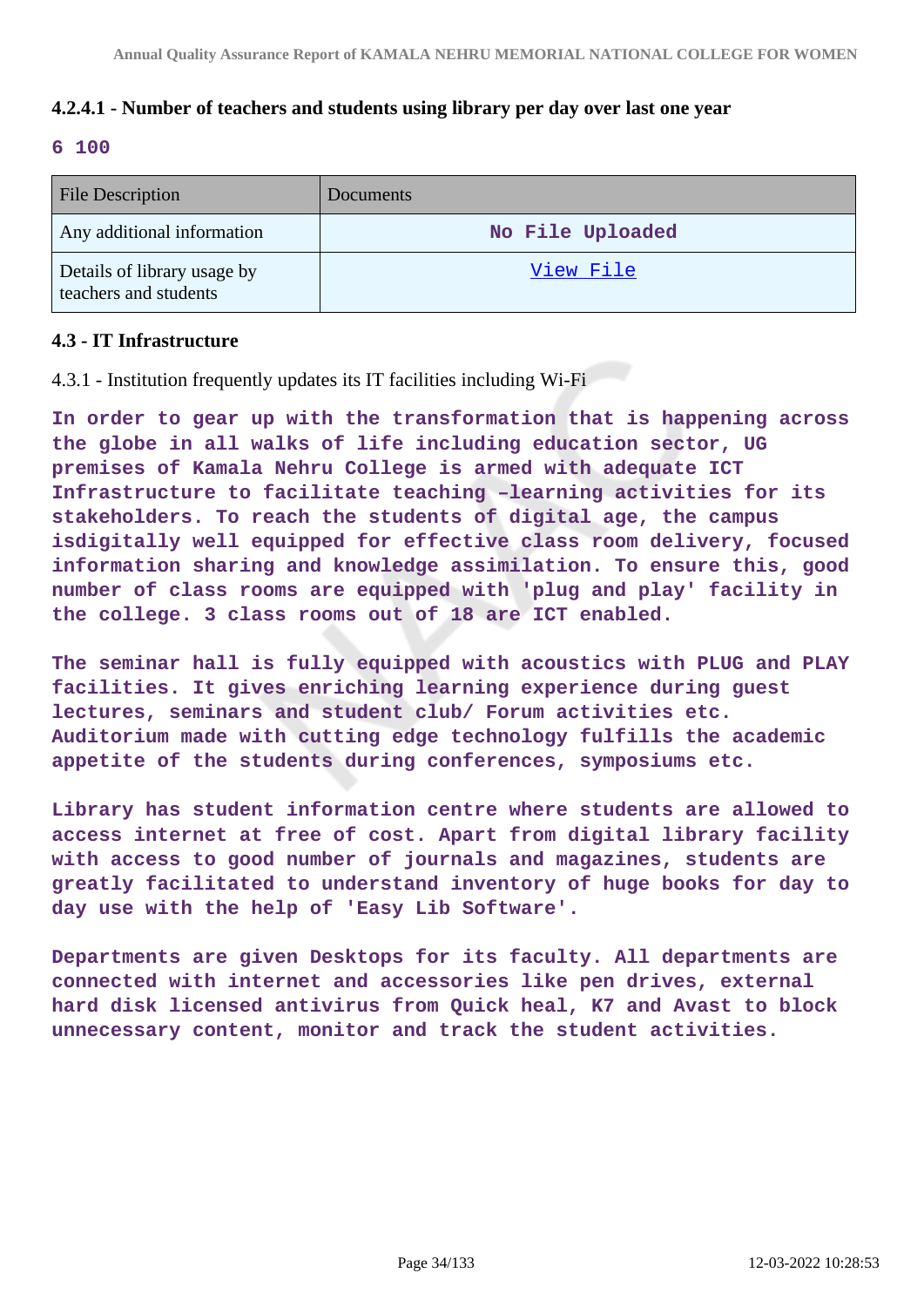## **4.2.4.1 - Number of teachers and students using library per day over last one year**

### **6 100**

| <b>File Description</b>                              | <b>Documents</b> |
|------------------------------------------------------|------------------|
| Any additional information                           | No File Uploaded |
| Details of library usage by<br>teachers and students | View File        |

### **4.3 - IT Infrastructure**

4.3.1 - Institution frequently updates its IT facilities including Wi-Fi

**In order to gear up with the transformation that is happening across the globe in all walks of life including education sector, UG premises of Kamala Nehru College is armed with adequate ICT Infrastructure to facilitate teaching –learning activities for its stakeholders. To reach the students of digital age, the campus isdigitally well equipped for effective class room delivery, focused information sharing and knowledge assimilation. To ensure this, good number of class rooms are equipped with 'plug and play' facility in the college. 3 class rooms out of 18 are ICT enabled.**

**The seminar hall is fully equipped with acoustics with PLUG and PLAY facilities. It gives enriching learning experience during guest lectures, seminars and student club/ Forum activities etc. Auditorium made with cutting edge technology fulfills the academic appetite of the students during conferences, symposiums etc.**

**Library has student information centre where students are allowed to access internet at free of cost. Apart from digital library facility with access to good number of journals and magazines, students are greatly facilitated to understand inventory of huge books for day to day use with the help of 'Easy Lib Software'.**

**Departments are given Desktops for its faculty. All departments are connected with internet and accessories like pen drives, external hard disk licensed antivirus from Quick heal, K7 and Avast to block unnecessary content, monitor and track the student activities.**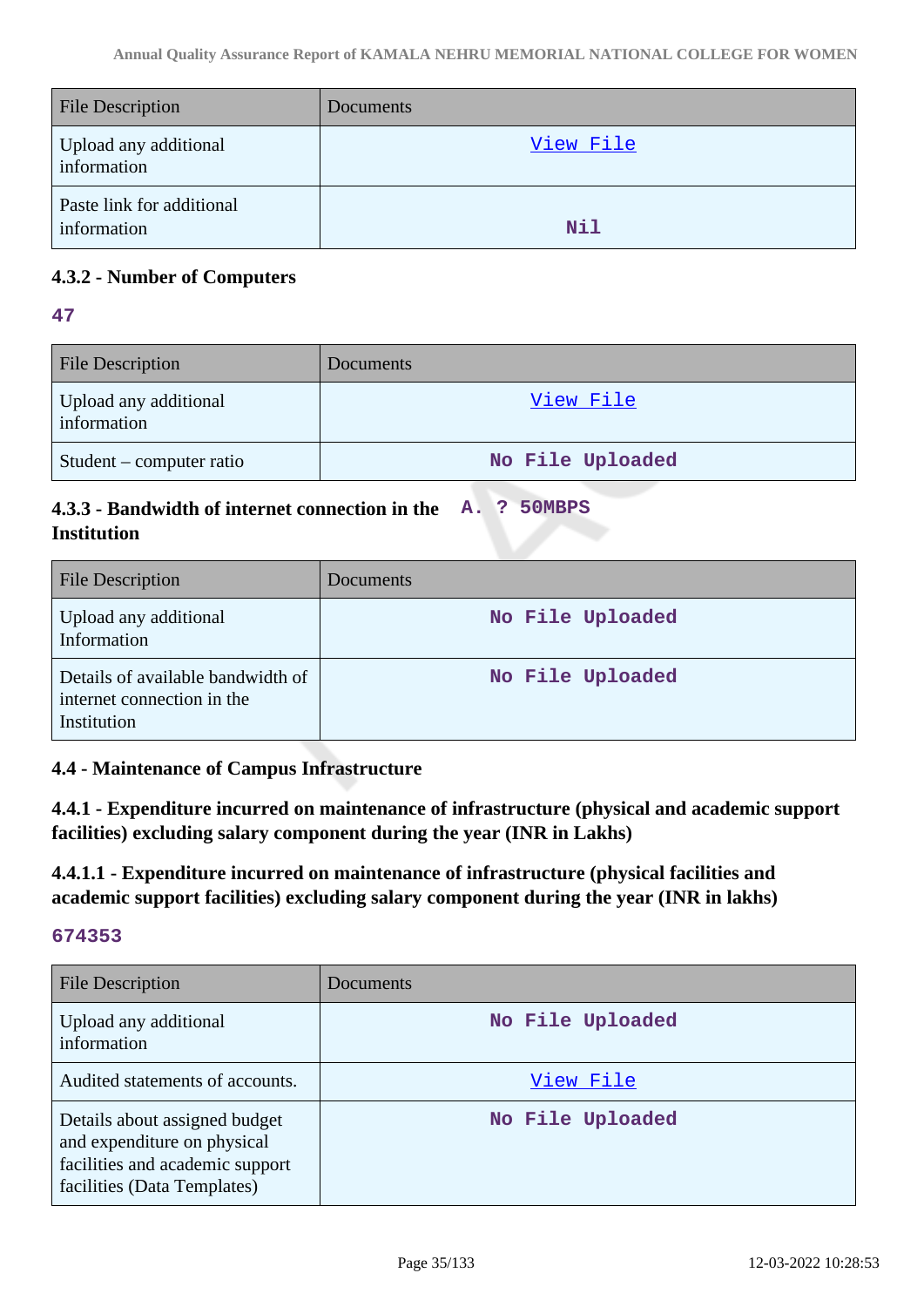| <b>File Description</b>                  | Documents  |
|------------------------------------------|------------|
| Upload any additional<br>information     | View File  |
| Paste link for additional<br>information | <b>Nil</b> |

# **4.3.2 - Number of Computers**

**47**

| <b>File Description</b>              | <b>Documents</b> |
|--------------------------------------|------------------|
| Upload any additional<br>information | View File        |
| Student – computer ratio             | No File Uploaded |

#### **4.3.3 - Bandwidth of internet connection in the Institution A. ? 50MBPS**

| <b>File Description</b>                                                        | Documents        |
|--------------------------------------------------------------------------------|------------------|
| Upload any additional<br>Information                                           | No File Uploaded |
| Details of available bandwidth of<br>internet connection in the<br>Institution | No File Uploaded |

# **4.4 - Maintenance of Campus Infrastructure**

**4.4.1 - Expenditure incurred on maintenance of infrastructure (physical and academic support facilities) excluding salary component during the year (INR in Lakhs)**

**4.4.1.1 - Expenditure incurred on maintenance of infrastructure (physical facilities and academic support facilities) excluding salary component during the year (INR in lakhs)**

| <b>File Description</b>                                                                                                        | Documents        |
|--------------------------------------------------------------------------------------------------------------------------------|------------------|
| Upload any additional<br>information                                                                                           | No File Uploaded |
| Audited statements of accounts.                                                                                                | View File        |
| Details about assigned budget<br>and expenditure on physical<br>facilities and academic support<br>facilities (Data Templates) | No File Uploaded |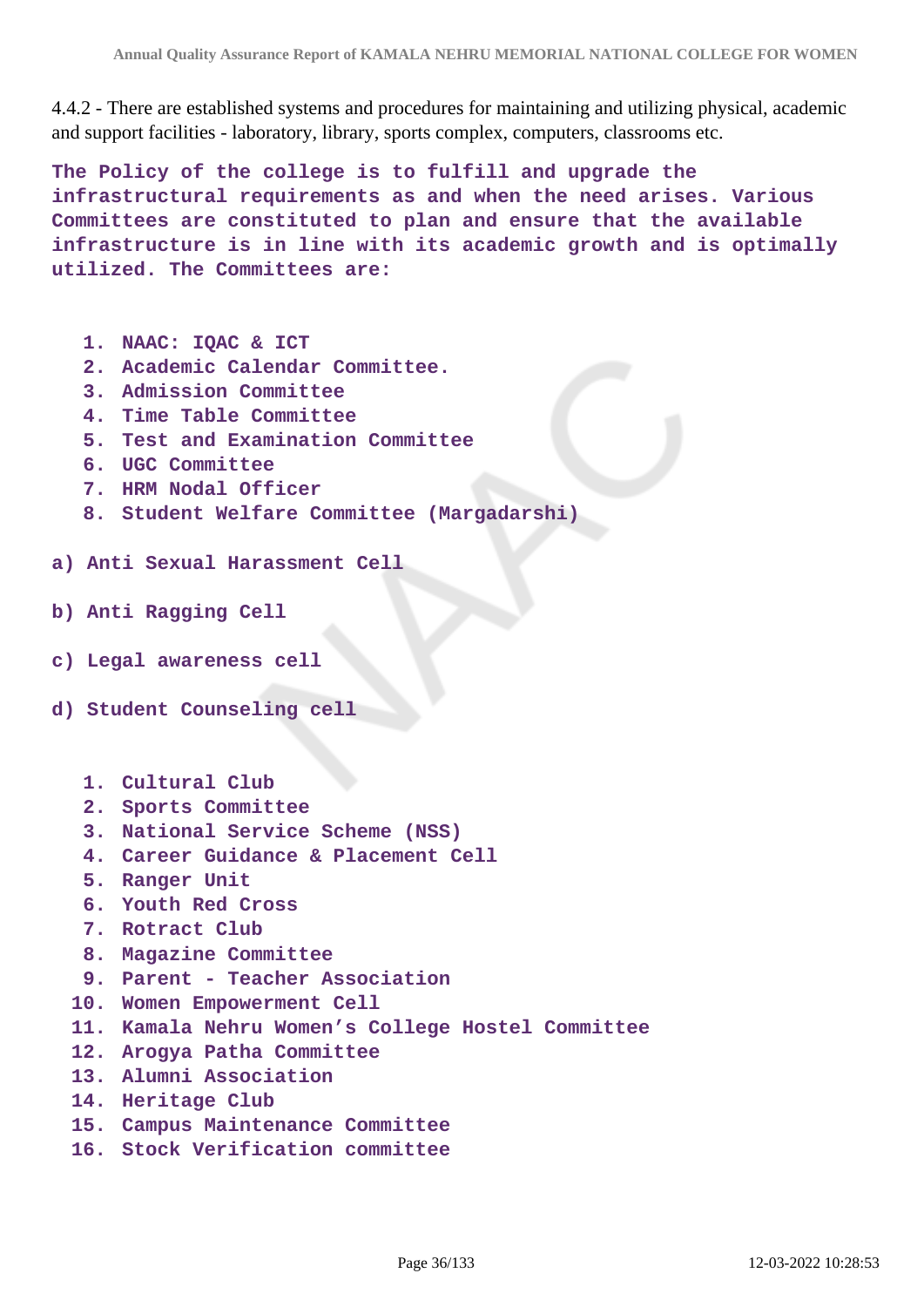4.4.2 - There are established systems and procedures for maintaining and utilizing physical, academic and support facilities - laboratory, library, sports complex, computers, classrooms etc.

**The Policy of the college is to fulfill and upgrade the infrastructural requirements as and when the need arises. Various Committees are constituted to plan and ensure that the available infrastructure is in line with its academic growth and is optimally utilized. The Committees are:**

- **1. NAAC: IQAC & ICT**
- **2. Academic Calendar Committee.**
- **3. Admission Committee**
- **4. Time Table Committee**
- **5. Test and Examination Committee**
- **6. UGC Committee**
- **7. HRM Nodal Officer**
- **8. Student Welfare Committee (Margadarshi)**
- **a) Anti Sexual Harassment Cell**
- **b) Anti Ragging Cell**
- **c) Legal awareness cell**
- **d) Student Counseling cell**
	- **1. Cultural Club**
	- **2. Sports Committee**
	- **3. National Service Scheme (NSS)**
	- **4. Career Guidance & Placement Cell**
	- **5. Ranger Unit**
	- **6. Youth Red Cross**
	- **7. Rotract Club**
	- **8. Magazine Committee**
	- **9. Parent Teacher Association**
	- **10. Women Empowerment Cell**
	- **11. Kamala Nehru Women's College Hostel Committee**
	- **12. Arogya Patha Committee**
	- **13. Alumni Association**
	- **14. Heritage Club**
	- **15. Campus Maintenance Committee**
	- **16. Stock Verification committee**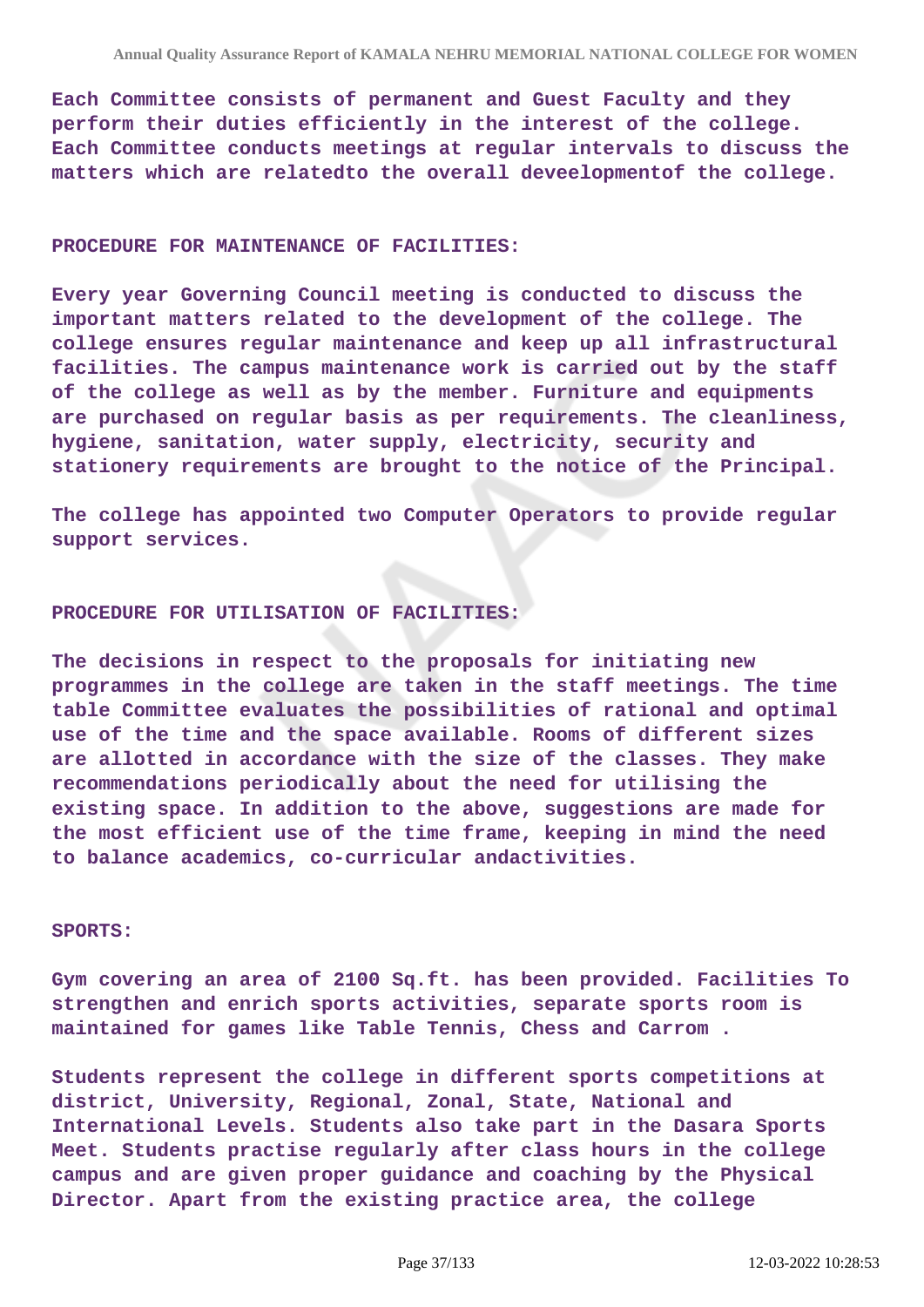**Each Committee consists of permanent and Guest Faculty and they perform their duties efficiently in the interest of the college. Each Committee conducts meetings at regular intervals to discuss the matters which are relatedto the overall deveelopmentof the college.**

#### **PROCEDURE FOR MAINTENANCE OF FACILITIES:**

**Every year Governing Council meeting is conducted to discuss the important matters related to the development of the college. The college ensures regular maintenance and keep up all infrastructural facilities. The campus maintenance work is carried out by the staff of the college as well as by the member. Furniture and equipments are purchased on regular basis as per requirements. The cleanliness, hygiene, sanitation, water supply, electricity, security and stationery requirements are brought to the notice of the Principal.**

**The college has appointed two Computer Operators to provide regular support services.**

#### **PROCEDURE FOR UTILISATION OF FACILITIES:**

**The decisions in respect to the proposals for initiating new programmes in the college are taken in the staff meetings. The time table Committee evaluates the possibilities of rational and optimal use of the time and the space available. Rooms of different sizes are allotted in accordance with the size of the classes. They make recommendations periodically about the need for utilising the existing space. In addition to the above, suggestions are made for the most efficient use of the time frame, keeping in mind the need to balance academics, co-curricular andactivities.**

#### **SPORTS:**

**Gym covering an area of 2100 Sq.ft. has been provided. Facilities To strengthen and enrich sports activities, separate sports room is maintained for games like Table Tennis, Chess and Carrom .**

**Students represent the college in different sports competitions at district, University, Regional, Zonal, State, National and International Levels. Students also take part in the Dasara Sports Meet. Students practise regularly after class hours in the college campus and are given proper guidance and coaching by the Physical Director. Apart from the existing practice area, the college**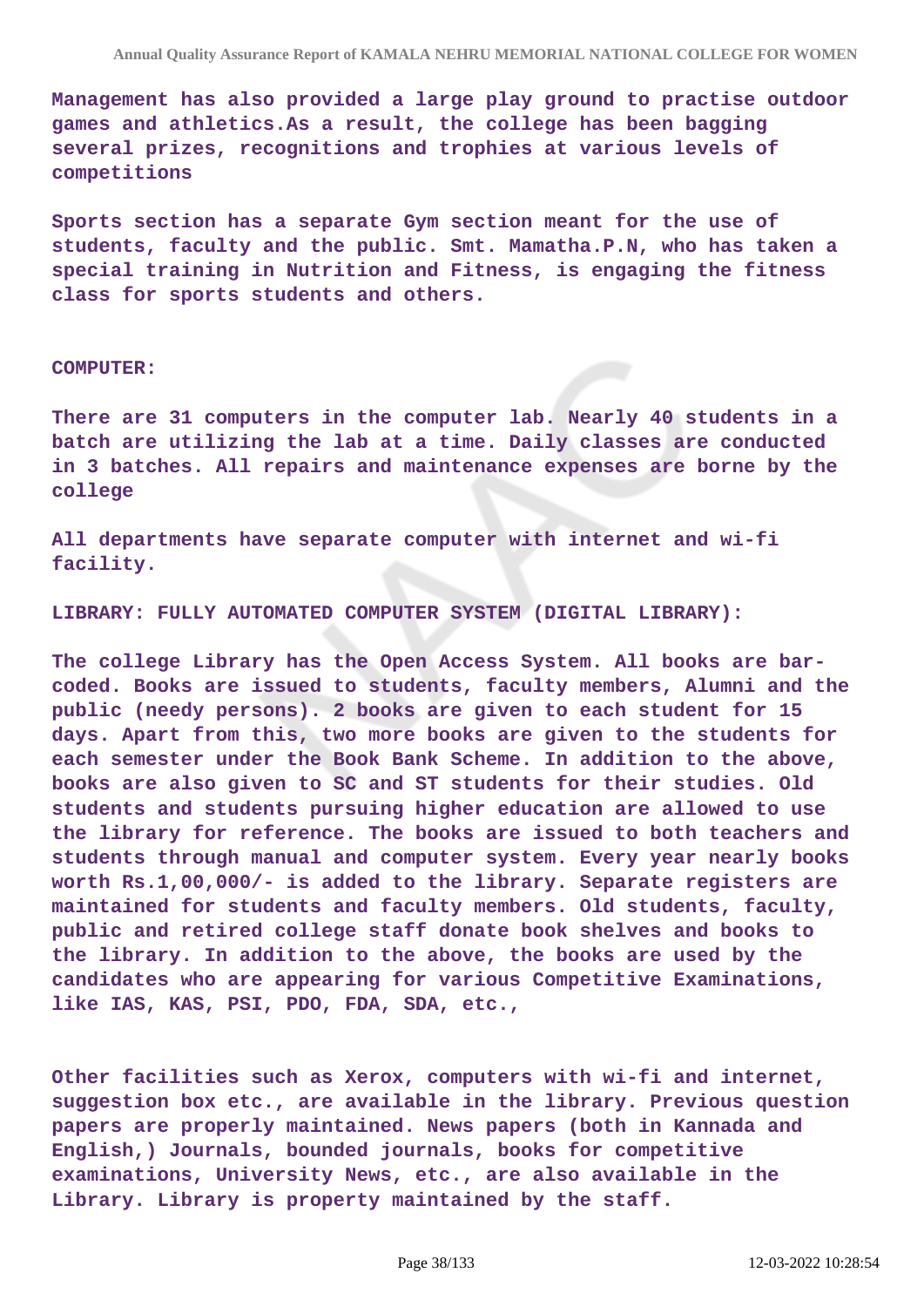**Management has also provided a large play ground to practise outdoor games and athletics.As a result, the college has been bagging several prizes, recognitions and trophies at various levels of competitions**

**Sports section has a separate Gym section meant for the use of students, faculty and the public. Smt. Mamatha.P.N, who has taken a special training in Nutrition and Fitness, is engaging the fitness class for sports students and others.**

#### **COMPUTER:**

**There are 31 computers in the computer lab. Nearly 40 students in a batch are utilizing the lab at a time. Daily classes are conducted in 3 batches. All repairs and maintenance expenses are borne by the college**

**All departments have separate computer with internet and wi-fi facility.**

#### **LIBRARY: FULLY AUTOMATED COMPUTER SYSTEM (DIGITAL LIBRARY):**

**The college Library has the Open Access System. All books are barcoded. Books are issued to students, faculty members, Alumni and the public (needy persons). 2 books are given to each student for 15 days. Apart from this, two more books are given to the students for each semester under the Book Bank Scheme. In addition to the above, books are also given to SC and ST students for their studies. Old students and students pursuing higher education are allowed to use the library for reference. The books are issued to both teachers and students through manual and computer system. Every year nearly books worth Rs.1,00,000/- is added to the library. Separate registers are maintained for students and faculty members. Old students, faculty, public and retired college staff donate book shelves and books to the library. In addition to the above, the books are used by the candidates who are appearing for various Competitive Examinations, like IAS, KAS, PSI, PDO, FDA, SDA, etc.,**

**Other facilities such as Xerox, computers with wi-fi and internet, suggestion box etc., are available in the library. Previous question papers are properly maintained. News papers (both in Kannada and English,) Journals, bounded journals, books for competitive examinations, University News, etc., are also available in the Library. Library is property maintained by the staff.**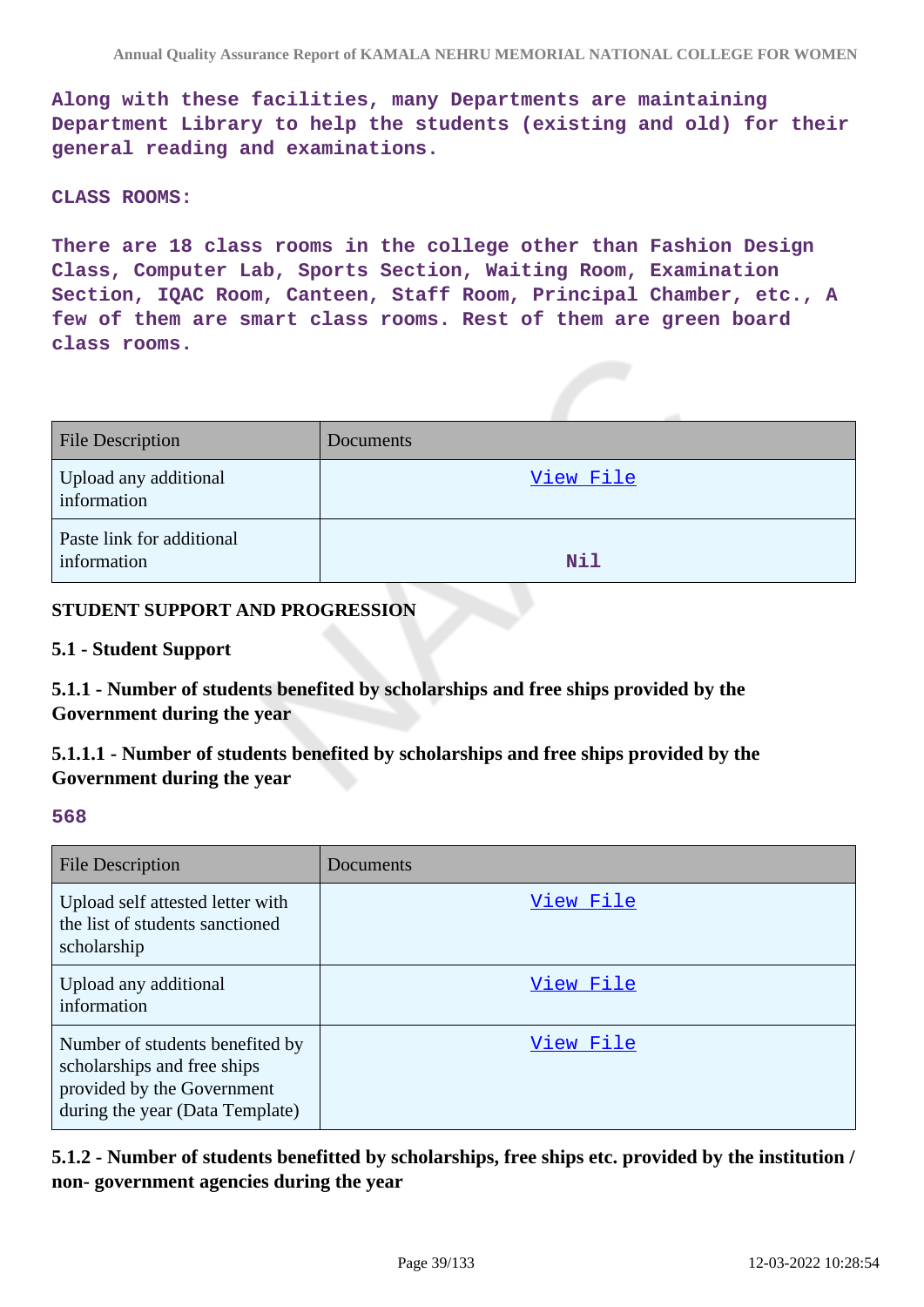**Along with these facilities, many Departments are maintaining Department Library to help the students (existing and old) for their general reading and examinations.**

### **CLASS ROOMS:**

**There are 18 class rooms in the college other than Fashion Design Class, Computer Lab, Sports Section, Waiting Room, Examination Section, IQAC Room, Canteen, Staff Room, Principal Chamber, etc., A few of them are smart class rooms. Rest of them are green board class rooms.**

| <b>File Description</b>                  | Documents |
|------------------------------------------|-----------|
| Upload any additional<br>information     | View File |
| Paste link for additional<br>information | Nil       |

### **STUDENT SUPPORT AND PROGRESSION**

### **5.1 - Student Support**

**5.1.1 - Number of students benefited by scholarships and free ships provided by the Government during the year**

**5.1.1.1 - Number of students benefited by scholarships and free ships provided by the Government during the year**

#### **568**

| <b>File Description</b>                                                                                                         | Documents |
|---------------------------------------------------------------------------------------------------------------------------------|-----------|
| Upload self attested letter with<br>the list of students sanctioned<br>scholarship                                              | View File |
| Upload any additional<br>information                                                                                            | View File |
| Number of students benefited by<br>scholarships and free ships<br>provided by the Government<br>during the year (Data Template) | View File |

**5.1.2 - Number of students benefitted by scholarships, free ships etc. provided by the institution / non- government agencies during the year**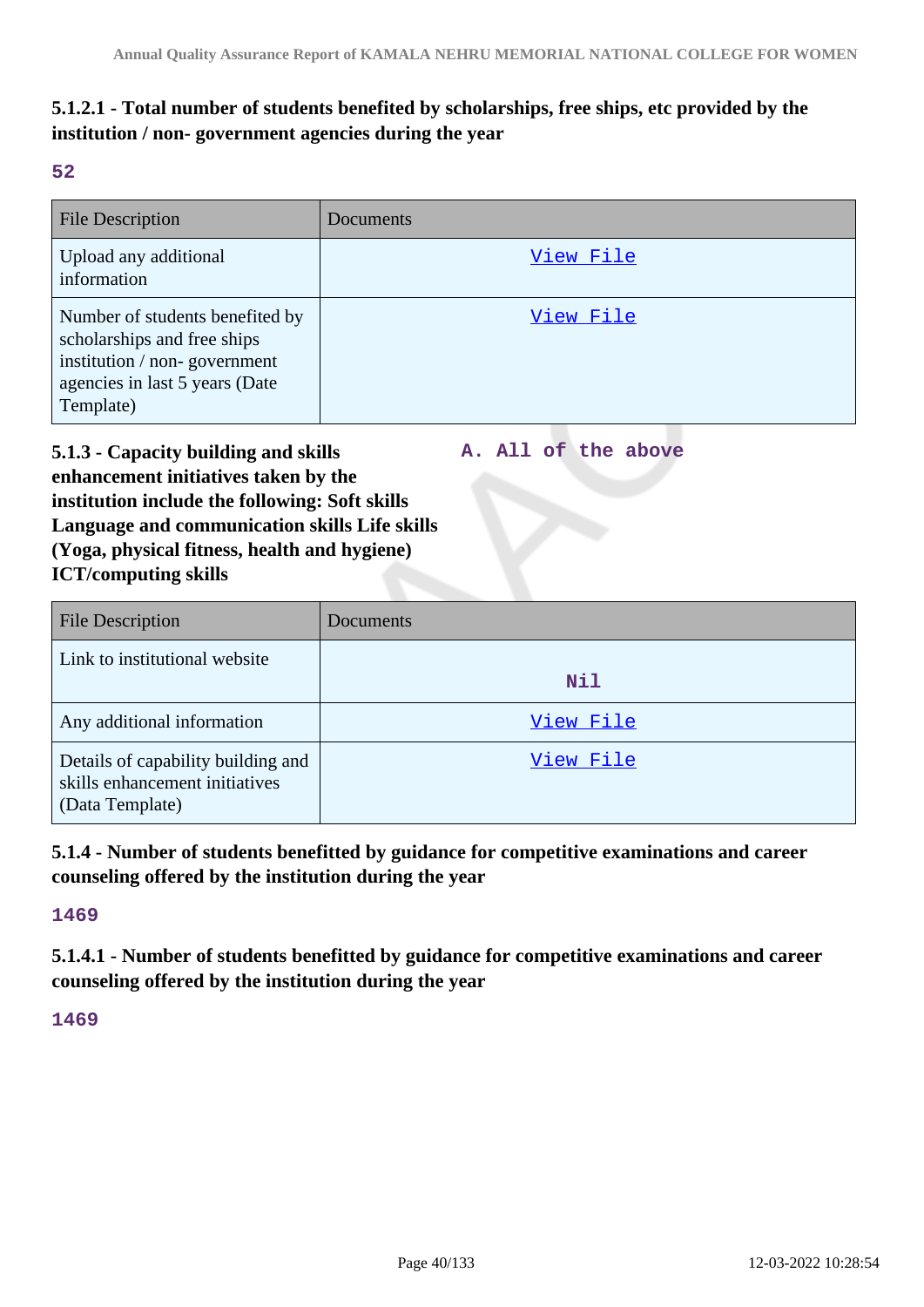# **5.1.2.1 - Total number of students benefited by scholarships, free ships, etc provided by the institution / non- government agencies during the year**

**52**

| File Description                                                                                                                              | Documents |
|-----------------------------------------------------------------------------------------------------------------------------------------------|-----------|
| Upload any additional<br>information                                                                                                          | View File |
| Number of students benefited by<br>scholarships and free ships<br>institution / non-government<br>agencies in last 5 years (Date<br>Template) | View File |

**5.1.3 - Capacity building and skills enhancement initiatives taken by the institution include the following: Soft skills Language and communication skills Life skills (Yoga, physical fitness, health and hygiene) A. All of the above**

**ICT/computing skills**

| <b>File Description</b>                                                                 | Documents |
|-----------------------------------------------------------------------------------------|-----------|
| Link to institutional website                                                           | Nil       |
| Any additional information                                                              | View File |
| Details of capability building and<br>skills enhancement initiatives<br>(Data Template) | View File |

**5.1.4 - Number of students benefitted by guidance for competitive examinations and career counseling offered by the institution during the year**

**1469**

**5.1.4.1 - Number of students benefitted by guidance for competitive examinations and career counseling offered by the institution during the year**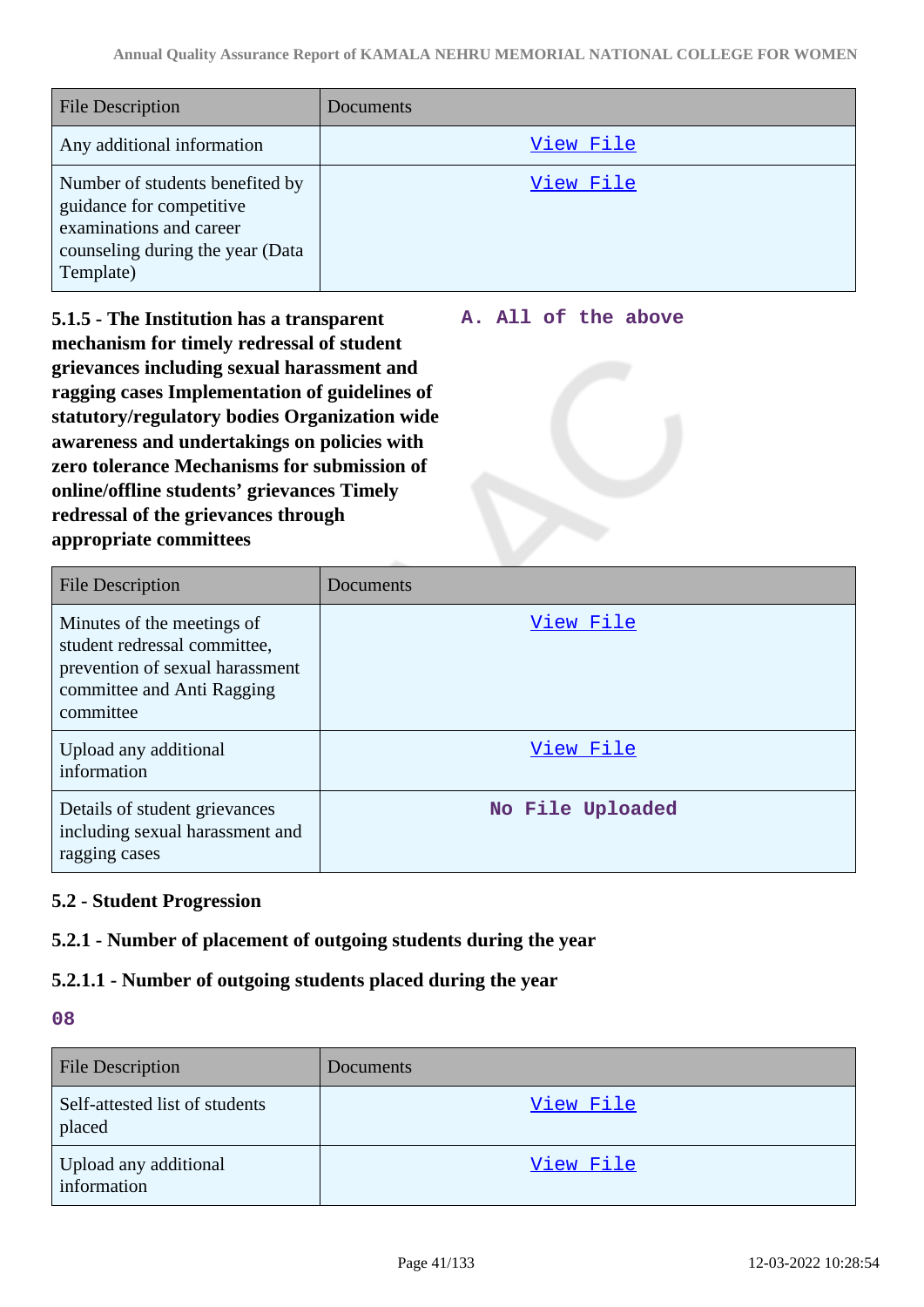| <b>File Description</b>                                                                                                                 | Documents |
|-----------------------------------------------------------------------------------------------------------------------------------------|-----------|
| Any additional information                                                                                                              | View File |
| Number of students benefited by<br>guidance for competitive<br>examinations and career<br>counseling during the year (Data<br>Template) | View File |

**5.1.5 - The Institution has a transparent mechanism for timely redressal of student grievances including sexual harassment and ragging cases Implementation of guidelines of statutory/regulatory bodies Organization wide awareness and undertakings on policies with zero tolerance Mechanisms for submission of online/offline students' grievances Timely redressal of the grievances through appropriate committees**

### **A. All of the above**

| <b>File Description</b>                                                                                                                  | Documents        |
|------------------------------------------------------------------------------------------------------------------------------------------|------------------|
| Minutes of the meetings of<br>student redressal committee,<br>prevention of sexual harassment<br>committee and Anti Ragging<br>committee | View File        |
| Upload any additional<br>information                                                                                                     | View File        |
| Details of student grievances<br>including sexual harassment and<br>ragging cases                                                        | No File Uploaded |

# **5.2 - Student Progression**

# **5.2.1 - Number of placement of outgoing students during the year**

# **5.2.1.1 - Number of outgoing students placed during the year**

| <b>File Description</b>                  | Documents |
|------------------------------------------|-----------|
| Self-attested list of students<br>placed | View File |
| Upload any additional<br>information     | View File |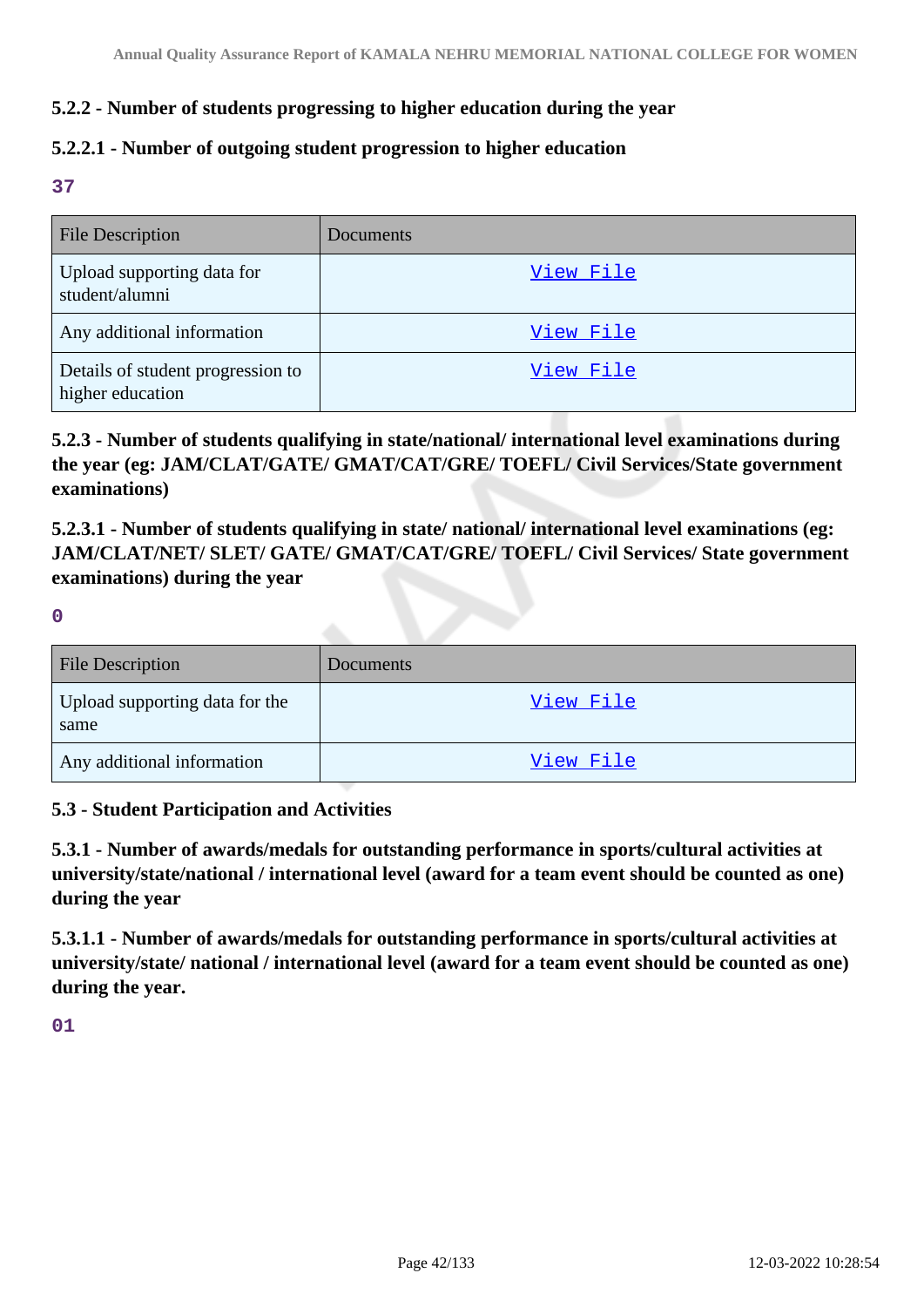# **5.2.2 - Number of students progressing to higher education during the year**

## **5.2.2.1 - Number of outgoing student progression to higher education**

**37**

| <b>File Description</b>                               | Documents |
|-------------------------------------------------------|-----------|
| Upload supporting data for<br>student/alumni          | View File |
| Any additional information                            | View File |
| Details of student progression to<br>higher education | View File |

**5.2.3 - Number of students qualifying in state/national/ international level examinations during the year (eg: JAM/CLAT/GATE/ GMAT/CAT/GRE/ TOEFL/ Civil Services/State government examinations)**

**5.2.3.1 - Number of students qualifying in state/ national/ international level examinations (eg: JAM/CLAT/NET/ SLET/ GATE/ GMAT/CAT/GRE/ TOEFL/ Civil Services/ State government examinations) during the year**

**0**

| <b>File Description</b>                | Documents |
|----------------------------------------|-----------|
| Upload supporting data for the<br>same | View File |
| Any additional information             | View File |

### **5.3 - Student Participation and Activities**

**5.3.1 - Number of awards/medals for outstanding performance in sports/cultural activities at university/state/national / international level (award for a team event should be counted as one) during the year**

**5.3.1.1 - Number of awards/medals for outstanding performance in sports/cultural activities at university/state/ national / international level (award for a team event should be counted as one) during the year.**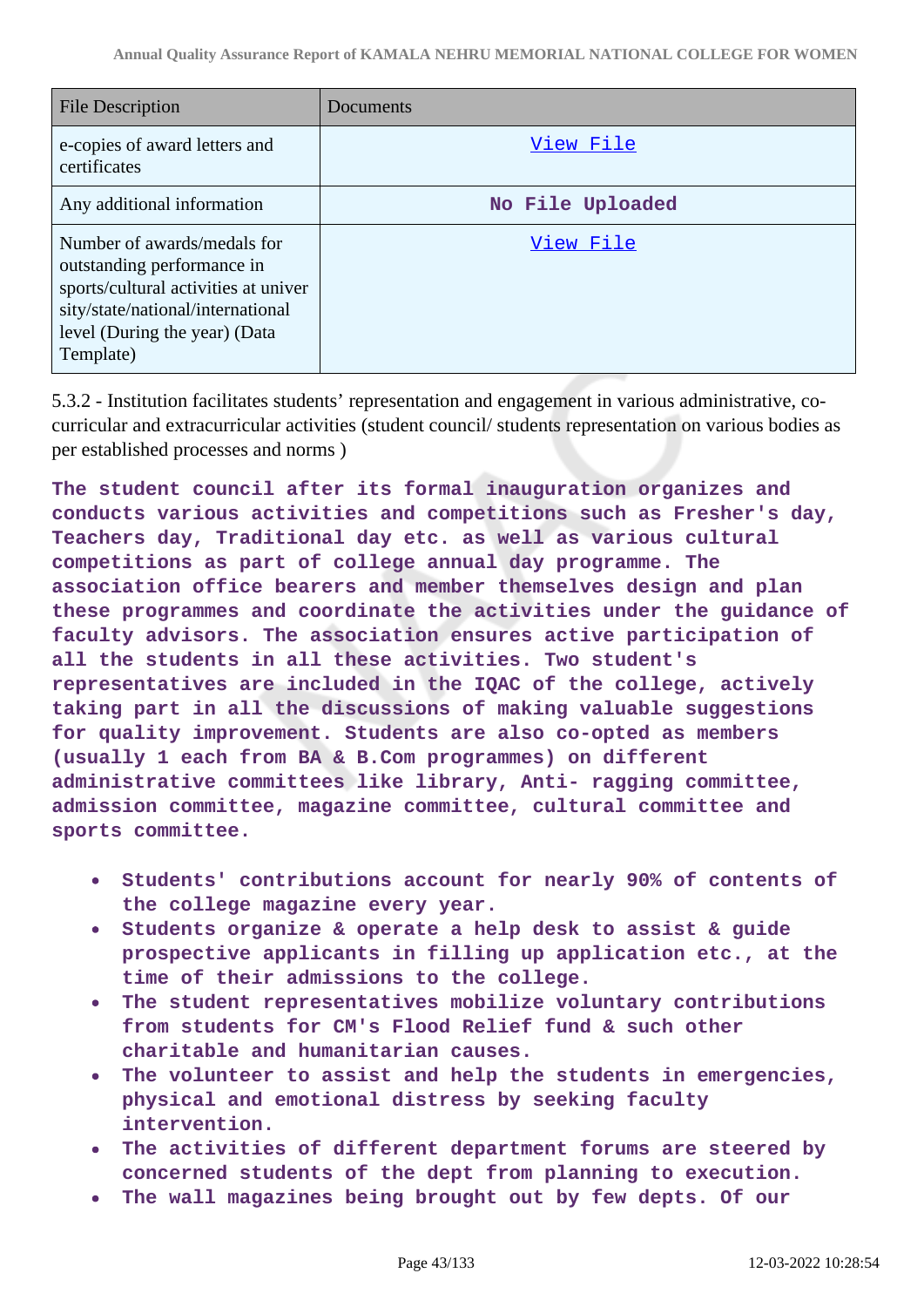| <b>File Description</b>                                                                                                                                                              | Documents        |
|--------------------------------------------------------------------------------------------------------------------------------------------------------------------------------------|------------------|
| e-copies of award letters and<br>certificates                                                                                                                                        | View File        |
| Any additional information                                                                                                                                                           | No File Uploaded |
| Number of awards/medals for<br>outstanding performance in<br>sports/cultural activities at univer<br>sity/state/national/international<br>level (During the year) (Data<br>Template) | View File        |

5.3.2 - Institution facilitates students' representation and engagement in various administrative, cocurricular and extracurricular activities (student council/ students representation on various bodies as per established processes and norms )

**The student council after its formal inauguration organizes and conducts various activities and competitions such as Fresher's day, Teachers day, Traditional day etc. as well as various cultural competitions as part of college annual day programme. The association office bearers and member themselves design and plan these programmes and coordinate the activities under the guidance of faculty advisors. The association ensures active participation of all the students in all these activities. Two student's representatives are included in the IQAC of the college, actively taking part in all the discussions of making valuable suggestions for quality improvement. Students are also co-opted as members (usually 1 each from BA & B.Com programmes) on different administrative committees like library, Anti- ragging committee, admission committee, magazine committee, cultural committee and sports committee.**

- **Students' contributions account for nearly 90% of contents of the college magazine every year.**
- **Students organize & operate a help desk to assist & guide prospective applicants in filling up application etc., at the time of their admissions to the college.**
- **The student representatives mobilize voluntary contributions**  $\bullet$ **from students for CM's Flood Relief fund & such other charitable and humanitarian causes.**
- **The volunteer to assist and help the students in emergencies, physical and emotional distress by seeking faculty intervention.**
- **The activities of different department forums are steered by concerned students of the dept from planning to execution.**
- **The wall magazines being brought out by few depts. Of our**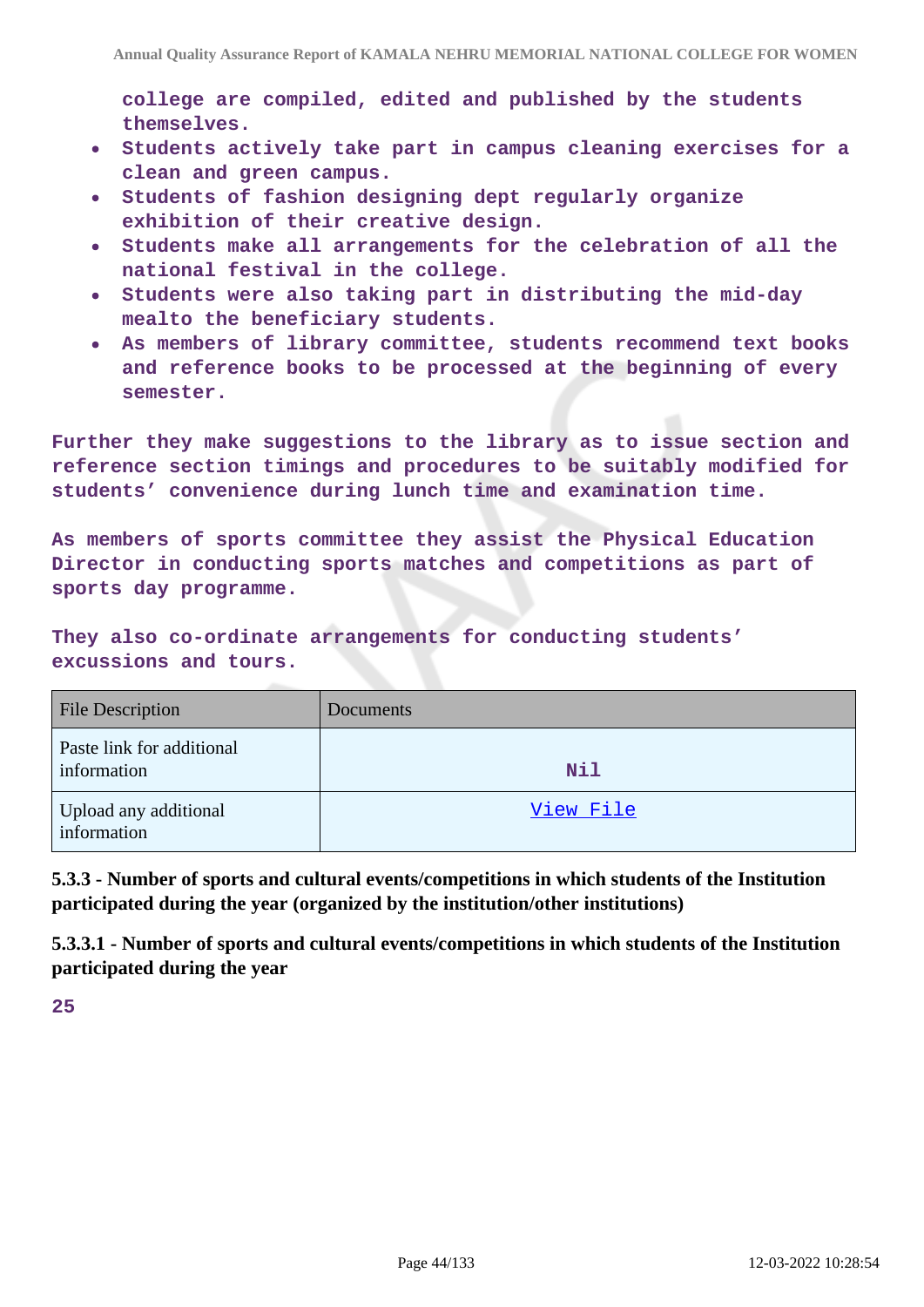**college are compiled, edited and published by the students themselves.**

- **Students actively take part in campus cleaning exercises for a clean and green campus.**
- **Students of fashion designing dept regularly organize exhibition of their creative design.**
- **Students make all arrangements for the celebration of all the**  $\bullet$ **national festival in the college.**
- **Students were also taking part in distributing the mid-day mealto the beneficiary students.**
- **As members of library committee, students recommend text books and reference books to be processed at the beginning of every semester.**

**Further they make suggestions to the library as to issue section and reference section timings and procedures to be suitably modified for students' convenience during lunch time and examination time.**

**As members of sports committee they assist the Physical Education Director in conducting sports matches and competitions as part of sports day programme.**

**They also co-ordinate arrangements for conducting students' excussions and tours.**

| <b>File Description</b>                  | Documents  |
|------------------------------------------|------------|
| Paste link for additional<br>information | <b>Nil</b> |
| Upload any additional<br>information     | View File  |

**5.3.3 - Number of sports and cultural events/competitions in which students of the Institution participated during the year (organized by the institution/other institutions)**

**5.3.3.1 - Number of sports and cultural events/competitions in which students of the Institution participated during the year**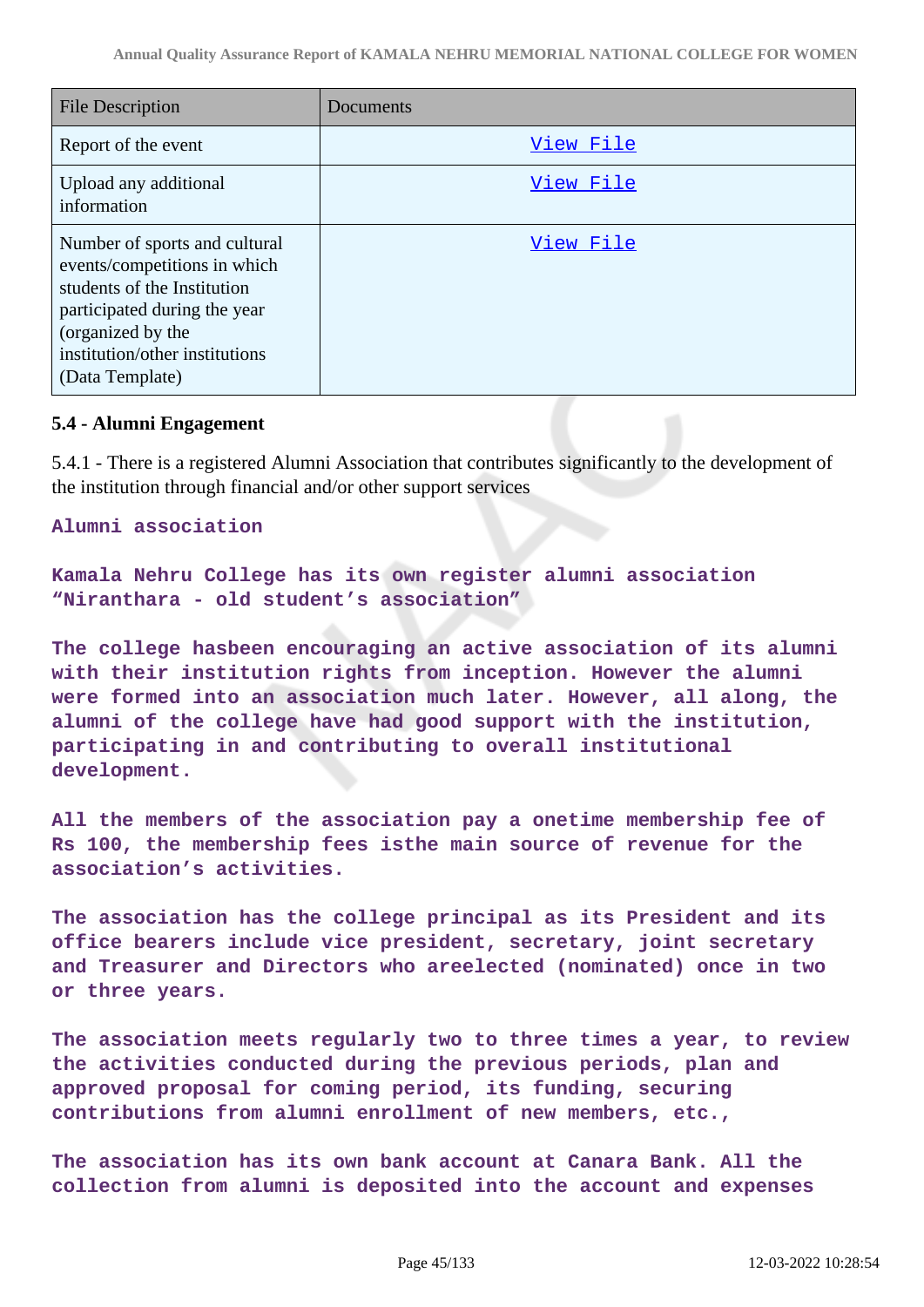| <b>File Description</b>                                                                                                                                                                                | Documents |
|--------------------------------------------------------------------------------------------------------------------------------------------------------------------------------------------------------|-----------|
| Report of the event                                                                                                                                                                                    | View File |
| Upload any additional<br>information                                                                                                                                                                   | View File |
| Number of sports and cultural<br>events/competitions in which<br>students of the Institution<br>participated during the year<br>(organized by the<br>institution/other institutions<br>(Data Template) | View File |

### **5.4 - Alumni Engagement**

5.4.1 - There is a registered Alumni Association that contributes significantly to the development of the institution through financial and/or other support services

**Alumni association**

```
Kamala Nehru College has its own register alumni association
"Niranthara - old student's association"
```
**The college hasbeen encouraging an active association of its alumni with their institution rights from inception. However the alumni were formed into an association much later. However, all along, the alumni of the college have had good support with the institution, participating in and contributing to overall institutional development.**

**All the members of the association pay a onetime membership fee of Rs 100, the membership fees isthe main source of revenue for the association's activities.**

**The association has the college principal as its President and its office bearers include vice president, secretary, joint secretary and Treasurer and Directors who areelected (nominated) once in two or three years.**

**The association meets regularly two to three times a year, to review the activities conducted during the previous periods, plan and approved proposal for coming period, its funding, securing contributions from alumni enrollment of new members, etc.,**

**The association has its own bank account at Canara Bank. All the collection from alumni is deposited into the account and expenses**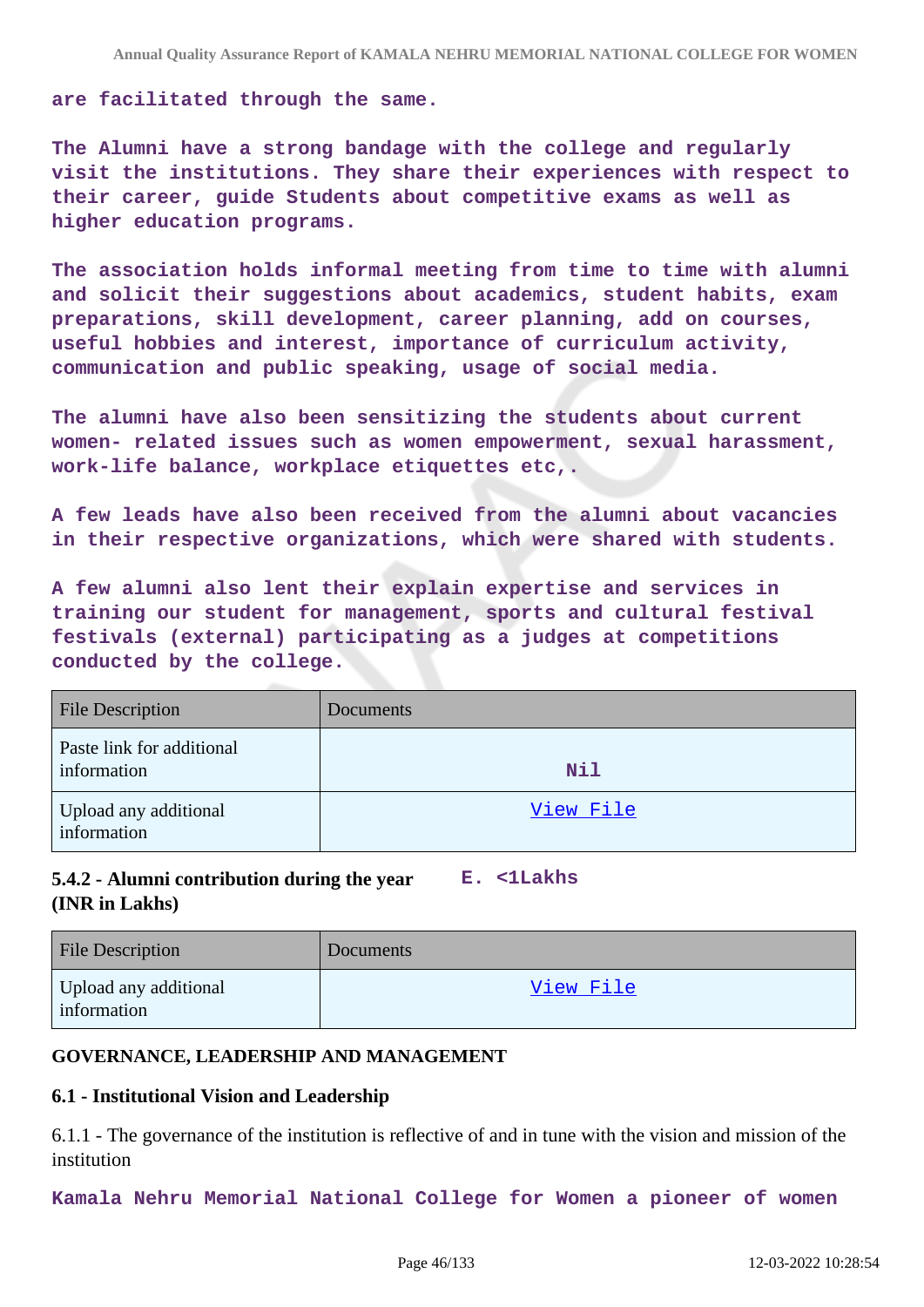**are facilitated through the same.**

**The Alumni have a strong bandage with the college and regularly visit the institutions. They share their experiences with respect to their career, guide Students about competitive exams as well as higher education programs.**

**The association holds informal meeting from time to time with alumni and solicit their suggestions about academics, student habits, exam preparations, skill development, career planning, add on courses, useful hobbies and interest, importance of curriculum activity, communication and public speaking, usage of social media.**

**The alumni have also been sensitizing the students about current women- related issues such as women empowerment, sexual harassment, work-life balance, workplace etiquettes etc,.**

**A few leads have also been received from the alumni about vacancies in their respective organizations, which were shared with students.**

**A few alumni also lent their explain expertise and services in training our student for management, sports and cultural festival festivals (external) participating as a judges at competitions conducted by the college.**

| <b>File Description</b>                  | Documents |
|------------------------------------------|-----------|
| Paste link for additional<br>information | Nil       |
| Upload any additional<br>information     | View File |

#### **5.4.2 - Alumni contribution during the year (INR in Lakhs) E. <1Lakhs**

| <b>File Description</b>              | Documents |
|--------------------------------------|-----------|
| Upload any additional<br>information | View File |

# **GOVERNANCE, LEADERSHIP AND MANAGEMENT**

### **6.1 - Institutional Vision and Leadership**

6.1.1 - The governance of the institution is reflective of and in tune with the vision and mission of the institution

**Kamala Nehru Memorial National College for Women a pioneer of women**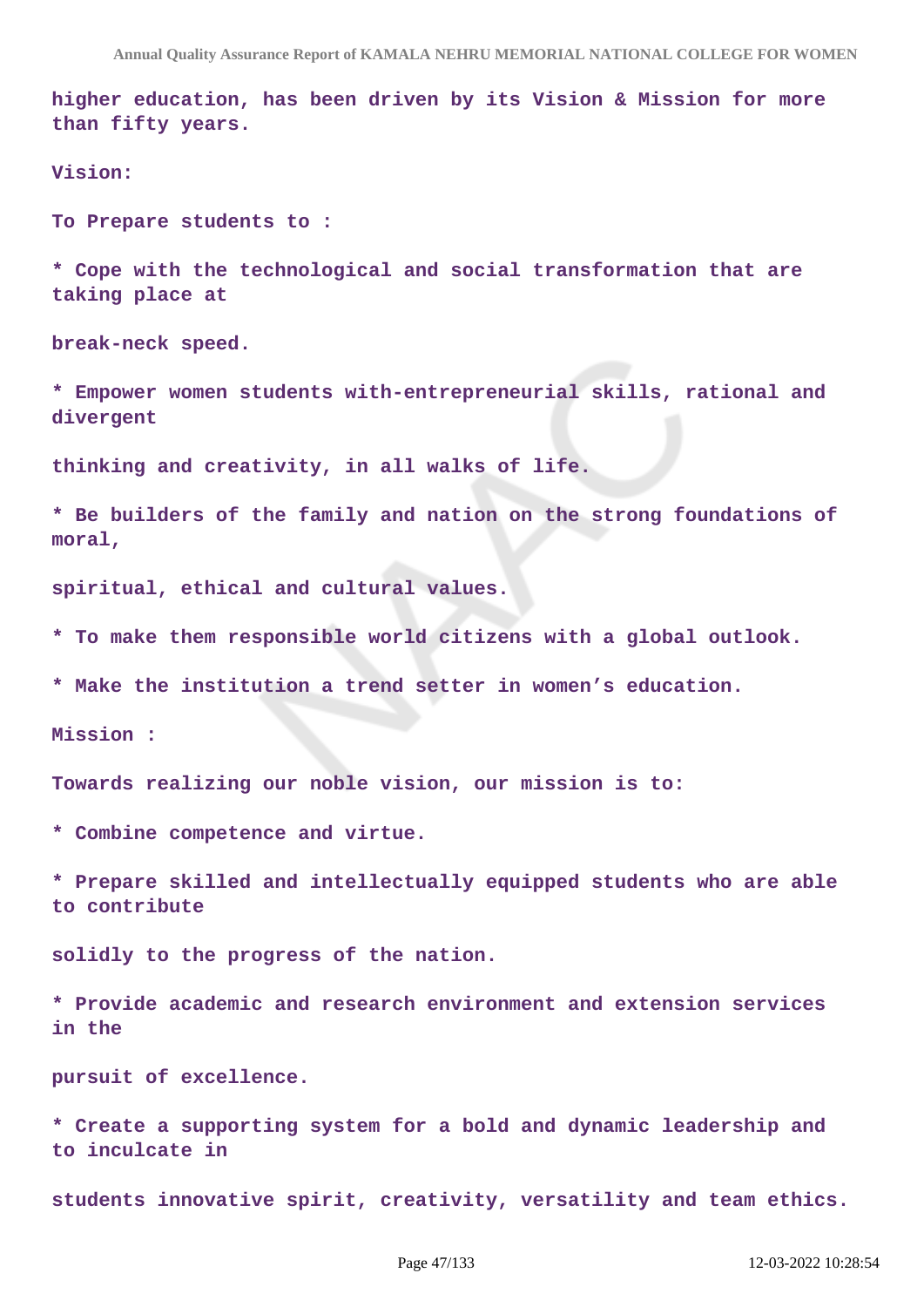**higher education, has been driven by its Vision & Mission for more than fifty years.**

**Vision:**

**To Prepare students to :**

**\* Cope with the technological and social transformation that are taking place at**

**break-neck speed.**

**\* Empower women students with-entrepreneurial skills, rational and divergent**

**thinking and creativity, in all walks of life.**

**\* Be builders of the family and nation on the strong foundations of moral,**

**spiritual, ethical and cultural values.**

**\* To make them responsible world citizens with a global outlook.**

**\* Make the institution a trend setter in women's education.**

**Mission :** 

**Towards realizing our noble vision, our mission is to:**

**\* Combine competence and virtue.**

**\* Prepare skilled and intellectually equipped students who are able to contribute**

**solidly to the progress of the nation.**

**\* Provide academic and research environment and extension services in the**

**pursuit of excellence.**

**\* Create a supporting system for a bold and dynamic leadership and to inculcate in**

**students innovative spirit, creativity, versatility and team ethics.**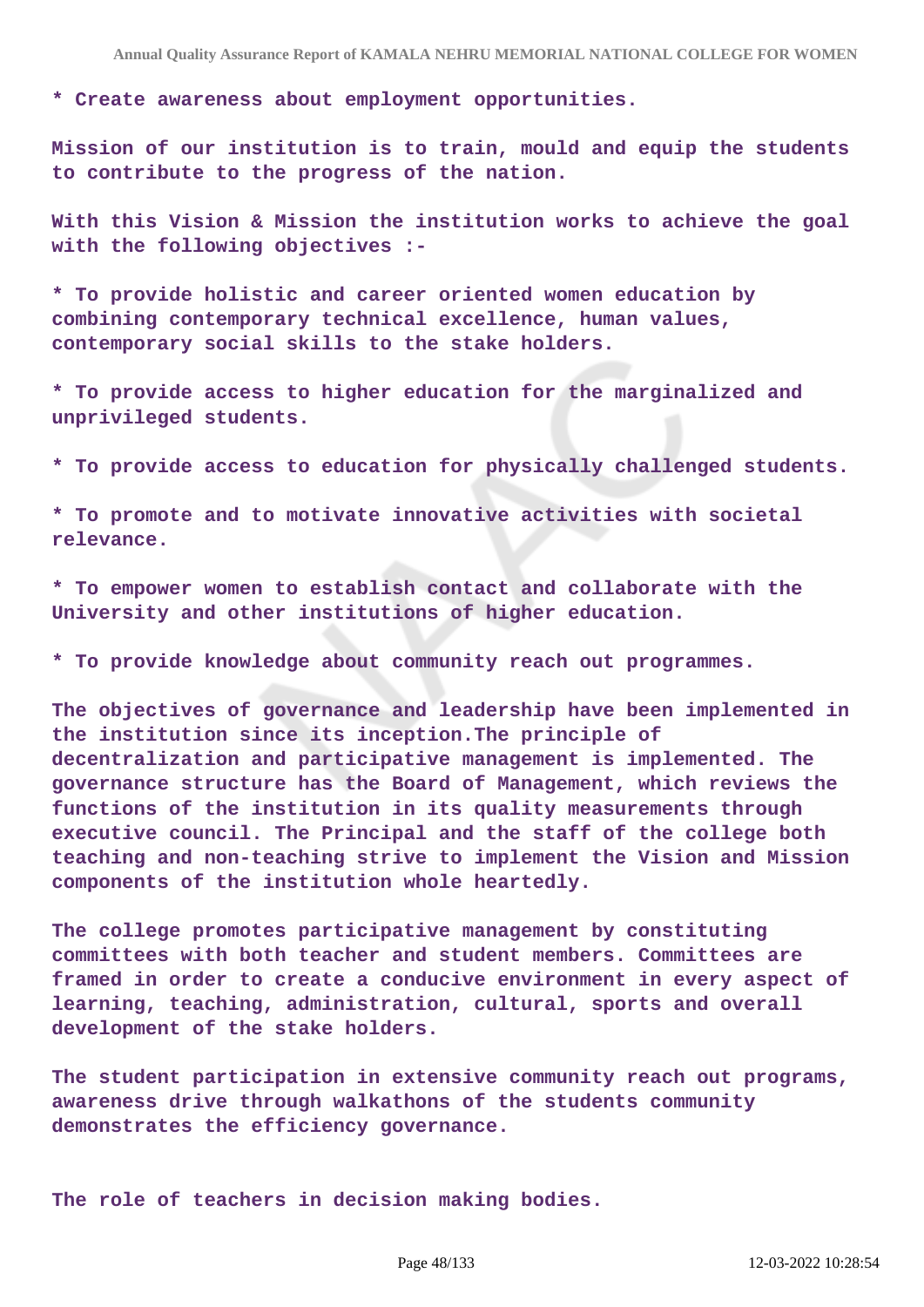**\* Create awareness about employment opportunities.**

**Mission of our institution is to train, mould and equip the students to contribute to the progress of the nation.**

**With this Vision & Mission the institution works to achieve the goal with the following objectives :-**

**\* To provide holistic and career oriented women education by combining contemporary technical excellence, human values, contemporary social skills to the stake holders.**

**\* To provide access to higher education for the marginalized and unprivileged students.**

**\* To provide access to education for physically challenged students.**

**\* To promote and to motivate innovative activities with societal relevance.**

**\* To empower women to establish contact and collaborate with the University and other institutions of higher education.**

**\* To provide knowledge about community reach out programmes.**

**The objectives of governance and leadership have been implemented in the institution since its inception.The principle of decentralization and participative management is implemented. The governance structure has the Board of Management, which reviews the functions of the institution in its quality measurements through executive council. The Principal and the staff of the college both teaching and non-teaching strive to implement the Vision and Mission components of the institution whole heartedly.**

**The college promotes participative management by constituting committees with both teacher and student members. Committees are framed in order to create a conducive environment in every aspect of learning, teaching, administration, cultural, sports and overall development of the stake holders.**

**The student participation in extensive community reach out programs, awareness drive through walkathons of the students community demonstrates the efficiency governance.**

**The role of teachers in decision making bodies.**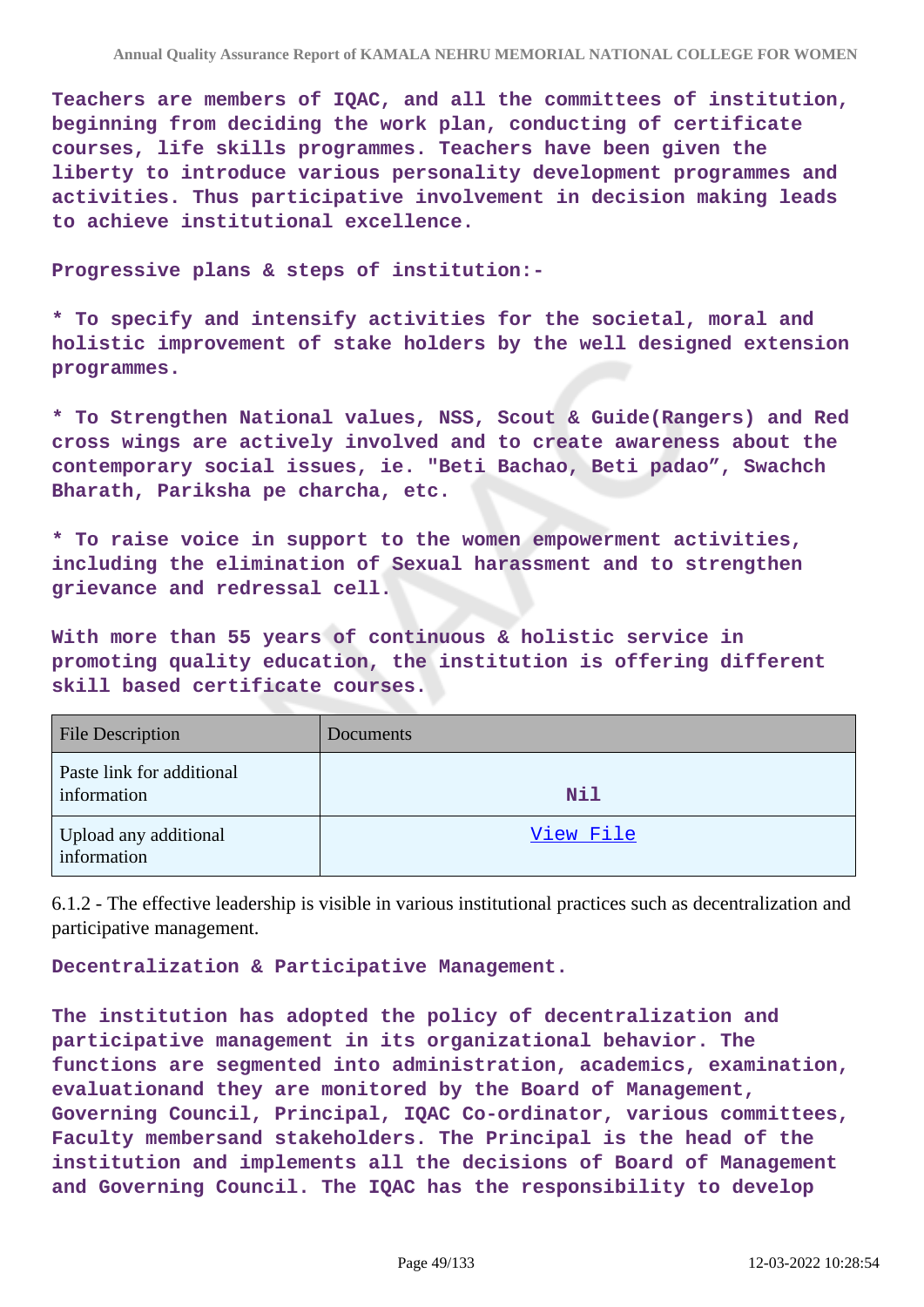**Teachers are members of IQAC, and all the committees of institution, beginning from deciding the work plan, conducting of certificate courses, life skills programmes. Teachers have been given the liberty to introduce various personality development programmes and activities. Thus participative involvement in decision making leads to achieve institutional excellence.**

**Progressive plans & steps of institution:-**

**\* To specify and intensify activities for the societal, moral and holistic improvement of stake holders by the well designed extension programmes.**

**\* To Strengthen National values, NSS, Scout & Guide(Rangers) and Red cross wings are actively involved and to create awareness about the contemporary social issues, ie. "Beti Bachao, Beti padao", Swachch Bharath, Pariksha pe charcha, etc.**

**\* To raise voice in support to the women empowerment activities, including the elimination of Sexual harassment and to strengthen grievance and redressal cell.**

**With more than 55 years of continuous & holistic service in promoting quality education, the institution is offering different skill based certificate courses.**

| <b>File Description</b>                  | Documents  |
|------------------------------------------|------------|
| Paste link for additional<br>information | <b>Nil</b> |
| Upload any additional<br>information     | View File  |

6.1.2 - The effective leadership is visible in various institutional practices such as decentralization and participative management.

**Decentralization & Participative Management.**

**The institution has adopted the policy of decentralization and participative management in its organizational behavior. The functions are segmented into administration, academics, examination, evaluationand they are monitored by the Board of Management, Governing Council, Principal, IQAC Co-ordinator, various committees, Faculty membersand stakeholders. The Principal is the head of the institution and implements all the decisions of Board of Management and Governing Council. The IQAC has the responsibility to develop**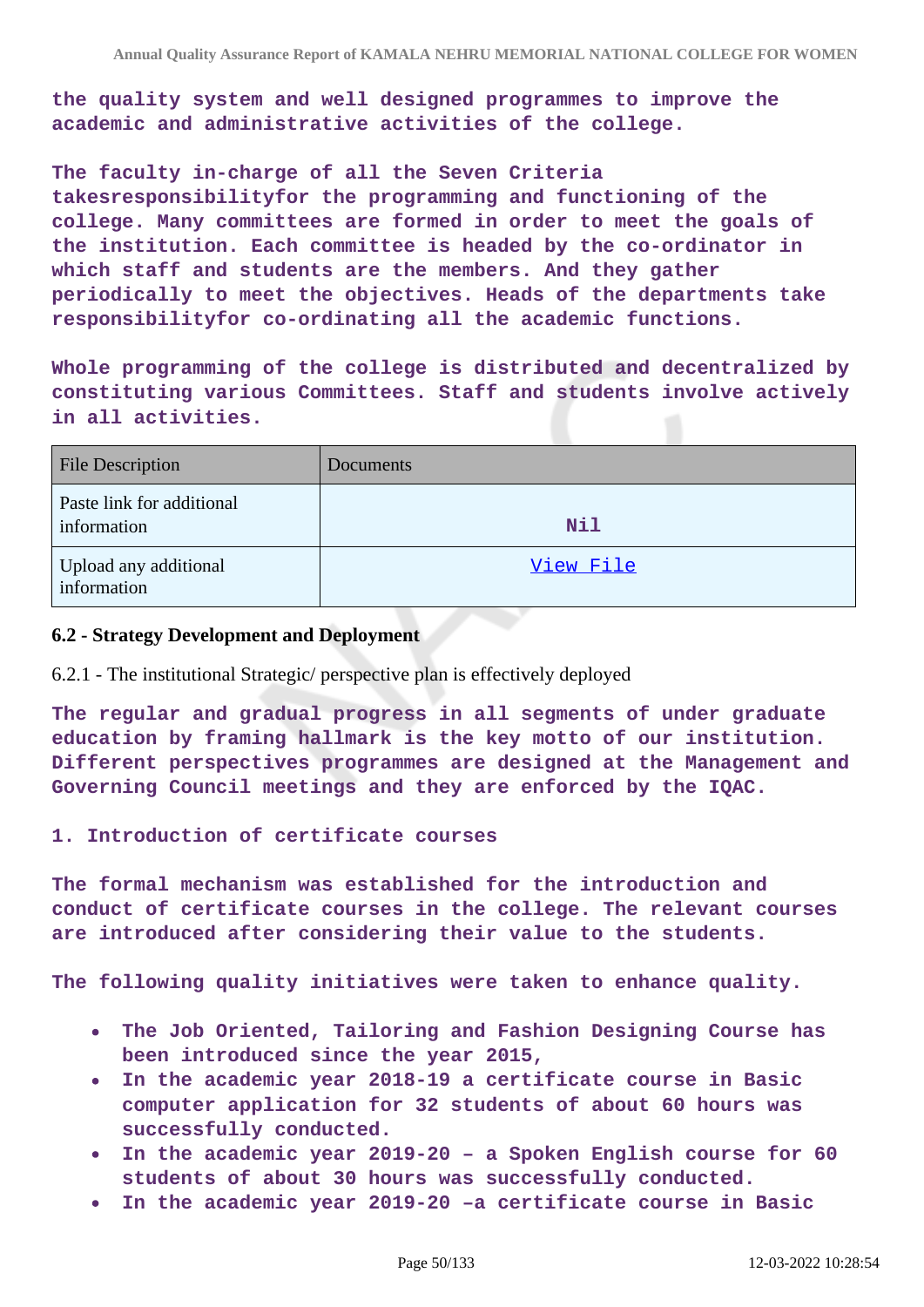**the quality system and well designed programmes to improve the academic and administrative activities of the college.**

**The faculty in-charge of all the Seven Criteria takesresponsibilityfor the programming and functioning of the college. Many committees are formed in order to meet the goals of the institution. Each committee is headed by the co-ordinator in which staff and students are the members. And they gather periodically to meet the objectives. Heads of the departments take responsibilityfor co-ordinating all the academic functions.**

**Whole programming of the college is distributed and decentralized by constituting various Committees. Staff and students involve actively in all activities.**

| <b>File Description</b>                  | <b>Documents</b> |
|------------------------------------------|------------------|
| Paste link for additional<br>information | <b>Nil</b>       |
| Upload any additional<br>information     | View File        |

### **6.2 - Strategy Development and Deployment**

### 6.2.1 - The institutional Strategic/ perspective plan is effectively deployed

**The regular and gradual progress in all segments of under graduate education by framing hallmark is the key motto of our institution. Different perspectives programmes are designed at the Management and Governing Council meetings and they are enforced by the IQAC.**

### **1. Introduction of certificate courses**

**The formal mechanism was established for the introduction and conduct of certificate courses in the college. The relevant courses are introduced after considering their value to the students.**

**The following quality initiatives were taken to enhance quality.** 

- **The Job Oriented, Tailoring and Fashion Designing Course has been introduced since the year 2015,**
- **In the academic year 2018-19 a certificate course in Basic computer application for 32 students of about 60 hours was successfully conducted.**
- **In the academic year 2019-20 a Spoken English course for 60 students of about 30 hours was successfully conducted.**
- **In the academic year 2019-20 –a certificate course in Basic**  $\bullet$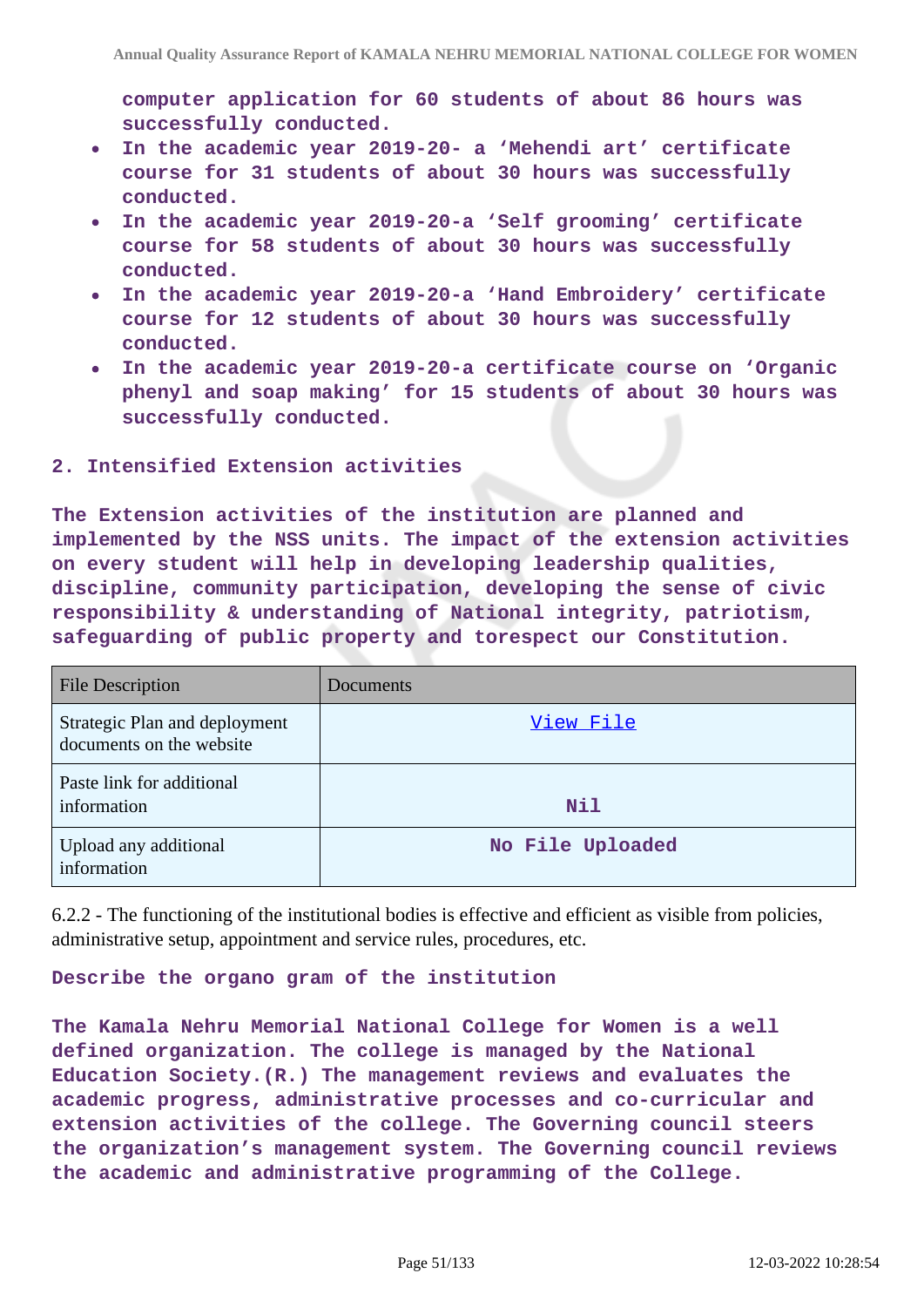**computer application for 60 students of about 86 hours was successfully conducted.**

- **In the academic year 2019-20- a 'Mehendi art' certificate**  $\bullet$ **course for 31 students of about 30 hours was successfully conducted.**
- **In the academic year 2019-20-a 'Self grooming' certificate course for 58 students of about 30 hours was successfully conducted.**
- **In the academic year 2019-20-a 'Hand Embroidery' certificate course for 12 students of about 30 hours was successfully conducted.**
- **In the academic year 2019-20-a certificate course on 'Organic**  $\bullet$ **phenyl and soap making' for 15 students of about 30 hours was successfully conducted.**

### **2. Intensified Extension activities**

**The Extension activities of the institution are planned and implemented by the NSS units. The impact of the extension activities on every student will help in developing leadership qualities, discipline, community participation, developing the sense of civic responsibility & understanding of National integrity, patriotism, safeguarding of public property and torespect our Constitution.**

| <b>File Description</b>                                   | Documents        |
|-----------------------------------------------------------|------------------|
| Strategic Plan and deployment<br>documents on the website | View File        |
| Paste link for additional<br>information                  | <b>Nil</b>       |
| Upload any additional<br>information                      | No File Uploaded |

6.2.2 - The functioning of the institutional bodies is effective and efficient as visible from policies, administrative setup, appointment and service rules, procedures, etc.

### **Describe the organo gram of the institution**

**The Kamala Nehru Memorial National College for Women is a well defined organization. The college is managed by the National Education Society.(R.) The management reviews and evaluates the academic progress, administrative processes and co-curricular and extension activities of the college. The Governing council steers the organization's management system. The Governing council reviews the academic and administrative programming of the College.**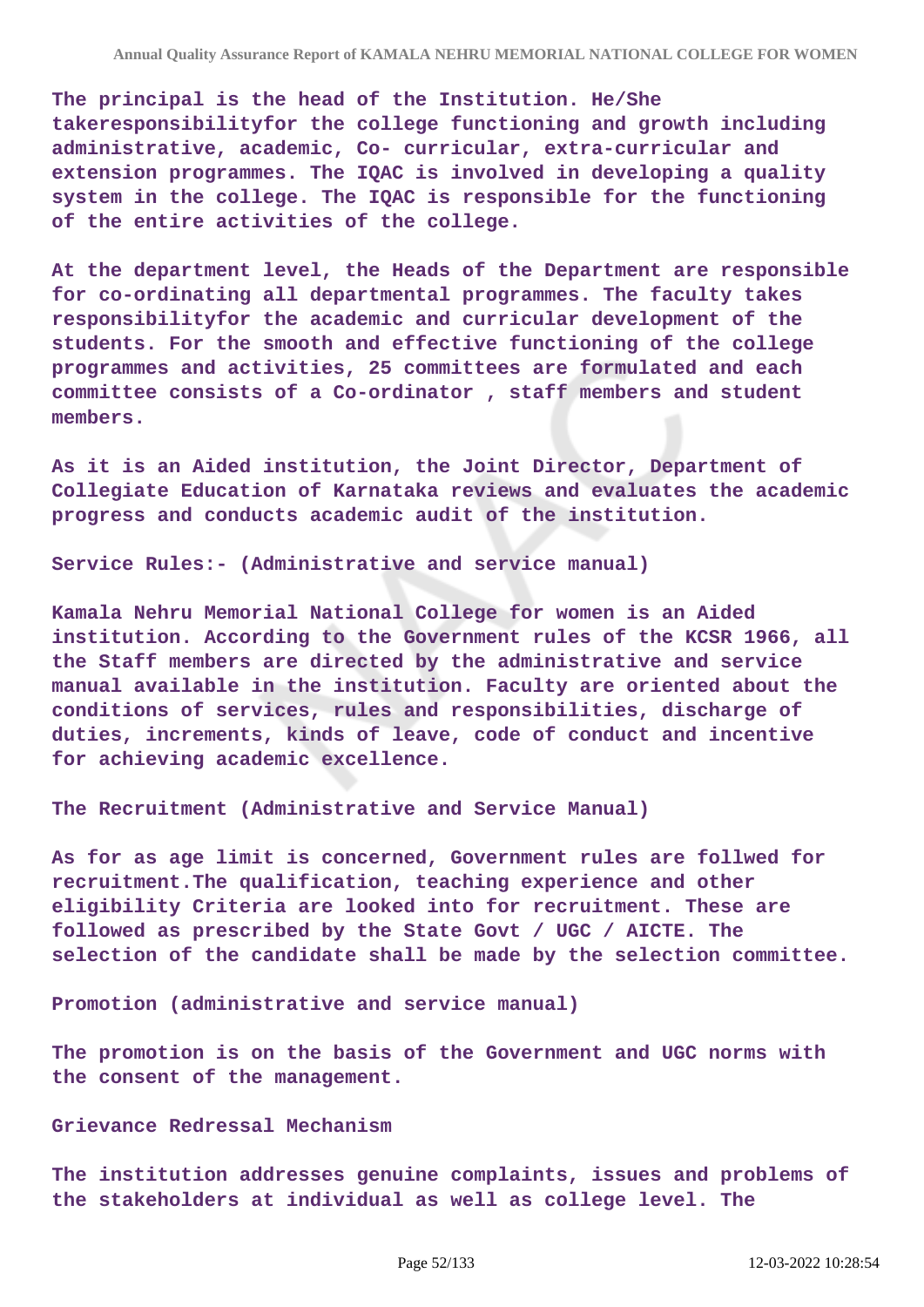**The principal is the head of the Institution. He/She takeresponsibilityfor the college functioning and growth including administrative, academic, Co- curricular, extra-curricular and extension programmes. The IQAC is involved in developing a quality system in the college. The IQAC is responsible for the functioning of the entire activities of the college.**

**At the department level, the Heads of the Department are responsible for co-ordinating all departmental programmes. The faculty takes responsibilityfor the academic and curricular development of the students. For the smooth and effective functioning of the college programmes and activities, 25 committees are formulated and each committee consists of a Co-ordinator , staff members and student members.**

**As it is an Aided institution, the Joint Director, Department of Collegiate Education of Karnataka reviews and evaluates the academic progress and conducts academic audit of the institution.**

**Service Rules:- (Administrative and service manual)**

**Kamala Nehru Memorial National College for women is an Aided institution. According to the Government rules of the KCSR 1966, all the Staff members are directed by the administrative and service manual available in the institution. Faculty are oriented about the conditions of services, rules and responsibilities, discharge of duties, increments, kinds of leave, code of conduct and incentive for achieving academic excellence.**

**The Recruitment (Administrative and Service Manual)**

**As for as age limit is concerned, Government rules are follwed for recruitment.The qualification, teaching experience and other eligibility Criteria are looked into for recruitment. These are followed as prescribed by the State Govt / UGC / AICTE. The selection of the candidate shall be made by the selection committee.**

**Promotion (administrative and service manual)**

**The promotion is on the basis of the Government and UGC norms with the consent of the management.**

#### **Grievance Redressal Mechanism**

**The institution addresses genuine complaints, issues and problems of the stakeholders at individual as well as college level. The**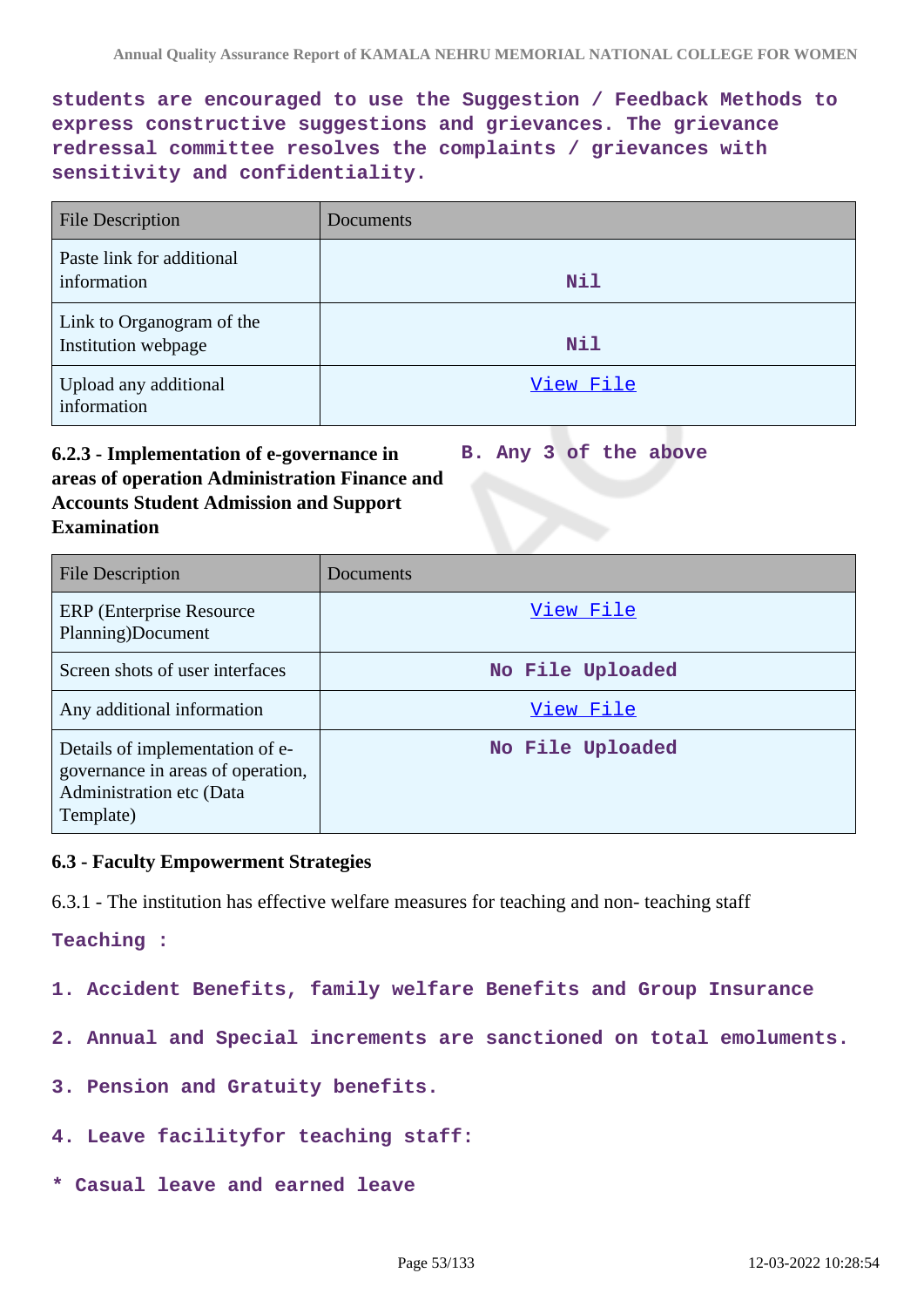**students are encouraged to use the Suggestion / Feedback Methods to express constructive suggestions and grievances. The grievance redressal committee resolves the complaints / grievances with sensitivity and confidentiality.**

| <b>File Description</b>                          | <b>Documents</b> |
|--------------------------------------------------|------------------|
| Paste link for additional<br>information         | Nil              |
| Link to Organogram of the<br>Institution webpage | Nil              |
| Upload any additional<br>information             | View File        |

#### **6.2.3 - Implementation of e-governance in areas of operation Administration Finance and Accounts Student Admission and Support Examination B. Any 3 of the above**

| <b>File Description</b>                                                                                       | Documents        |
|---------------------------------------------------------------------------------------------------------------|------------------|
| ERP (Enterprise Resource)<br>Planning)Document                                                                | View File        |
| Screen shots of user interfaces                                                                               | No File Uploaded |
| Any additional information                                                                                    | View File        |
| Details of implementation of e-<br>governance in areas of operation,<br>Administration etc (Data<br>Template) | No File Uploaded |

### **6.3 - Faculty Empowerment Strategies**

6.3.1 - The institution has effective welfare measures for teaching and non- teaching staff

### **Teaching :**

**1. Accident Benefits, family welfare Benefits and Group Insurance**

- **2. Annual and Special increments are sanctioned on total emoluments.**
- **3. Pension and Gratuity benefits.**
- **4. Leave facilityfor teaching staff:**
- **\* Casual leave and earned leave**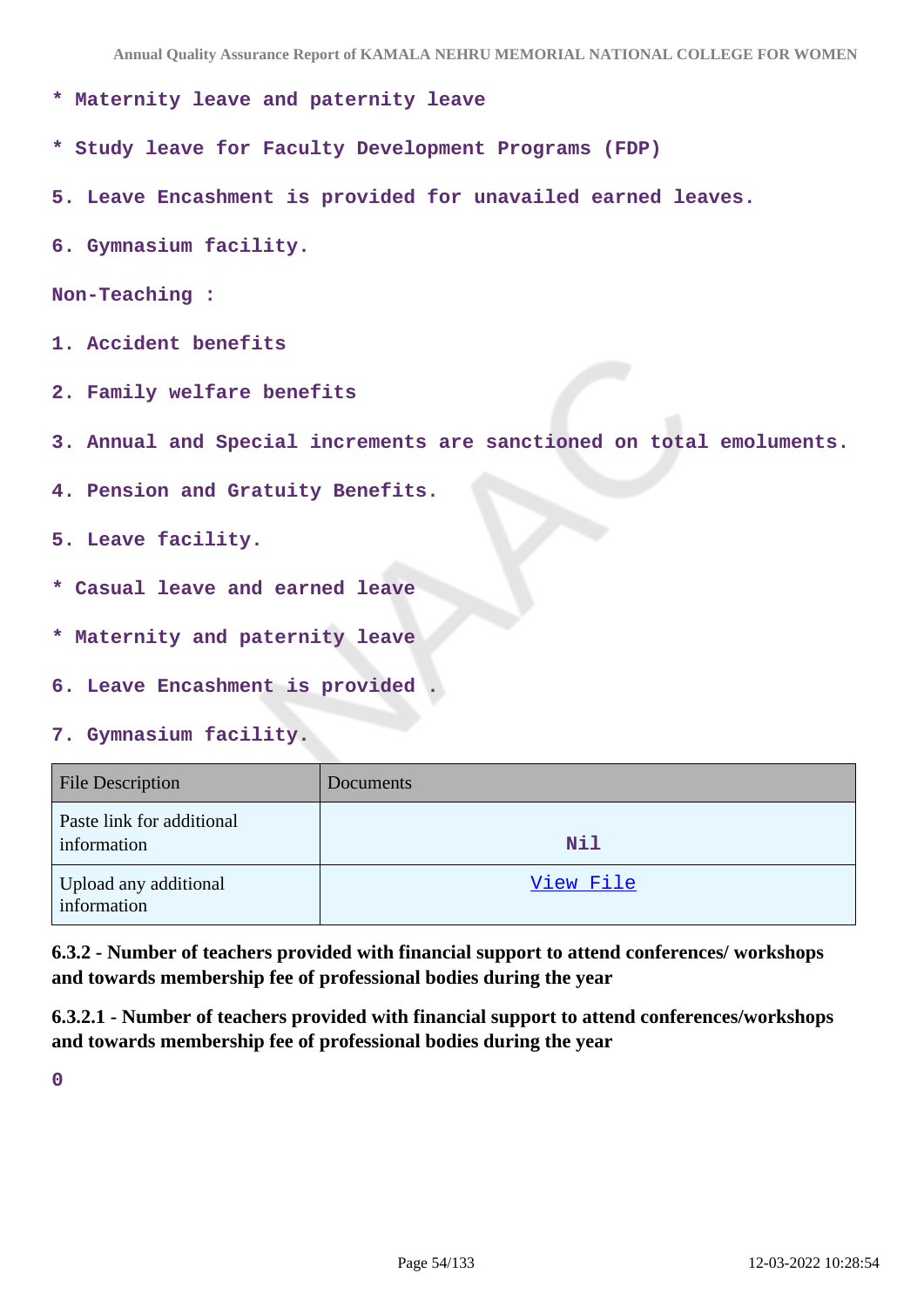**Annual Quality Assurance Report of KAMALA NEHRU MEMORIAL NATIONAL COLLEGE FOR WOMEN**

- **\* Maternity leave and paternity leave**
- **\* Study leave for Faculty Development Programs (FDP)**
- **5. Leave Encashment is provided for unavailed earned leaves.**
- **6. Gymnasium facility.**

```
Non-Teaching :
```
- **1. Accident benefits**
- **2. Family welfare benefits**
- **3. Annual and Special increments are sanctioned on total emoluments.**
- **4. Pension and Gratuity Benefits.**
- **5. Leave facility.**
- **\* Casual leave and earned leave**
- **\* Maternity and paternity leave**
- **6. Leave Encashment is provided .**
- **7. Gymnasium facility.**

| <b>File Description</b>                  | Documents  |
|------------------------------------------|------------|
| Paste link for additional<br>information | <b>Nil</b> |
| Upload any additional<br>information     | View File  |

**6.3.2 - Number of teachers provided with financial support to attend conferences/ workshops and towards membership fee of professional bodies during the year**

**6.3.2.1 - Number of teachers provided with financial support to attend conferences/workshops and towards membership fee of professional bodies during the year**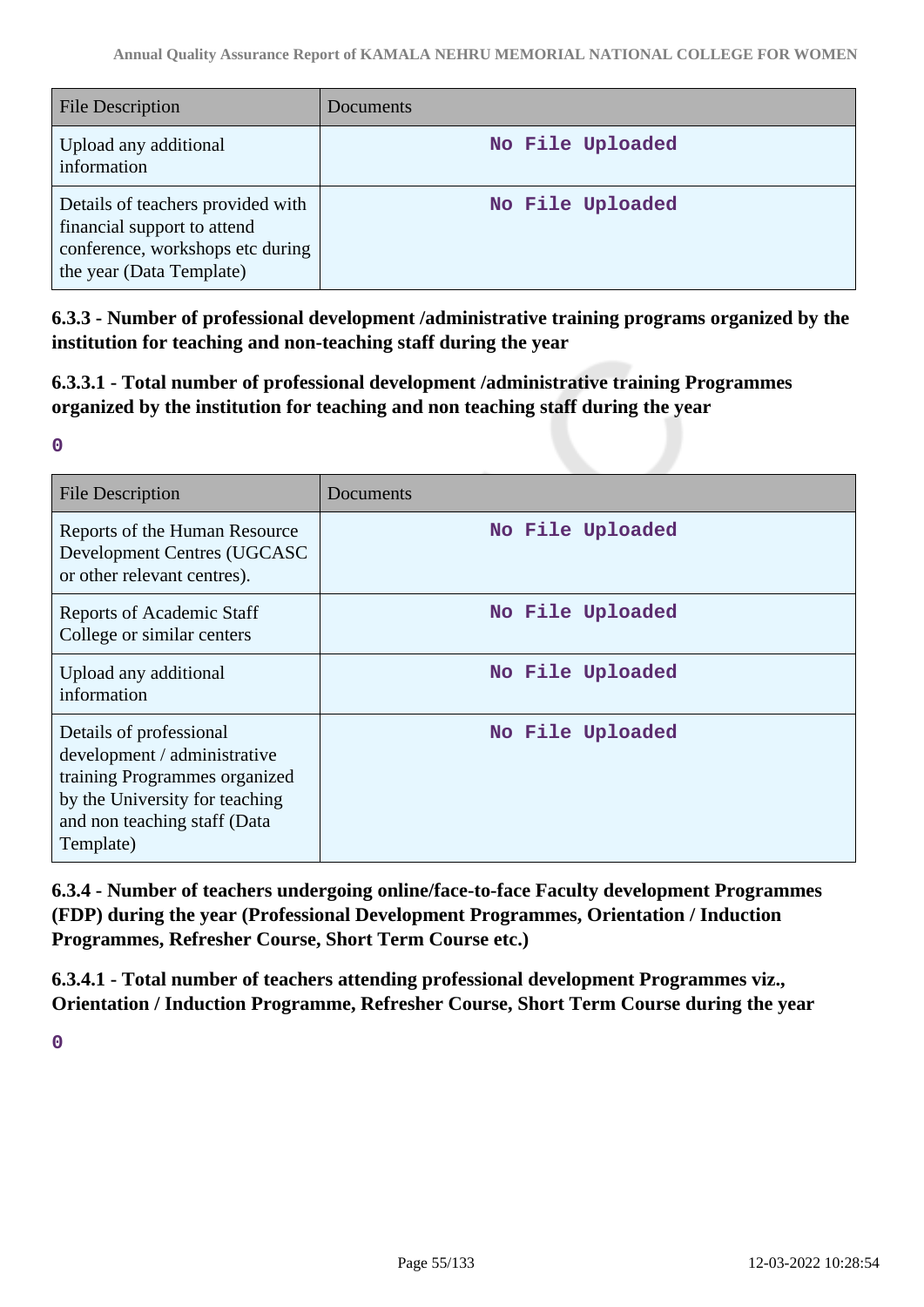| <b>File Description</b>                                                                                                          | <b>Documents</b> |
|----------------------------------------------------------------------------------------------------------------------------------|------------------|
| Upload any additional<br>information                                                                                             | No File Uploaded |
| Details of teachers provided with<br>financial support to attend<br>conference, workshops etc during<br>the year (Data Template) | No File Uploaded |

**6.3.3 - Number of professional development /administrative training programs organized by the institution for teaching and non-teaching staff during the year**

**6.3.3.1 - Total number of professional development /administrative training Programmes organized by the institution for teaching and non teaching staff during the year**

| ٠<br>۰. | ı |  |
|---------|---|--|
|         |   |  |

| <b>File Description</b>                                                                                                                                                 | Documents        |
|-------------------------------------------------------------------------------------------------------------------------------------------------------------------------|------------------|
| Reports of the Human Resource<br>Development Centres (UGCASC<br>or other relevant centres).                                                                             | No File Uploaded |
| <b>Reports of Academic Staff</b><br>College or similar centers                                                                                                          | No File Uploaded |
| Upload any additional<br>information                                                                                                                                    | No File Uploaded |
| Details of professional<br>development / administrative<br>training Programmes organized<br>by the University for teaching<br>and non teaching staff (Data<br>Template) | No File Uploaded |

**6.3.4 - Number of teachers undergoing online/face-to-face Faculty development Programmes (FDP) during the year (Professional Development Programmes, Orientation / Induction Programmes, Refresher Course, Short Term Course etc.)**

**6.3.4.1 - Total number of teachers attending professional development Programmes viz., Orientation / Induction Programme, Refresher Course, Short Term Course during the year**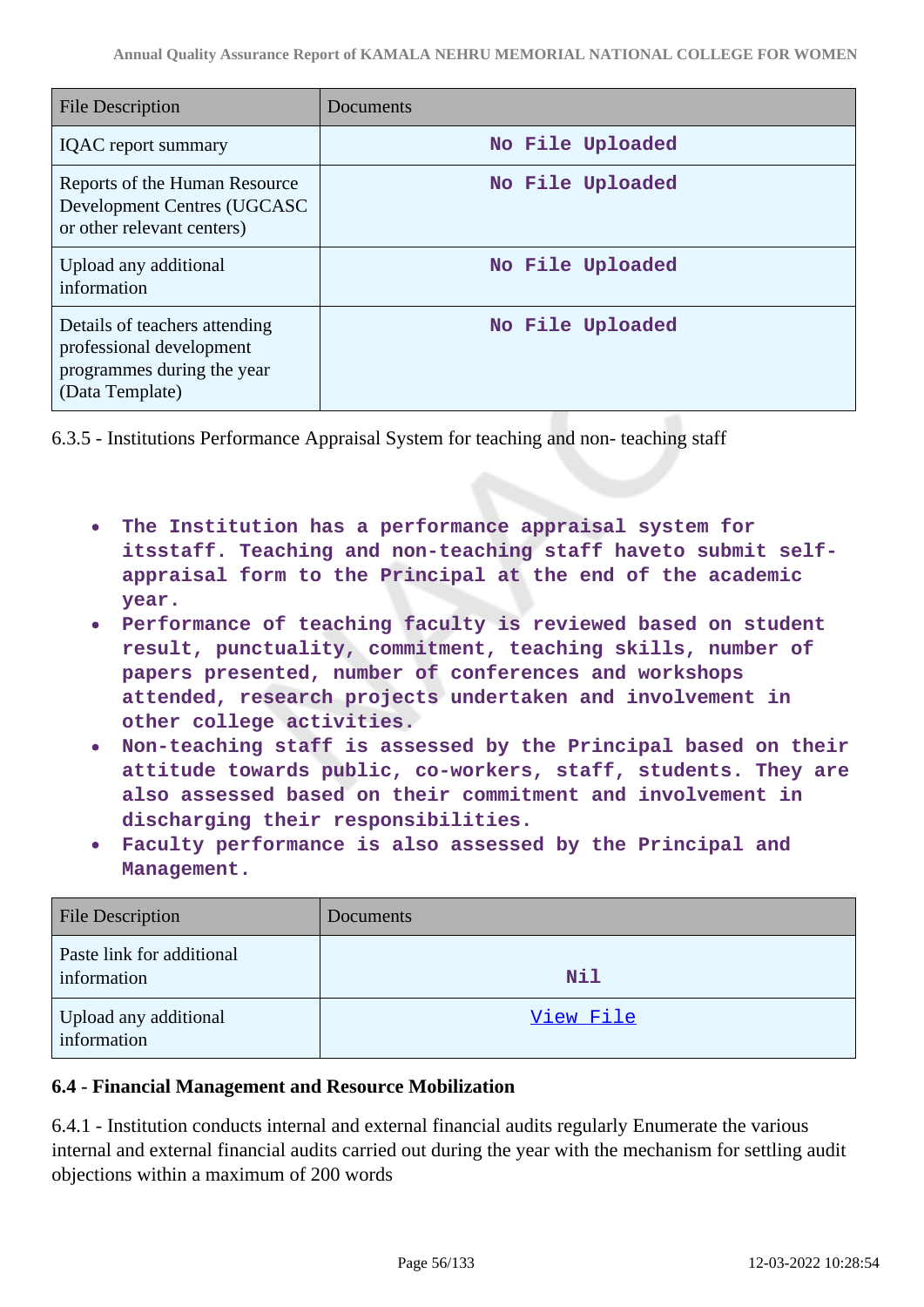| <b>File Description</b>                                                                                    | Documents        |
|------------------------------------------------------------------------------------------------------------|------------------|
| <b>IQAC</b> report summary                                                                                 | No File Uploaded |
| Reports of the Human Resource<br>Development Centres (UGCASC<br>or other relevant centers)                 | No File Uploaded |
| Upload any additional<br>information                                                                       | No File Uploaded |
| Details of teachers attending<br>professional development<br>programmes during the year<br>(Data Template) | No File Uploaded |

6.3.5 - Institutions Performance Appraisal System for teaching and non- teaching staff

- **The Institution has a performance appraisal system for itsstaff. Teaching and non-teaching staff haveto submit selfappraisal form to the Principal at the end of the academic year.**
- **Performance of teaching faculty is reviewed based on student result, punctuality, commitment, teaching skills, number of papers presented, number of conferences and workshops attended, research projects undertaken and involvement in other college activities.**
- **Non-teaching staff is assessed by the Principal based on their attitude towards public, co-workers, staff, students. They are also assessed based on their commitment and involvement in discharging their responsibilities.**
- **Faculty performance is also assessed by the Principal and Management.**

| <b>File Description</b>                  | Documents  |
|------------------------------------------|------------|
| Paste link for additional<br>information | <b>Nil</b> |
| Upload any additional<br>information     | View File  |

# **6.4 - Financial Management and Resource Mobilization**

6.4.1 - Institution conducts internal and external financial audits regularly Enumerate the various internal and external financial audits carried out during the year with the mechanism for settling audit objections within a maximum of 200 words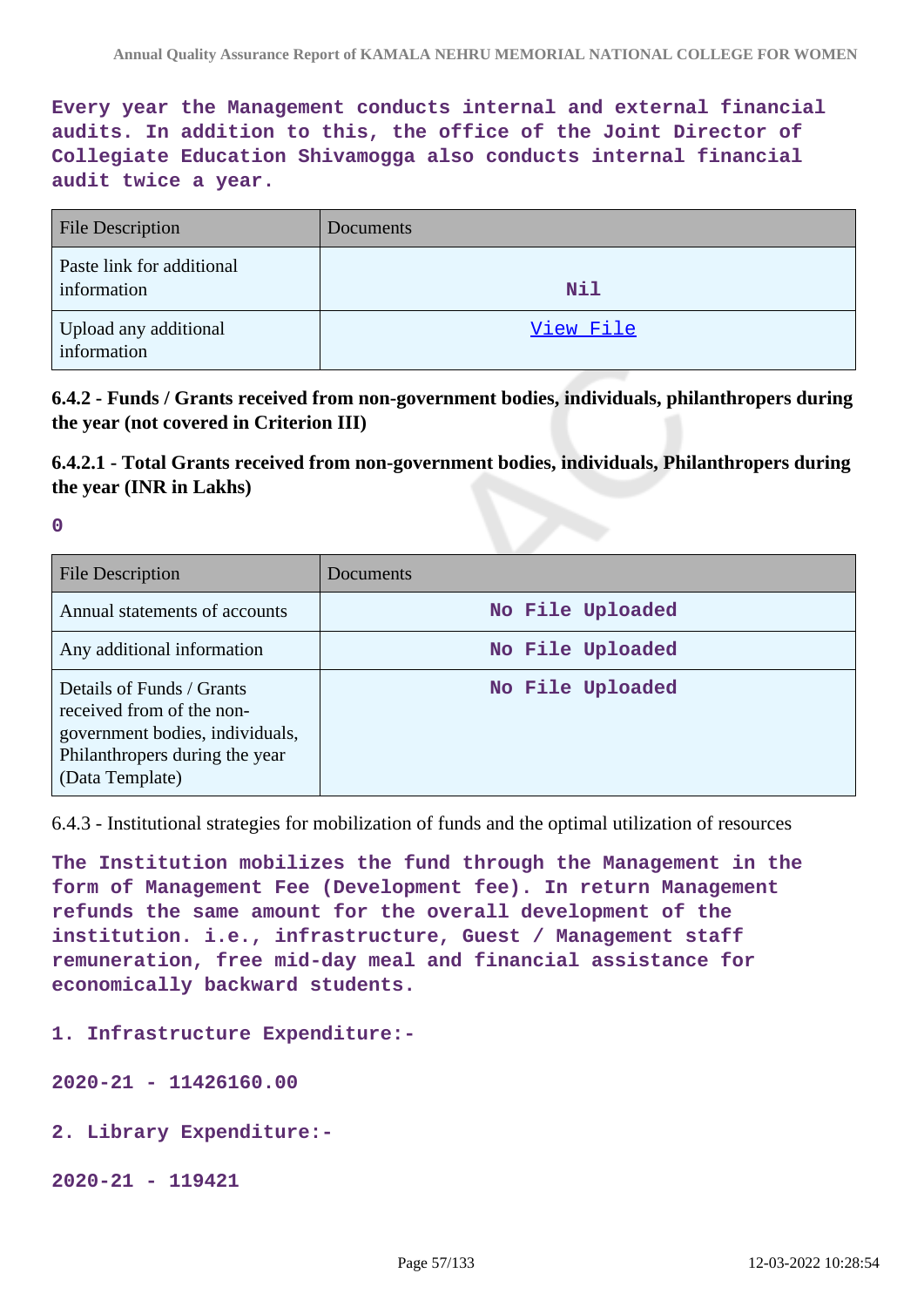**Every year the Management conducts internal and external financial audits. In addition to this, the office of the Joint Director of Collegiate Education Shivamogga also conducts internal financial audit twice a year.**

| <b>File Description</b>                  | Documents |
|------------------------------------------|-----------|
| Paste link for additional<br>information | Nil       |
| Upload any additional<br>information     | View File |

**6.4.2 - Funds / Grants received from non-government bodies, individuals, philanthropers during the year (not covered in Criterion III)**

**6.4.2.1 - Total Grants received from non-government bodies, individuals, Philanthropers during the year (INR in Lakhs)**

**0**

| File Description                                                                                                                               | Documents        |
|------------------------------------------------------------------------------------------------------------------------------------------------|------------------|
| Annual statements of accounts                                                                                                                  | No File Uploaded |
| Any additional information                                                                                                                     | No File Uploaded |
| Details of Funds / Grants<br>received from of the non-<br>government bodies, individuals,<br>Philanthropers during the year<br>(Data Template) | No File Uploaded |

6.4.3 - Institutional strategies for mobilization of funds and the optimal utilization of resources

**The Institution mobilizes the fund through the Management in the form of Management Fee (Development fee). In return Management refunds the same amount for the overall development of the institution. i.e., infrastructure, Guest / Management staff remuneration, free mid-day meal and financial assistance for economically backward students.**

**1. Infrastructure Expenditure:-**

**2020-21 - 11426160.00**

**2. Library Expenditure:-** 

**2020-21 - 119421**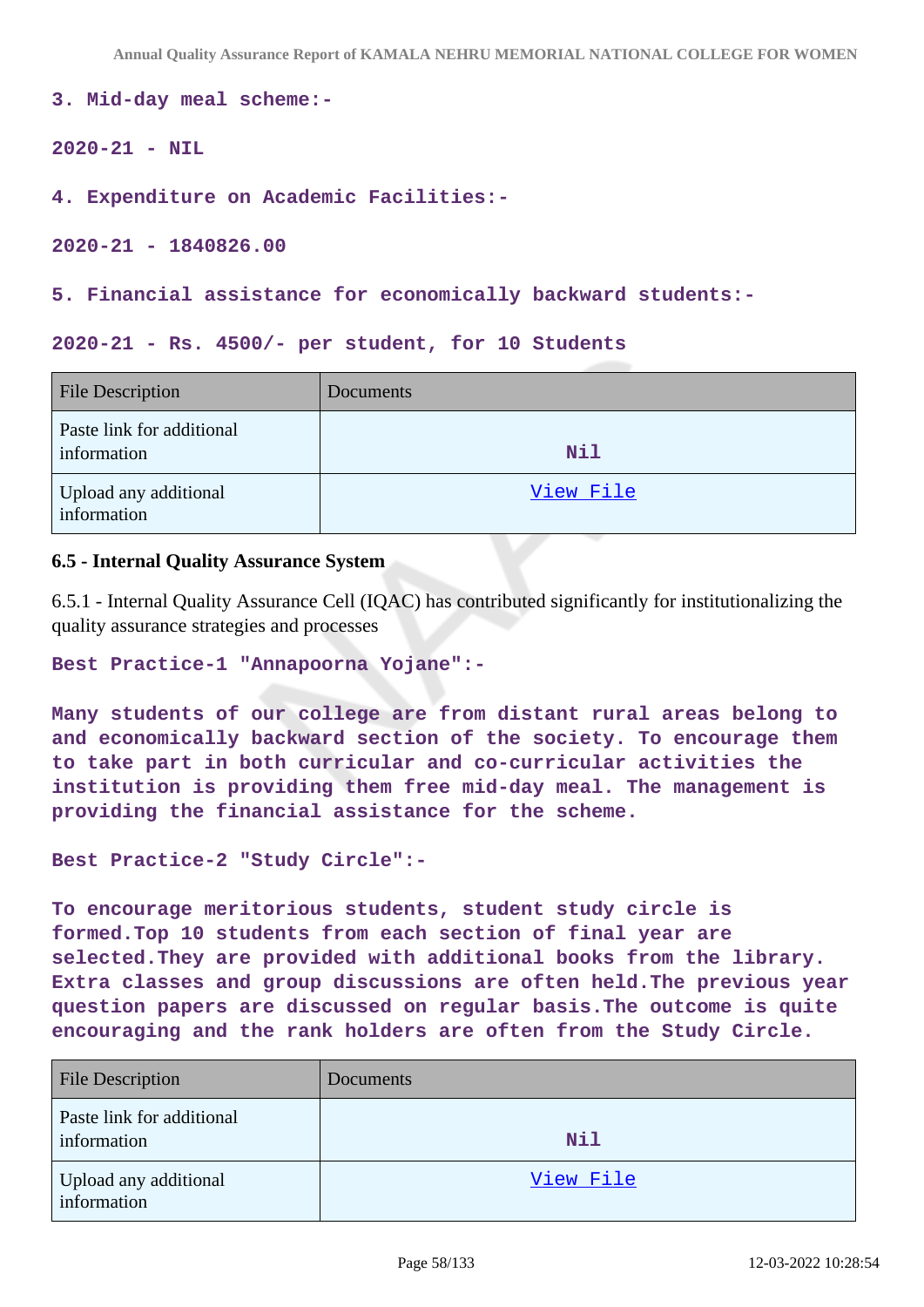```
3. Mid-day meal scheme:-
```

```
2020-21 - NIL
```

```
4. Expenditure on Academic Facilities:-
```
**2020-21 - 1840826.00**

**5. Financial assistance for economically backward students:-**

#### **2020-21 - Rs. 4500/- per student, for 10 Students**

| <b>File Description</b>                  | Documents  |
|------------------------------------------|------------|
| Paste link for additional<br>information | <b>Nil</b> |
| Upload any additional<br>information     | View File  |

### **6.5 - Internal Quality Assurance System**

6.5.1 - Internal Quality Assurance Cell (IQAC) has contributed significantly for institutionalizing the quality assurance strategies and processes

```
Best Practice-1 "Annapoorna Yojane":-
```
**Many students of our college are from distant rural areas belong to and economically backward section of the society. To encourage them to take part in both curricular and co-curricular activities the institution is providing them free mid-day meal. The management is providing the financial assistance for the scheme.**

```
Best Practice-2 "Study Circle":-
```
**To encourage meritorious students, student study circle is formed.Top 10 students from each section of final year are selected.They are provided with additional books from the library. Extra classes and group discussions are often held.The previous year question papers are discussed on regular basis.The outcome is quite encouraging and the rank holders are often from the Study Circle.**

| <b>File Description</b>                  | Documents |
|------------------------------------------|-----------|
| Paste link for additional<br>information | Nil       |
| Upload any additional<br>information     | View File |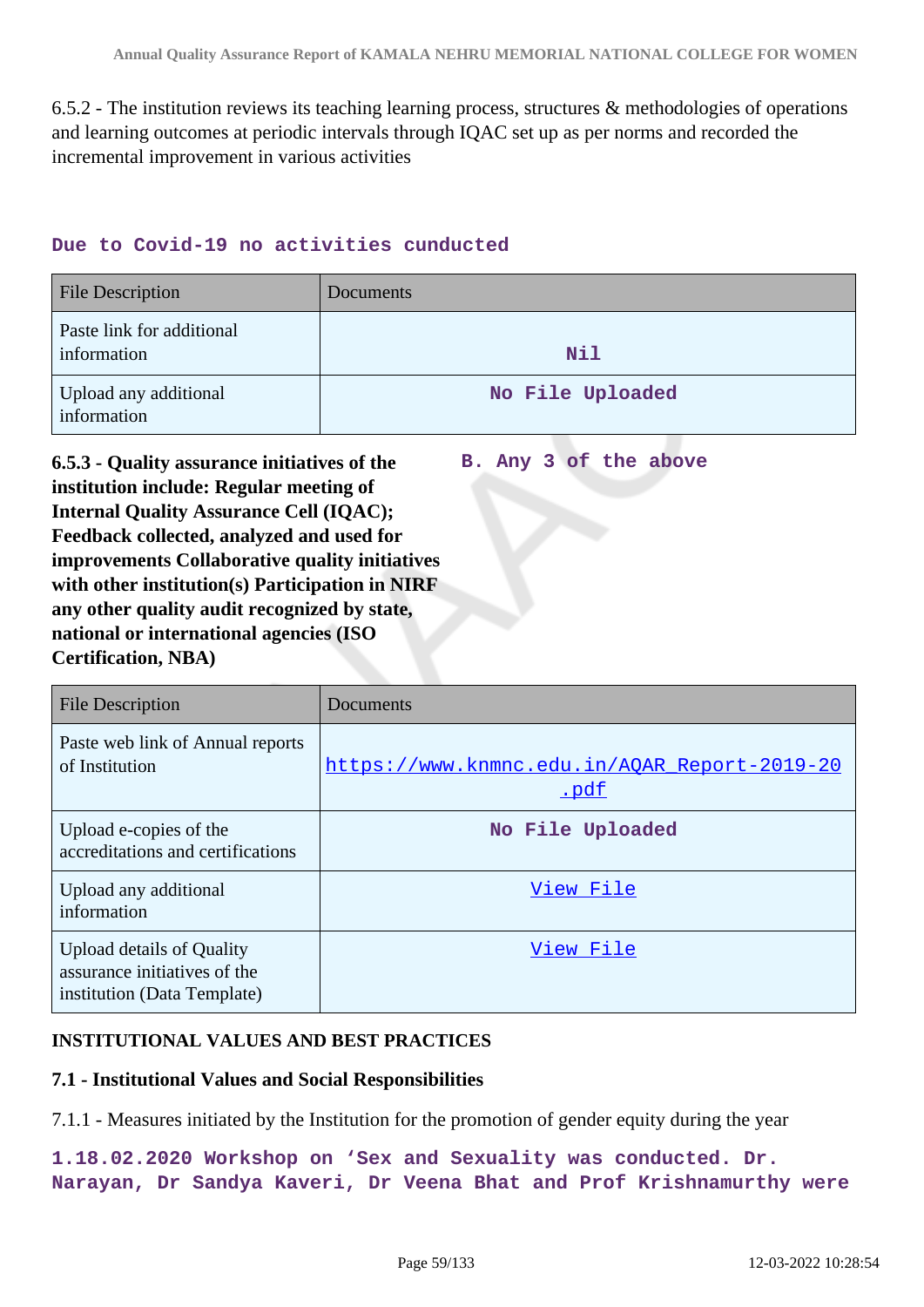6.5.2 - The institution reviews its teaching learning process, structures & methodologies of operations and learning outcomes at periodic intervals through IQAC set up as per norms and recorded the incremental improvement in various activities

### **Due to Covid-19 no activities cunducted**

| <b>File Description</b>                  | <b>Documents</b> |
|------------------------------------------|------------------|
| Paste link for additional<br>information | <b>Nil</b>       |
| Upload any additional<br>information     | No File Uploaded |

**B. Any 3 of the above**

**6.5.3 - Quality assurance initiatives of the institution include: Regular meeting of Internal Quality Assurance Cell (IQAC); Feedback collected, analyzed and used for improvements Collaborative quality initiatives with other institution(s) Participation in NIRF any other quality audit recognized by state, national or international agencies (ISO Certification, NBA)**

| <b>File Description</b>                                                                         | Documents                                            |
|-------------------------------------------------------------------------------------------------|------------------------------------------------------|
| Paste web link of Annual reports<br>of Institution                                              | https://www.knmnc.edu.in/AQAR Report-2019-20<br>.pdf |
| Upload e-copies of the<br>accreditations and certifications                                     | No File Uploaded                                     |
| Upload any additional<br>information                                                            | View File                                            |
| <b>Upload details of Quality</b><br>assurance initiatives of the<br>institution (Data Template) | View File                                            |

### **INSTITUTIONAL VALUES AND BEST PRACTICES**

### **7.1 - Institutional Values and Social Responsibilities**

7.1.1 - Measures initiated by the Institution for the promotion of gender equity during the year

**1.18.02.2020 Workshop on 'Sex and Sexuality was conducted. Dr. Narayan, Dr Sandya Kaveri, Dr Veena Bhat and Prof Krishnamurthy were**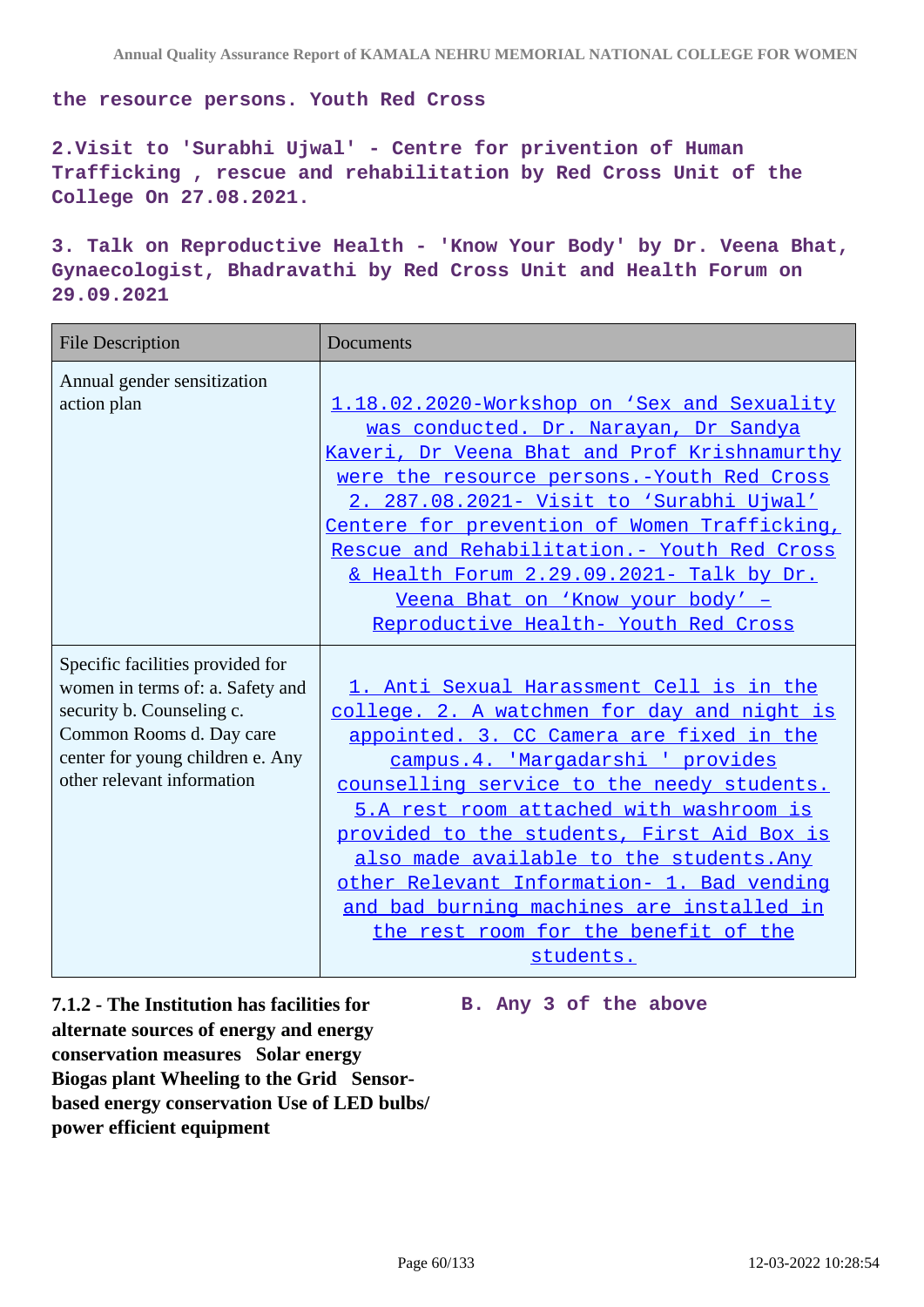**the resource persons. Youth Red Cross**

**2.Visit to 'Surabhi Ujwal' - Centre for privention of Human Trafficking , rescue and rehabilitation by Red Cross Unit of the College On 27.08.2021.**

**3. Talk on Reproductive Health - 'Know Your Body' by Dr. Veena Bhat, Gynaecologist, Bhadravathi by Red Cross Unit and Health Forum on 29.09.2021**

| <b>File Description</b>                                                                                                                                                                         | Documents                                                                                                                                                                                                                                                                                                                                                                                                                                                                                                   |
|-------------------------------------------------------------------------------------------------------------------------------------------------------------------------------------------------|-------------------------------------------------------------------------------------------------------------------------------------------------------------------------------------------------------------------------------------------------------------------------------------------------------------------------------------------------------------------------------------------------------------------------------------------------------------------------------------------------------------|
| Annual gender sensitization<br>action plan                                                                                                                                                      | 1.18.02.2020-Workshop on 'Sex and Sexuality<br>was conducted. Dr. Narayan, Dr Sandya<br>Kaveri, Dr Veena Bhat and Prof Krishnamurthy<br>were the resource persons. - Youth Red Cross<br>2. 287.08.2021- Visit to 'Surabhi Ujwal'<br>Centere for prevention of Women Trafficking,<br>Rescue and Rehabilitation. - Youth Red Cross<br>& Health Forum 2.29.09.2021- Talk by Dr.<br>Veena Bhat on 'Know your body' -<br>Reproductive Health- Youth Red Cross                                                    |
| Specific facilities provided for<br>women in terms of: a. Safety and<br>security b. Counseling c.<br>Common Rooms d. Day care<br>center for young children e. Any<br>other relevant information | 1. Anti Sexual Harassment Cell is in the<br>college. 2. A watchmen for day and night is<br>appointed. 3. CC Camera are fixed in the<br>campus.4. 'Margadarshi ' provides<br>counselling service to the needy students.<br>5.A rest room attached with washroom is<br>provided to the students, First Aid Box is<br>also made available to the students. Any<br>other Relevant Information- 1. Bad vending<br>and bad burning machines are installed in<br>the rest room for the benefit of the<br>students. |

**7.1.2 - The Institution has facilities for alternate sources of energy and energy conservation measures Solar energy Biogas plant Wheeling to the Grid Sensorbased energy conservation Use of LED bulbs/ power efficient equipment** 

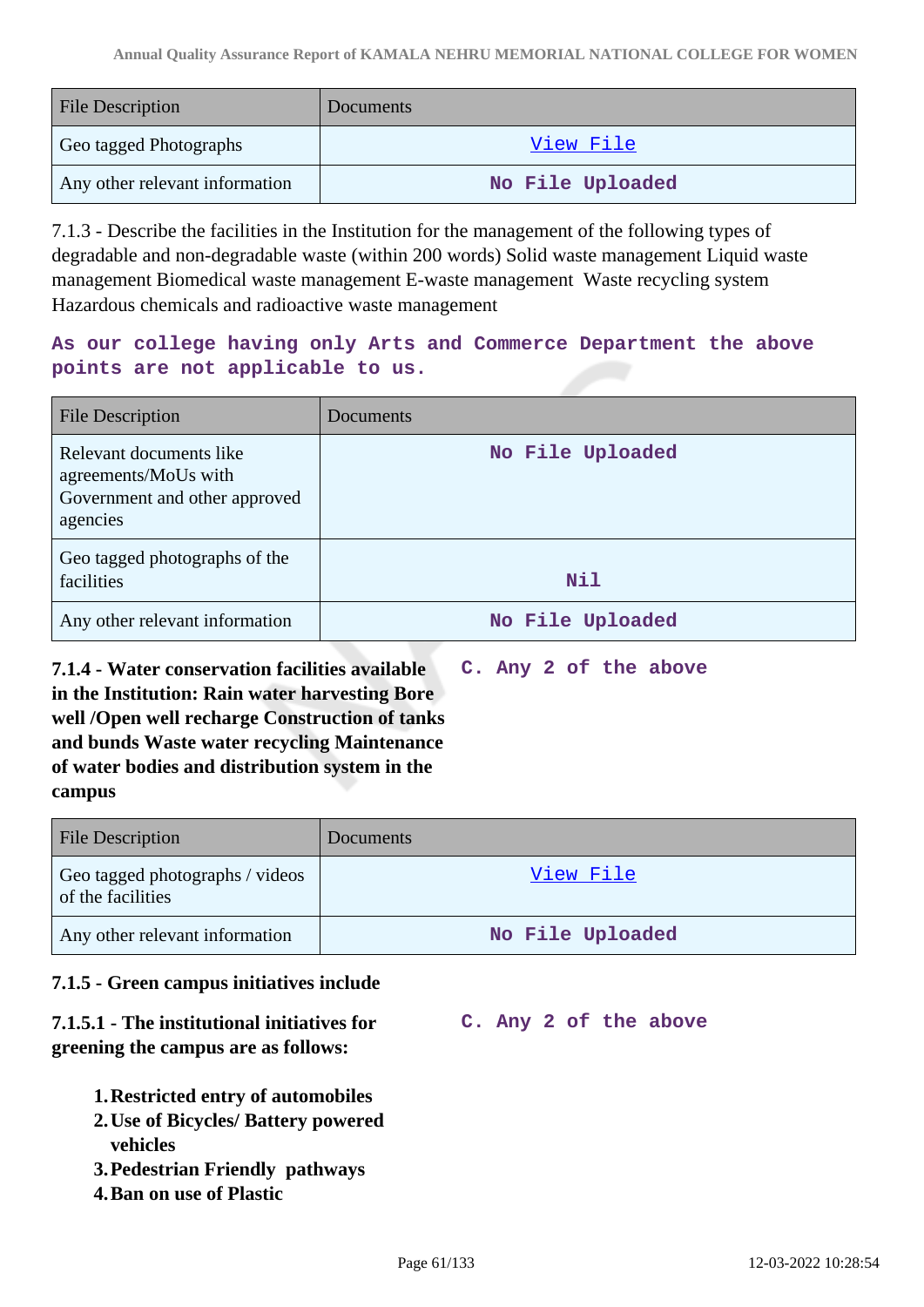| <b>File Description</b>        | Documents        |
|--------------------------------|------------------|
| Geo tagged Photographs         | View File        |
| Any other relevant information | No File Uploaded |

7.1.3 - Describe the facilities in the Institution for the management of the following types of degradable and non-degradable waste (within 200 words) Solid waste management Liquid waste management Biomedical waste management E-waste management Waste recycling system Hazardous chemicals and radioactive waste management

# **As our college having only Arts and Commerce Department the above points are not applicable to us.**

| File Description                                                                             | Documents        |
|----------------------------------------------------------------------------------------------|------------------|
| Relevant documents like<br>agreements/MoUs with<br>Government and other approved<br>agencies | No File Uploaded |
| Geo tagged photographs of the<br>facilities                                                  | <b>Nil</b>       |
| Any other relevant information                                                               | No File Uploaded |

**7.1.4 - Water conservation facilities available in the Institution: Rain water harvesting Bore well /Open well recharge Construction of tanks and bunds Waste water recycling Maintenance of water bodies and distribution system in the campus C. Any 2 of the above**

| <b>File Description</b>                              | <b>Documents</b> |
|------------------------------------------------------|------------------|
| Geo tagged photographs / videos<br>of the facilities | <u>View File</u> |
| Any other relevant information                       | No File Uploaded |

**C. Any 2 of the above**

# **7.1.5 - Green campus initiatives include**

# **7.1.5.1 - The institutional initiatives for greening the campus are as follows:**

- **1.Restricted entry of automobiles**
- **2.Use of Bicycles/ Battery powered vehicles**
- **3.Pedestrian Friendly pathways**
- **4.Ban on use of Plastic**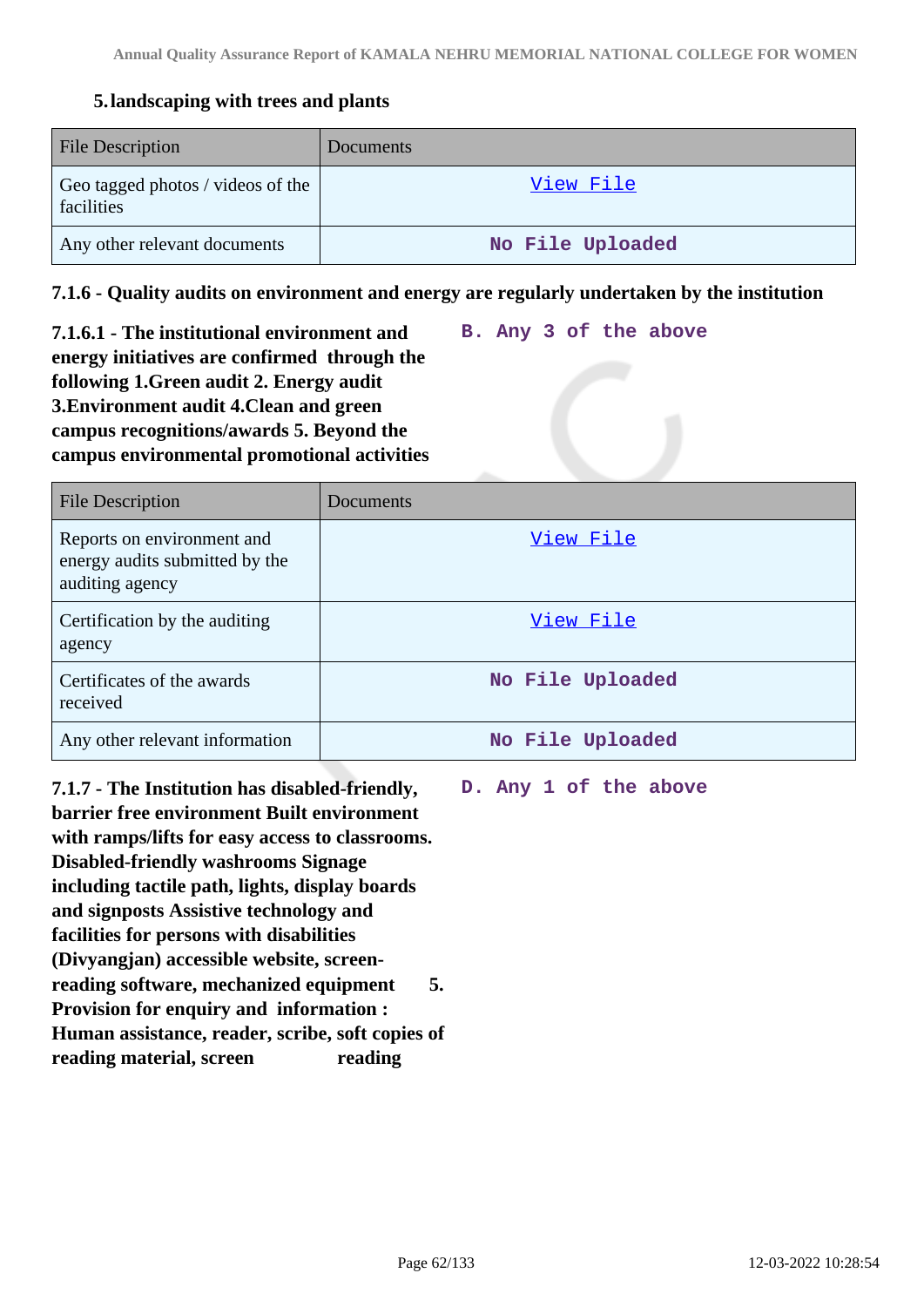# **5.landscaping with trees and plants**

| <b>File Description</b>                         | Documents        |
|-------------------------------------------------|------------------|
| Geo tagged photos / videos of the<br>facilities | View File        |
| Any other relevant documents                    | No File Uploaded |

# **7.1.6 - Quality audits on environment and energy are regularly undertaken by the institution**

**7.1.6.1 - The institutional environment and energy initiatives are confirmed through the following 1.Green audit 2. Energy audit 3.Environment audit 4.Clean and green campus recognitions/awards 5. Beyond the campus environmental promotional activities**

| <b>File Description</b>                                                         | Documents        |
|---------------------------------------------------------------------------------|------------------|
| Reports on environment and<br>energy audits submitted by the<br>auditing agency | View File        |
| Certification by the auditing<br>agency                                         | View File        |
| Certificates of the awards<br>received                                          | No File Uploaded |
| Any other relevant information                                                  | No File Uploaded |

**7.1.7 - The Institution has disabled-friendly, barrier free environment Built environment with ramps/lifts for easy access to classrooms. Disabled-friendly washrooms Signage including tactile path, lights, display boards and signposts Assistive technology and facilities for persons with disabilities (Divyangjan) accessible website, screenreading software, mechanized equipment 5. Provision for enquiry and information : Human assistance, reader, scribe, soft copies of reading material, screen reading** 

**D. Any 1 of the above**

**B. Any 3 of the above**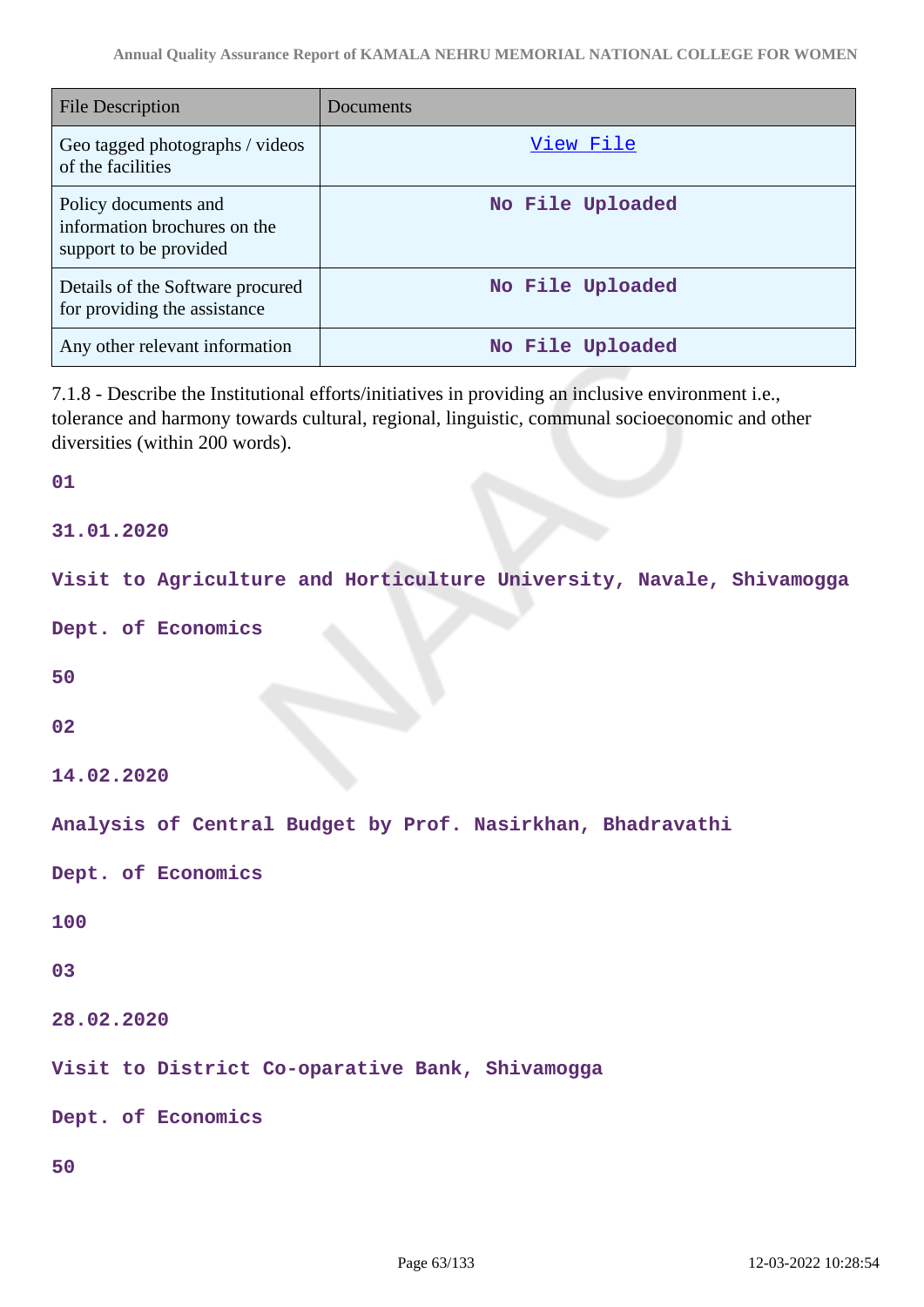| <b>File Description</b>                                                        | Documents        |
|--------------------------------------------------------------------------------|------------------|
| Geo tagged photographs / videos<br>of the facilities                           | View File        |
| Policy documents and<br>information brochures on the<br>support to be provided | No File Uploaded |
| Details of the Software procured<br>for providing the assistance               | No File Uploaded |
| Any other relevant information                                                 | No File Uploaded |

7.1.8 - Describe the Institutional efforts/initiatives in providing an inclusive environment i.e., tolerance and harmony towards cultural, regional, linguistic, communal socioeconomic and other diversities (within 200 words).

### **01**

**31.01.2020**

**Visit to Agriculture and Horticulture University, Navale, Shivamogga**

**Dept. of Economics**

**50**

**02**

**14.02.2020**

**Analysis of Central Budget by Prof. Nasirkhan, Bhadravathi**

**Dept. of Economics**

```
100
```
### **03**

**28.02.2020**

**Visit to District Co-oparative Bank, Shivamogga**

**Dept. of Economics**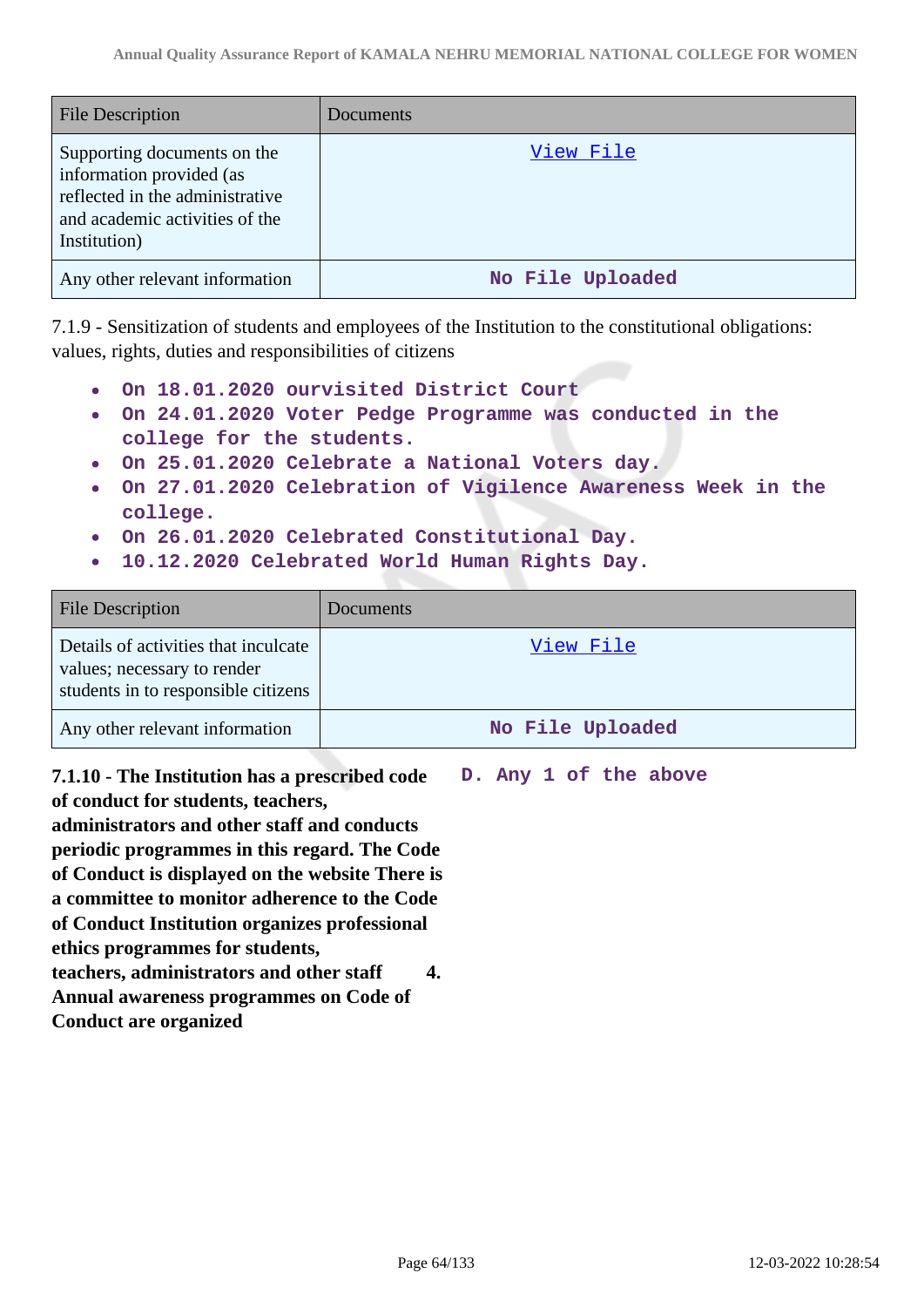| <b>File Description</b>                                                                                                                      | <b>Documents</b> |
|----------------------------------------------------------------------------------------------------------------------------------------------|------------------|
| Supporting documents on the<br>information provided (as<br>reflected in the administrative<br>and academic activities of the<br>Institution) | View File        |
| Any other relevant information                                                                                                               | No File Uploaded |

7.1.9 - Sensitization of students and employees of the Institution to the constitutional obligations: values, rights, duties and responsibilities of citizens

- **On 18.01.2020 ourvisited District Court**
- **On 24.01.2020 Voter Pedge Programme was conducted in the college for the students.**
- **On 25.01.2020 Celebrate a National Voters day.**
- **On 27.01.2020 Celebration of Vigilence Awareness Week in the college.**
- **On 26.01.2020 Celebrated Constitutional Day.**
- **10.12.2020 Celebrated World Human Rights Day.**  $\bullet$

| <b>File Description</b>                                                                                    | <b>Documents</b> |
|------------------------------------------------------------------------------------------------------------|------------------|
| Details of activities that inculcate<br>values; necessary to render<br>students in to responsible citizens | View File        |
| Any other relevant information                                                                             | No File Uploaded |

**7.1.10 - The Institution has a prescribed code of conduct for students, teachers, administrators and other staff and conducts periodic programmes in this regard. The Code of Conduct is displayed on the website There is a committee to monitor adherence to the Code of Conduct Institution organizes professional ethics programmes for students, teachers, administrators and other staff 4. Annual awareness programmes on Code of Conduct are organized**

**D. Any 1 of the above**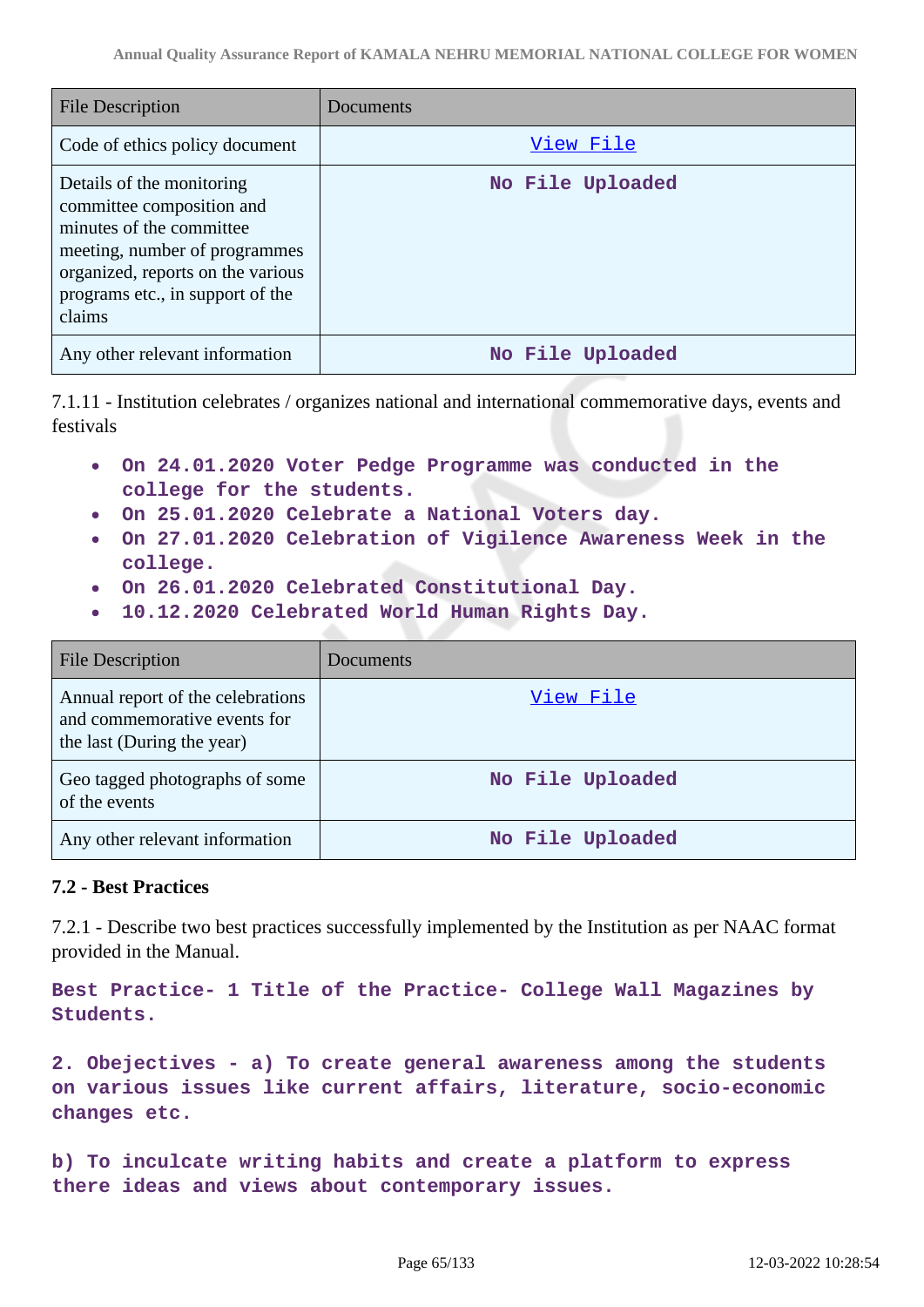| <b>File Description</b>                                                                                                                                                                                | Documents        |
|--------------------------------------------------------------------------------------------------------------------------------------------------------------------------------------------------------|------------------|
| Code of ethics policy document                                                                                                                                                                         | View File        |
| Details of the monitoring<br>committee composition and<br>minutes of the committee<br>meeting, number of programmes<br>organized, reports on the various<br>programs etc., in support of the<br>claims | No File Uploaded |
| Any other relevant information                                                                                                                                                                         | No File Uploaded |

7.1.11 - Institution celebrates / organizes national and international commemorative days, events and festivals

- **On 24.01.2020 Voter Pedge Programme was conducted in the college for the students.**
- **On 25.01.2020 Celebrate a National Voters day.**
- **On 27.01.2020 Celebration of Vigilence Awareness Week in the college.**
- **On 26.01.2020 Celebrated Constitutional Day.**
- **10.12.2020 Celebrated World Human Rights Day.**

| <b>File Description</b>                                                                         | Documents        |
|-------------------------------------------------------------------------------------------------|------------------|
| Annual report of the celebrations<br>and commemorative events for<br>the last (During the year) | View File        |
| Geo tagged photographs of some<br>of the events                                                 | No File Uploaded |
| Any other relevant information                                                                  | No File Uploaded |

# **7.2 - Best Practices**

7.2.1 - Describe two best practices successfully implemented by the Institution as per NAAC format provided in the Manual.

**Best Practice- 1 Title of the Practice- College Wall Magazines by Students.**

**2. Obejectives - a) To create general awareness among the students on various issues like current affairs, literature, socio-economic changes etc.**

**b) To inculcate writing habits and create a platform to express there ideas and views about contemporary issues.**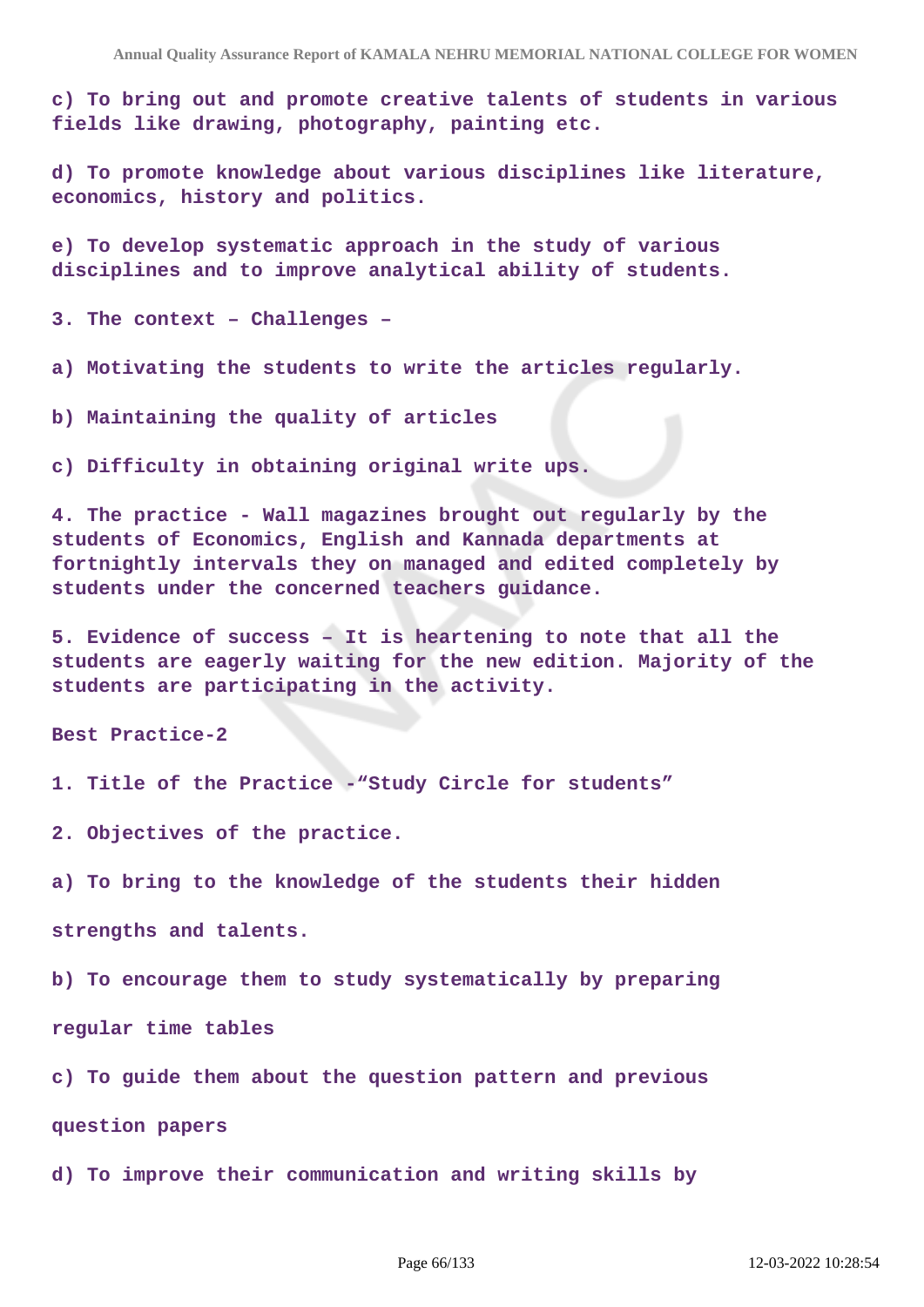**c) To bring out and promote creative talents of students in various fields like drawing, photography, painting etc.**

**d) To promote knowledge about various disciplines like literature, economics, history and politics.**

**e) To develop systematic approach in the study of various disciplines and to improve analytical ability of students.**

**3. The context – Challenges –**

**a) Motivating the students to write the articles regularly.**

**b) Maintaining the quality of articles**

**c) Difficulty in obtaining original write ups.**

**4. The practice - Wall magazines brought out regularly by the students of Economics, English and Kannada departments at fortnightly intervals they on managed and edited completely by students under the concerned teachers guidance.**

**5. Evidence of success – It is heartening to note that all the students are eagerly waiting for the new edition. Majority of the students are participating in the activity.**

**Best Practice-2**

**1. Title of the Practice -"Study Circle for students"**

**2. Objectives of the practice.**

**a) To bring to the knowledge of the students their hidden**

**strengths and talents.**

**b) To encourage them to study systematically by preparing**

**regular time tables**

**c) To guide them about the question pattern and previous**

**question papers**

**d) To improve their communication and writing skills by**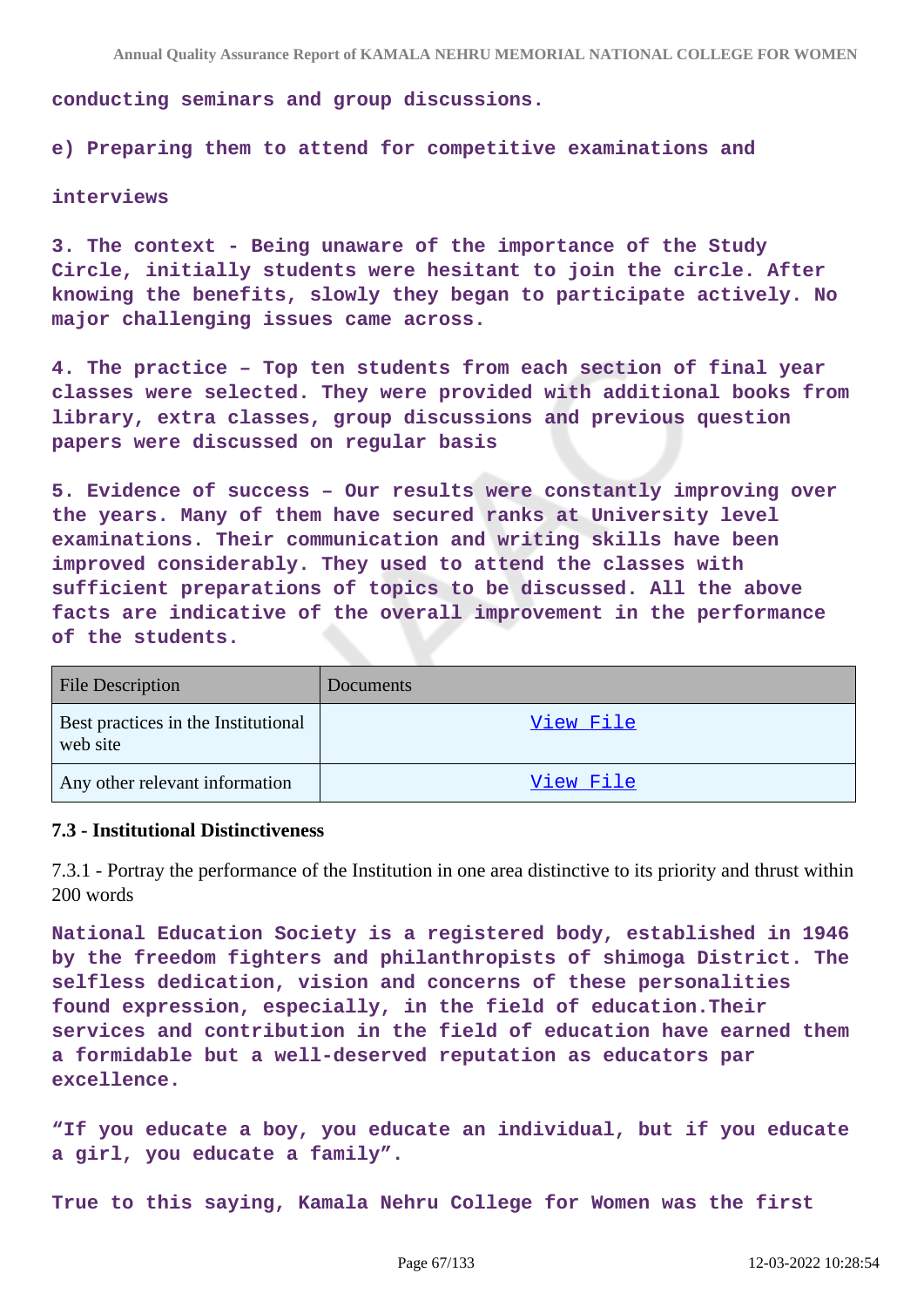**conducting seminars and group discussions.**

**e) Preparing them to attend for competitive examinations and**

#### **interviews**

**3. The context - Being unaware of the importance of the Study Circle, initially students were hesitant to join the circle. After knowing the benefits, slowly they began to participate actively. No major challenging issues came across.**

**4. The practice – Top ten students from each section of final year classes were selected. They were provided with additional books from library, extra classes, group discussions and previous question papers were discussed on regular basis**

**5. Evidence of success – Our results were constantly improving over the years. Many of them have secured ranks at University level examinations. Their communication and writing skills have been improved considerably. They used to attend the classes with sufficient preparations of topics to be discussed. All the above facts are indicative of the overall improvement in the performance of the students.**

| <b>File Description</b>                         | Documents        |
|-------------------------------------------------|------------------|
| Best practices in the Institutional<br>web site | View File        |
| Any other relevant information                  | <u>View File</u> |

#### **7.3 - Institutional Distinctiveness**

7.3.1 - Portray the performance of the Institution in one area distinctive to its priority and thrust within 200 words

**National Education Society is a registered body, established in 1946 by the freedom fighters and philanthropists of shimoga District. The selfless dedication, vision and concerns of these personalities found expression, especially, in the field of education.Their services and contribution in the field of education have earned them a formidable but a well-deserved reputation as educators par excellence.**

**"If you educate a boy, you educate an individual, but if you educate a girl, you educate a family".**

**True to this saying, Kamala Nehru College for Women was the first**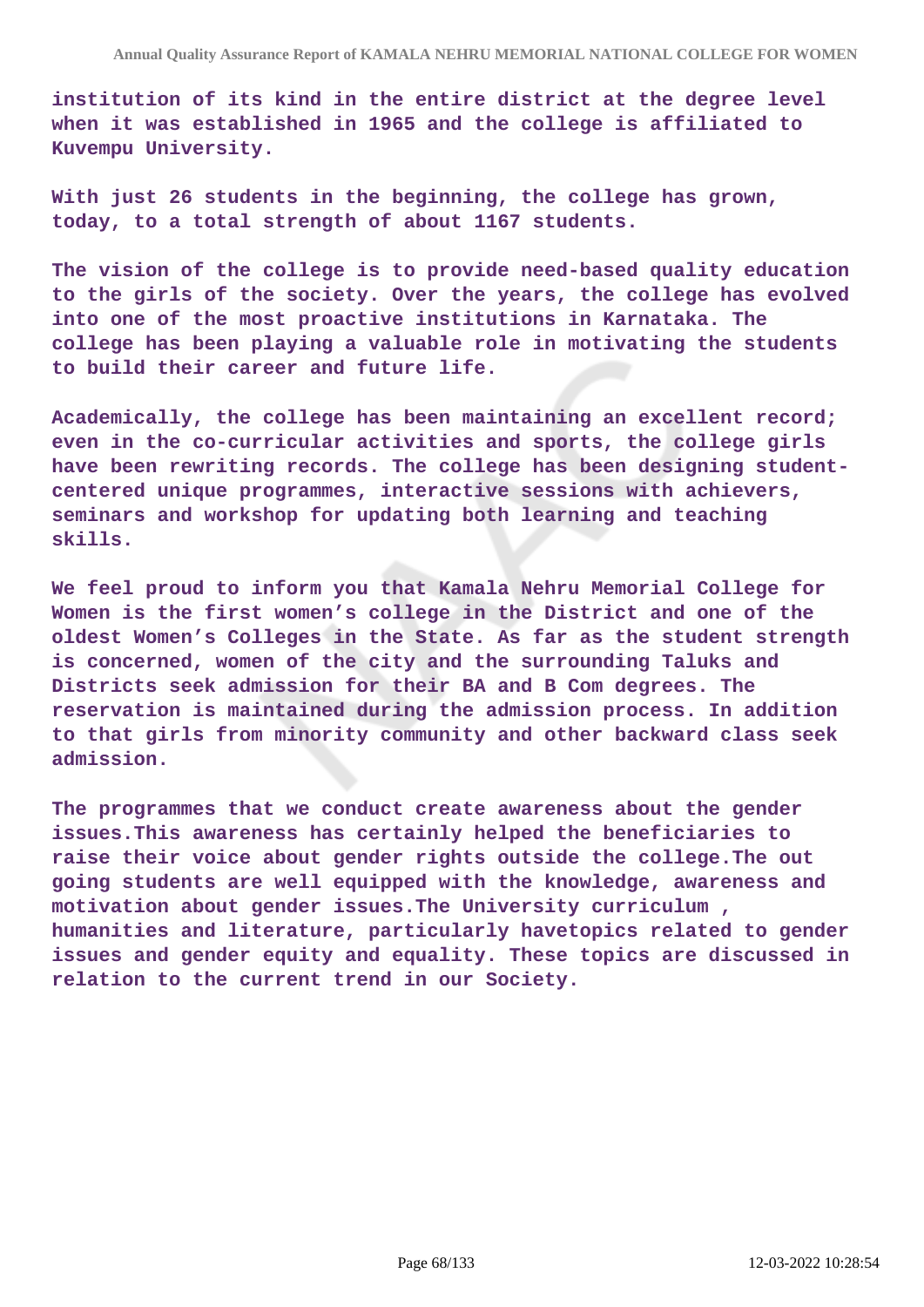**institution of its kind in the entire district at the degree level when it was established in 1965 and the college is affiliated to Kuvempu University.**

**With just 26 students in the beginning, the college has grown, today, to a total strength of about 1167 students.**

**The vision of the college is to provide need-based quality education to the girls of the society. Over the years, the college has evolved into one of the most proactive institutions in Karnataka. The college has been playing a valuable role in motivating the students to build their career and future life.**

**Academically, the college has been maintaining an excellent record; even in the co-curricular activities and sports, the college girls have been rewriting records. The college has been designing studentcentered unique programmes, interactive sessions with achievers, seminars and workshop for updating both learning and teaching skills.**

**We feel proud to inform you that Kamala Nehru Memorial College for Women is the first women's college in the District and one of the oldest Women's Colleges in the State. As far as the student strength is concerned, women of the city and the surrounding Taluks and Districts seek admission for their BA and B Com degrees. The reservation is maintained during the admission process. In addition to that girls from minority community and other backward class seek admission.**

**The programmes that we conduct create awareness about the gender issues.This awareness has certainly helped the beneficiaries to raise their voice about gender rights outside the college.The out going students are well equipped with the knowledge, awareness and motivation about gender issues.The University curriculum , humanities and literature, particularly havetopics related to gender issues and gender equity and equality. These topics are discussed in relation to the current trend in our Society.**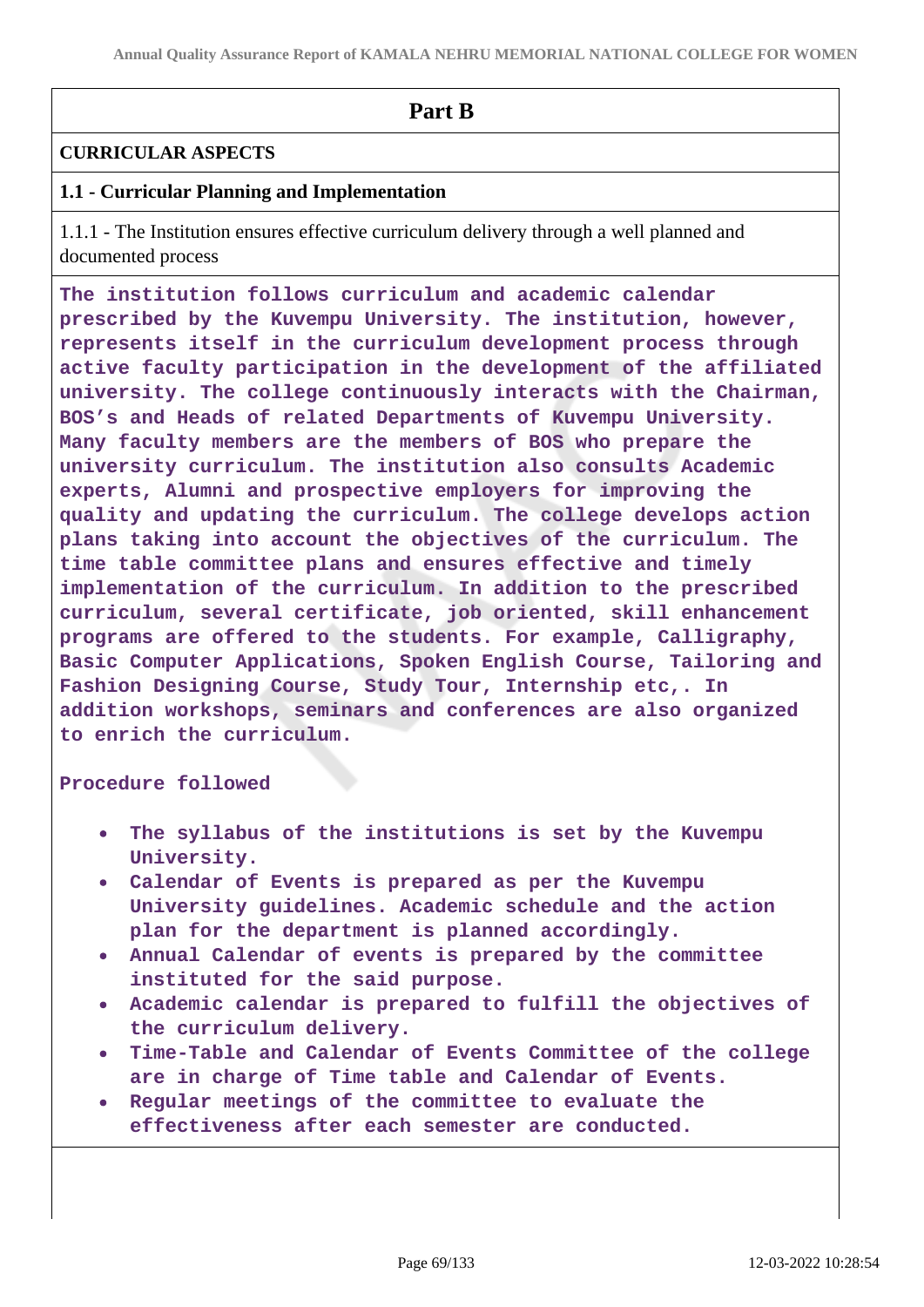# **Part B**

# **CURRICULAR ASPECTS**

# **1.1 - Curricular Planning and Implementation**

1.1.1 - The Institution ensures effective curriculum delivery through a well planned and documented process

**The institution follows curriculum and academic calendar prescribed by the Kuvempu University. The institution, however, represents itself in the curriculum development process through active faculty participation in the development of the affiliated university. The college continuously interacts with the Chairman, BOS's and Heads of related Departments of Kuvempu University. Many faculty members are the members of BOS who prepare the university curriculum. The institution also consults Academic experts, Alumni and prospective employers for improving the quality and updating the curriculum. The college develops action plans taking into account the objectives of the curriculum. The time table committee plans and ensures effective and timely implementation of the curriculum. In addition to the prescribed curriculum, several certificate, job oriented, skill enhancement programs are offered to the students. For example, Calligraphy, Basic Computer Applications, Spoken English Course, Tailoring and Fashion Designing Course, Study Tour, Internship etc,. In addition workshops, seminars and conferences are also organized to enrich the curriculum.**

### **Procedure followed**

- **The syllabus of the institutions is set by the Kuvempu University.**
- **Calendar of Events is prepared as per the Kuvempu University guidelines. Academic schedule and the action plan for the department is planned accordingly.**
- **Annual Calendar of events is prepared by the committee instituted for the said purpose.**
- **Academic calendar is prepared to fulfill the objectives of the curriculum delivery.**
- **Time-Table and Calendar of Events Committee of the college are in charge of Time table and Calendar of Events.**
- **Regular meetings of the committee to evaluate the effectiveness after each semester are conducted.**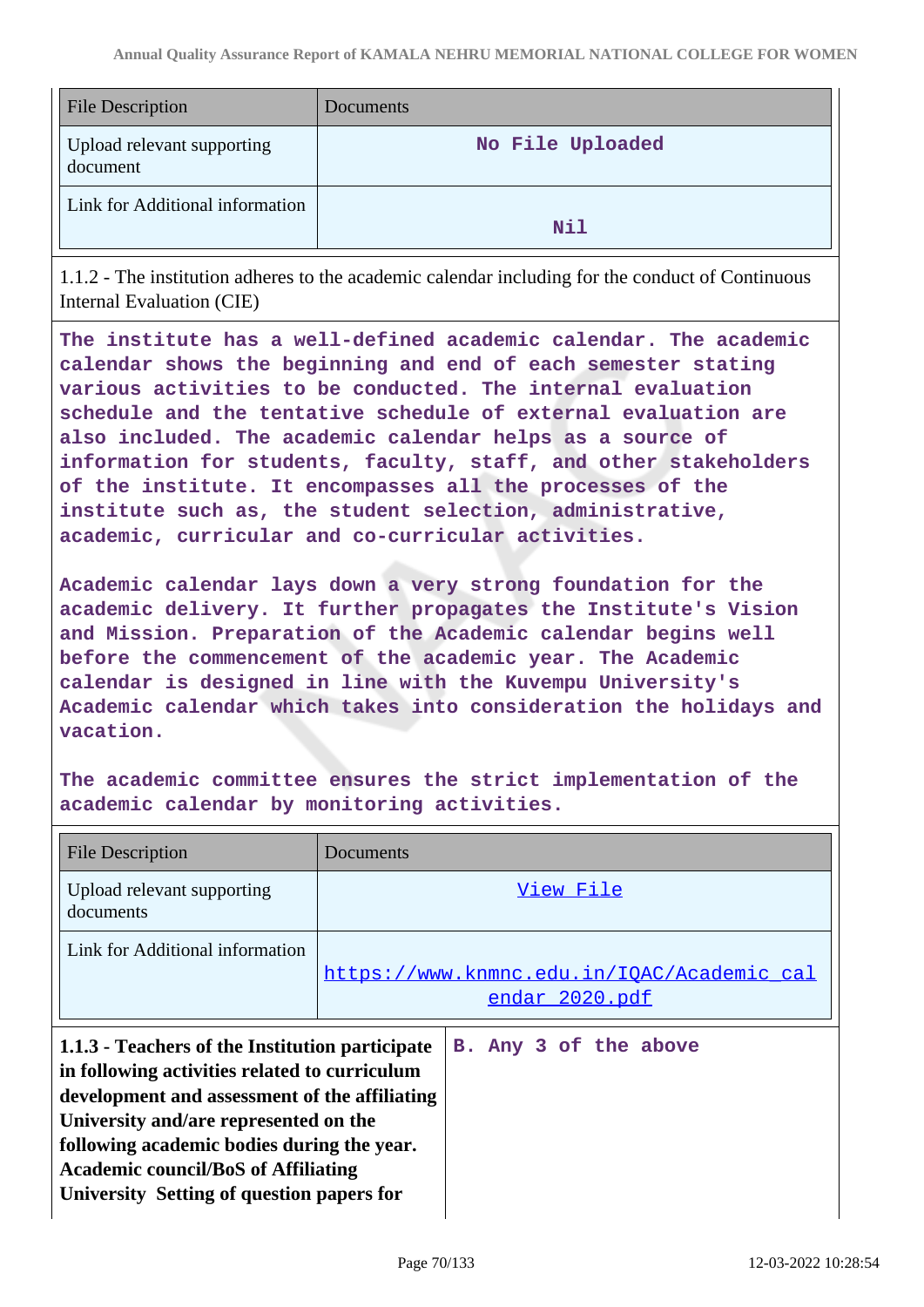| File Description                       | Documents        |
|----------------------------------------|------------------|
| Upload relevant supporting<br>document | No File Uploaded |
| Link for Additional information        | Nil              |

1.1.2 - The institution adheres to the academic calendar including for the conduct of Continuous Internal Evaluation (CIE)

**The institute has a well-defined academic calendar. The academic calendar shows the beginning and end of each semester stating various activities to be conducted. The internal evaluation schedule and the tentative schedule of external evaluation are also included. The academic calendar helps as a source of information for students, faculty, staff, and other stakeholders of the institute. It encompasses all the processes of the institute such as, the student selection, administrative, academic, curricular and co-curricular activities.**

**Academic calendar lays down a very strong foundation for the academic delivery. It further propagates the Institute's Vision and Mission. Preparation of the Academic calendar begins well before the commencement of the academic year. The Academic calendar is designed in line with the Kuvempu University's Academic calendar which takes into consideration the holidays and vacation.**

**The academic committee ensures the strict implementation of the academic calendar by monitoring activities.**

| <b>File Description</b>                                                                                                                                                                                                                                                                                                             | Documents                                                    |
|-------------------------------------------------------------------------------------------------------------------------------------------------------------------------------------------------------------------------------------------------------------------------------------------------------------------------------------|--------------------------------------------------------------|
| Upload relevant supporting<br>documents                                                                                                                                                                                                                                                                                             | View File                                                    |
| Link for Additional information                                                                                                                                                                                                                                                                                                     | https://www.knmnc.edu.in/IQAC/Academic cal<br>endar 2020.pdf |
| 1.1.3 - Teachers of the Institution participate<br>in following activities related to curriculum<br>development and assessment of the affiliating<br>University and/are represented on the<br>following academic bodies during the year.<br><b>Academic council/BoS of Affiliating</b><br>University Setting of question papers for | B. Any 3 of the above                                        |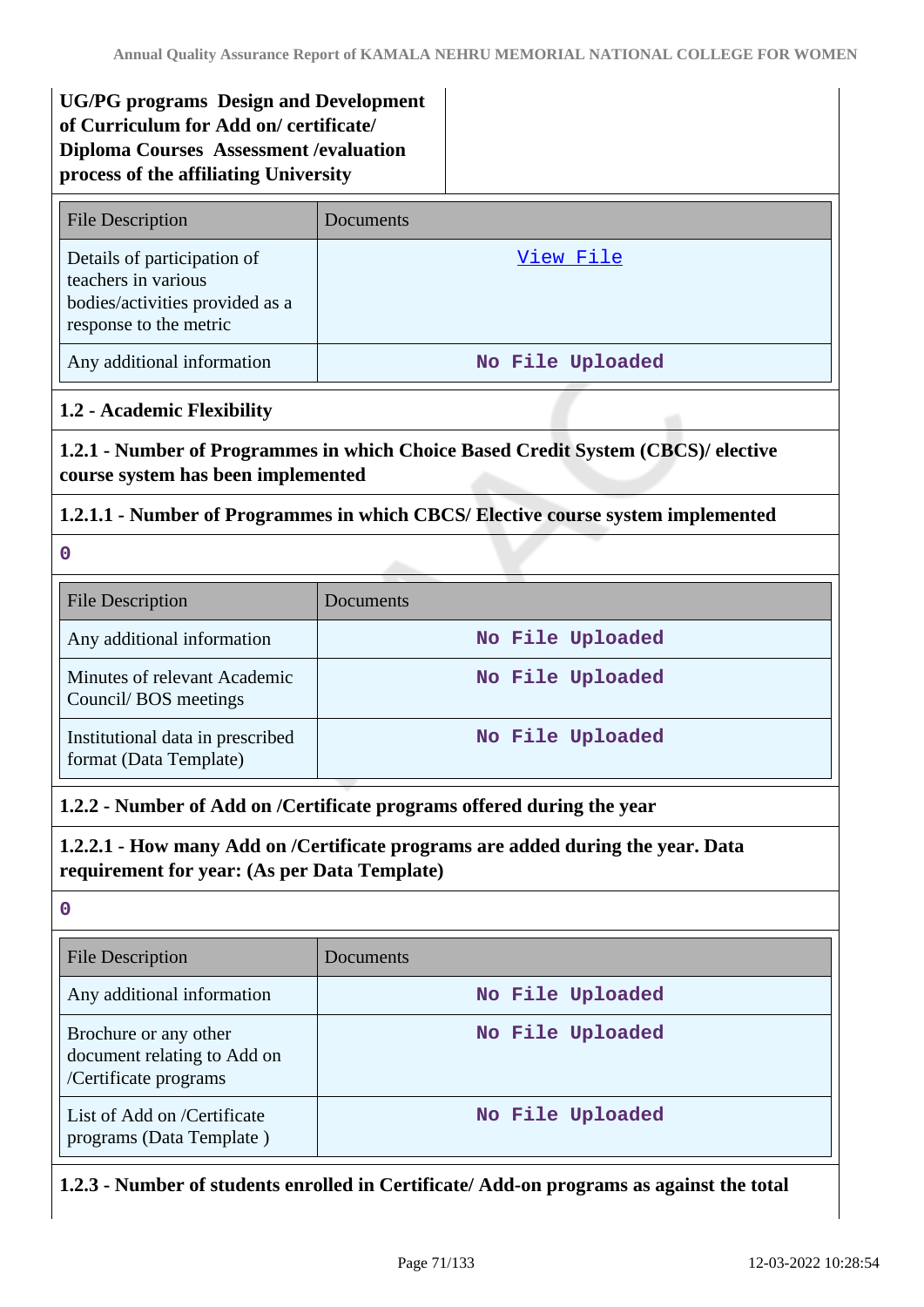# **UG/PG programs Design and Development of Curriculum for Add on/ certificate/ Diploma Courses Assessment /evaluation process of the affiliating University**

| <b>File Description</b>                                                                                         | Documents        |
|-----------------------------------------------------------------------------------------------------------------|------------------|
| Details of participation of<br>teachers in various<br>bodies/activities provided as a<br>response to the metric | View File        |
| Any additional information                                                                                      | No File Uploaded |

# **1.2 - Academic Flexibility**

**1.2.1 - Number of Programmes in which Choice Based Credit System (CBCS)/ elective course system has been implemented**

# **1.2.1.1 - Number of Programmes in which CBCS/ Elective course system implemented**

**0**

| <b>File Description</b>                                    | Documents        |
|------------------------------------------------------------|------------------|
| Any additional information                                 | No File Uploaded |
| Minutes of relevant Academic<br>Council/BOS meetings       | No File Uploaded |
| Institutional data in prescribed<br>format (Data Template) | No File Uploaded |

# **1.2.2 - Number of Add on /Certificate programs offered during the year**

# **1.2.2.1 - How many Add on /Certificate programs are added during the year. Data requirement for year: (As per Data Template)**

**0**

| <b>File Description</b>                                                       | Documents        |
|-------------------------------------------------------------------------------|------------------|
| Any additional information                                                    | No File Uploaded |
| Brochure or any other<br>document relating to Add on<br>/Certificate programs | No File Uploaded |
| List of Add on /Certificate<br>programs (Data Template)                       | No File Uploaded |

# **1.2.3 - Number of students enrolled in Certificate/ Add-on programs as against the total**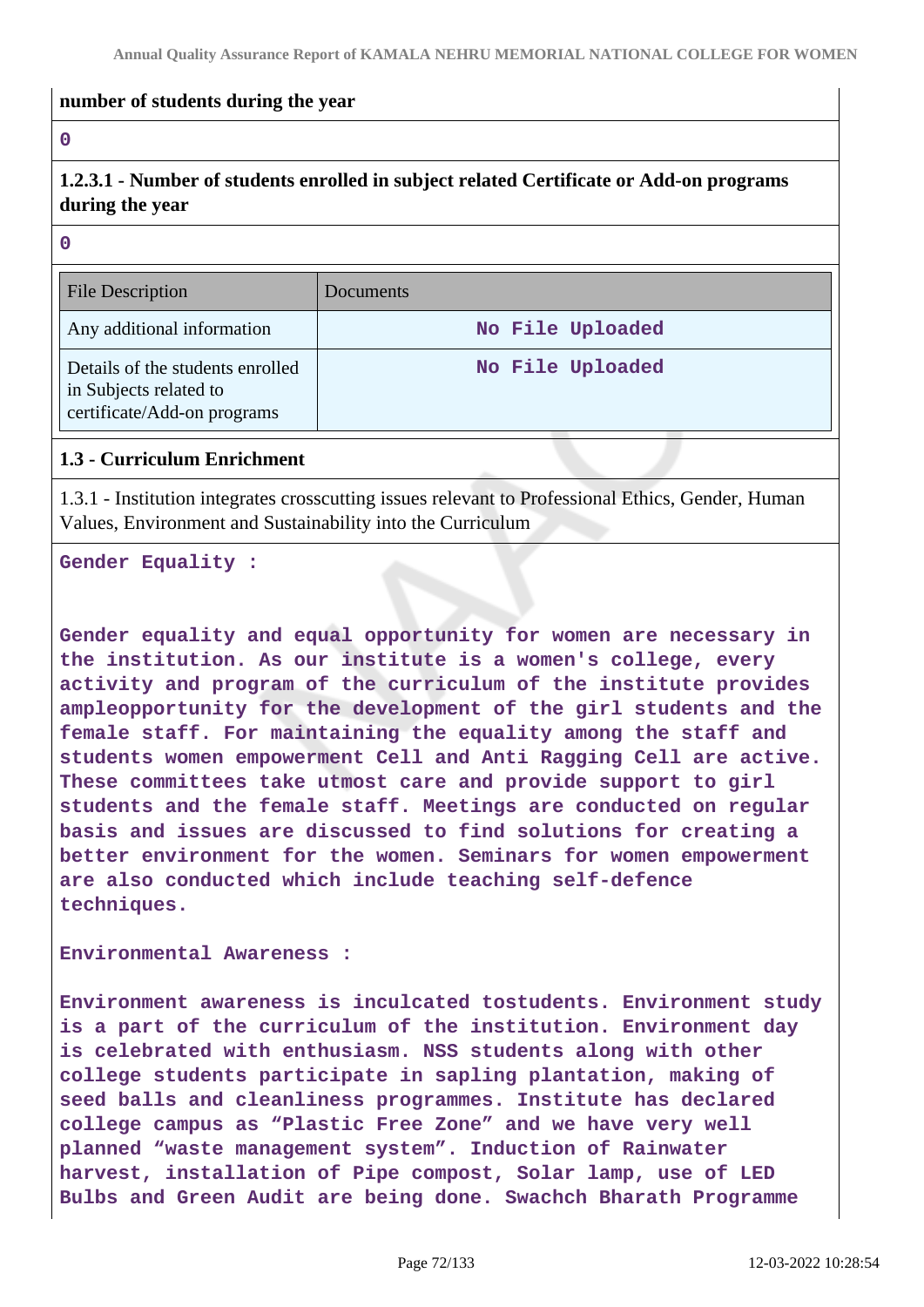### **number of students during the year**

### **0**

**1.2.3.1 - Number of students enrolled in subject related Certificate or Add-on programs during the year**

### **0**

| <b>File Description</b>                                                                   | <b>Documents</b> |
|-------------------------------------------------------------------------------------------|------------------|
| Any additional information                                                                | No File Uploaded |
| Details of the students enrolled<br>in Subjects related to<br>certificate/Add-on programs | No File Uploaded |

### **1.3 - Curriculum Enrichment**

1.3.1 - Institution integrates crosscutting issues relevant to Professional Ethics, Gender, Human Values, Environment and Sustainability into the Curriculum

**Gender Equality :** 

**Gender equality and equal opportunity for women are necessary in the institution. As our institute is a women's college, every activity and program of the curriculum of the institute provides ampleopportunity for the development of the girl students and the female staff. For maintaining the equality among the staff and students women empowerment Cell and Anti Ragging Cell are active. These committees take utmost care and provide support to girl students and the female staff. Meetings are conducted on regular basis and issues are discussed to find solutions for creating a better environment for the women. Seminars for women empowerment are also conducted which include teaching self-defence techniques.**

**Environmental Awareness :**

**Environment awareness is inculcated tostudents. Environment study is a part of the curriculum of the institution. Environment day is celebrated with enthusiasm. NSS students along with other college students participate in sapling plantation, making of seed balls and cleanliness programmes. Institute has declared college campus as "Plastic Free Zone" and we have very well planned "waste management system". Induction of Rainwater harvest, installation of Pipe compost, Solar lamp, use of LED Bulbs and Green Audit are being done. Swachch Bharath Programme**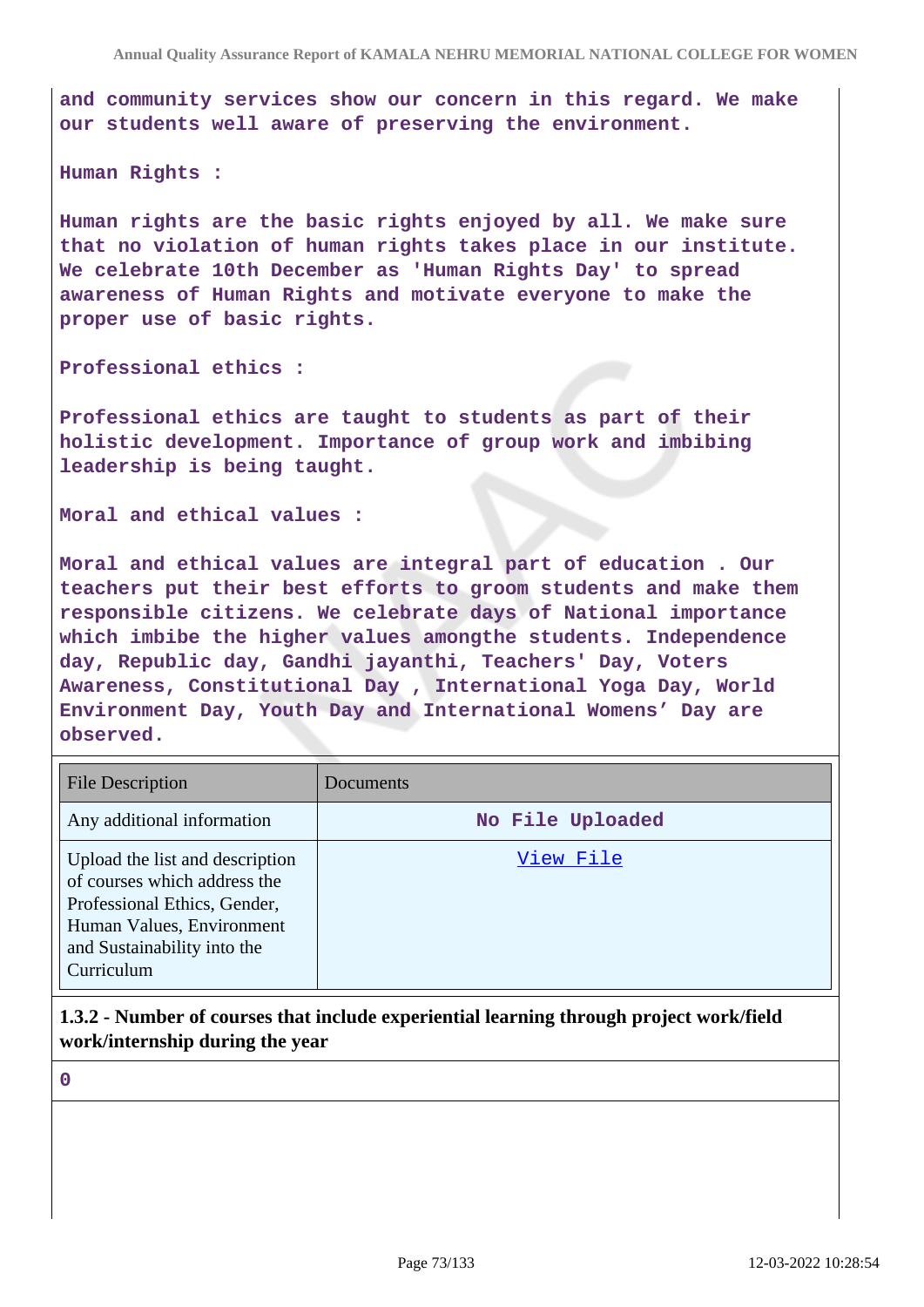**and community services show our concern in this regard. We make our students well aware of preserving the environment.**

#### **Human Rights :**

**Human rights are the basic rights enjoyed by all. We make sure that no violation of human rights takes place in our institute. We celebrate 10th December as 'Human Rights Day' to spread awareness of Human Rights and motivate everyone to make the proper use of basic rights.**

**Professional ethics :**

**Professional ethics are taught to students as part of their holistic development. Importance of group work and imbibing leadership is being taught.**

**Moral and ethical values :**

**Moral and ethical values are integral part of education . Our teachers put their best efforts to groom students and make them responsible citizens. We celebrate days of National importance which imbibe the higher values amongthe students. Independence day, Republic day, Gandhi jayanthi, Teachers' Day, Voters Awareness, Constitutional Day , International Yoga Day, World Environment Day, Youth Day and International Womens' Day are observed.**

| <b>File Description</b>                                                                                                                                                   | Documents        |
|---------------------------------------------------------------------------------------------------------------------------------------------------------------------------|------------------|
| Any additional information                                                                                                                                                | No File Uploaded |
| Upload the list and description<br>of courses which address the<br>Professional Ethics, Gender,<br>Human Values, Environment<br>and Sustainability into the<br>Curriculum | View File        |

**1.3.2 - Number of courses that include experiential learning through project work/field work/internship during the year**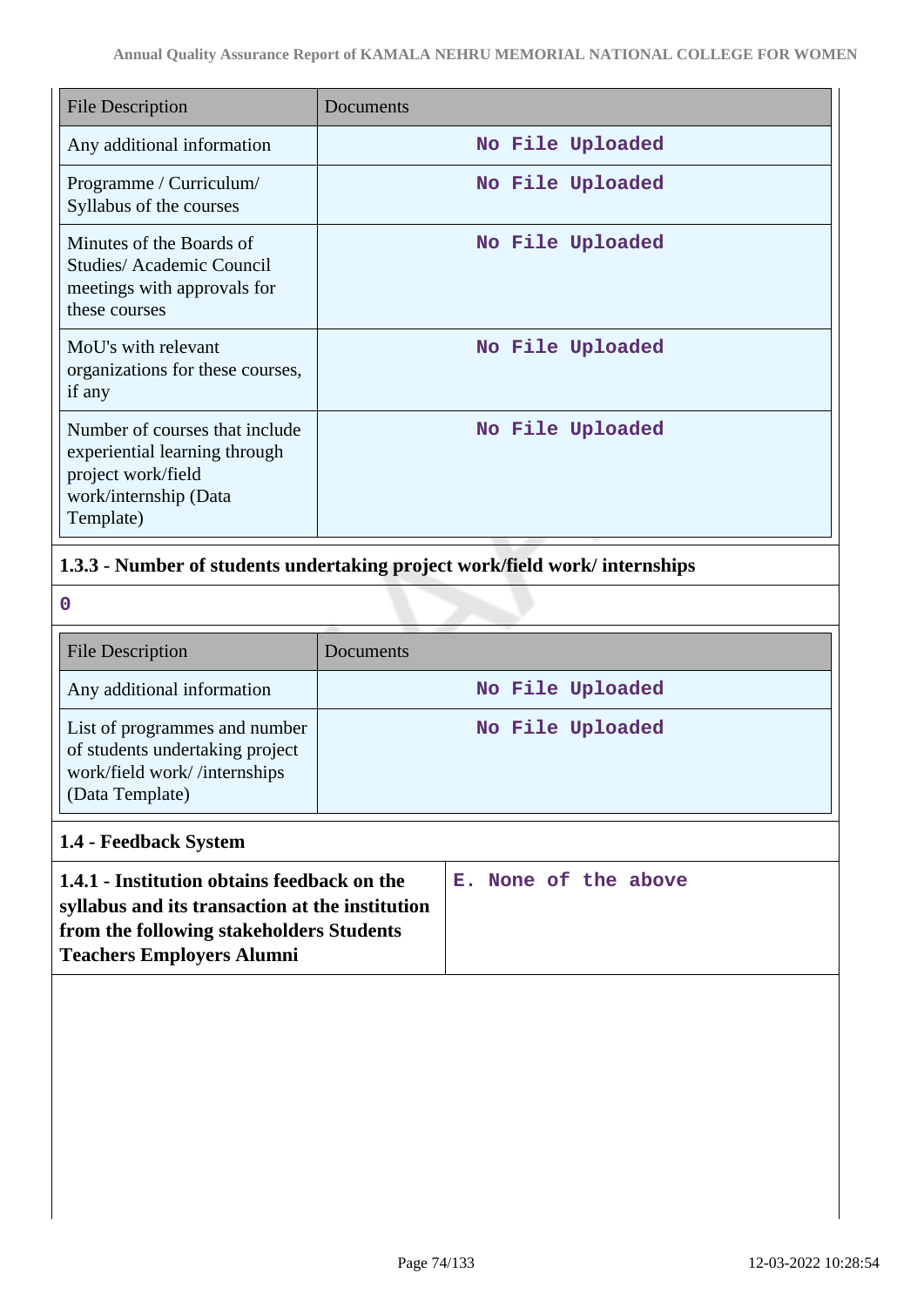| <b>File Description</b>                                                                                                     | Documents        |
|-----------------------------------------------------------------------------------------------------------------------------|------------------|
| Any additional information                                                                                                  | No File Uploaded |
| Programme / Curriculum/<br>Syllabus of the courses                                                                          | No File Uploaded |
| Minutes of the Boards of<br>Studies/Academic Council<br>meetings with approvals for<br>these courses                        | No File Uploaded |
| MoU's with relevant<br>organizations for these courses,<br>if any                                                           | No File Uploaded |
| Number of courses that include<br>experiential learning through<br>project work/field<br>work/internship (Data<br>Template) | No File Uploaded |

# **1.3.3 - Number of students undertaking project work/field work/ internships**

**0**

| <b>File Description</b>                                                                                             | <b>Documents</b> |
|---------------------------------------------------------------------------------------------------------------------|------------------|
| Any additional information                                                                                          | No File Uploaded |
| List of programmes and number<br>of students undertaking project<br>work/field work//internships<br>(Data Template) | No File Uploaded |

# **1.4 - Feedback System**

| 1.4.1 - Institution obtains feedback on the     |  |  | E. None of the above |  |
|-------------------------------------------------|--|--|----------------------|--|
| syllabus and its transaction at the institution |  |  |                      |  |
| from the following stakeholders Students        |  |  |                      |  |
| <b>Teachers Employers Alumni</b>                |  |  |                      |  |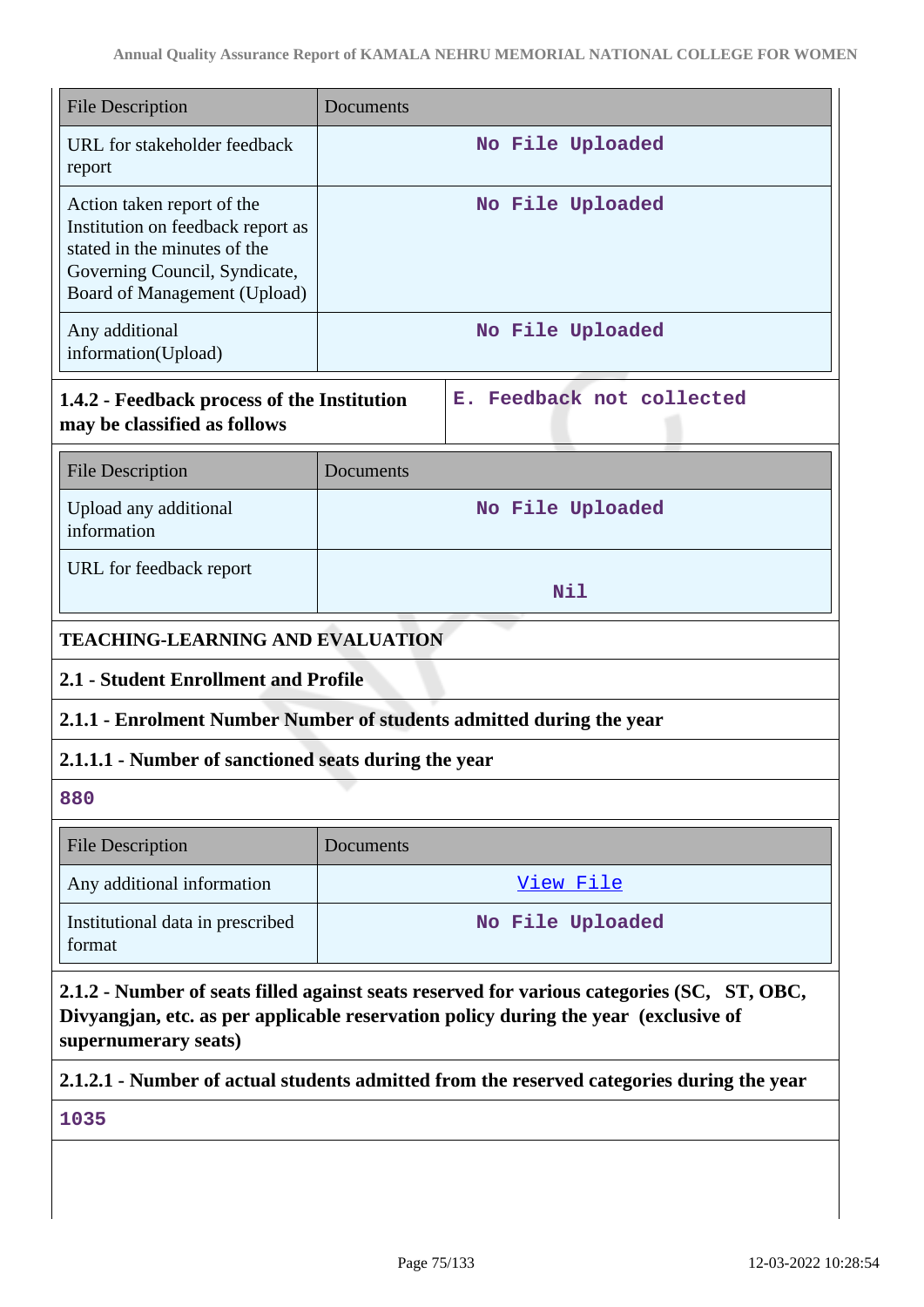| <b>File Description</b>                                                                                                                                                                                   | Documents                                                                                 |  |  |  |
|-----------------------------------------------------------------------------------------------------------------------------------------------------------------------------------------------------------|-------------------------------------------------------------------------------------------|--|--|--|
| URL for stakeholder feedback<br>report                                                                                                                                                                    | No File Uploaded                                                                          |  |  |  |
| Action taken report of the<br>Institution on feedback report as<br>stated in the minutes of the<br>Governing Council, Syndicate,<br>Board of Management (Upload)                                          | No File Uploaded                                                                          |  |  |  |
| Any additional<br>information(Upload)                                                                                                                                                                     | No File Uploaded                                                                          |  |  |  |
| Feedback not collected<br>1.4.2 - Feedback process of the Institution<br>Е.<br>may be classified as follows                                                                                               |                                                                                           |  |  |  |
| <b>File Description</b>                                                                                                                                                                                   | Documents                                                                                 |  |  |  |
| Upload any additional<br>information                                                                                                                                                                      | No File Uploaded                                                                          |  |  |  |
| URL for feedback report                                                                                                                                                                                   | Nil                                                                                       |  |  |  |
| <b>TEACHING-LEARNING AND EVALUATION</b>                                                                                                                                                                   |                                                                                           |  |  |  |
| 2.1 - Student Enrollment and Profile                                                                                                                                                                      |                                                                                           |  |  |  |
|                                                                                                                                                                                                           | 2.1.1 - Enrolment Number Number of students admitted during the year                      |  |  |  |
| 2.1.1.1 - Number of sanctioned seats during the year                                                                                                                                                      |                                                                                           |  |  |  |
| 880                                                                                                                                                                                                       |                                                                                           |  |  |  |
| <b>File Description</b>                                                                                                                                                                                   | Documents                                                                                 |  |  |  |
| Any additional information                                                                                                                                                                                | <u>View File</u>                                                                          |  |  |  |
| Institutional data in prescribed<br>format                                                                                                                                                                | No File Uploaded                                                                          |  |  |  |
| 2.1.2 - Number of seats filled against seats reserved for various categories (SC, ST, OBC,<br>Divyangjan, etc. as per applicable reservation policy during the year (exclusive of<br>supernumerary seats) |                                                                                           |  |  |  |
|                                                                                                                                                                                                           | 2.1.2.1 - Number of actual students admitted from the reserved categories during the year |  |  |  |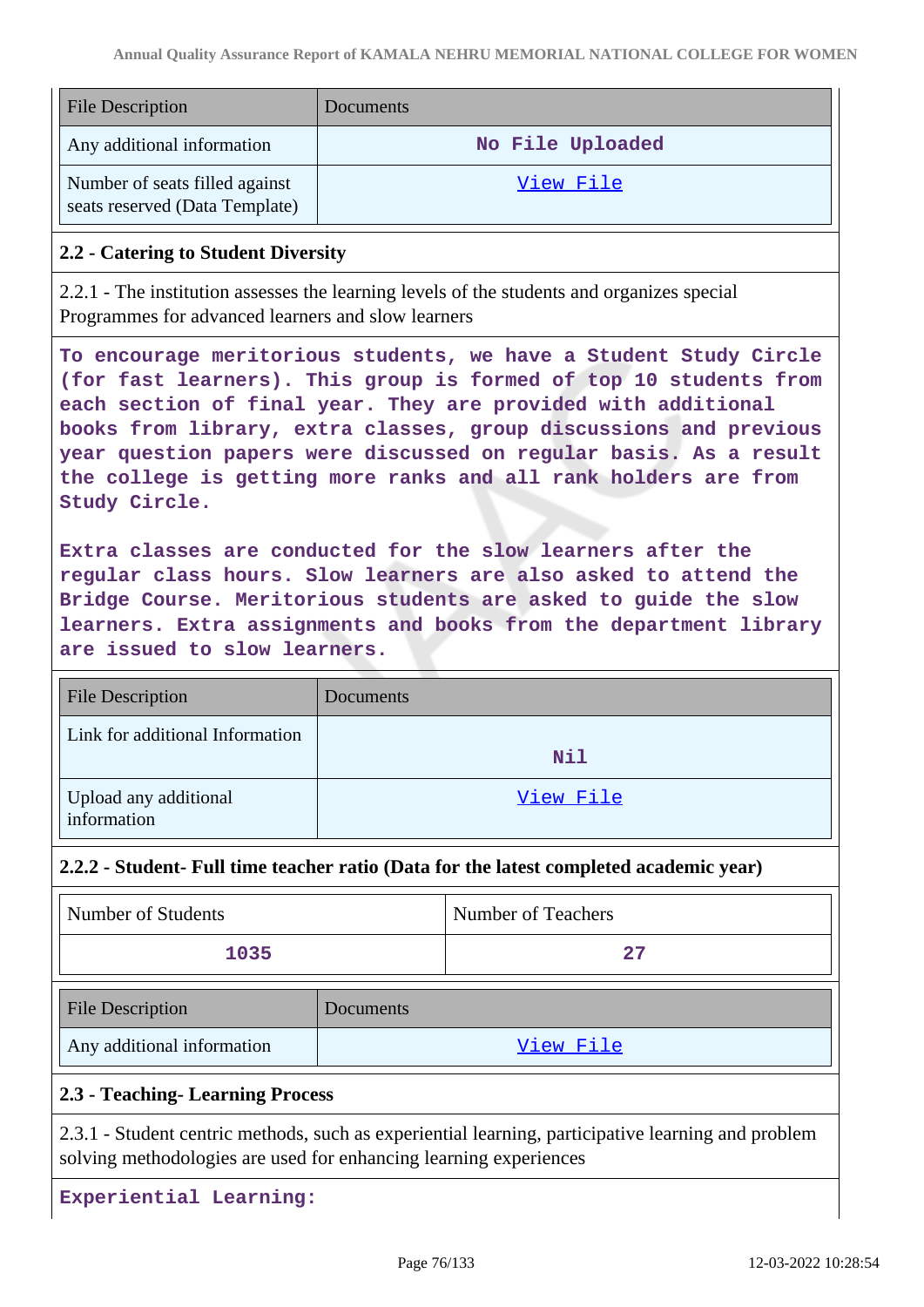| <b>File Description</b>                                          | Documents        |
|------------------------------------------------------------------|------------------|
| Any additional information                                       | No File Uploaded |
| Number of seats filled against<br>seats reserved (Data Template) | View File        |

### **2.2 - Catering to Student Diversity**

2.2.1 - The institution assesses the learning levels of the students and organizes special Programmes for advanced learners and slow learners

**To encourage meritorious students, we have a Student Study Circle (for fast learners). This group is formed of top 10 students from each section of final year. They are provided with additional books from library, extra classes, group discussions and previous year question papers were discussed on regular basis. As a result the college is getting more ranks and all rank holders are from Study Circle.**

**Extra classes are conducted for the slow learners after the regular class hours. Slow learners are also asked to attend the Bridge Course. Meritorious students are asked to guide the slow learners. Extra assignments and books from the department library are issued to slow learners.**

| <b>File Description</b>              | Documents |
|--------------------------------------|-----------|
| Link for additional Information      | Nil       |
| Upload any additional<br>information | View File |

### **2.2.2 - Student- Full time teacher ratio (Data for the latest completed academic year)**

| Number of Students | Number of Teachers |
|--------------------|--------------------|
| 1035               | די כי              |

| <b>File Description</b>    | <b>Documents</b> |
|----------------------------|------------------|
| Any additional information | View File        |

### **2.3 - Teaching- Learning Process**

2.3.1 - Student centric methods, such as experiential learning, participative learning and problem solving methodologies are used for enhancing learning experiences

**Experiential Learning:**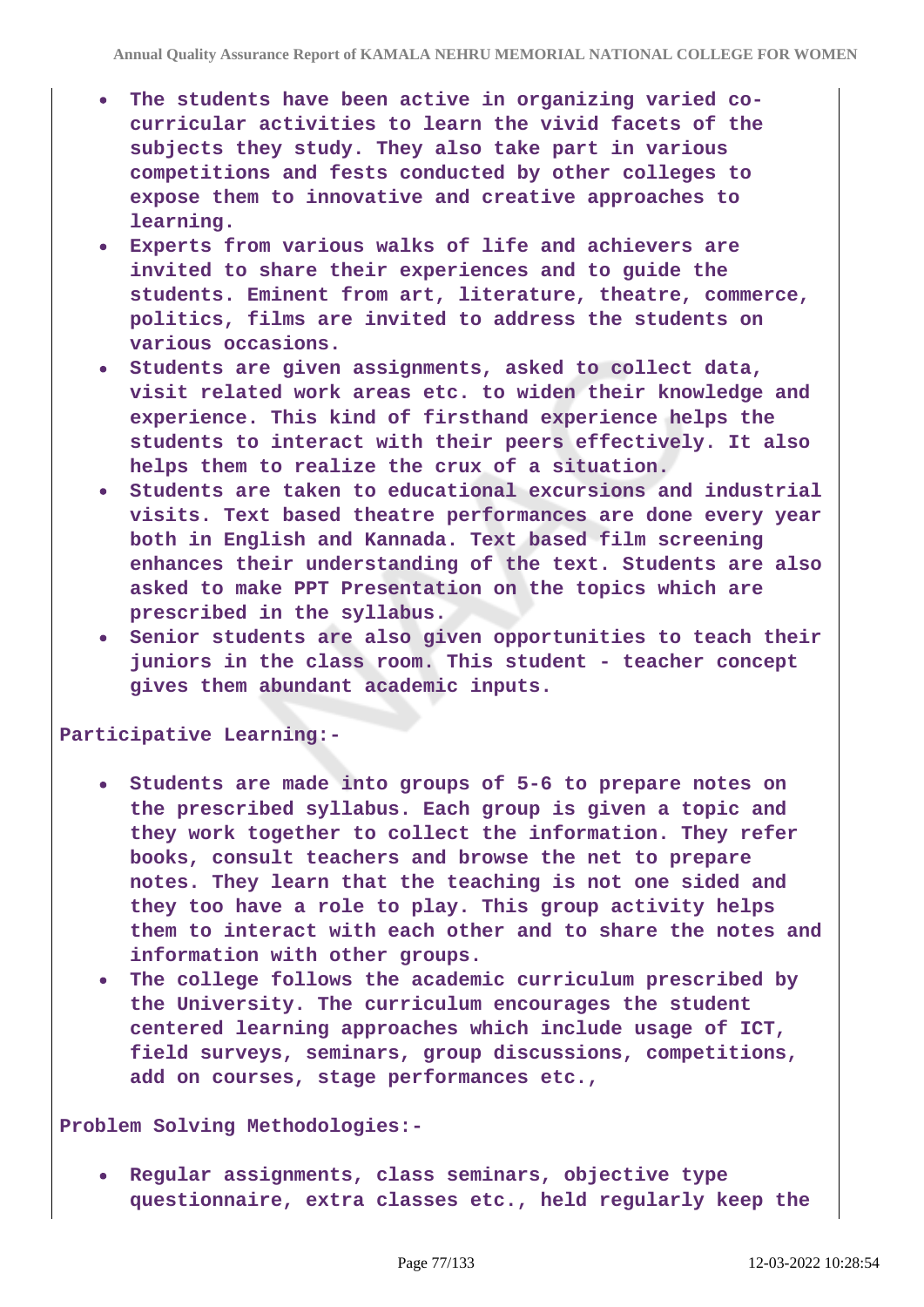- **The students have been active in organizing varied cocurricular activities to learn the vivid facets of the subjects they study. They also take part in various competitions and fests conducted by other colleges to expose them to innovative and creative approaches to learning.**
- **Experts from various walks of life and achievers are invited to share their experiences and to guide the students. Eminent from art, literature, theatre, commerce, politics, films are invited to address the students on various occasions.**
- **Students are given assignments, asked to collect data, visit related work areas etc. to widen their knowledge and experience. This kind of firsthand experience helps the students to interact with their peers effectively. It also helps them to realize the crux of a situation.**
- **Students are taken to educational excursions and industrial visits. Text based theatre performances are done every year both in English and Kannada. Text based film screening enhances their understanding of the text. Students are also asked to make PPT Presentation on the topics which are prescribed in the syllabus.**
- **Senior students are also given opportunities to teach their juniors in the class room. This student - teacher concept gives them abundant academic inputs.**

**Participative Learning:-**

- **Students are made into groups of 5-6 to prepare notes on the prescribed syllabus. Each group is given a topic and they work together to collect the information. They refer books, consult teachers and browse the net to prepare notes. They learn that the teaching is not one sided and they too have a role to play. This group activity helps them to interact with each other and to share the notes and information with other groups.**
- **The college follows the academic curriculum prescribed by the University. The curriculum encourages the student centered learning approaches which include usage of ICT, field surveys, seminars, group discussions, competitions, add on courses, stage performances etc.,**

**Problem Solving Methodologies:-**

**Regular assignments, class seminars, objective type questionnaire, extra classes etc., held regularly keep the**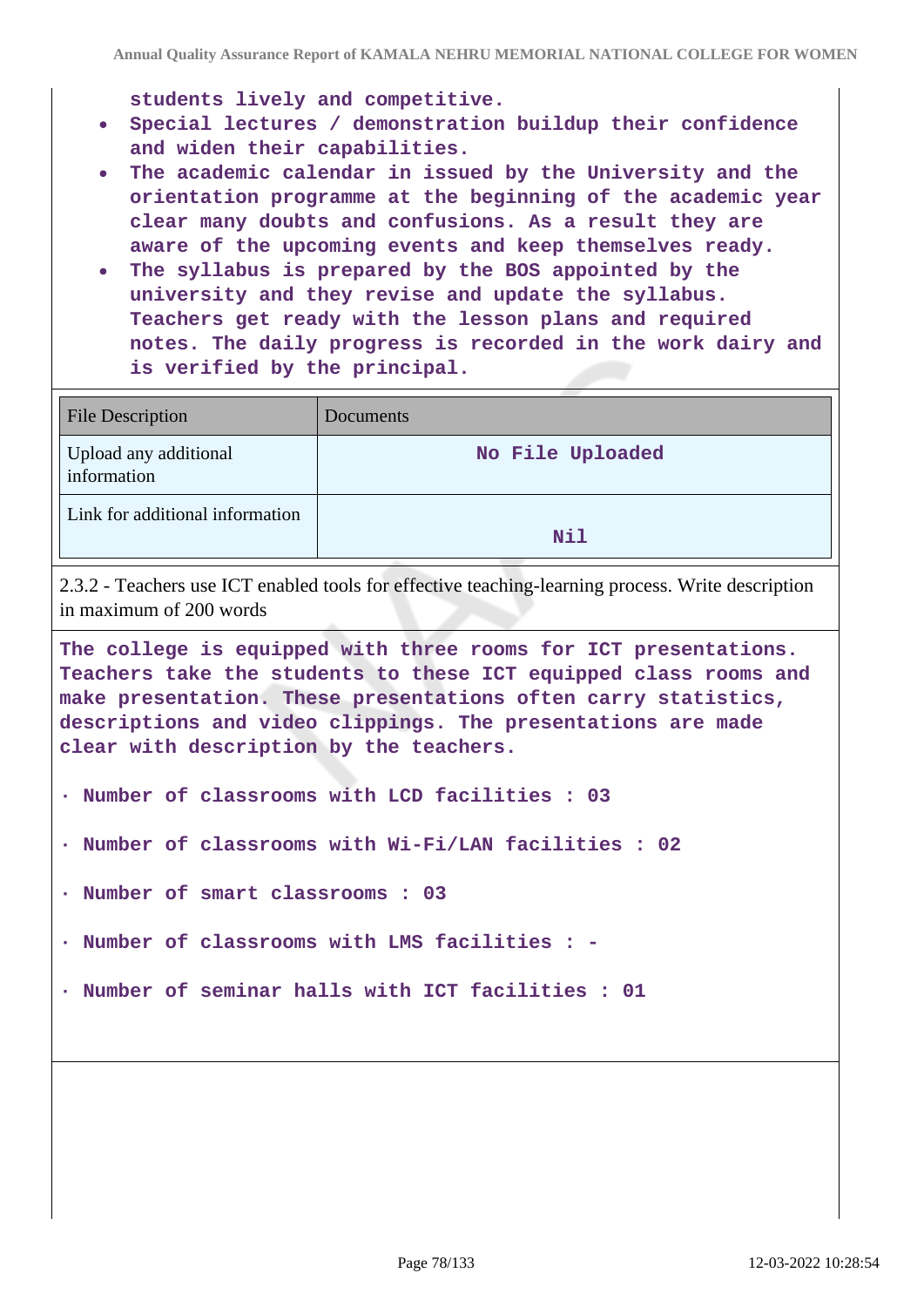**students lively and competitive.**

- **Special lectures / demonstration buildup their confidence and widen their capabilities.**
- **The academic calendar in issued by the University and the orientation programme at the beginning of the academic year clear many doubts and confusions. As a result they are aware of the upcoming events and keep themselves ready.**
- **The syllabus is prepared by the BOS appointed by the university and they revise and update the syllabus. Teachers get ready with the lesson plans and required notes. The daily progress is recorded in the work dairy and is verified by the principal.**

| <b>File Description</b>              | Documents        |
|--------------------------------------|------------------|
| Upload any additional<br>information | No File Uploaded |
| Link for additional information      | Nil              |

2.3.2 - Teachers use ICT enabled tools for effective teaching-learning process. Write description in maximum of 200 words

**The college is equipped with three rooms for ICT presentations. Teachers take the students to these ICT equipped class rooms and make presentation. These presentations often carry statistics, descriptions and video clippings. The presentations are made clear with description by the teachers.**

- **· Number of classrooms with LCD facilities : 03**
- **· Number of classrooms with Wi-Fi/LAN facilities : 02**
- **· Number of smart classrooms : 03**
- **· Number of classrooms with LMS facilities : -**
- **· Number of seminar halls with ICT facilities : 01**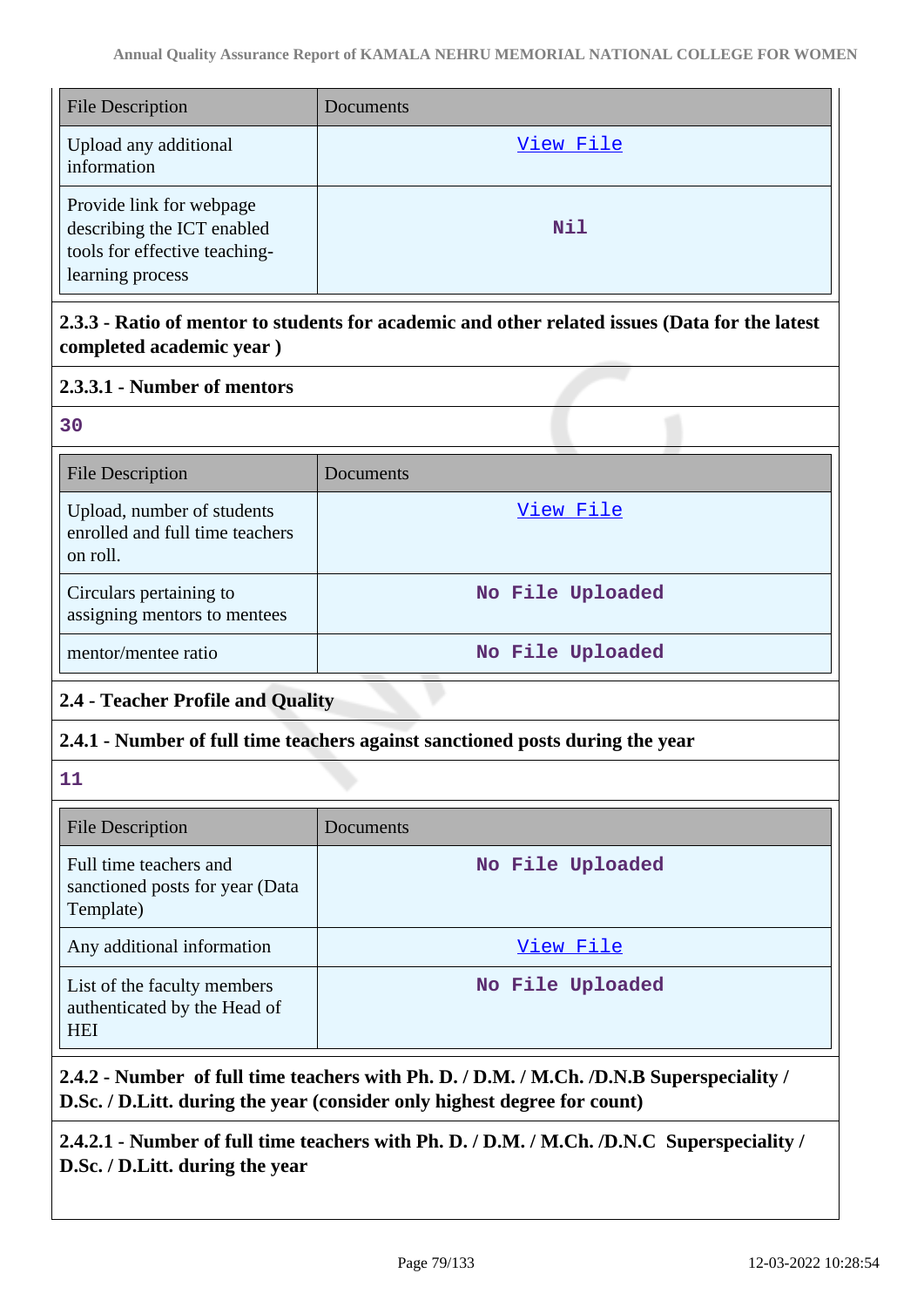| <b>File Description</b>                                                                                     | Documents  |
|-------------------------------------------------------------------------------------------------------------|------------|
| Upload any additional<br>information                                                                        | View File  |
| Provide link for webpage<br>describing the ICT enabled<br>tools for effective teaching-<br>learning process | <b>Nil</b> |

# **2.3.3 - Ratio of mentor to students for academic and other related issues (Data for the latest completed academic year )**

# **2.3.3.1 - Number of mentors**

| ×                        |        |  |
|--------------------------|--------|--|
| ×<br>۰,                  |        |  |
| $\overline{\phantom{a}}$ | $\sim$ |  |

| <b>File Description</b>                                                   | Documents        |
|---------------------------------------------------------------------------|------------------|
| Upload, number of students<br>enrolled and full time teachers<br>on roll. | View File        |
| Circulars pertaining to<br>assigning mentors to mentees                   | No File Uploaded |
| mentor/mentee ratio                                                       | No File Uploaded |

# **2.4 - Teacher Profile and Quality**

# **2.4.1 - Number of full time teachers against sanctioned posts during the year**

**11**

| <b>File Description</b>                                                   | Documents        |
|---------------------------------------------------------------------------|------------------|
| Full time teachers and<br>sanctioned posts for year (Data<br>Template)    | No File Uploaded |
| Any additional information                                                | View File        |
| List of the faculty members<br>authenticated by the Head of<br><b>HEI</b> | No File Uploaded |

**2.4.2 - Number of full time teachers with Ph. D. / D.M. / M.Ch. /D.N.B Superspeciality / D.Sc. / D.Litt. during the year (consider only highest degree for count)**

**2.4.2.1 - Number of full time teachers with Ph. D. / D.M. / M.Ch. /D.N.C Superspeciality / D.Sc. / D.Litt. during the year**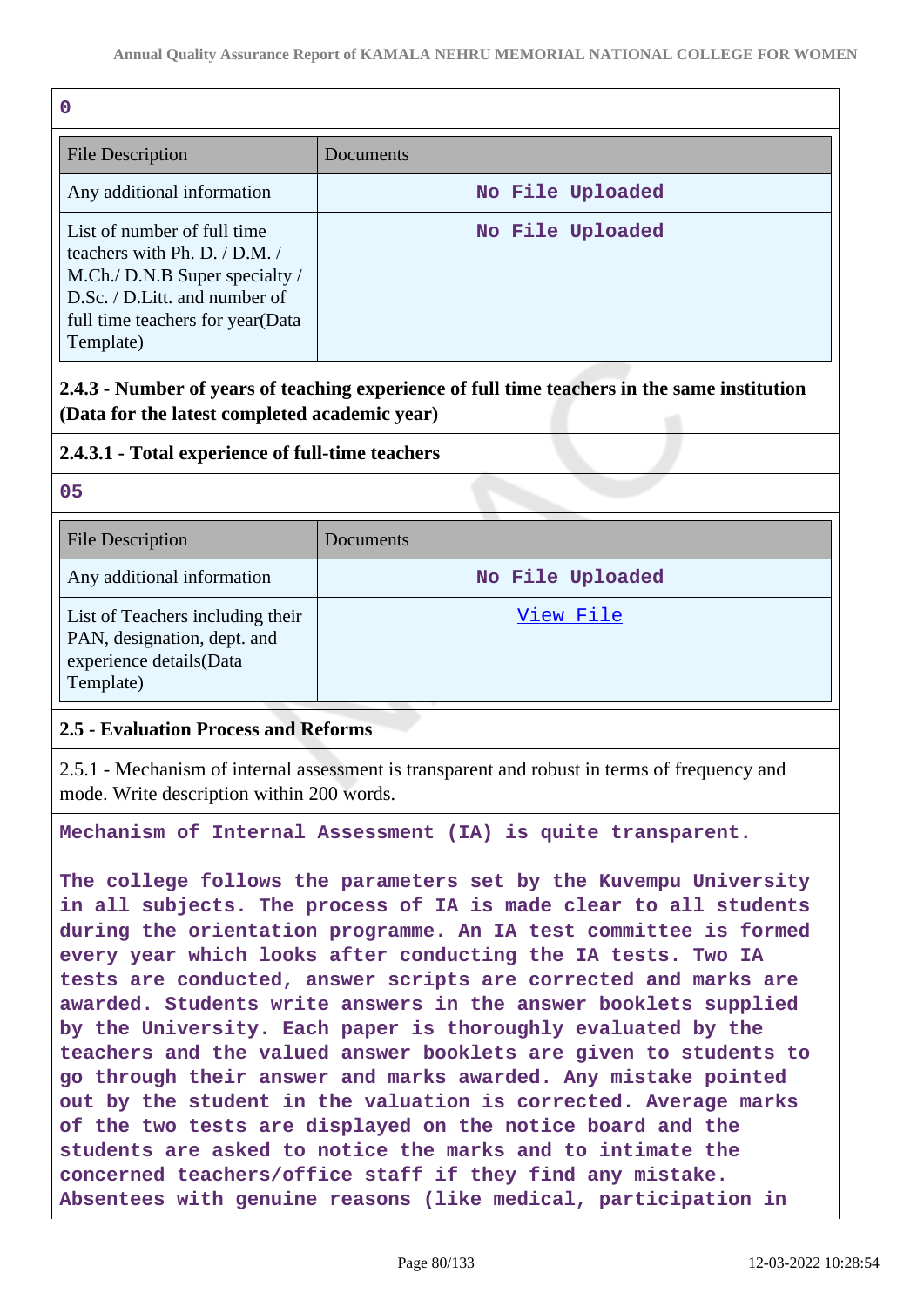| $\mathbf 0$                                                                                                                                                                      |                  |
|----------------------------------------------------------------------------------------------------------------------------------------------------------------------------------|------------------|
| <b>File Description</b>                                                                                                                                                          | Documents        |
| Any additional information                                                                                                                                                       | No File Uploaded |
| List of number of full time<br>teachers with Ph. D. / D.M. /<br>M.Ch./ D.N.B Super specialty /<br>D.Sc. / D.Litt. and number of<br>full time teachers for year(Data<br>Template) | No File Uploaded |

**2.4.3 - Number of years of teaching experience of full time teachers in the same institution (Data for the latest completed academic year)**

#### **2.4.3.1 - Total experience of full-time teachers**

**05**

| <b>File Description</b>                                                                                 | Documents        |
|---------------------------------------------------------------------------------------------------------|------------------|
| Any additional information                                                                              | No File Uploaded |
| List of Teachers including their<br>PAN, designation, dept. and<br>experience details(Data<br>Template) | View File        |

### **2.5 - Evaluation Process and Reforms**

2.5.1 - Mechanism of internal assessment is transparent and robust in terms of frequency and mode. Write description within 200 words.

**Mechanism of Internal Assessment (IA) is quite transparent.**

**The college follows the parameters set by the Kuvempu University in all subjects. The process of IA is made clear to all students during the orientation programme. An IA test committee is formed every year which looks after conducting the IA tests. Two IA tests are conducted, answer scripts are corrected and marks are awarded. Students write answers in the answer booklets supplied by the University. Each paper is thoroughly evaluated by the teachers and the valued answer booklets are given to students to go through their answer and marks awarded. Any mistake pointed out by the student in the valuation is corrected. Average marks of the two tests are displayed on the notice board and the students are asked to notice the marks and to intimate the concerned teachers/office staff if they find any mistake. Absentees with genuine reasons (like medical, participation in**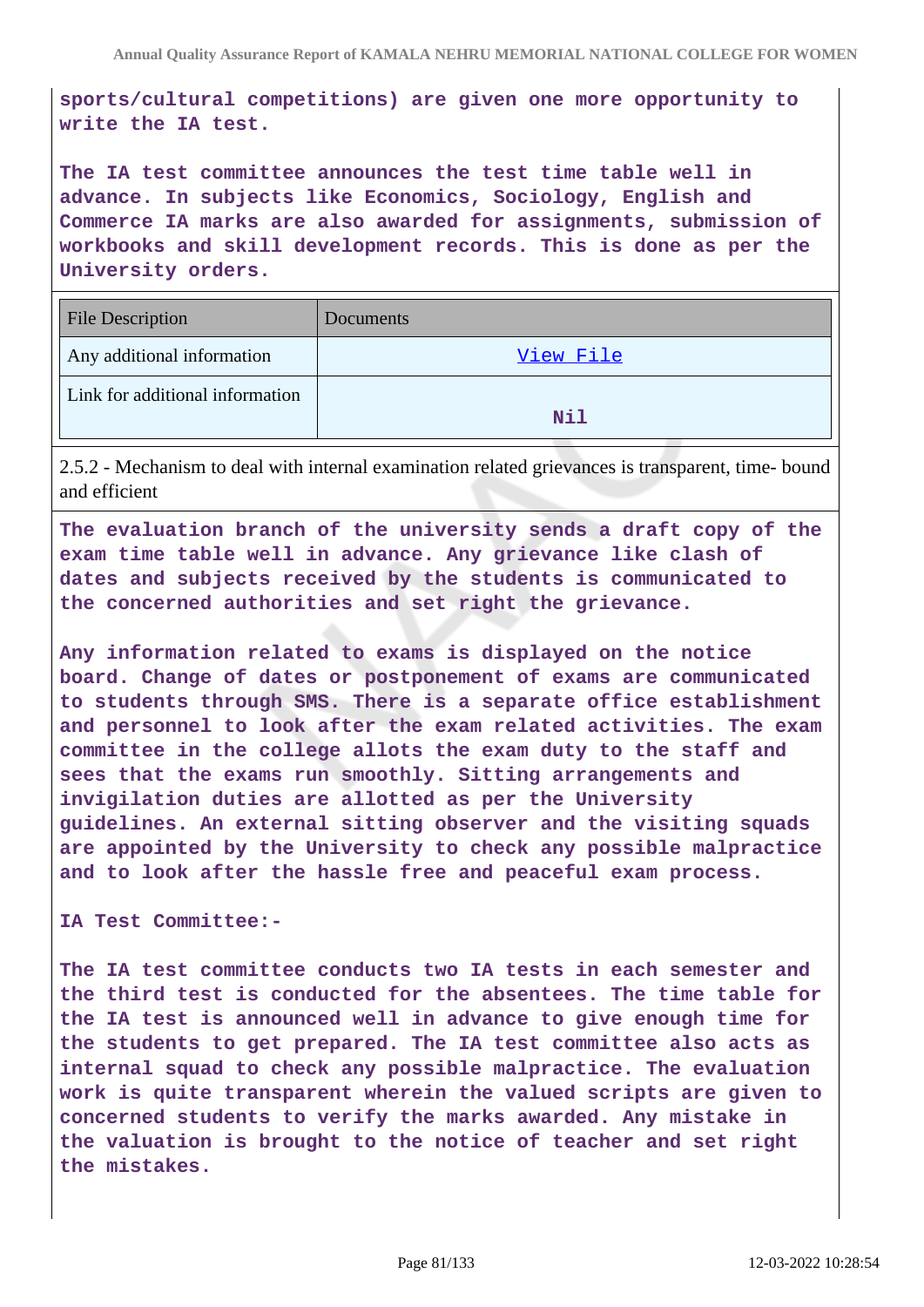**sports/cultural competitions) are given one more opportunity to write the IA test.**

**The IA test committee announces the test time table well in advance. In subjects like Economics, Sociology, English and Commerce IA marks are also awarded for assignments, submission of workbooks and skill development records. This is done as per the University orders.**

| <b>File Description</b>         | <b>Documents</b> |
|---------------------------------|------------------|
| Any additional information      | View File        |
| Link for additional information | Nil              |

2.5.2 - Mechanism to deal with internal examination related grievances is transparent, time- bound and efficient

**The evaluation branch of the university sends a draft copy of the exam time table well in advance. Any grievance like clash of dates and subjects received by the students is communicated to the concerned authorities and set right the grievance.**

**Any information related to exams is displayed on the notice board. Change of dates or postponement of exams are communicated to students through SMS. There is a separate office establishment and personnel to look after the exam related activities. The exam committee in the college allots the exam duty to the staff and sees that the exams run smoothly. Sitting arrangements and invigilation duties are allotted as per the University guidelines. An external sitting observer and the visiting squads are appointed by the University to check any possible malpractice and to look after the hassle free and peaceful exam process.**

**IA Test Committee:-**

**The IA test committee conducts two IA tests in each semester and the third test is conducted for the absentees. The time table for the IA test is announced well in advance to give enough time for the students to get prepared. The IA test committee also acts as internal squad to check any possible malpractice. The evaluation work is quite transparent wherein the valued scripts are given to concerned students to verify the marks awarded. Any mistake in the valuation is brought to the notice of teacher and set right the mistakes.**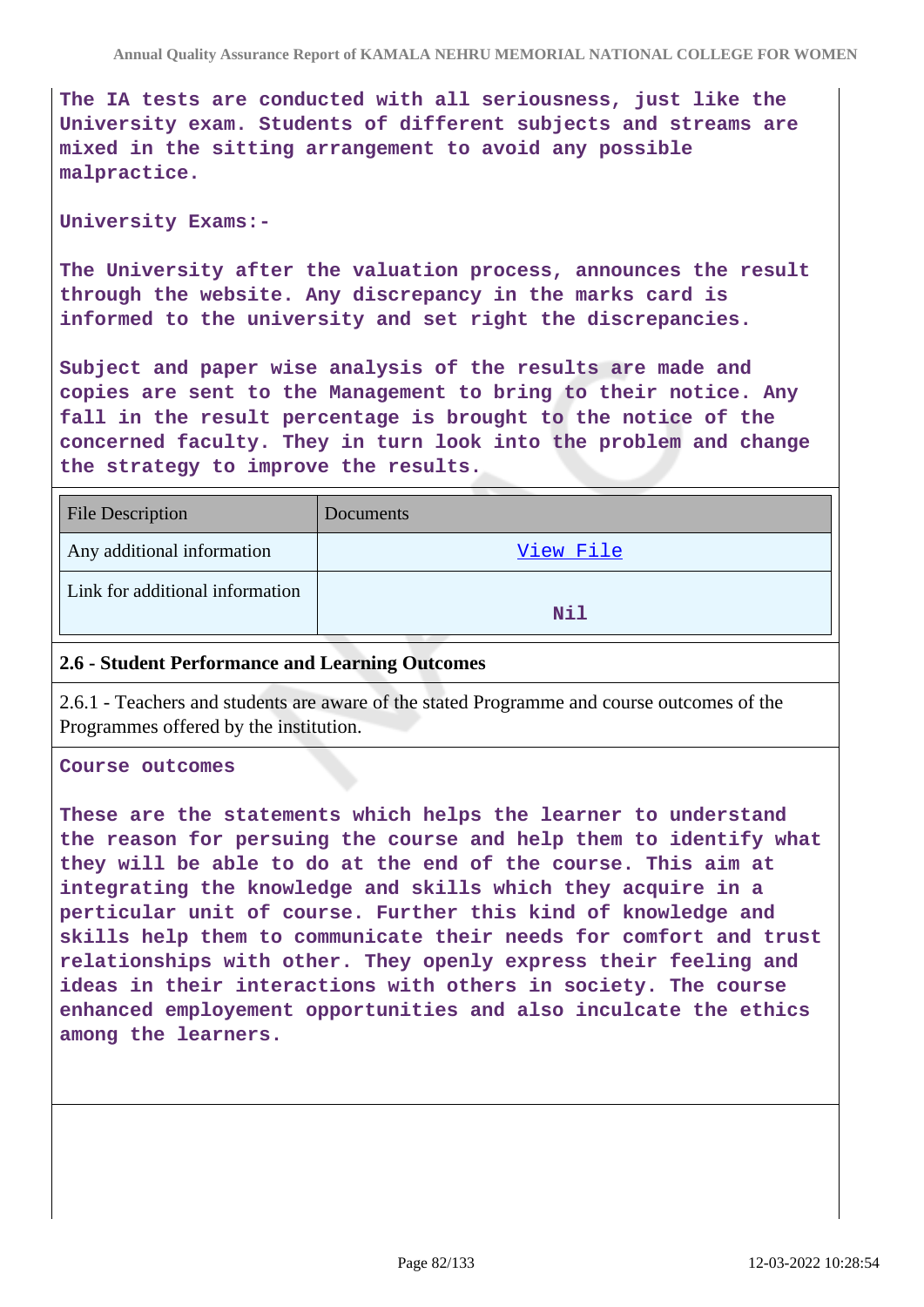**The IA tests are conducted with all seriousness, just like the University exam. Students of different subjects and streams are mixed in the sitting arrangement to avoid any possible malpractice.**

#### **University Exams:-**

**The University after the valuation process, announces the result through the website. Any discrepancy in the marks card is informed to the university and set right the discrepancies.**

**Subject and paper wise analysis of the results are made and copies are sent to the Management to bring to their notice. Any fall in the result percentage is brought to the notice of the concerned faculty. They in turn look into the problem and change the strategy to improve the results.**

| <b>File Description</b>         | <b>Documents</b> |
|---------------------------------|------------------|
| Any additional information      | View File        |
| Link for additional information | Nil              |

#### **2.6 - Student Performance and Learning Outcomes**

2.6.1 - Teachers and students are aware of the stated Programme and course outcomes of the Programmes offered by the institution.

**Course outcomes**

**These are the statements which helps the learner to understand the reason for persuing the course and help them to identify what they will be able to do at the end of the course. This aim at integrating the knowledge and skills which they acquire in a perticular unit of course. Further this kind of knowledge and skills help them to communicate their needs for comfort and trust relationships with other. They openly express their feeling and ideas in their interactions with others in society. The course enhanced employement opportunities and also inculcate the ethics among the learners.**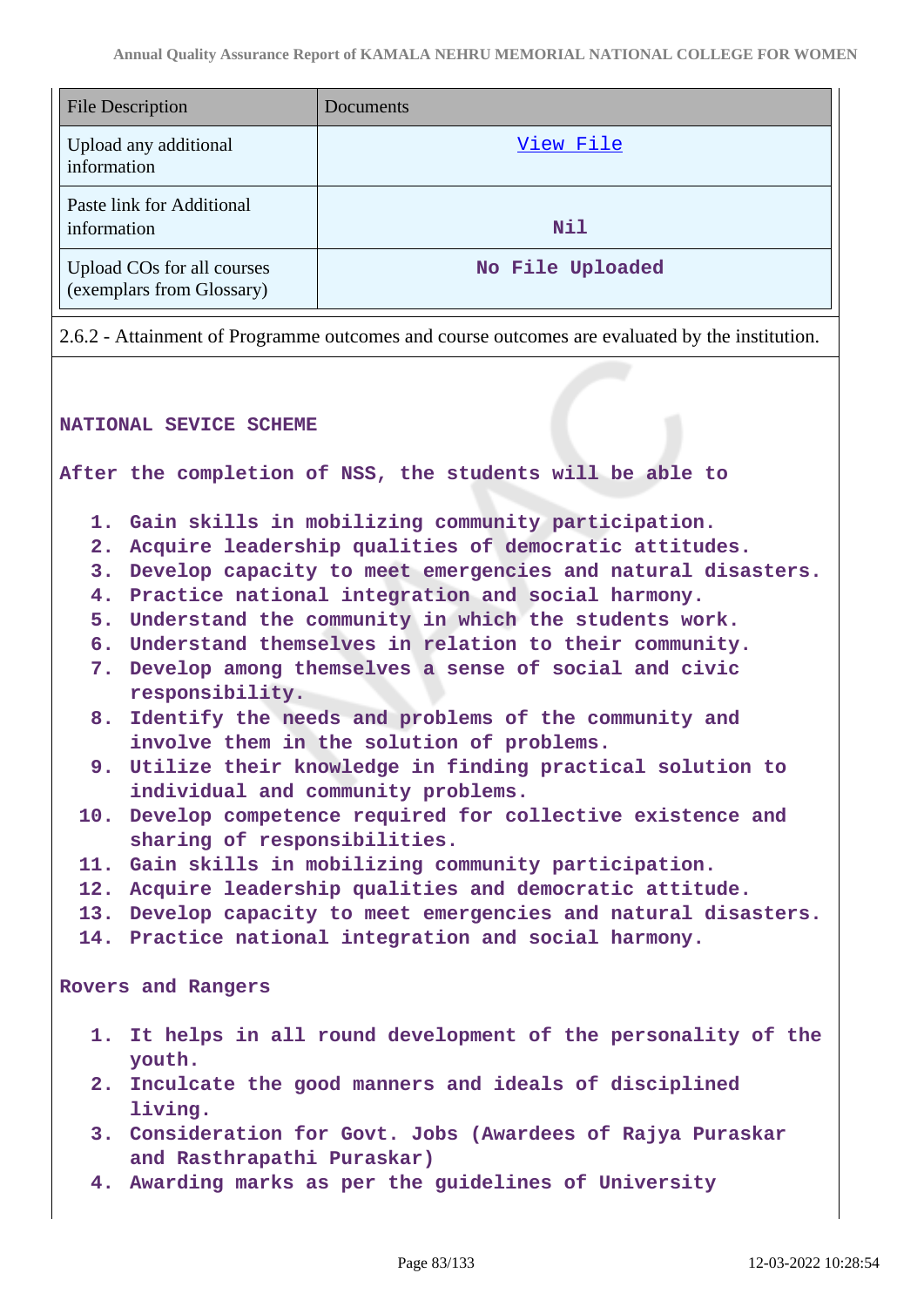| <b>File Description</b>                                 | Documents        |
|---------------------------------------------------------|------------------|
| Upload any additional<br>information                    | View File        |
| Paste link for Additional<br>information                | <b>Nil</b>       |
| Upload COs for all courses<br>(exemplars from Glossary) | No File Uploaded |

2.6.2 - Attainment of Programme outcomes and course outcomes are evaluated by the institution.

#### **NATIONAL SEVICE SCHEME**

**After the completion of NSS, the students will be able to**

- **1. Gain skills in mobilizing community participation.**
- **2. Acquire leadership qualities of democratic attitudes.**
- **3. Develop capacity to meet emergencies and natural disasters.**
- **4. Practice national integration and social harmony.**
- **5. Understand the community in which the students work.**
- **6. Understand themselves in relation to their community.**
- **7. Develop among themselves a sense of social and civic responsibility.**
- **8. Identify the needs and problems of the community and involve them in the solution of problems.**
- **9. Utilize their knowledge in finding practical solution to individual and community problems.**
- **10. Develop competence required for collective existence and sharing of responsibilities.**
- **11. Gain skills in mobilizing community participation.**
- **12. Acquire leadership qualities and democratic attitude.**
- **13. Develop capacity to meet emergencies and natural disasters.**
- **14. Practice national integration and social harmony.**

**Rovers and Rangers**

- **1. It helps in all round development of the personality of the youth.**
- **2. Inculcate the good manners and ideals of disciplined living.**
- **3. Consideration for Govt. Jobs (Awardees of Rajya Puraskar and Rasthrapathi Puraskar)**
- **4. Awarding marks as per the guidelines of University**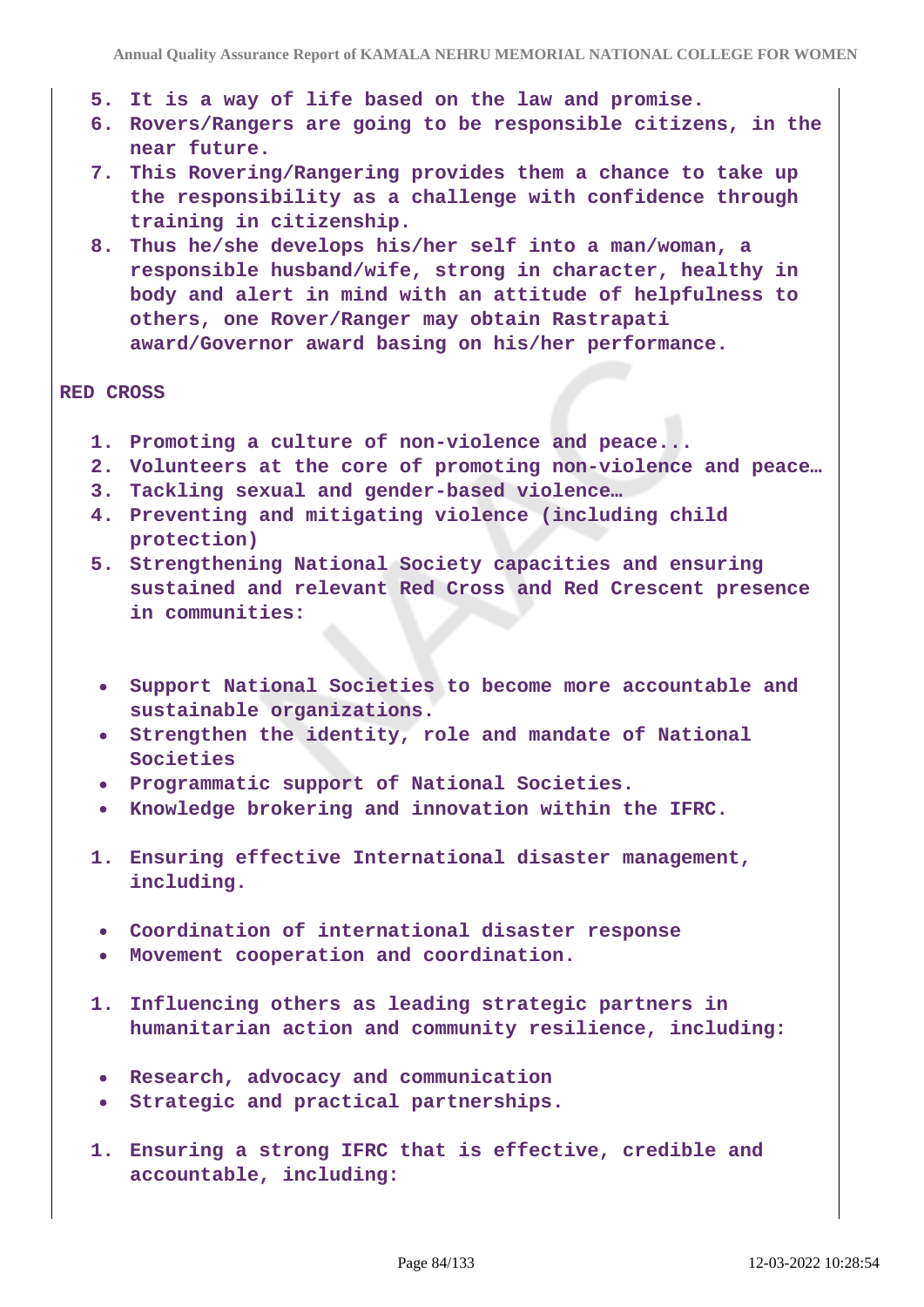- **5. It is a way of life based on the law and promise.**
- **6. Rovers/Rangers are going to be responsible citizens, in the near future.**
- **7. This Rovering/Rangering provides them a chance to take up the responsibility as a challenge with confidence through training in citizenship.**
- **8. Thus he/she develops his/her self into a man/woman, a responsible husband/wife, strong in character, healthy in body and alert in mind with an attitude of helpfulness to others, one Rover/Ranger may obtain Rastrapati award/Governor award basing on his/her performance.**

#### **RED CROSS**

- **1. Promoting a culture of non-violence and peace...**
- **2. Volunteers at the core of promoting non-violence and peace…**
- **3. Tackling sexual and gender-based violence…**
- **4. Preventing and mitigating violence (including child protection)**
- **5. Strengthening National Society capacities and ensuring sustained and relevant Red Cross and Red Crescent presence in communities:**
	- **Support National Societies to become more accountable and sustainable organizations.**
	- **Strengthen the identity, role and mandate of National Societies**
	- **Programmatic support of National Societies.**
- **Knowledge brokering and innovation within the IFRC.**
- **1. Ensuring effective International disaster management, including.**
- **Coordination of international disaster response**
- **Movement cooperation and coordination.**
- **1. Influencing others as leading strategic partners in humanitarian action and community resilience, including:**
- **Research, advocacy and communication**
- **Strategic and practical partnerships.**
- **1. Ensuring a strong IFRC that is effective, credible and accountable, including:**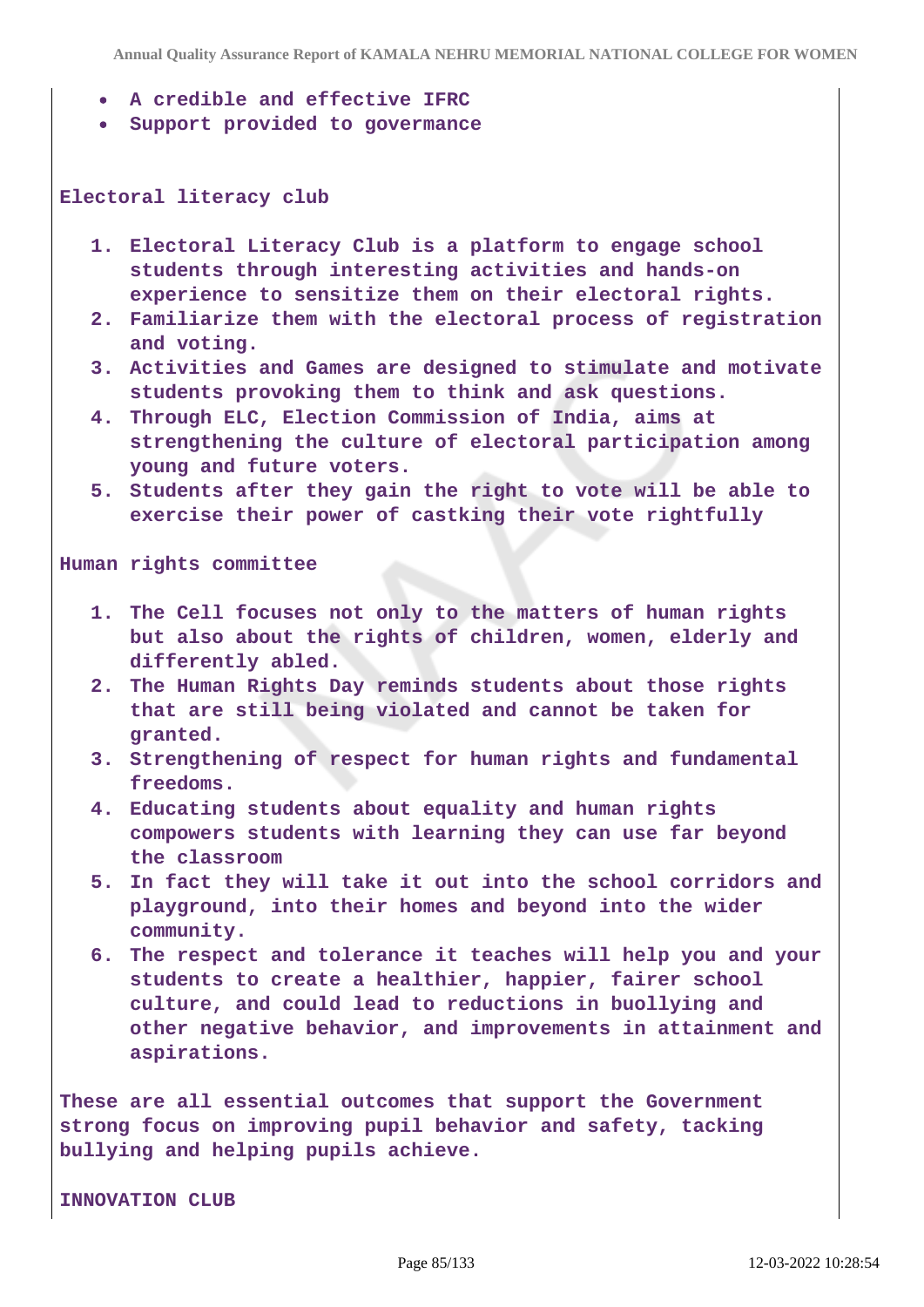**Annual Quality Assurance Report of KAMALA NEHRU MEMORIAL NATIONAL COLLEGE FOR WOMEN**

- **A credible and effective IFRC**
- **Support provided to govermance**

#### **Electoral literacy club**

- **1. Electoral Literacy Club is a platform to engage school students through interesting activities and hands-on experience to sensitize them on their electoral rights.**
- **2. Familiarize them with the electoral process of registration and voting.**
- **3. Activities and Games are designed to stimulate and motivate students provoking them to think and ask questions.**
- **4. Through ELC, Election Commission of India, aims at strengthening the culture of electoral participation among young and future voters.**
- **5. Students after they gain the right to vote will be able to exercise their power of castking their vote rightfully**

**Human rights committee**

- **1. The Cell focuses not only to the matters of human rights but also about the rights of children, women, elderly and differently abled.**
- **2. The Human Rights Day reminds students about those rights that are still being violated and cannot be taken for granted.**
- **3. Strengthening of respect for human rights and fundamental freedoms.**
- **4. Educating students about equality and human rights compowers students with learning they can use far beyond the classroom**
- **5. In fact they will take it out into the school corridors and playground, into their homes and beyond into the wider community.**
- **6. The respect and tolerance it teaches will help you and your students to create a healthier, happier, fairer school culture, and could lead to reductions in buollying and other negative behavior, and improvements in attainment and aspirations.**

**These are all essential outcomes that support the Government strong focus on improving pupil behavior and safety, tacking bullying and helping pupils achieve.**

**INNOVATION CLUB**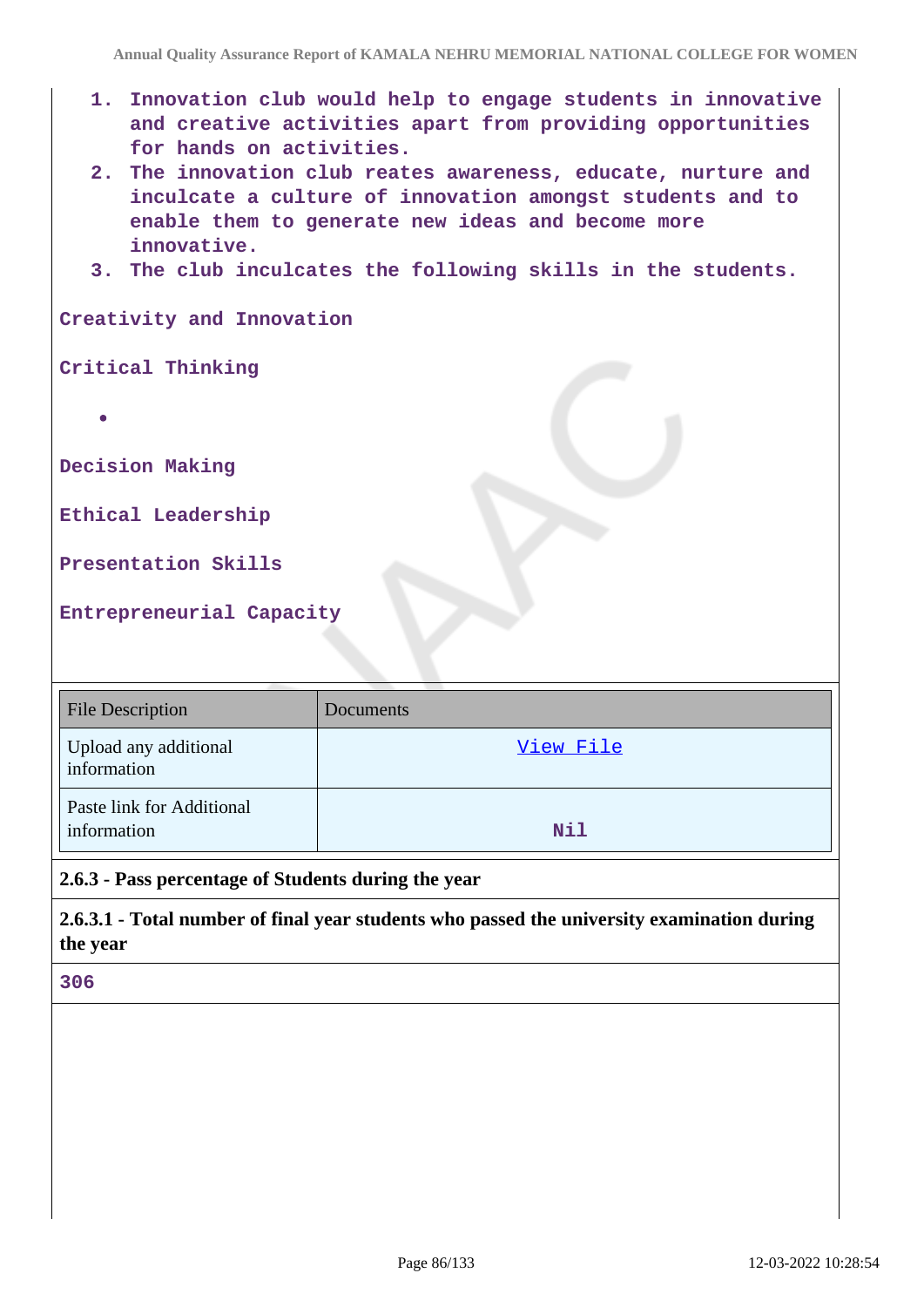- **1. Innovation club would help to engage students in innovative and creative activities apart from providing opportunities for hands on activities.**
- **2. The innovation club reates awareness, educate, nurture and inculcate a culture of innovation amongst students and to enable them to generate new ideas and become more innovative.**
- **3. The club inculcates the following skills in the students.**

**Creativity and Innovation**

**Critical Thinking**

**Decision Making**

**Ethical Leadership**

**Presentation Skills**

**Entrepreneurial Capacity**

| <b>File Description</b>                  | Documents |
|------------------------------------------|-----------|
| Upload any additional<br>information     | View File |
| Paste link for Additional<br>information | Nil       |

**2.6.3 - Pass percentage of Students during the year**

**2.6.3.1 - Total number of final year students who passed the university examination during the year**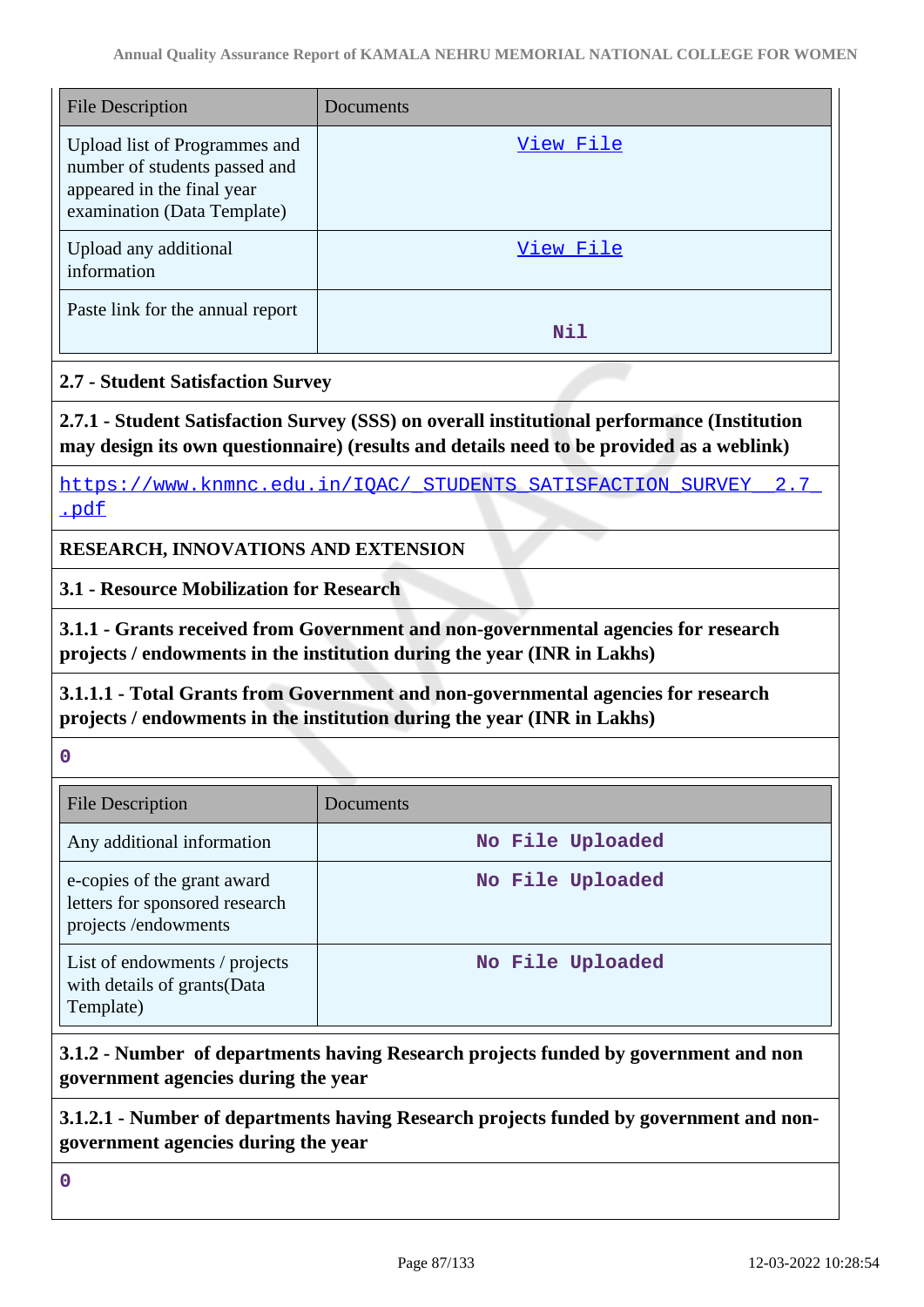| <b>File Description</b>                                                                                                     | Documents |
|-----------------------------------------------------------------------------------------------------------------------------|-----------|
| Upload list of Programmes and<br>number of students passed and<br>appeared in the final year<br>examination (Data Template) | View File |
| Upload any additional<br>information                                                                                        | View File |
| Paste link for the annual report                                                                                            | Nil       |

# **2.7 - Student Satisfaction Survey**

**2.7.1 - Student Satisfaction Survey (SSS) on overall institutional performance (Institution may design its own questionnaire) (results and details need to be provided as a weblink)**

https://www.knmnc.edu.in/IQAC/ STUDENTS SATISFACTION SURVEY 2.7 [.pdf](https://www.knmnc.edu.in/IQAC/_STUDENTS_SATISFACTION_SURVEY__2.7_.pdf)

**RESEARCH, INNOVATIONS AND EXTENSION**

**3.1 - Resource Mobilization for Research**

**3.1.1 - Grants received from Government and non-governmental agencies for research projects / endowments in the institution during the year (INR in Lakhs)**

**3.1.1.1 - Total Grants from Government and non-governmental agencies for research projects / endowments in the institution during the year (INR in Lakhs)**

**0**

| <b>File Description</b>                                                              | Documents        |
|--------------------------------------------------------------------------------------|------------------|
| Any additional information                                                           | No File Uploaded |
| e-copies of the grant award<br>letters for sponsored research<br>projects/endowments | No File Uploaded |
| List of endowments / projects<br>with details of grants(Data<br>Template)            | No File Uploaded |

# **3.1.2 - Number of departments having Research projects funded by government and non government agencies during the year**

**3.1.2.1 - Number of departments having Research projects funded by government and nongovernment agencies during the year**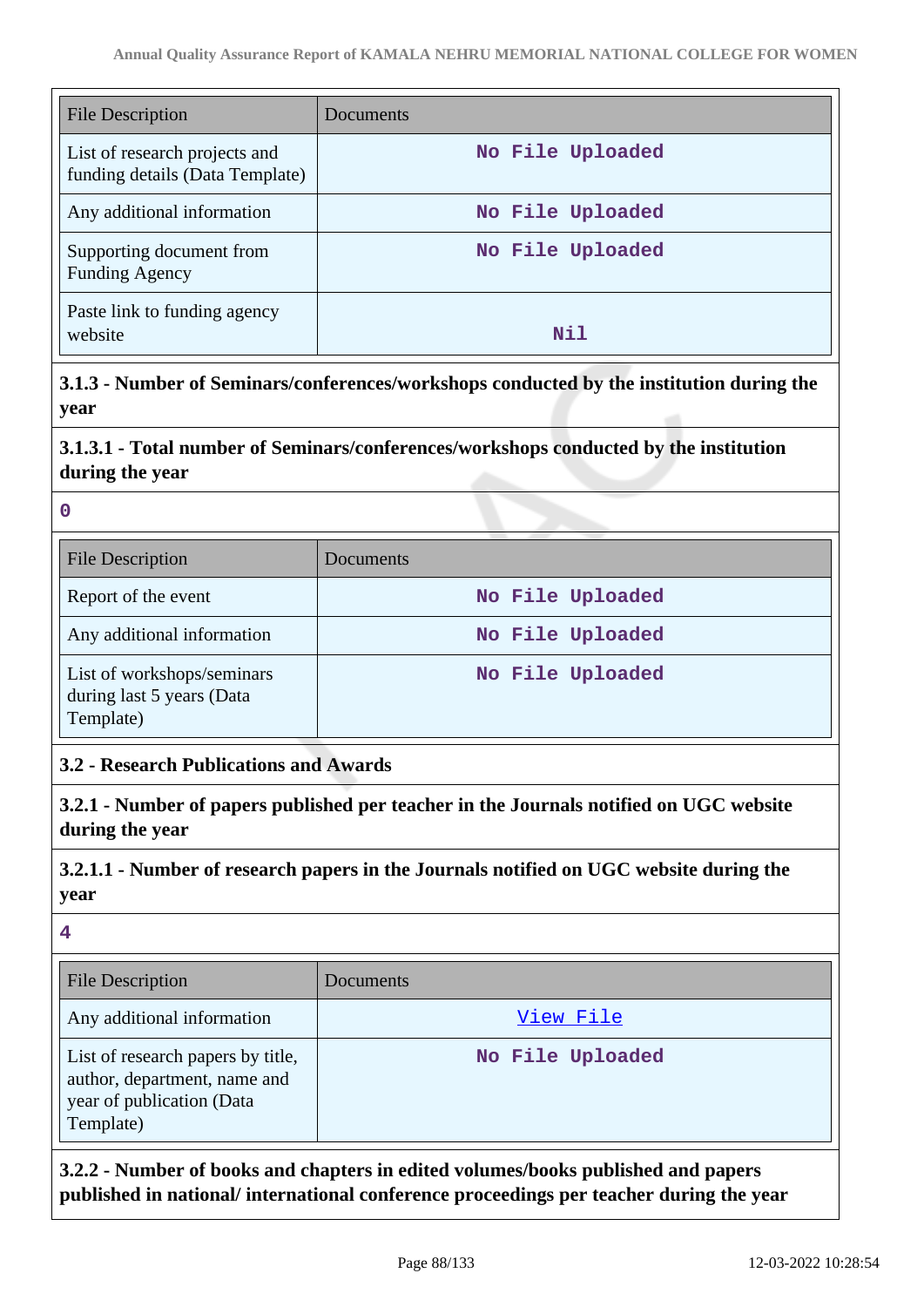| <b>File Description</b>                                          | Documents        |
|------------------------------------------------------------------|------------------|
| List of research projects and<br>funding details (Data Template) | No File Uploaded |
| Any additional information                                       | No File Uploaded |
| Supporting document from<br><b>Funding Agency</b>                | No File Uploaded |
| Paste link to funding agency<br>website                          | Nil              |

**3.1.3 - Number of Seminars/conferences/workshops conducted by the institution during the year**

# **3.1.3.1 - Total number of Seminars/conferences/workshops conducted by the institution during the year**

#### **0**

| <b>File Description</b>                                              | Documents        |
|----------------------------------------------------------------------|------------------|
| Report of the event                                                  | No File Uploaded |
| Any additional information                                           | No File Uploaded |
| List of workshops/seminars<br>during last 5 years (Data<br>Template) | No File Uploaded |

# **3.2 - Research Publications and Awards**

**3.2.1 - Number of papers published per teacher in the Journals notified on UGC website during the year**

# **3.2.1.1 - Number of research papers in the Journals notified on UGC website during the year**

#### **4**

| <b>File Description</b>                                                                                     | Documents        |
|-------------------------------------------------------------------------------------------------------------|------------------|
| Any additional information                                                                                  | View File        |
| List of research papers by title,<br>author, department, name and<br>year of publication (Data<br>Template) | No File Uploaded |

**3.2.2 - Number of books and chapters in edited volumes/books published and papers published in national/ international conference proceedings per teacher during the year**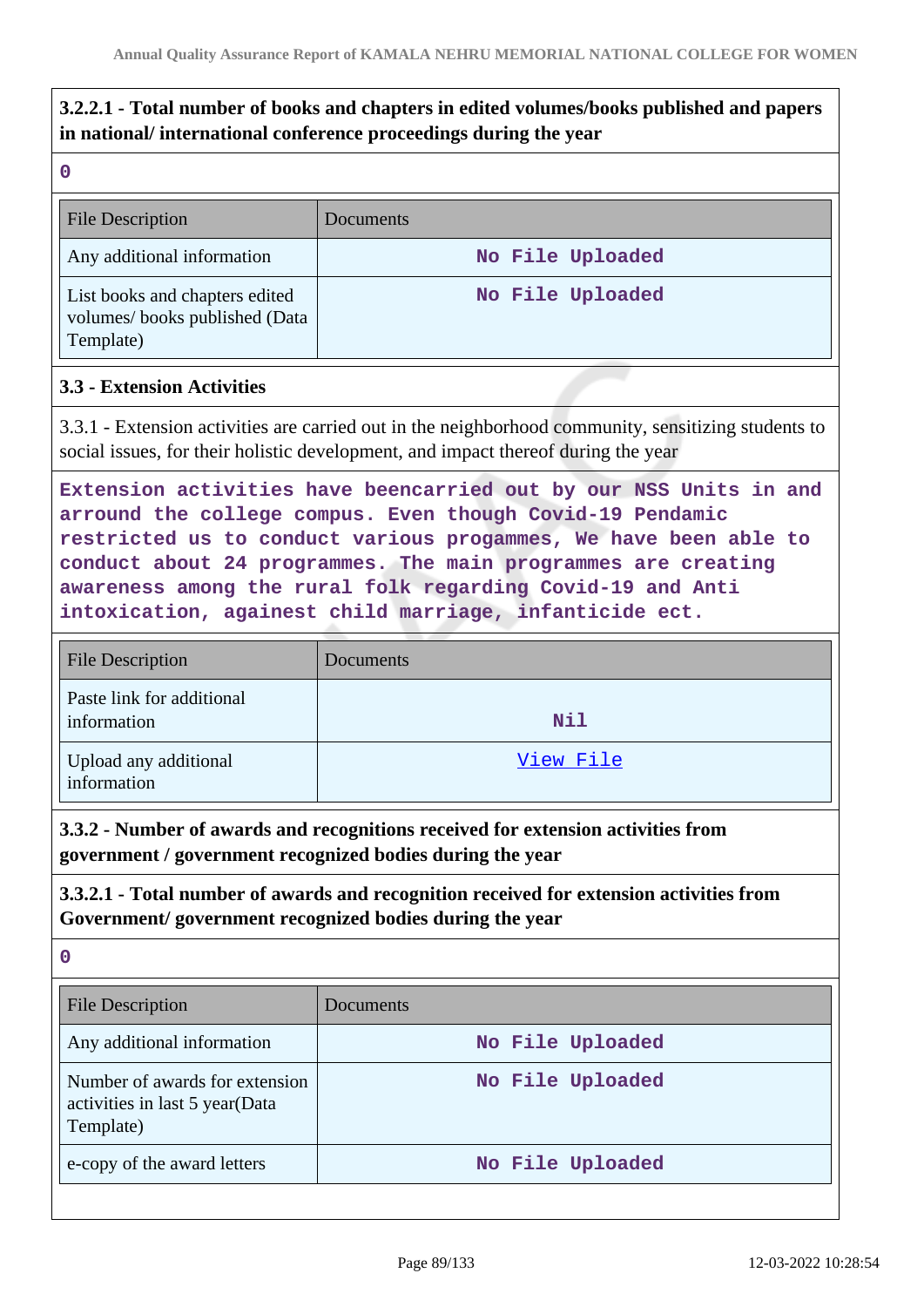# **3.2.2.1 - Total number of books and chapters in edited volumes/books published and papers in national/ international conference proceedings during the year**

|    | w  |   |        |  |
|----|----|---|--------|--|
|    |    |   |        |  |
| Ŷ. |    |   | ı<br>f |  |
|    | M. | ٧ |        |  |

| <b>File Description</b>                                                      | Documents        |
|------------------------------------------------------------------------------|------------------|
| Any additional information                                                   | No File Uploaded |
| List books and chapters edited<br>volumes/books published (Data<br>Template) | No File Uploaded |

### **3.3 - Extension Activities**

3.3.1 - Extension activities are carried out in the neighborhood community, sensitizing students to social issues, for their holistic development, and impact thereof during the year

**Extension activities have beencarried out by our NSS Units in and arround the college compus. Even though Covid-19 Pendamic restricted us to conduct various progammes, We have been able to conduct about 24 programmes. The main programmes are creating awareness among the rural folk regarding Covid-19 and Anti intoxication, againest child marriage, infanticide ect.**

| <b>File Description</b>                  | Documents |
|------------------------------------------|-----------|
| Paste link for additional<br>information | Nil       |
| Upload any additional<br>information     | View File |

**3.3.2 - Number of awards and recognitions received for extension activities from government / government recognized bodies during the year**

**3.3.2.1 - Total number of awards and recognition received for extension activities from Government/ government recognized bodies during the year**

| <b>File Description</b>                                                       | Documents        |
|-------------------------------------------------------------------------------|------------------|
| Any additional information                                                    | No File Uploaded |
| Number of awards for extension<br>activities in last 5 year(Data<br>Template) | No File Uploaded |
| e-copy of the award letters                                                   | No File Uploaded |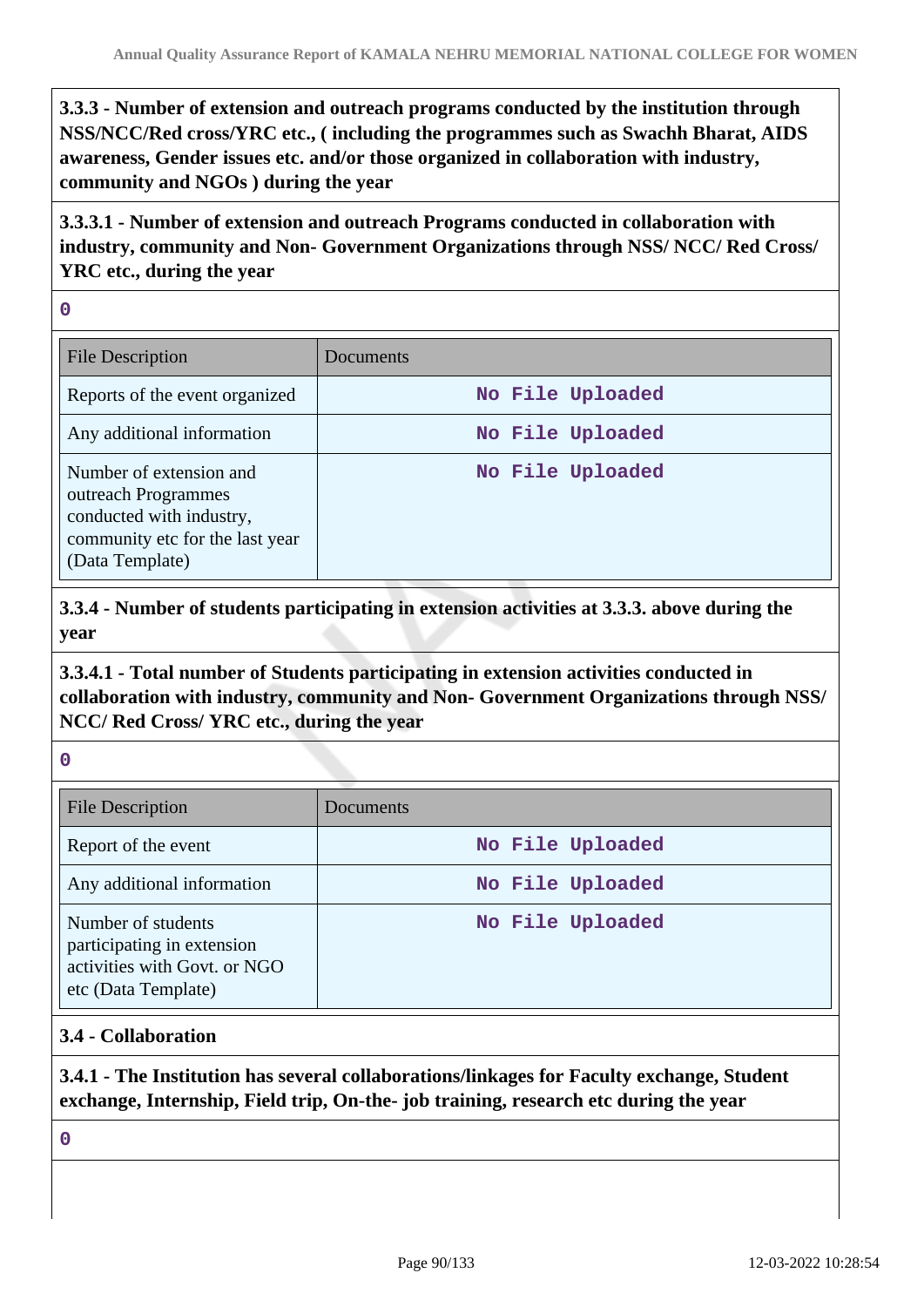**3.3.3 - Number of extension and outreach programs conducted by the institution through NSS/NCC/Red cross/YRC etc., ( including the programmes such as Swachh Bharat, AIDS awareness, Gender issues etc. and/or those organized in collaboration with industry, community and NGOs ) during the year**

**3.3.3.1 - Number of extension and outreach Programs conducted in collaboration with industry, community and Non- Government Organizations through NSS/ NCC/ Red Cross/ YRC etc., during the year**

**0**

| <b>File Description</b>                                                                                                          | Documents        |
|----------------------------------------------------------------------------------------------------------------------------------|------------------|
| Reports of the event organized                                                                                                   | No File Uploaded |
| Any additional information                                                                                                       | No File Uploaded |
| Number of extension and<br>outreach Programmes<br>conducted with industry,<br>community etc for the last year<br>(Data Template) | No File Uploaded |

**3.3.4 - Number of students participating in extension activities at 3.3.3. above during the year**

# **3.3.4.1 - Total number of Students participating in extension activities conducted in collaboration with industry, community and Non- Government Organizations through NSS/ NCC/ Red Cross/ YRC etc., during the year**

| × | M. | w | ł |  |
|---|----|---|---|--|

| <b>File Description</b>                                                                                 | Documents        |
|---------------------------------------------------------------------------------------------------------|------------------|
| Report of the event                                                                                     | No File Uploaded |
| Any additional information                                                                              | No File Uploaded |
| Number of students<br>participating in extension<br>activities with Govt. or NGO<br>etc (Data Template) | No File Uploaded |

# **3.4 - Collaboration**

# **3.4.1 - The Institution has several collaborations/linkages for Faculty exchange, Student exchange, Internship, Field trip, On-the- job training, research etc during the year**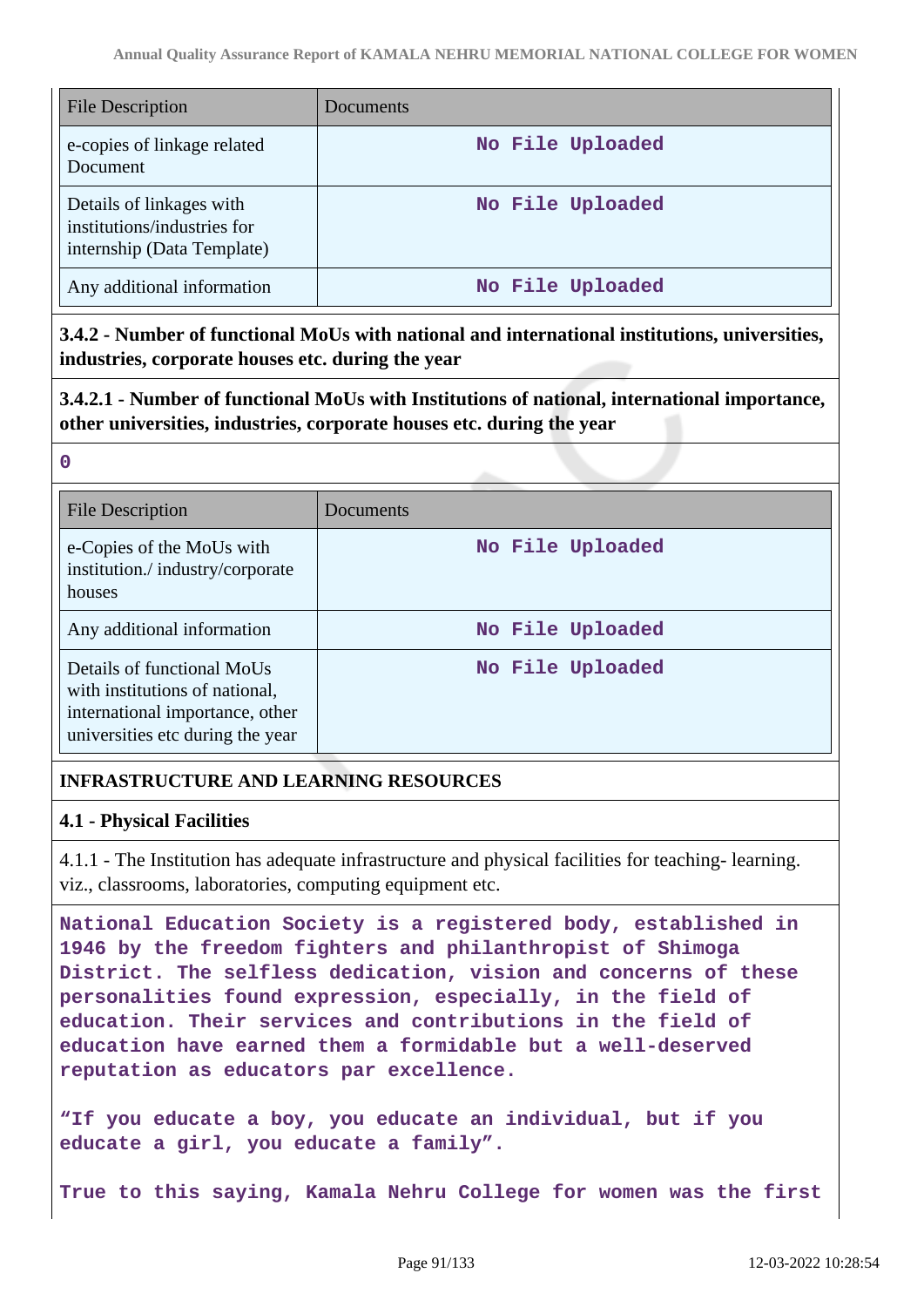| <b>File Description</b>                                                               | Documents        |
|---------------------------------------------------------------------------------------|------------------|
| e-copies of linkage related<br>Document                                               | No File Uploaded |
| Details of linkages with<br>institutions/industries for<br>internship (Data Template) | No File Uploaded |
| Any additional information                                                            | No File Uploaded |

**3.4.2 - Number of functional MoUs with national and international institutions, universities, industries, corporate houses etc. during the year**

**3.4.2.1 - Number of functional MoUs with Institutions of national, international importance, other universities, industries, corporate houses etc. during the year**

| ×<br>× | ٠<br>٧ |  |
|--------|--------|--|
|        |        |  |

| <b>File Description</b>                                                                                                             | Documents        |
|-------------------------------------------------------------------------------------------------------------------------------------|------------------|
| e-Copies of the MoUs with<br>institution./industry/corporate<br>houses                                                              | No File Uploaded |
| Any additional information                                                                                                          | No File Uploaded |
| Details of functional MoUs<br>with institutions of national,<br>international importance, other<br>universities etc during the year | No File Uploaded |

# **INFRASTRUCTURE AND LEARNING RESOURCES**

### **4.1 - Physical Facilities**

4.1.1 - The Institution has adequate infrastructure and physical facilities for teaching- learning. viz., classrooms, laboratories, computing equipment etc.

**National Education Society is a registered body, established in 1946 by the freedom fighters and philanthropist of Shimoga District. The selfless dedication, vision and concerns of these personalities found expression, especially, in the field of education. Their services and contributions in the field of education have earned them a formidable but a well-deserved reputation as educators par excellence.**

**"If you educate a boy, you educate an individual, but if you educate a girl, you educate a family".**

**True to this saying, Kamala Nehru College for women was the first**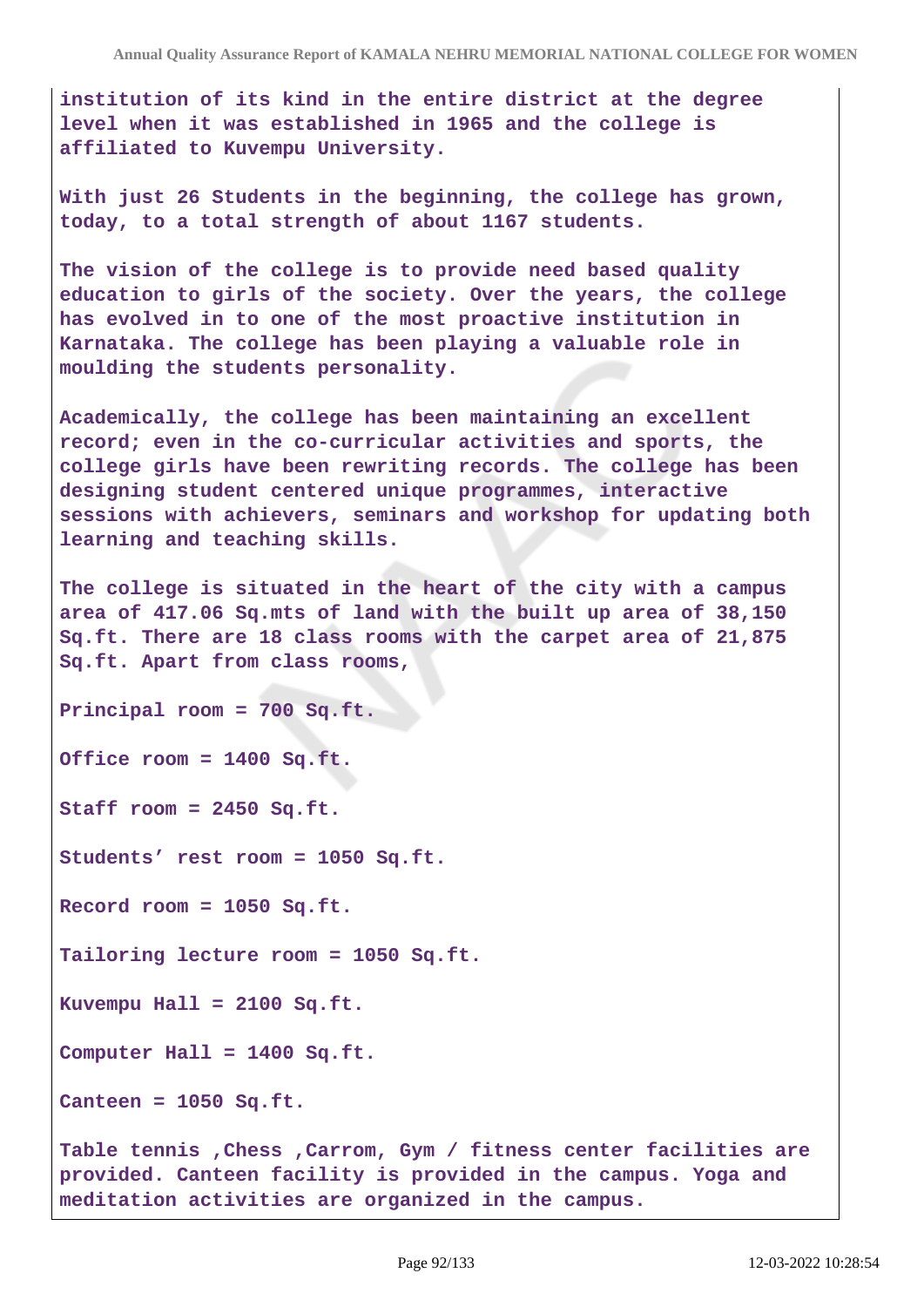**institution of its kind in the entire district at the degree level when it was established in 1965 and the college is affiliated to Kuvempu University.**

**With just 26 Students in the beginning, the college has grown, today, to a total strength of about 1167 students.**

**The vision of the college is to provide need based quality education to girls of the society. Over the years, the college has evolved in to one of the most proactive institution in Karnataka. The college has been playing a valuable role in moulding the students personality.**

**Academically, the college has been maintaining an excellent record; even in the co-curricular activities and sports, the college girls have been rewriting records. The college has been designing student centered unique programmes, interactive sessions with achievers, seminars and workshop for updating both learning and teaching skills.**

**The college is situated in the heart of the city with a campus area of 417.06 Sq.mts of land with the built up area of 38,150 Sq.ft. There are 18 class rooms with the carpet area of 21,875 Sq.ft. Apart from class rooms,**

**Principal room = 700 Sq.ft.**

**Office room = 1400 Sq.ft.**

**Staff room = 2450 Sq.ft.**

**Students' rest room = 1050 Sq.ft.**

**Record room = 1050 Sq.ft.**

**Tailoring lecture room = 1050 Sq.ft.**

**Kuvempu Hall = 2100 Sq.ft.**

**Computer Hall = 1400 Sq.ft.**

**Canteen = 1050 Sq.ft.**

**Table tennis ,Chess ,Carrom, Gym / fitness center facilities are provided. Canteen facility is provided in the campus. Yoga and meditation activities are organized in the campus.**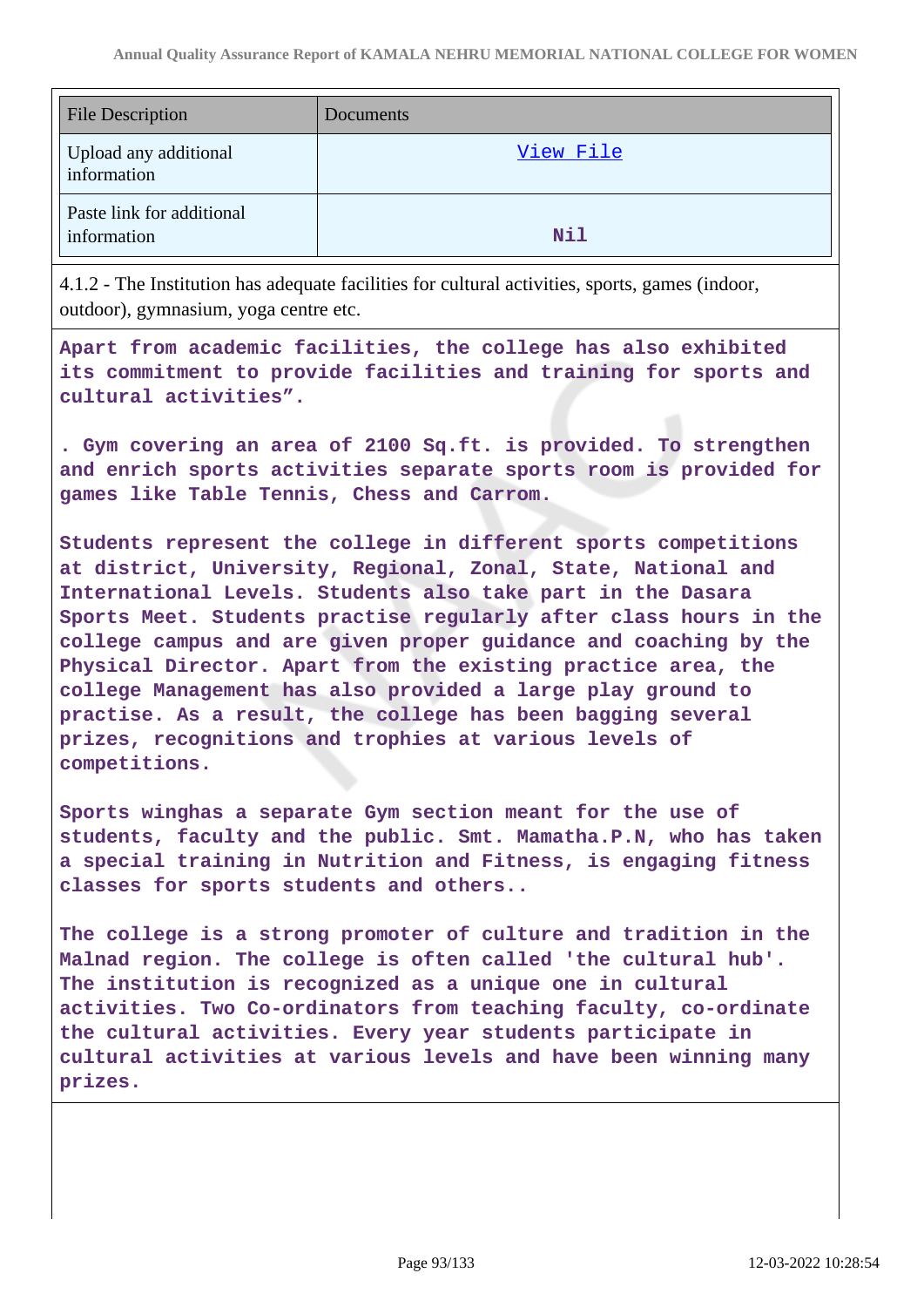| <b>File Description</b>                  | Documents  |
|------------------------------------------|------------|
| Upload any additional<br>information     | View File  |
| Paste link for additional<br>information | <b>Nil</b> |

4.1.2 - The Institution has adequate facilities for cultural activities, sports, games (indoor, outdoor), gymnasium, yoga centre etc.

**Apart from academic facilities, the college has also exhibited its commitment to provide facilities and training for sports and cultural activities".**

**. Gym covering an area of 2100 Sq.ft. is provided. To strengthen and enrich sports activities separate sports room is provided for games like Table Tennis, Chess and Carrom.**

**Students represent the college in different sports competitions at district, University, Regional, Zonal, State, National and International Levels. Students also take part in the Dasara Sports Meet. Students practise regularly after class hours in the college campus and are given proper guidance and coaching by the Physical Director. Apart from the existing practice area, the college Management has also provided a large play ground to practise. As a result, the college has been bagging several prizes, recognitions and trophies at various levels of competitions.**

**Sports winghas a separate Gym section meant for the use of students, faculty and the public. Smt. Mamatha.P.N, who has taken a special training in Nutrition and Fitness, is engaging fitness classes for sports students and others..**

**The college is a strong promoter of culture and tradition in the Malnad region. The college is often called 'the cultural hub'. The institution is recognized as a unique one in cultural activities. Two Co-ordinators from teaching faculty, co-ordinate the cultural activities. Every year students participate in cultural activities at various levels and have been winning many prizes.**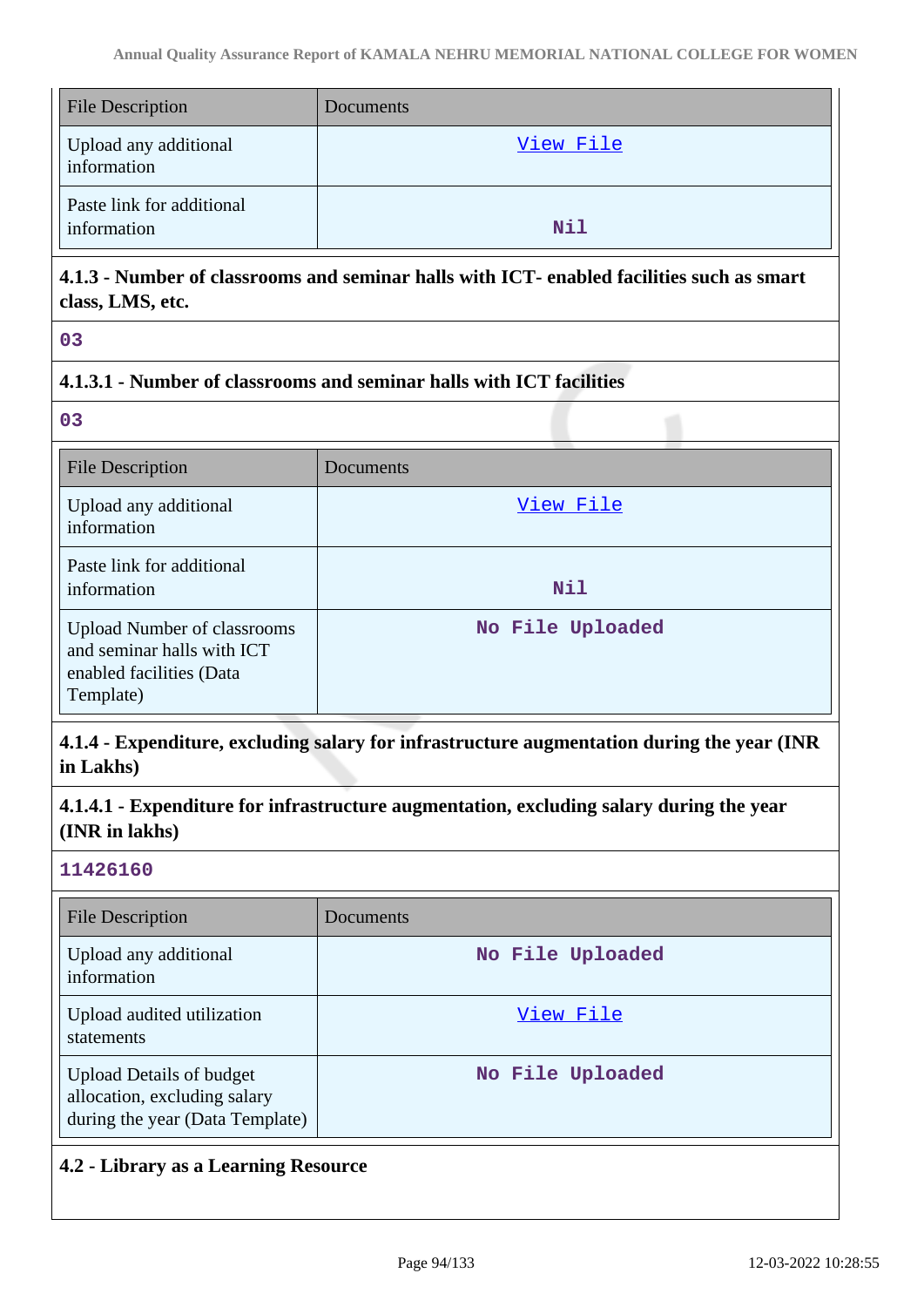| <b>File Description</b>                  | Documents |
|------------------------------------------|-----------|
| Upload any additional<br>information     | View File |
| Paste link for additional<br>information | Nil       |

# **4.1.3 - Number of classrooms and seminar halls with ICT- enabled facilities such as smart class, LMS, etc.**

**03**

# **4.1.3.1 - Number of classrooms and seminar halls with ICT facilities**

**03**

| <b>File Description</b>                                                                                   | Documents        |
|-----------------------------------------------------------------------------------------------------------|------------------|
| Upload any additional<br>information                                                                      | View File        |
| Paste link for additional<br>information                                                                  | <b>Nil</b>       |
| <b>Upload Number of classrooms</b><br>and seminar halls with ICT<br>enabled facilities (Data<br>Template) | No File Uploaded |

# **4.1.4 - Expenditure, excluding salary for infrastructure augmentation during the year (INR in Lakhs)**

**4.1.4.1 - Expenditure for infrastructure augmentation, excluding salary during the year (INR in lakhs)**

### **11426160**

| File Description                                                                                   | Documents        |
|----------------------------------------------------------------------------------------------------|------------------|
| Upload any additional<br>information                                                               | No File Uploaded |
| Upload audited utilization<br>statements                                                           | View File        |
| <b>Upload Details of budget</b><br>allocation, excluding salary<br>during the year (Data Template) | No File Uploaded |

# **4.2 - Library as a Learning Resource**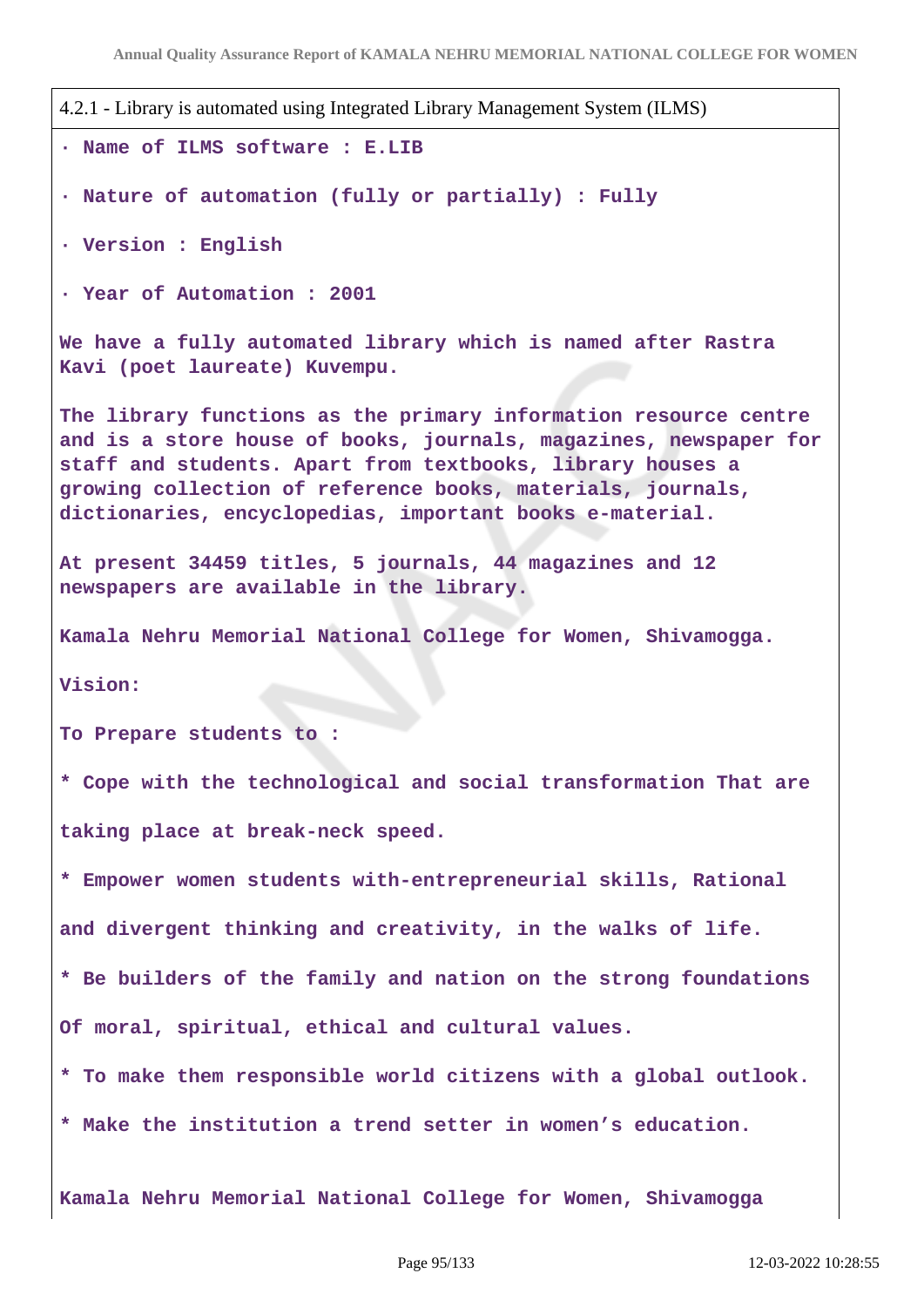```
4.2.1 - Library is automated using Integrated Library Management System (ILMS)
· Name of ILMS software : E.LIB
· Nature of automation (fully or partially) : Fully
· Version : English
· Year of Automation : 2001
We have a fully automated library which is named after Rastra
Kavi (poet laureate) Kuvempu.
The library functions as the primary information resource centre
and is a store house of books, journals, magazines, newspaper for
staff and students. Apart from textbooks, library houses a
growing collection of reference books, materials, journals,
dictionaries, encyclopedias, important books e-material.
At present 34459 titles, 5 journals, 44 magazines and 12
newspapers are available in the library.
Kamala Nehru Memorial National College for Women, Shivamogga.
Vision:
To Prepare students to :
* Cope with the technological and social transformation That are
taking place at break-neck speed.
* Empower women students with-entrepreneurial skills, Rational
and divergent thinking and creativity, in the walks of life.
* Be builders of the family and nation on the strong foundations
Of moral, spiritual, ethical and cultural values.
* To make them responsible world citizens with a global outlook.
* Make the institution a trend setter in women's education.
Kamala Nehru Memorial National College for Women, Shivamogga
```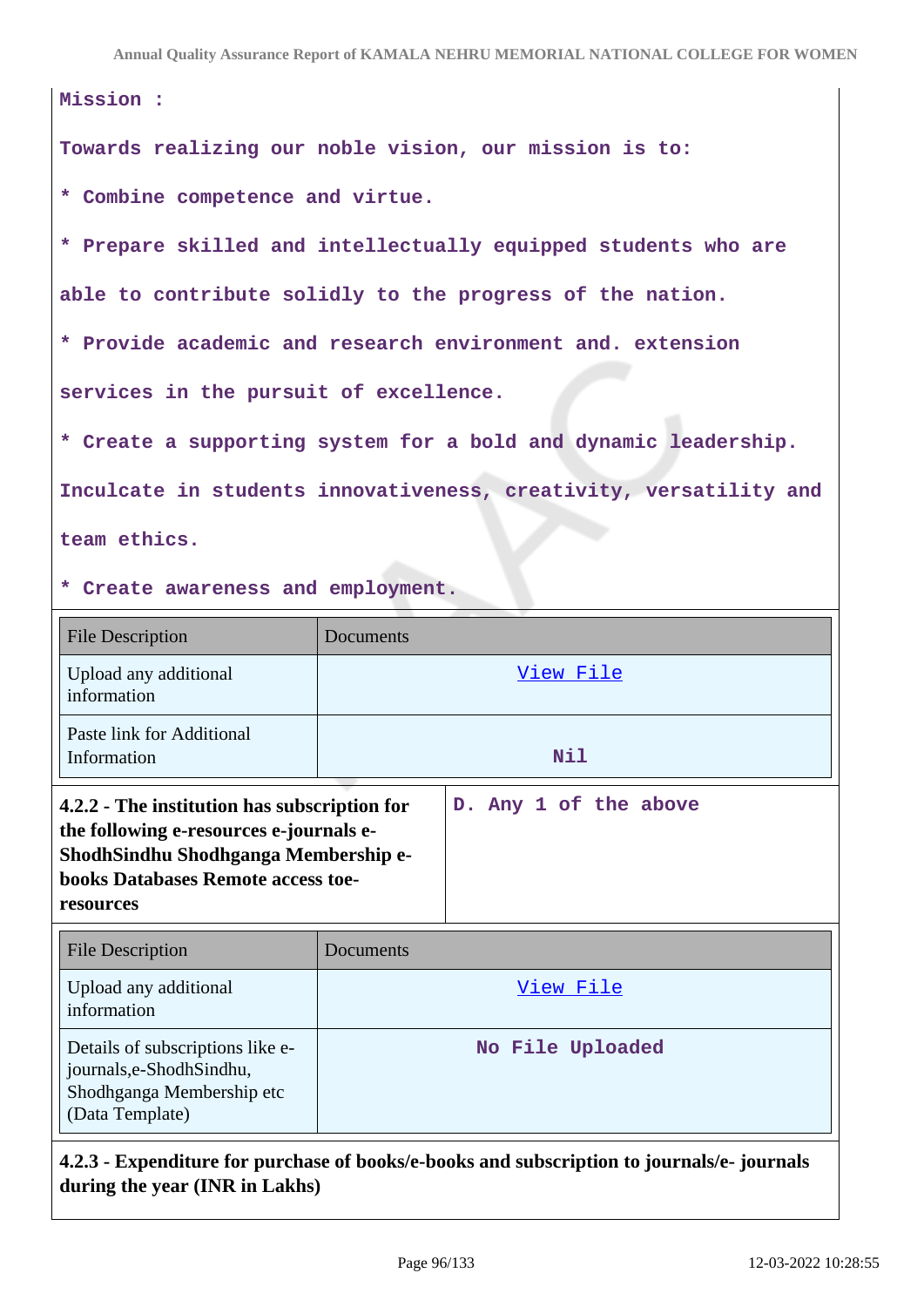| Mission :                                                         |  |  |
|-------------------------------------------------------------------|--|--|
| Towards realizing our noble vision, our mission is to:            |  |  |
| * Combine competence and virtue.                                  |  |  |
| * Prepare skilled and intellectually equipped students who are    |  |  |
| able to contribute solidly to the progress of the nation.         |  |  |
| * Provide academic and research environment and. extension        |  |  |
| services in the pursuit of excellence.                            |  |  |
| * Create a supporting system for a bold and dynamic leadership.   |  |  |
| Inculcate in students innovativeness, creativity, versatility and |  |  |
| team ethics.                                                      |  |  |

#### **\* Create awareness and employment.**

| <b>File Description</b>                                                                                                                                                                   | Documents |                       |
|-------------------------------------------------------------------------------------------------------------------------------------------------------------------------------------------|-----------|-----------------------|
| Upload any additional<br>information                                                                                                                                                      |           | <u>View File</u>      |
| Paste link for Additional<br>Information                                                                                                                                                  |           | Nil                   |
| 4.2.2 - The institution has subscription for<br>the following e-resources e-journals e-<br>ShodhSindhu Shodhganga Membership e-<br><b>books Databases Remote access toe-</b><br>resources |           | D. Any 1 of the above |
| <b>File Description</b>                                                                                                                                                                   | Documents |                       |
| Upload any additional                                                                                                                                                                     |           | View File             |

| information                                                                                                   |                  |
|---------------------------------------------------------------------------------------------------------------|------------------|
| Details of subscriptions like e-<br>journals, e-Shodh Sindhu,<br>Shodhganga Membership etc<br>(Data Template) | No File Uploaded |

# **4.2.3 - Expenditure for purchase of books/e-books and subscription to journals/e- journals during the year (INR in Lakhs)**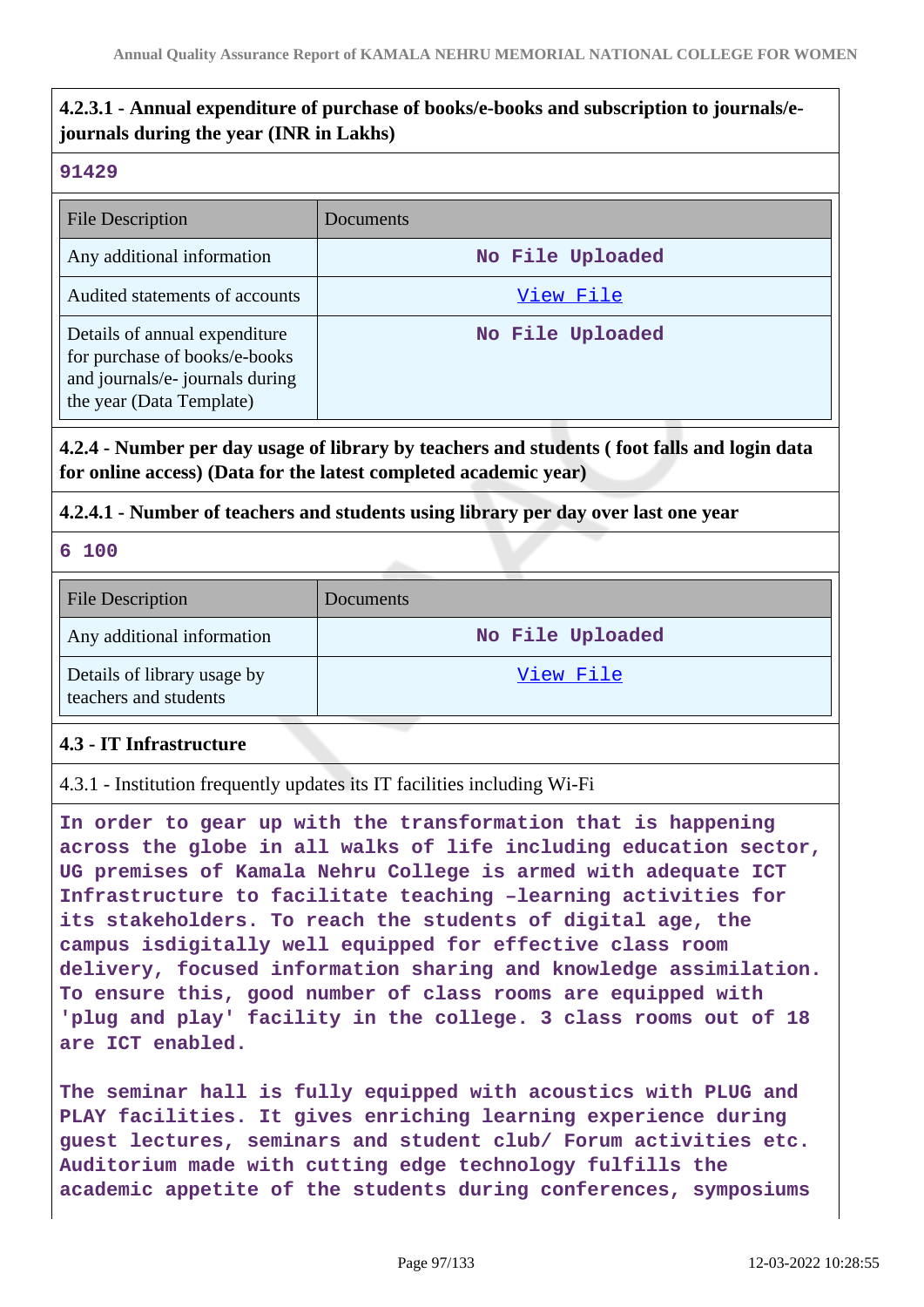# **4.2.3.1 - Annual expenditure of purchase of books/e-books and subscription to journals/ejournals during the year (INR in Lakhs)**

#### **91429**

| <b>File Description</b>                                                                                                       | Documents        |
|-------------------------------------------------------------------------------------------------------------------------------|------------------|
| Any additional information                                                                                                    | No File Uploaded |
| Audited statements of accounts                                                                                                | View File        |
| Details of annual expenditure<br>for purchase of books/e-books<br>and journals/e- journals during<br>the year (Data Template) | No File Uploaded |

### **4.2.4 - Number per day usage of library by teachers and students ( foot falls and login data for online access) (Data for the latest completed academic year)**

### **4.2.4.1 - Number of teachers and students using library per day over last one year**

**6 100**

| <b>File Description</b>                              | Documents        |
|------------------------------------------------------|------------------|
| Any additional information                           | No File Uploaded |
| Details of library usage by<br>teachers and students | View File        |

### **4.3 - IT Infrastructure**

4.3.1 - Institution frequently updates its IT facilities including Wi-Fi

**In order to gear up with the transformation that is happening across the globe in all walks of life including education sector, UG premises of Kamala Nehru College is armed with adequate ICT Infrastructure to facilitate teaching –learning activities for its stakeholders. To reach the students of digital age, the campus isdigitally well equipped for effective class room delivery, focused information sharing and knowledge assimilation. To ensure this, good number of class rooms are equipped with 'plug and play' facility in the college. 3 class rooms out of 18 are ICT enabled.**

**The seminar hall is fully equipped with acoustics with PLUG and PLAY facilities. It gives enriching learning experience during guest lectures, seminars and student club/ Forum activities etc. Auditorium made with cutting edge technology fulfills the academic appetite of the students during conferences, symposiums**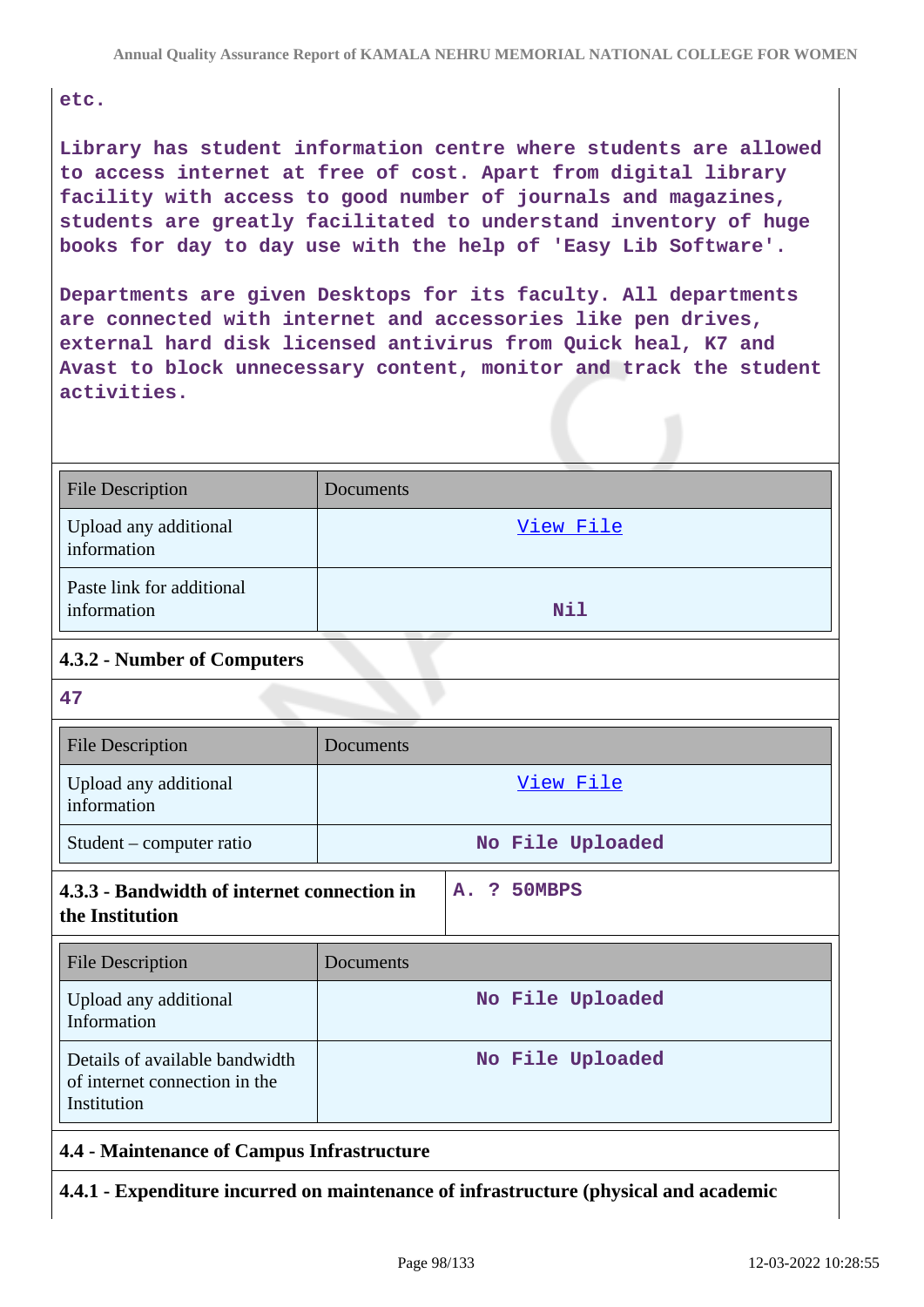#### **etc.**

**Library has student information centre where students are allowed to access internet at free of cost. Apart from digital library facility with access to good number of journals and magazines, students are greatly facilitated to understand inventory of huge books for day to day use with the help of 'Easy Lib Software'.**

**Departments are given Desktops for its faculty. All departments are connected with internet and accessories like pen drives, external hard disk licensed antivirus from Quick heal, K7 and Avast to block unnecessary content, monitor and track the student activities.**

| <b>File Description</b>                                                                                    | Documents        |  |  |
|------------------------------------------------------------------------------------------------------------|------------------|--|--|
| Upload any additional<br>information                                                                       | View File        |  |  |
| Paste link for additional<br>information                                                                   | Nil              |  |  |
| 4.3.2 - Number of Computers                                                                                |                  |  |  |
| 47                                                                                                         |                  |  |  |
| <b>File Description</b>                                                                                    | Documents        |  |  |
| Upload any additional<br>information                                                                       | View File        |  |  |
| Student – computer ratio                                                                                   | No File Uploaded |  |  |
| 4.3.3 - Bandwidth of internet connection in<br>50MBPS<br>$\mathbf{P}$<br>$\mathbf{A}$ .<br>the Institution |                  |  |  |
| <b>File Description</b>                                                                                    | Documents        |  |  |
| Upload any additional<br>Information                                                                       | No File Uploaded |  |  |
| Details of available bandwidth<br>of internet connection in the<br>Institution                             | No File Uploaded |  |  |
| 44 Maintenance of Campus Infrastructure                                                                    |                  |  |  |

# **4.4 - Maintenance of Campus Infrastructure**

**4.4.1 - Expenditure incurred on maintenance of infrastructure (physical and academic**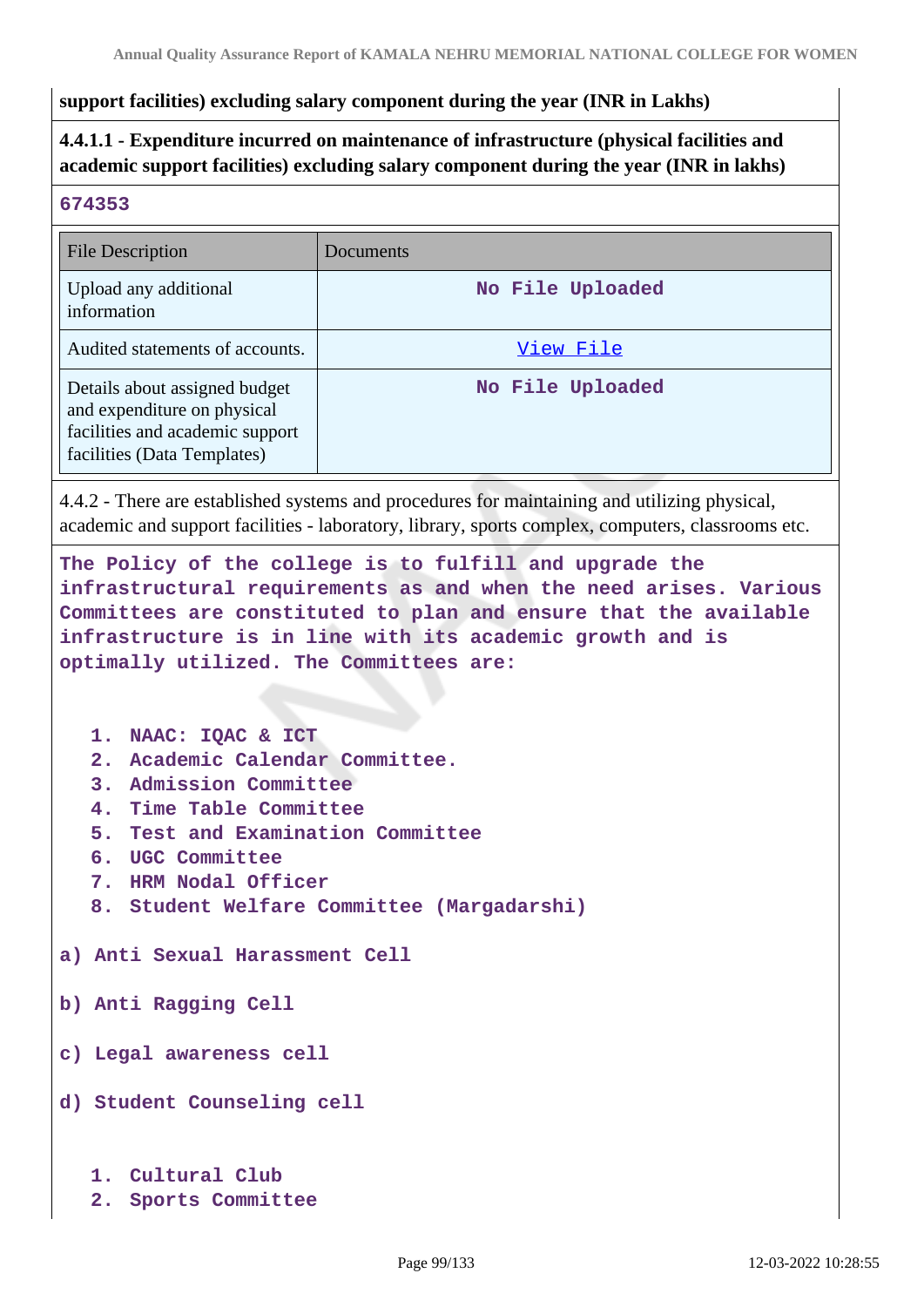#### **support facilities) excluding salary component during the year (INR in Lakhs)**

# **4.4.1.1 - Expenditure incurred on maintenance of infrastructure (physical facilities and academic support facilities) excluding salary component during the year (INR in lakhs)**

#### **674353**

| <b>File Description</b>                                                                                                        | Documents        |
|--------------------------------------------------------------------------------------------------------------------------------|------------------|
| Upload any additional<br>information                                                                                           | No File Uploaded |
| Audited statements of accounts.                                                                                                | View File        |
| Details about assigned budget<br>and expenditure on physical<br>facilities and academic support<br>facilities (Data Templates) | No File Uploaded |

4.4.2 - There are established systems and procedures for maintaining and utilizing physical, academic and support facilities - laboratory, library, sports complex, computers, classrooms etc.

**The Policy of the college is to fulfill and upgrade the infrastructural requirements as and when the need arises. Various Committees are constituted to plan and ensure that the available infrastructure is in line with its academic growth and is optimally utilized. The Committees are:**

**1. NAAC: IQAC & ICT**

- **2. Academic Calendar Committee.**
- **3. Admission Committee**
- **4. Time Table Committee**
- **5. Test and Examination Committee**
- **6. UGC Committee**
- **7. HRM Nodal Officer**
- **8. Student Welfare Committee (Margadarshi)**

**a) Anti Sexual Harassment Cell**

**b) Anti Ragging Cell**

**c) Legal awareness cell**

**d) Student Counseling cell**

- **1. Cultural Club**
- **2. Sports Committee**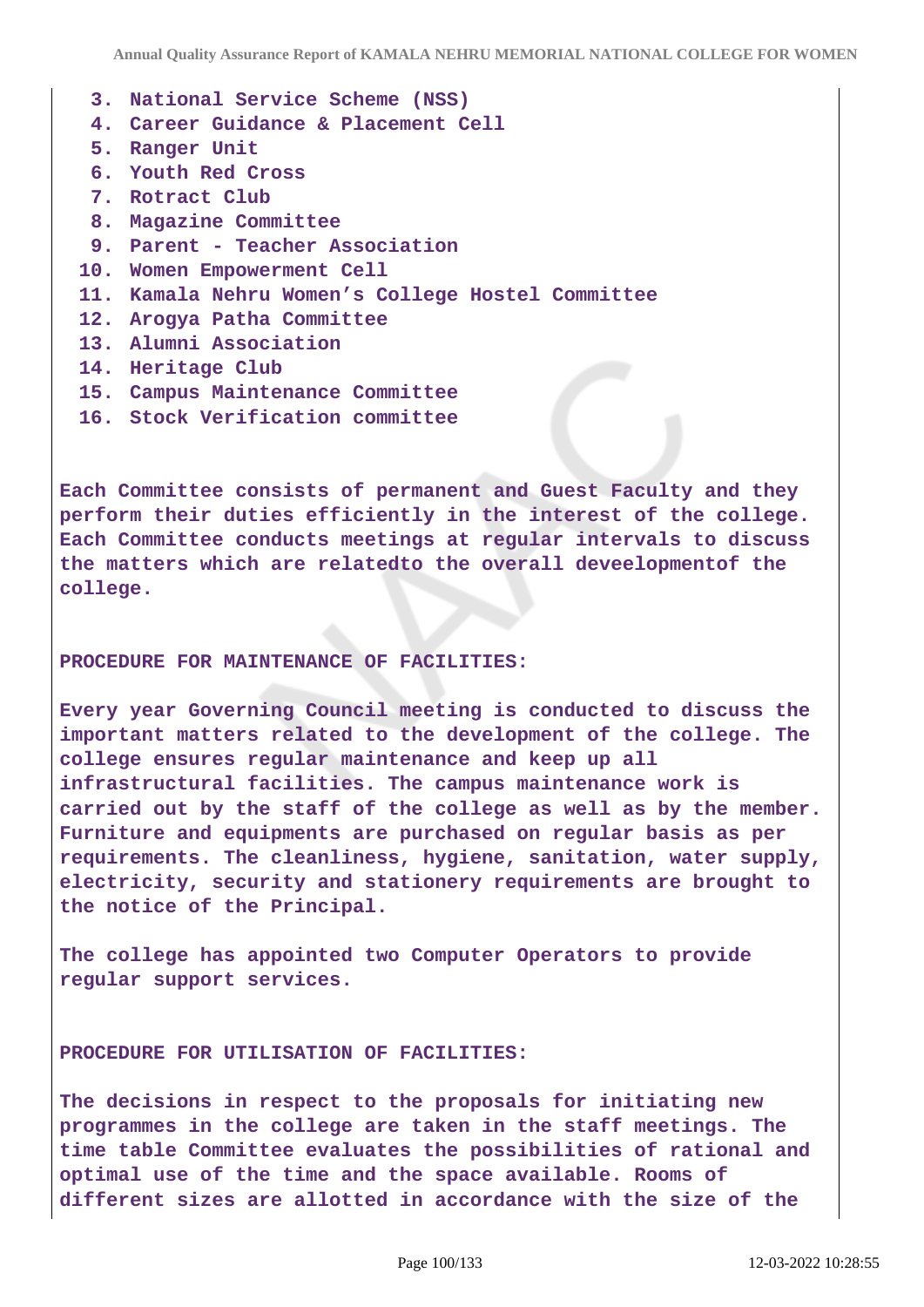- **3. National Service Scheme (NSS)**
- **4. Career Guidance & Placement Cell**
- **5. Ranger Unit**
- **6. Youth Red Cross**
- **7. Rotract Club**
- **8. Magazine Committee**
- **9. Parent Teacher Association**
- **10. Women Empowerment Cell**
- **11. Kamala Nehru Women's College Hostel Committee**
- **12. Arogya Patha Committee**
- **13. Alumni Association**
- **14. Heritage Club**
- **15. Campus Maintenance Committee**
- **16. Stock Verification committee**

**Each Committee consists of permanent and Guest Faculty and they perform their duties efficiently in the interest of the college. Each Committee conducts meetings at regular intervals to discuss the matters which are relatedto the overall deveelopmentof the college.**

#### **PROCEDURE FOR MAINTENANCE OF FACILITIES:**

**Every year Governing Council meeting is conducted to discuss the important matters related to the development of the college. The college ensures regular maintenance and keep up all infrastructural facilities. The campus maintenance work is carried out by the staff of the college as well as by the member. Furniture and equipments are purchased on regular basis as per requirements. The cleanliness, hygiene, sanitation, water supply, electricity, security and stationery requirements are brought to the notice of the Principal.**

**The college has appointed two Computer Operators to provide regular support services.**

**PROCEDURE FOR UTILISATION OF FACILITIES:**

**The decisions in respect to the proposals for initiating new programmes in the college are taken in the staff meetings. The time table Committee evaluates the possibilities of rational and optimal use of the time and the space available. Rooms of different sizes are allotted in accordance with the size of the**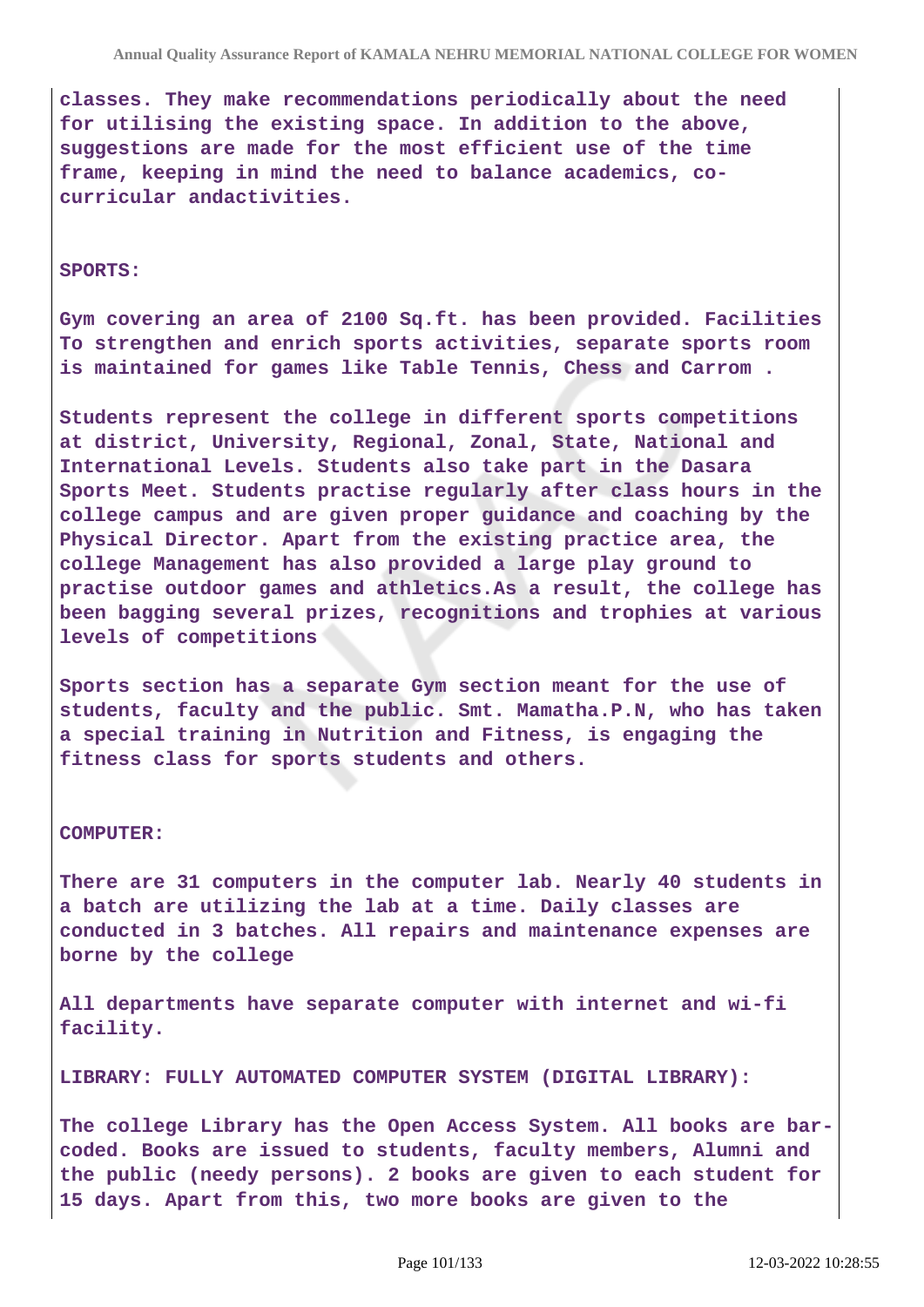**classes. They make recommendations periodically about the need for utilising the existing space. In addition to the above, suggestions are made for the most efficient use of the time frame, keeping in mind the need to balance academics, cocurricular andactivities.**

#### **SPORTS:**

**Gym covering an area of 2100 Sq.ft. has been provided. Facilities To strengthen and enrich sports activities, separate sports room is maintained for games like Table Tennis, Chess and Carrom .**

**Students represent the college in different sports competitions at district, University, Regional, Zonal, State, National and International Levels. Students also take part in the Dasara Sports Meet. Students practise regularly after class hours in the college campus and are given proper guidance and coaching by the Physical Director. Apart from the existing practice area, the college Management has also provided a large play ground to practise outdoor games and athletics.As a result, the college has been bagging several prizes, recognitions and trophies at various levels of competitions**

**Sports section has a separate Gym section meant for the use of students, faculty and the public. Smt. Mamatha.P.N, who has taken a special training in Nutrition and Fitness, is engaging the fitness class for sports students and others.**

#### **COMPUTER:**

**There are 31 computers in the computer lab. Nearly 40 students in a batch are utilizing the lab at a time. Daily classes are conducted in 3 batches. All repairs and maintenance expenses are borne by the college**

**All departments have separate computer with internet and wi-fi facility.**

**LIBRARY: FULLY AUTOMATED COMPUTER SYSTEM (DIGITAL LIBRARY):**

**The college Library has the Open Access System. All books are barcoded. Books are issued to students, faculty members, Alumni and the public (needy persons). 2 books are given to each student for 15 days. Apart from this, two more books are given to the**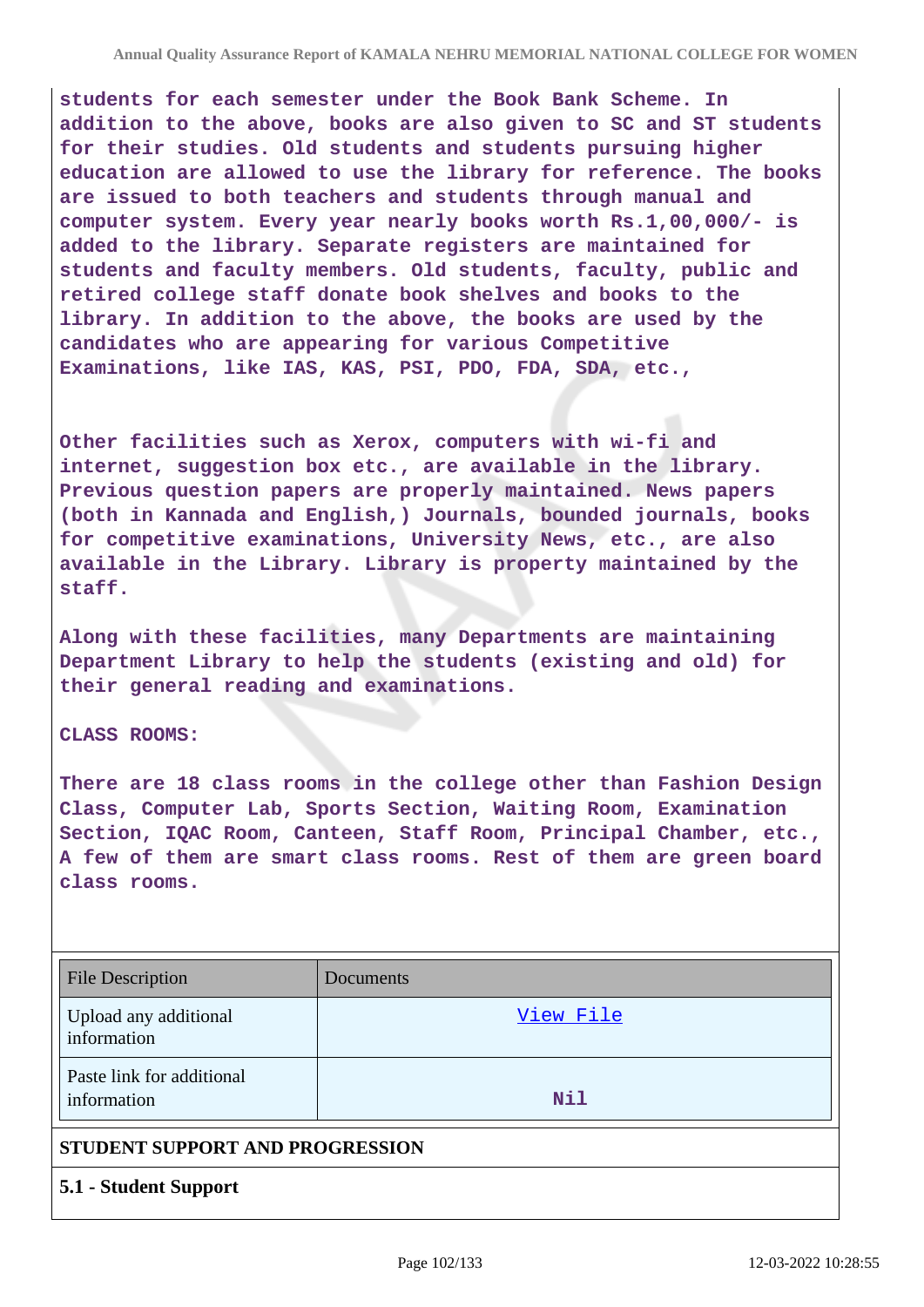**students for each semester under the Book Bank Scheme. In addition to the above, books are also given to SC and ST students for their studies. Old students and students pursuing higher education are allowed to use the library for reference. The books are issued to both teachers and students through manual and computer system. Every year nearly books worth Rs.1,00,000/- is added to the library. Separate registers are maintained for students and faculty members. Old students, faculty, public and retired college staff donate book shelves and books to the library. In addition to the above, the books are used by the candidates who are appearing for various Competitive Examinations, like IAS, KAS, PSI, PDO, FDA, SDA, etc.,**

**Other facilities such as Xerox, computers with wi-fi and internet, suggestion box etc., are available in the library. Previous question papers are properly maintained. News papers (both in Kannada and English,) Journals, bounded journals, books for competitive examinations, University News, etc., are also available in the Library. Library is property maintained by the staff.**

**Along with these facilities, many Departments are maintaining Department Library to help the students (existing and old) for their general reading and examinations.**

#### **CLASS ROOMS:**

**There are 18 class rooms in the college other than Fashion Design Class, Computer Lab, Sports Section, Waiting Room, Examination Section, IQAC Room, Canteen, Staff Room, Principal Chamber, etc., A few of them are smart class rooms. Rest of them are green board class rooms.**

| <b>File Description</b>                  | Documents |
|------------------------------------------|-----------|
| Upload any additional<br>information     | View File |
| Paste link for additional<br>information | Nil       |
| STUDENT SUPPORT AND PROGRESSION          |           |

**5.1 - Student Support**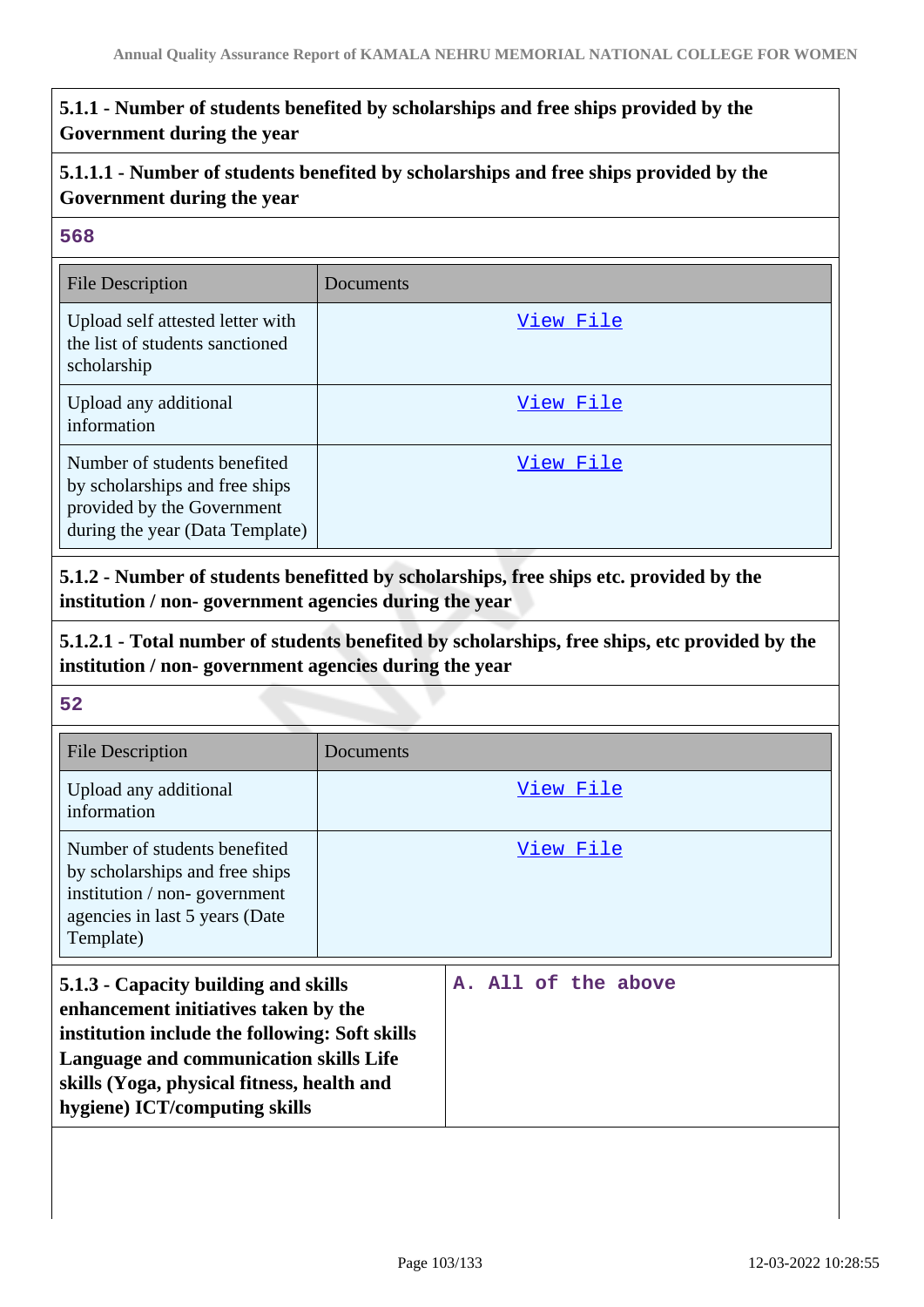# **5.1.1 - Number of students benefited by scholarships and free ships provided by the Government during the year**

# **5.1.1.1 - Number of students benefited by scholarships and free ships provided by the Government during the year**

### **568**

| <b>File Description</b>                                                                                                         | Documents |
|---------------------------------------------------------------------------------------------------------------------------------|-----------|
| Upload self attested letter with<br>the list of students sanctioned<br>scholarship                                              | View File |
| Upload any additional<br>information                                                                                            | View File |
| Number of students benefited<br>by scholarships and free ships<br>provided by the Government<br>during the year (Data Template) | View File |

**5.1.2 - Number of students benefitted by scholarships, free ships etc. provided by the institution / non- government agencies during the year**

**5.1.2.1 - Total number of students benefited by scholarships, free ships, etc provided by the institution / non- government agencies during the year**

| File Description                                                                                                                                                                                                                                        | Documents           |
|---------------------------------------------------------------------------------------------------------------------------------------------------------------------------------------------------------------------------------------------------------|---------------------|
| Upload any additional<br>information                                                                                                                                                                                                                    | View File           |
| Number of students benefited<br>by scholarships and free ships<br>institution / non-government<br>agencies in last 5 years (Date<br>Template)                                                                                                           | View File           |
| 5.1.3 - Capacity building and skills<br>enhancement initiatives taken by the<br>institution include the following: Soft skills<br>Language and communication skills Life<br>skills (Yoga, physical fitness, health and<br>hygiene) ICT/computing skills | A. All of the above |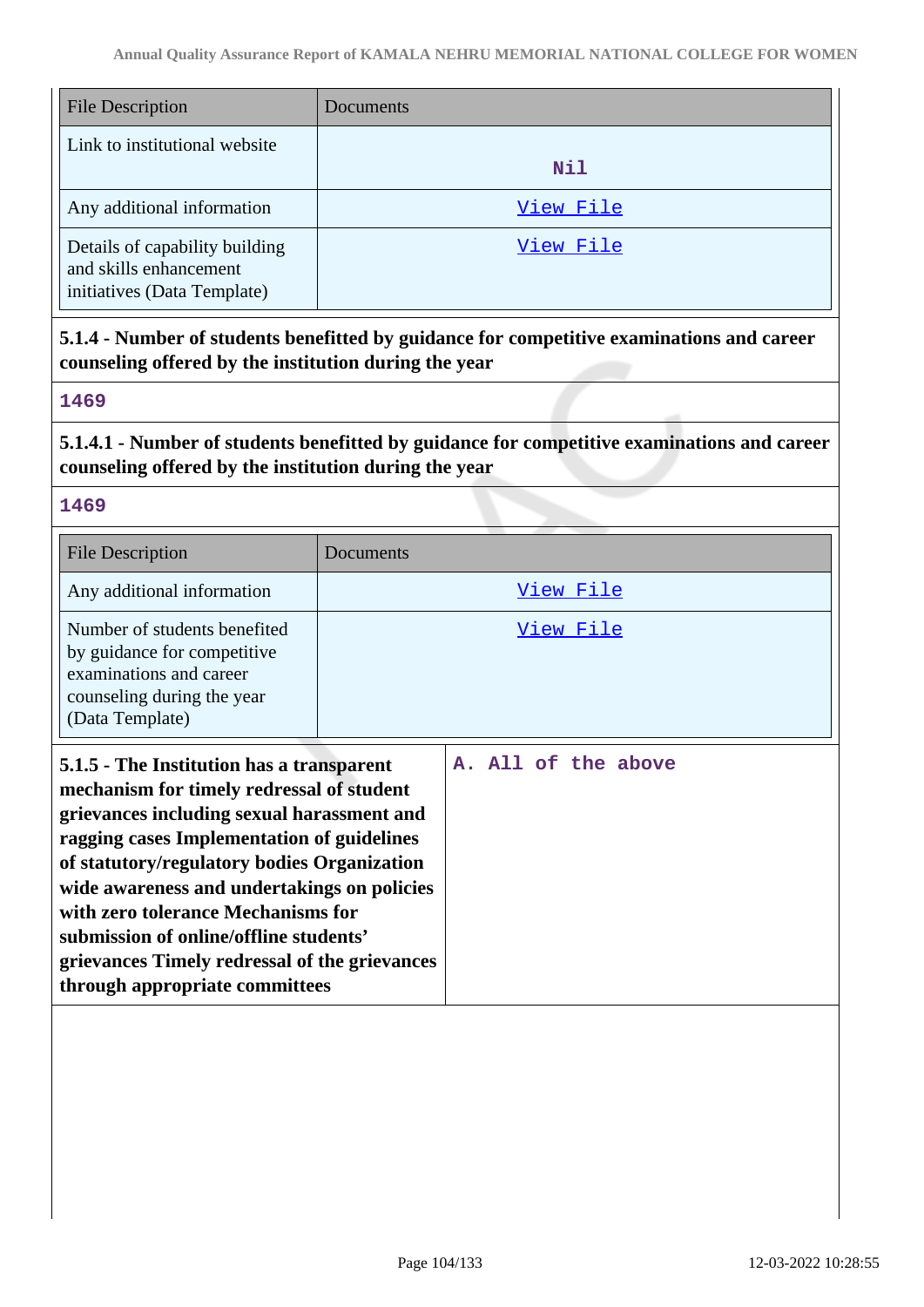| <b>File Description</b>                                                                 | Documents  |
|-----------------------------------------------------------------------------------------|------------|
| Link to institutional website                                                           | <b>Nil</b> |
| Any additional information                                                              | View File  |
| Details of capability building<br>and skills enhancement<br>initiatives (Data Template) | View File  |

**5.1.4 - Number of students benefitted by guidance for competitive examinations and career counseling offered by the institution during the year**

### **1469**

**5.1.4.1 - Number of students benefitted by guidance for competitive examinations and career counseling offered by the institution during the year**

### **1469**

| <b>File Description</b>                                                                                                                                                                                                                                                                                                                                          | Documents           |
|------------------------------------------------------------------------------------------------------------------------------------------------------------------------------------------------------------------------------------------------------------------------------------------------------------------------------------------------------------------|---------------------|
| Any additional information                                                                                                                                                                                                                                                                                                                                       | <u>View File</u>    |
| Number of students benefited<br>by guidance for competitive<br>examinations and career<br>counseling during the year<br>(Data Template)                                                                                                                                                                                                                          | <u>View File</u>    |
| 5.1.5 - The Institution has a transparent<br>mechanism for timely redressal of student<br>grievances including sexual harassment and<br>ragging cases Implementation of guidelines<br>of statutory/regulatory bodies Organization<br>wide awareness and undertakings on policies<br>with zero tolerance Mechanisms for<br>submission of online/offline students' | A. All of the above |

**grievances Timely redressal of the grievances**

**through appropriate committees**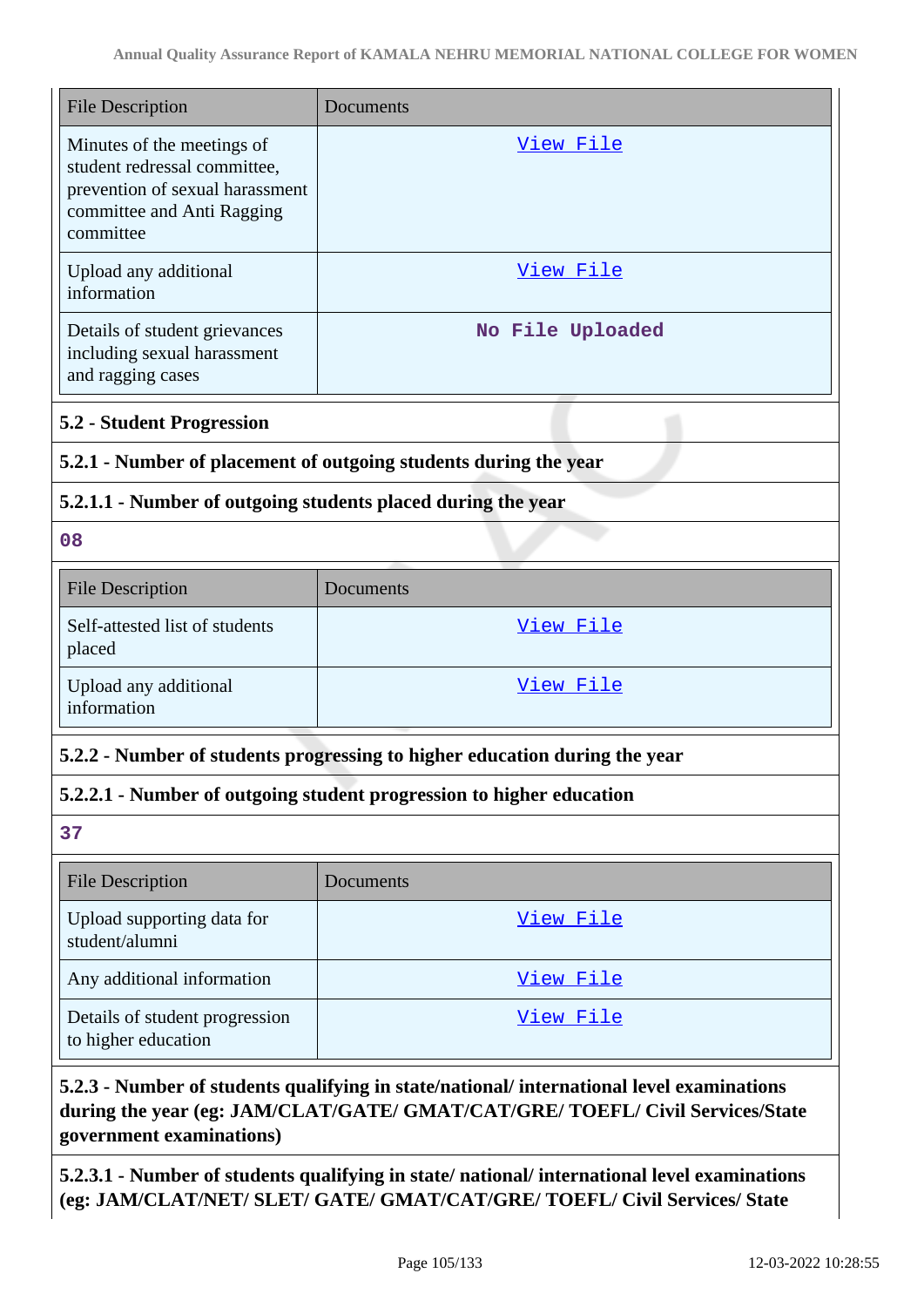| <b>File Description</b>                                                                                                                  | Documents                                                                  |
|------------------------------------------------------------------------------------------------------------------------------------------|----------------------------------------------------------------------------|
| Minutes of the meetings of<br>student redressal committee,<br>prevention of sexual harassment<br>committee and Anti Ragging<br>committee | <u>View File</u>                                                           |
| Upload any additional<br>information                                                                                                     | View File                                                                  |
| Details of student grievances<br>including sexual harassment<br>and ragging cases                                                        | No File Uploaded                                                           |
| <b>5.2 - Student Progression</b>                                                                                                         |                                                                            |
| 5.2.1 - Number of placement of outgoing students during the year                                                                         |                                                                            |
| 5.2.1.1 - Number of outgoing students placed during the year                                                                             |                                                                            |
| 08                                                                                                                                       |                                                                            |
| <b>File Description</b>                                                                                                                  | Documents                                                                  |
| Self-attested list of students<br>placed                                                                                                 | View File                                                                  |
| Upload any additional<br>information                                                                                                     | View File                                                                  |
|                                                                                                                                          | 5.2.2 - Number of students progressing to higher education during the year |
|                                                                                                                                          | 5.2.2.1 - Number of outgoing student progression to higher education       |
| 37                                                                                                                                       |                                                                            |
| <b>File Description</b>                                                                                                                  | Documents                                                                  |
| Upload supporting data for<br>student/alumni                                                                                             | View File                                                                  |
| Any additional information                                                                                                               | View File                                                                  |
| Details of student progression<br>to higher education                                                                                    | View File                                                                  |

# **5.2.3 - Number of students qualifying in state/national/ international level examinations during the year (eg: JAM/CLAT/GATE/ GMAT/CAT/GRE/ TOEFL/ Civil Services/State government examinations)**

**5.2.3.1 - Number of students qualifying in state/ national/ international level examinations (eg: JAM/CLAT/NET/ SLET/ GATE/ GMAT/CAT/GRE/ TOEFL/ Civil Services/ State**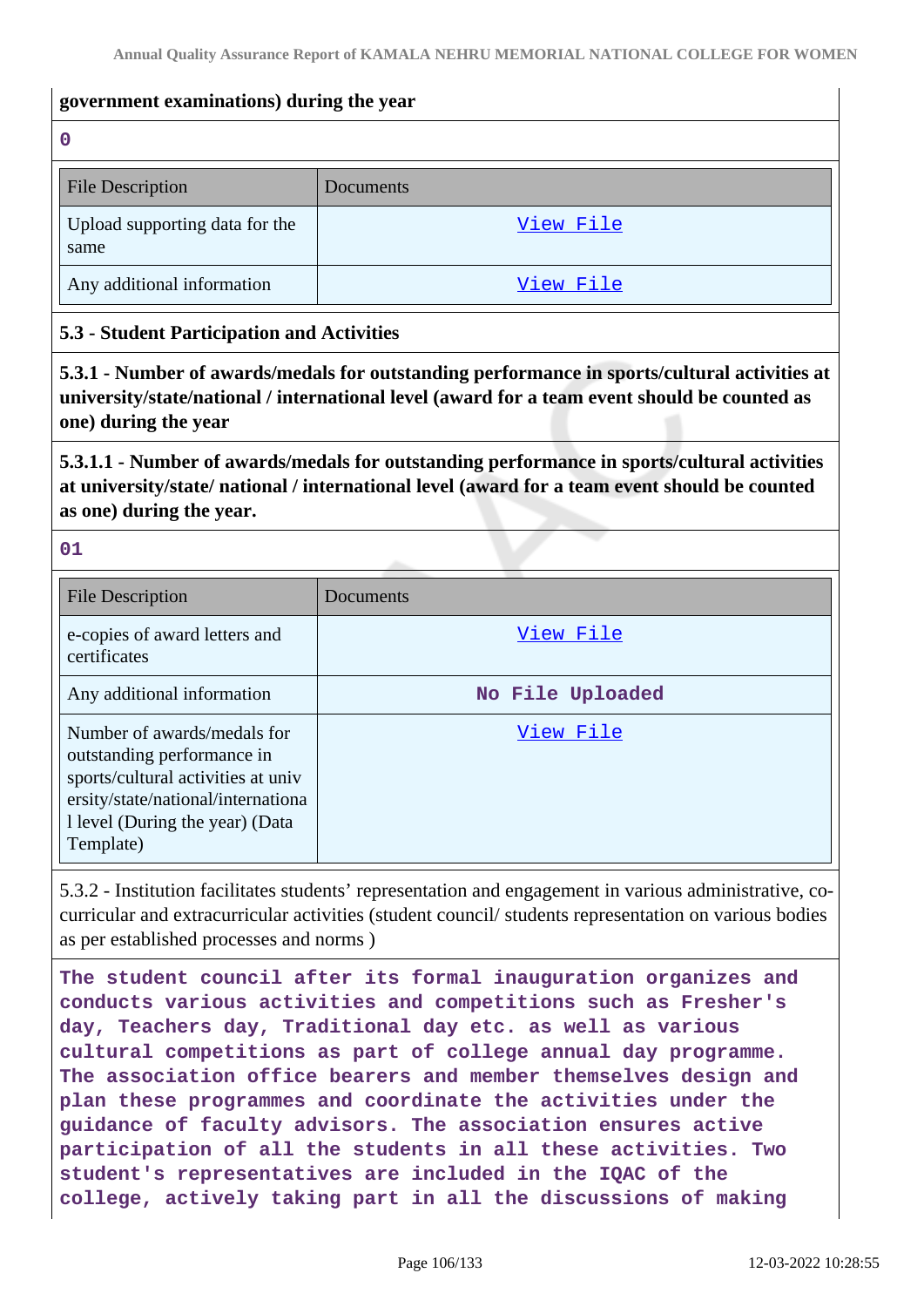#### **government examinations) during the year**

**0**

| <b>File Description</b>                | Documents |
|----------------------------------------|-----------|
| Upload supporting data for the<br>same | View File |
| Any additional information             | View File |

#### **5.3 - Student Participation and Activities**

**5.3.1 - Number of awards/medals for outstanding performance in sports/cultural activities at university/state/national / international level (award for a team event should be counted as one) during the year**

**5.3.1.1 - Number of awards/medals for outstanding performance in sports/cultural activities at university/state/ national / international level (award for a team event should be counted as one) during the year.**

**01**

| <b>File Description</b>                                                                                                                                                               | Documents        |
|---------------------------------------------------------------------------------------------------------------------------------------------------------------------------------------|------------------|
| e-copies of award letters and<br>certificates                                                                                                                                         | View File        |
| Any additional information                                                                                                                                                            | No File Uploaded |
| Number of awards/medals for<br>outstanding performance in<br>sports/cultural activities at univ<br>ersity/state/national/internationa<br>1 level (During the year) (Data<br>Template) | View File        |

5.3.2 - Institution facilitates students' representation and engagement in various administrative, cocurricular and extracurricular activities (student council/ students representation on various bodies as per established processes and norms )

**The student council after its formal inauguration organizes and conducts various activities and competitions such as Fresher's day, Teachers day, Traditional day etc. as well as various cultural competitions as part of college annual day programme. The association office bearers and member themselves design and plan these programmes and coordinate the activities under the guidance of faculty advisors. The association ensures active participation of all the students in all these activities. Two student's representatives are included in the IQAC of the college, actively taking part in all the discussions of making**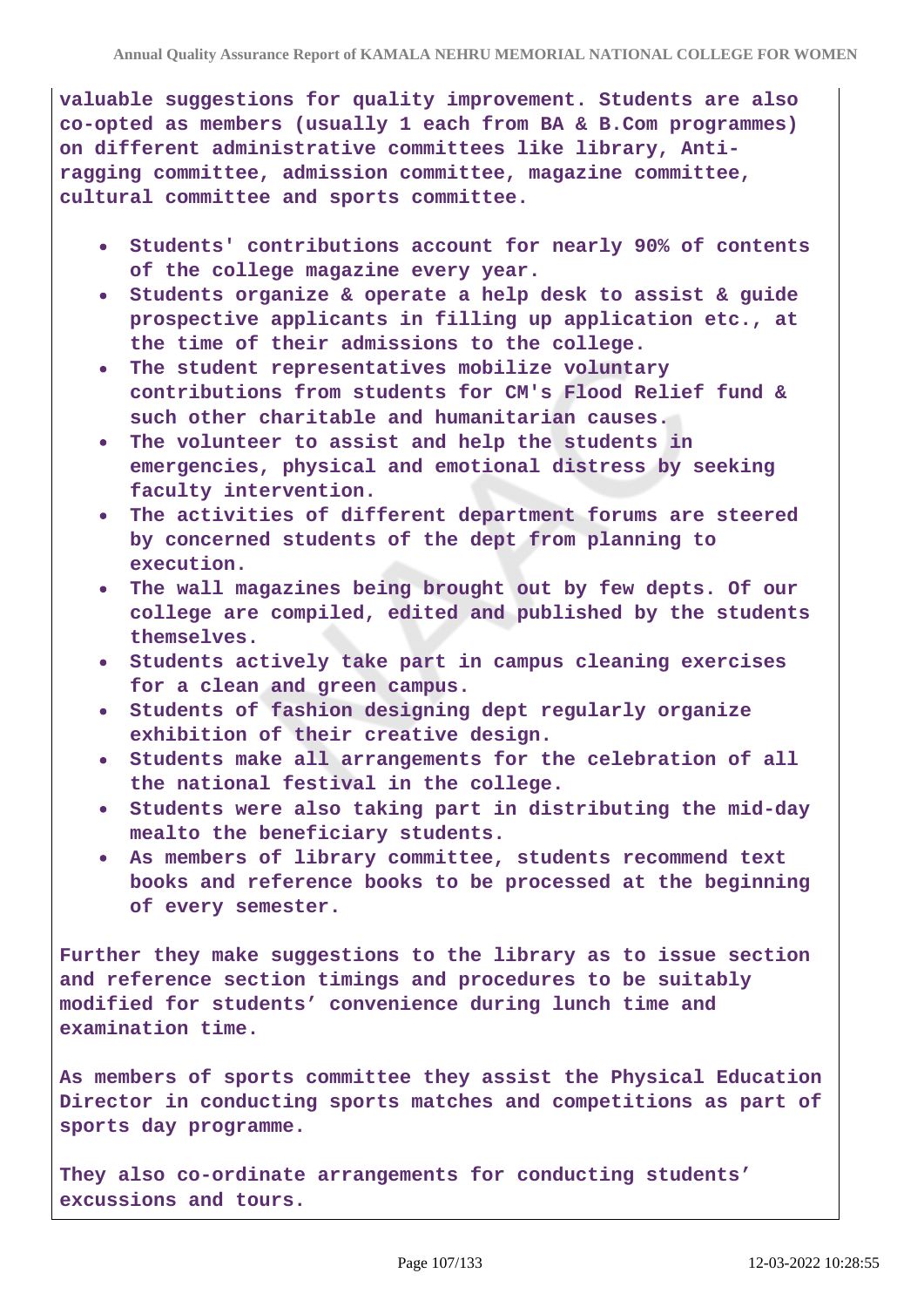**valuable suggestions for quality improvement. Students are also co-opted as members (usually 1 each from BA & B.Com programmes) on different administrative committees like library, Antiragging committee, admission committee, magazine committee, cultural committee and sports committee.**

- **Students' contributions account for nearly 90% of contents of the college magazine every year.**
- **Students organize & operate a help desk to assist & guide prospective applicants in filling up application etc., at the time of their admissions to the college.**
- **The student representatives mobilize voluntary contributions from students for CM's Flood Relief fund & such other charitable and humanitarian causes.**
- **The volunteer to assist and help the students in emergencies, physical and emotional distress by seeking faculty intervention.**
- **The activities of different department forums are steered by concerned students of the dept from planning to execution.**
- **The wall magazines being brought out by few depts. Of our college are compiled, edited and published by the students themselves.**
- **Students actively take part in campus cleaning exercises for a clean and green campus.**
- **Students of fashion designing dept regularly organize exhibition of their creative design.**
- **Students make all arrangements for the celebration of all the national festival in the college.**
- **Students were also taking part in distributing the mid-day mealto the beneficiary students.**
- **As members of library committee, students recommend text books and reference books to be processed at the beginning of every semester.**

**Further they make suggestions to the library as to issue section and reference section timings and procedures to be suitably modified for students' convenience during lunch time and examination time.**

**As members of sports committee they assist the Physical Education Director in conducting sports matches and competitions as part of sports day programme.**

**They also co-ordinate arrangements for conducting students' excussions and tours.**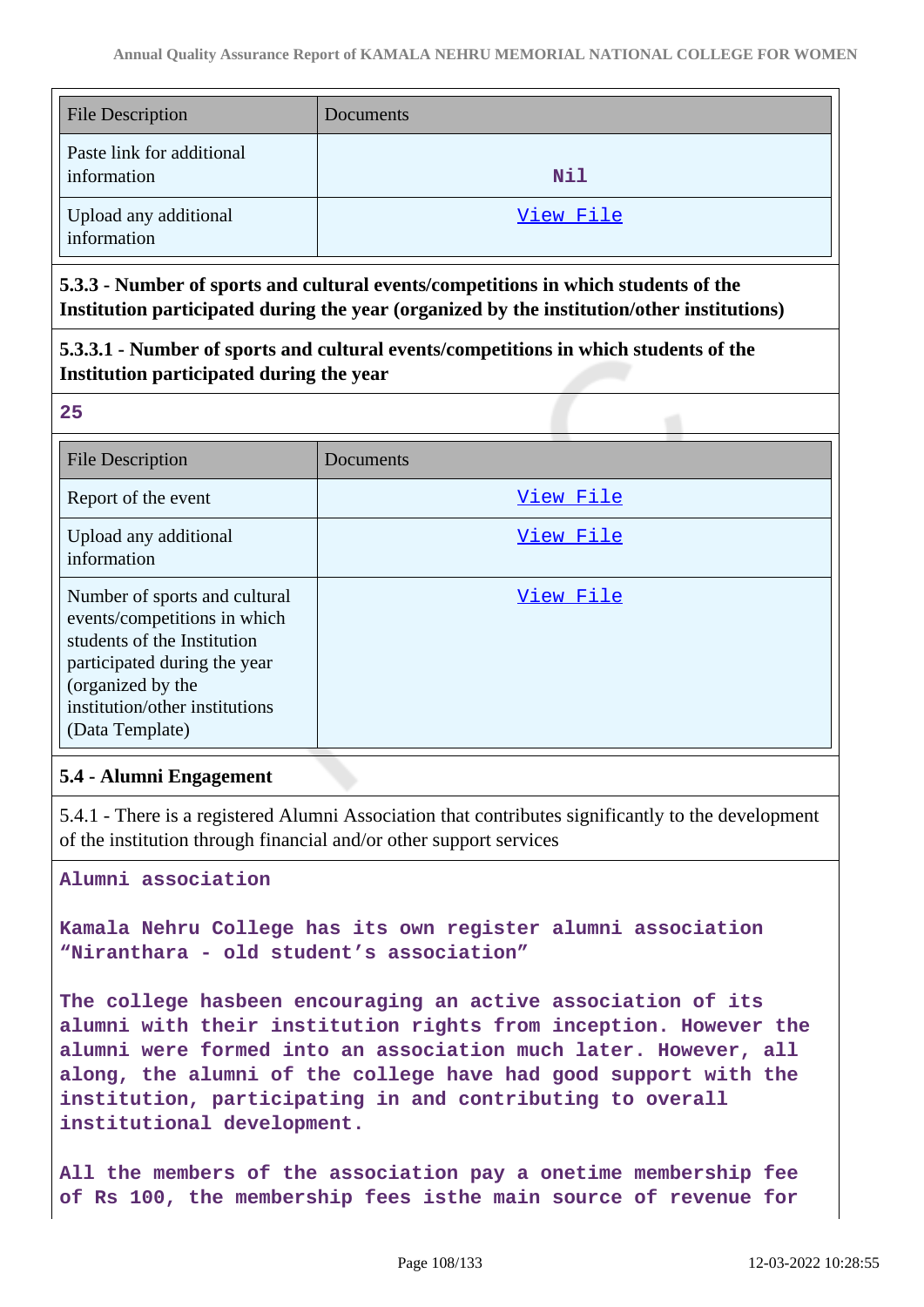| <b>File Description</b>                  | Documents |
|------------------------------------------|-----------|
| Paste link for additional<br>information | Nil       |
| Upload any additional<br>information     | View File |

**5.3.3 - Number of sports and cultural events/competitions in which students of the Institution participated during the year (organized by the institution/other institutions)**

**5.3.3.1 - Number of sports and cultural events/competitions in which students of the Institution participated during the year**

**25**

| <b>File Description</b>                                                                                                                                                                                | Documents |
|--------------------------------------------------------------------------------------------------------------------------------------------------------------------------------------------------------|-----------|
| Report of the event                                                                                                                                                                                    | View File |
| Upload any additional<br>information                                                                                                                                                                   | View File |
| Number of sports and cultural<br>events/competitions in which<br>students of the Institution<br>participated during the year<br>(organized by the<br>institution/other institutions<br>(Data Template) | View File |

### **5.4 - Alumni Engagement**

5.4.1 - There is a registered Alumni Association that contributes significantly to the development of the institution through financial and/or other support services

**Alumni association**

**Kamala Nehru College has its own register alumni association "Niranthara - old student's association"**

**The college hasbeen encouraging an active association of its alumni with their institution rights from inception. However the alumni were formed into an association much later. However, all along, the alumni of the college have had good support with the institution, participating in and contributing to overall institutional development.**

**All the members of the association pay a onetime membership fee of Rs 100, the membership fees isthe main source of revenue for**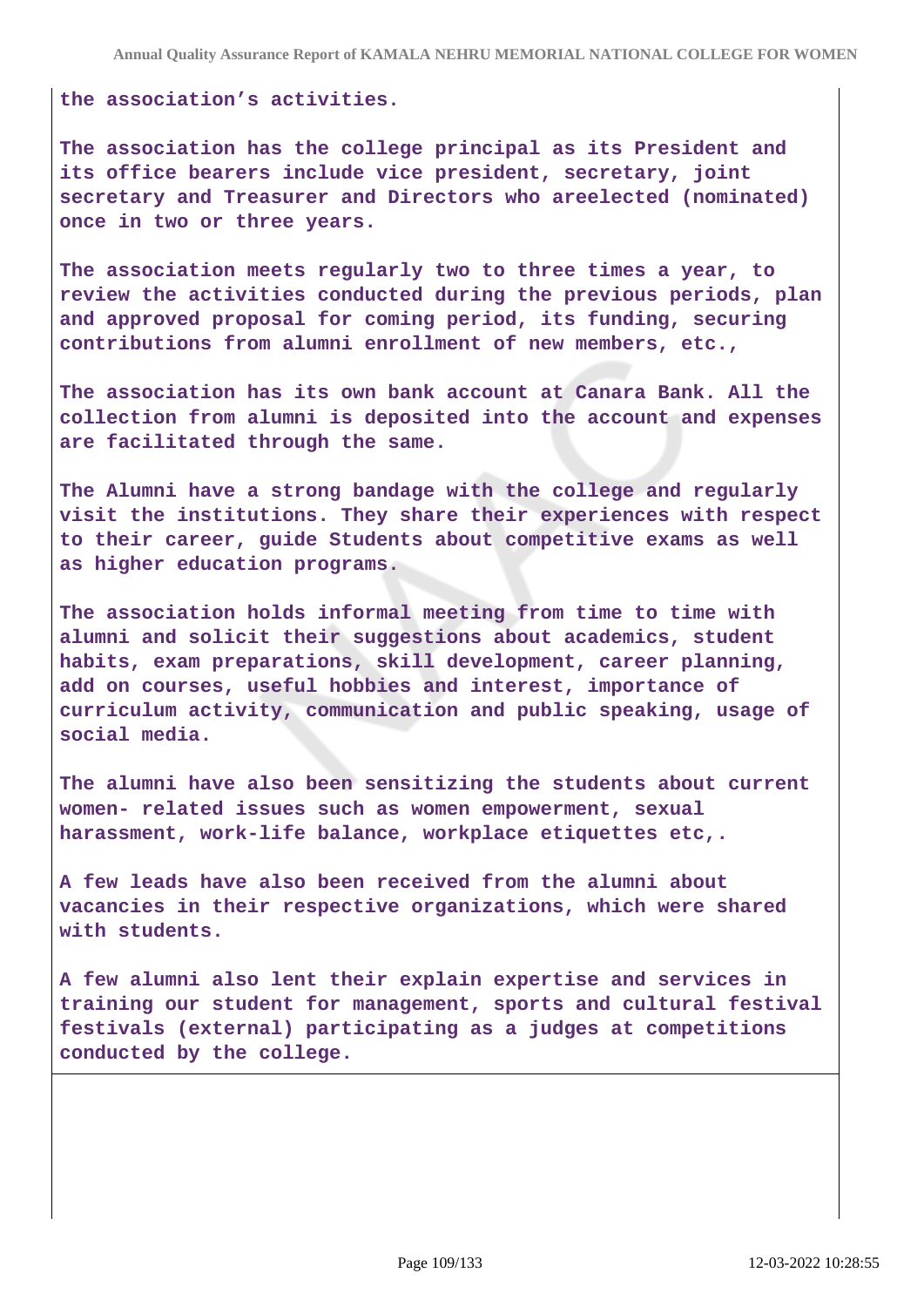**the association's activities.**

**The association has the college principal as its President and its office bearers include vice president, secretary, joint secretary and Treasurer and Directors who areelected (nominated) once in two or three years.**

**The association meets regularly two to three times a year, to review the activities conducted during the previous periods, plan and approved proposal for coming period, its funding, securing contributions from alumni enrollment of new members, etc.,**

**The association has its own bank account at Canara Bank. All the collection from alumni is deposited into the account and expenses are facilitated through the same.**

**The Alumni have a strong bandage with the college and regularly visit the institutions. They share their experiences with respect to their career, guide Students about competitive exams as well as higher education programs.**

**The association holds informal meeting from time to time with alumni and solicit their suggestions about academics, student habits, exam preparations, skill development, career planning, add on courses, useful hobbies and interest, importance of curriculum activity, communication and public speaking, usage of social media.**

**The alumni have also been sensitizing the students about current women- related issues such as women empowerment, sexual harassment, work-life balance, workplace etiquettes etc,.**

**A few leads have also been received from the alumni about vacancies in their respective organizations, which were shared with students.**

**A few alumni also lent their explain expertise and services in training our student for management, sports and cultural festival festivals (external) participating as a judges at competitions conducted by the college.**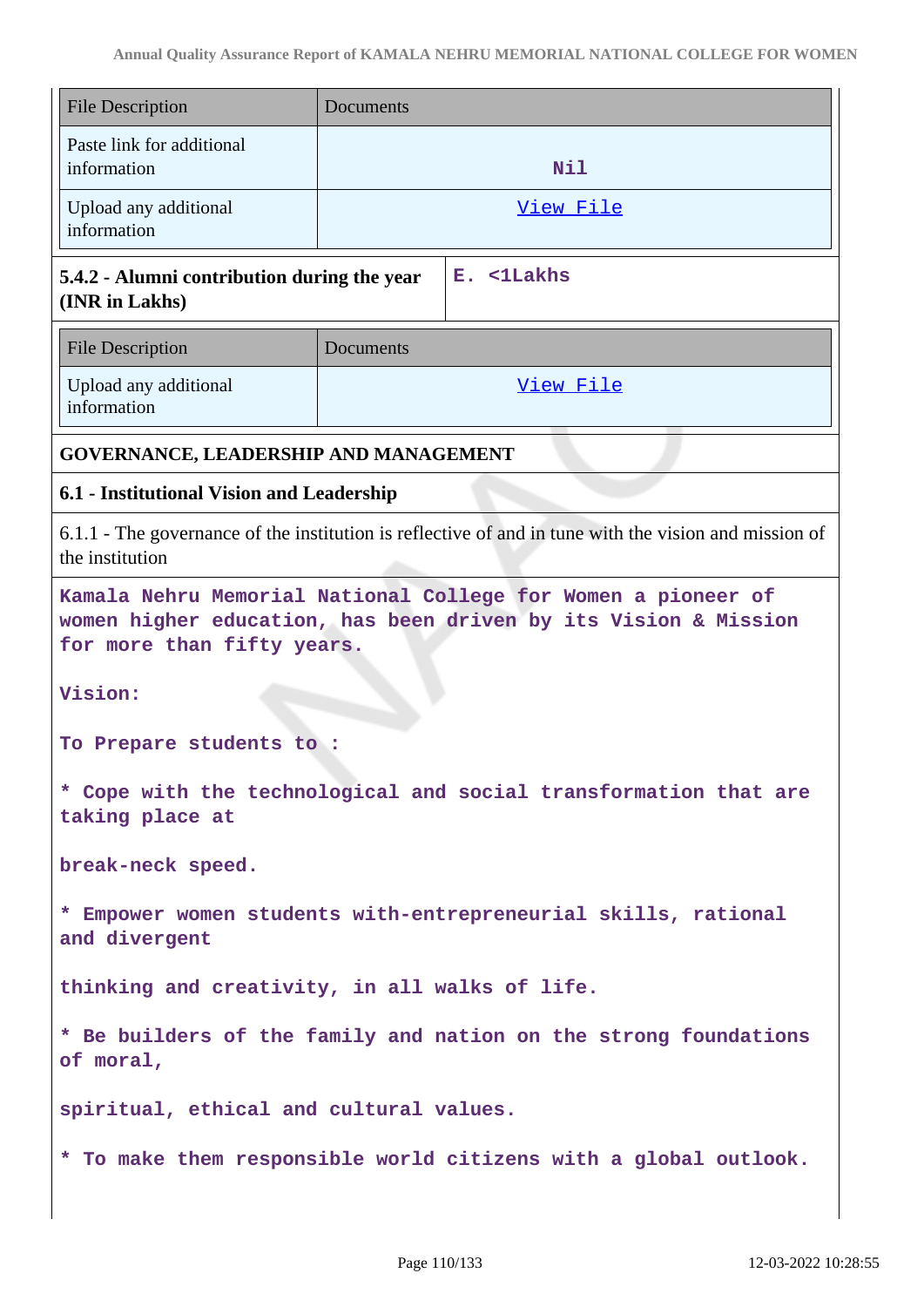| <b>File Description</b>                                                                                                                                        | Documents                                                        |  |
|----------------------------------------------------------------------------------------------------------------------------------------------------------------|------------------------------------------------------------------|--|
| Paste link for additional<br>information                                                                                                                       | Nil                                                              |  |
| Upload any additional<br>information                                                                                                                           | View File                                                        |  |
| E. <1Lakhs<br>5.4.2 - Alumni contribution during the year<br>(INR in Lakhs)                                                                                    |                                                                  |  |
| <b>File Description</b>                                                                                                                                        | Documents                                                        |  |
| Upload any additional<br>information                                                                                                                           | View File                                                        |  |
| GOVERNANCE, LEADERSHIP AND MANAGEMENT                                                                                                                          |                                                                  |  |
| 6.1 - Institutional Vision and Leadership                                                                                                                      |                                                                  |  |
| 6.1.1 - The governance of the institution is reflective of and in tune with the vision and mission of<br>the institution                                       |                                                                  |  |
| Kamala Nehru Memorial National College for Women a pioneer of<br>women higher education, has been driven by its Vision & Mission<br>for more than fifty years. |                                                                  |  |
| Vision:                                                                                                                                                        |                                                                  |  |
| To Prepare students to :                                                                                                                                       |                                                                  |  |
| * Cope with the technological and social transformation that are<br>taking place at                                                                            |                                                                  |  |
| break-neck speed.                                                                                                                                              |                                                                  |  |
| * Empower women students with-entrepreneurial skills, rational<br>and divergent                                                                                |                                                                  |  |
| thinking and creativity, in all walks of life.                                                                                                                 |                                                                  |  |
| * Be builders of the family and nation on the strong foundations<br>of moral,                                                                                  |                                                                  |  |
| spiritual, ethical and cultural values.                                                                                                                        |                                                                  |  |
|                                                                                                                                                                | * To make them responsible world citizens with a global outlook. |  |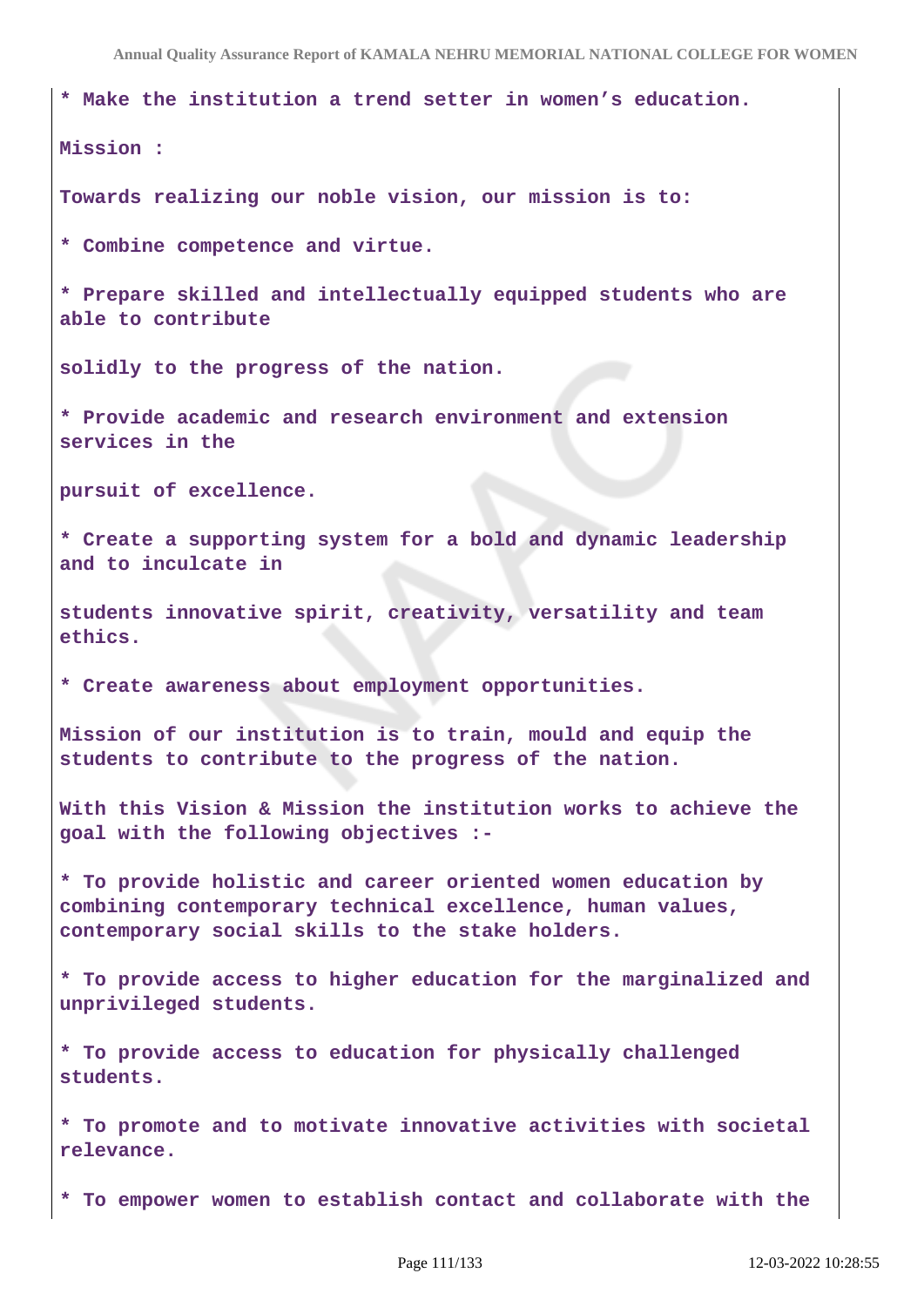**\* Make the institution a trend setter in women's education.**

**Mission :** 

**Towards realizing our noble vision, our mission is to:**

**\* Combine competence and virtue.**

**\* Prepare skilled and intellectually equipped students who are able to contribute**

**solidly to the progress of the nation.**

**\* Provide academic and research environment and extension services in the**

**pursuit of excellence.**

**\* Create a supporting system for a bold and dynamic leadership and to inculcate in**

**students innovative spirit, creativity, versatility and team ethics.**

**\* Create awareness about employment opportunities.**

**Mission of our institution is to train, mould and equip the students to contribute to the progress of the nation.**

**With this Vision & Mission the institution works to achieve the goal with the following objectives :-**

**\* To provide holistic and career oriented women education by combining contemporary technical excellence, human values, contemporary social skills to the stake holders.**

**\* To provide access to higher education for the marginalized and unprivileged students.**

**\* To provide access to education for physically challenged students.**

**\* To promote and to motivate innovative activities with societal relevance.**

**\* To empower women to establish contact and collaborate with the**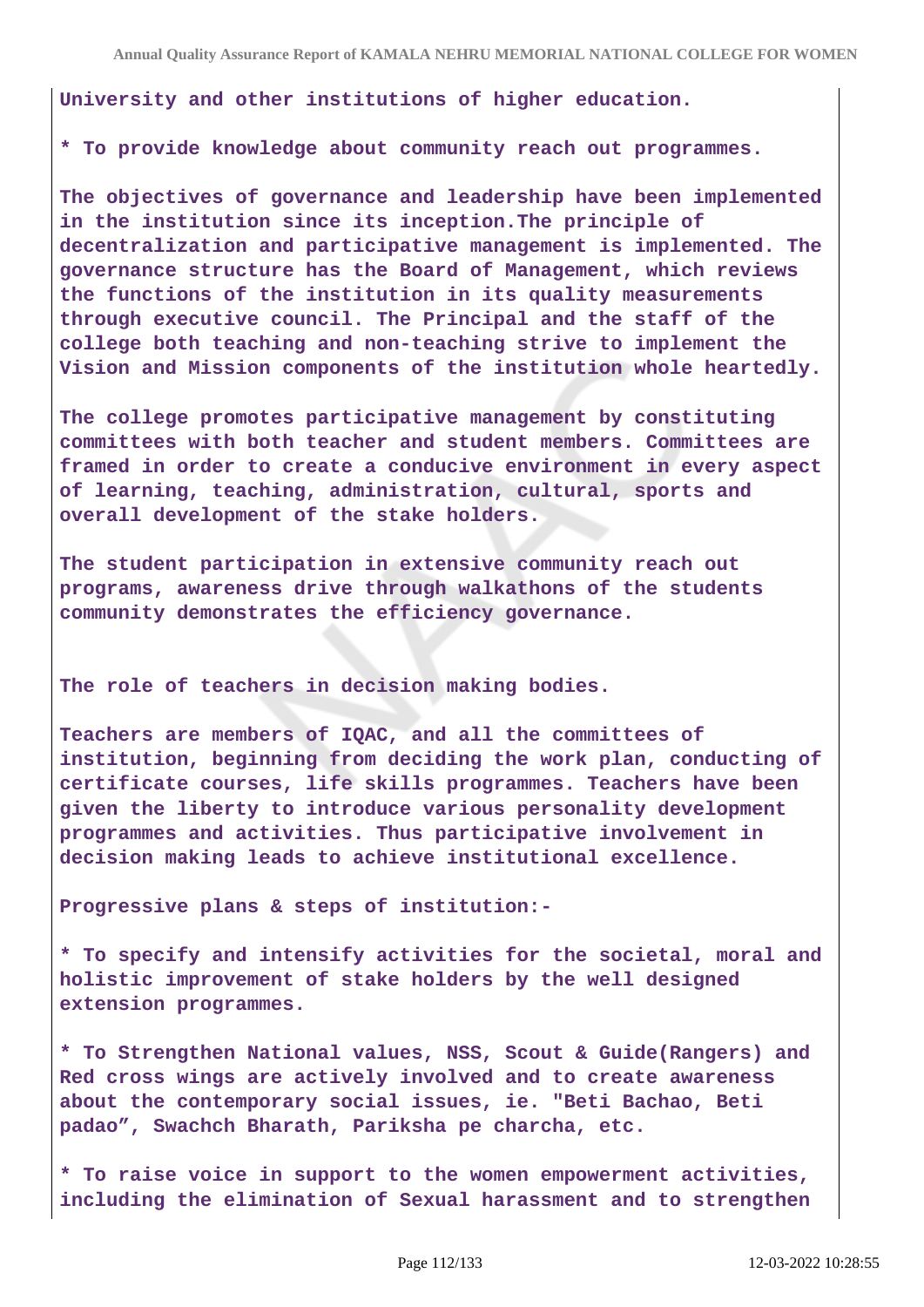**University and other institutions of higher education.**

**\* To provide knowledge about community reach out programmes.**

**The objectives of governance and leadership have been implemented in the institution since its inception.The principle of decentralization and participative management is implemented. The governance structure has the Board of Management, which reviews the functions of the institution in its quality measurements through executive council. The Principal and the staff of the college both teaching and non-teaching strive to implement the Vision and Mission components of the institution whole heartedly.**

**The college promotes participative management by constituting committees with both teacher and student members. Committees are framed in order to create a conducive environment in every aspect of learning, teaching, administration, cultural, sports and overall development of the stake holders.**

**The student participation in extensive community reach out programs, awareness drive through walkathons of the students community demonstrates the efficiency governance.**

**The role of teachers in decision making bodies.**

**Teachers are members of IQAC, and all the committees of institution, beginning from deciding the work plan, conducting of certificate courses, life skills programmes. Teachers have been given the liberty to introduce various personality development programmes and activities. Thus participative involvement in decision making leads to achieve institutional excellence.**

**Progressive plans & steps of institution:-**

**\* To specify and intensify activities for the societal, moral and holistic improvement of stake holders by the well designed extension programmes.**

**\* To Strengthen National values, NSS, Scout & Guide(Rangers) and Red cross wings are actively involved and to create awareness about the contemporary social issues, ie. "Beti Bachao, Beti padao", Swachch Bharath, Pariksha pe charcha, etc.**

**\* To raise voice in support to the women empowerment activities, including the elimination of Sexual harassment and to strengthen**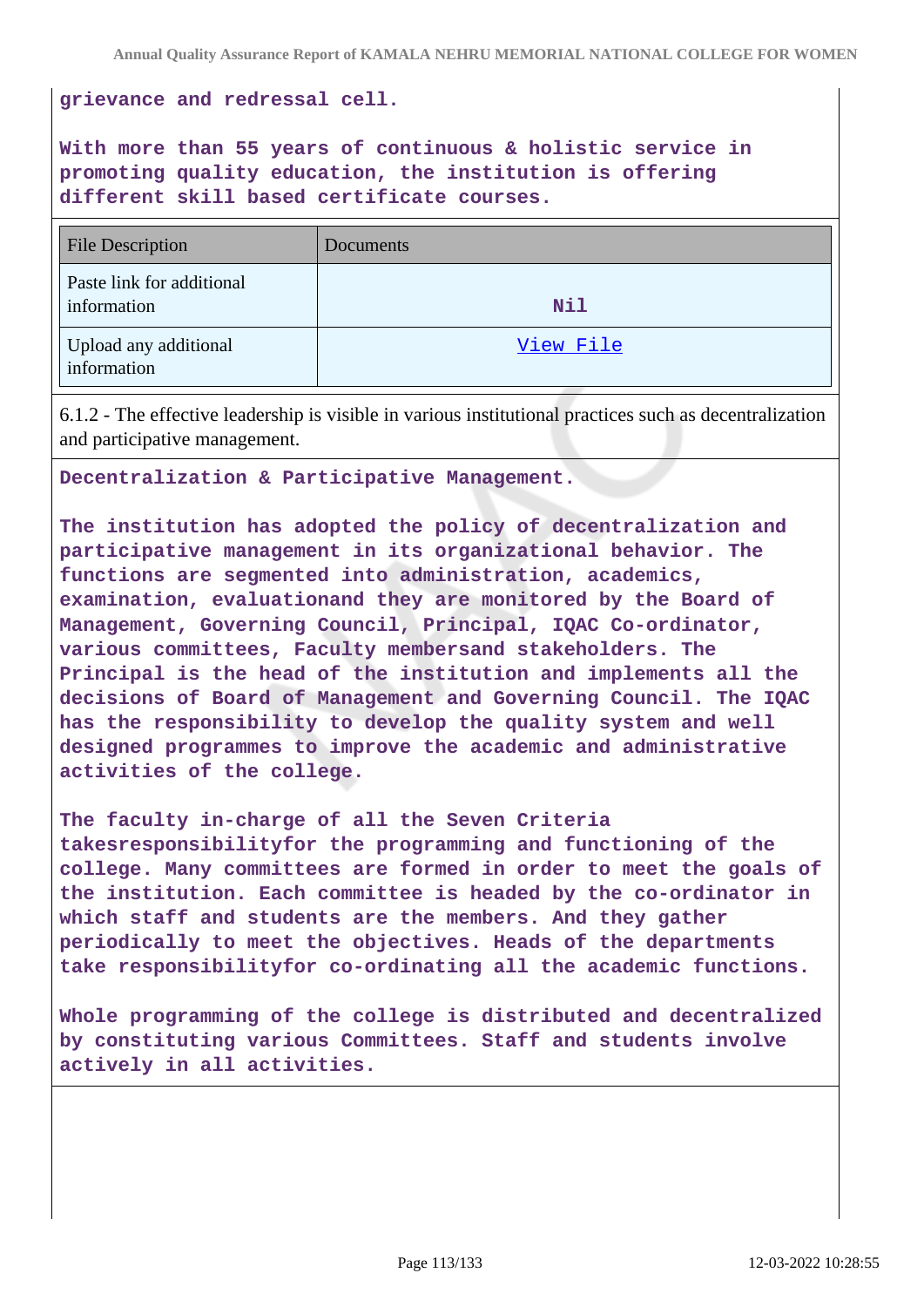**grievance and redressal cell.**

**With more than 55 years of continuous & holistic service in promoting quality education, the institution is offering different skill based certificate courses.**

| <b>File Description</b>                  | Documents |
|------------------------------------------|-----------|
| Paste link for additional<br>information | Nil       |
| Upload any additional<br>information     | View File |

6.1.2 - The effective leadership is visible in various institutional practices such as decentralization and participative management.

**Decentralization & Participative Management.**

**The institution has adopted the policy of decentralization and participative management in its organizational behavior. The functions are segmented into administration, academics, examination, evaluationand they are monitored by the Board of Management, Governing Council, Principal, IQAC Co-ordinator, various committees, Faculty membersand stakeholders. The Principal is the head of the institution and implements all the decisions of Board of Management and Governing Council. The IQAC has the responsibility to develop the quality system and well designed programmes to improve the academic and administrative activities of the college.**

**The faculty in-charge of all the Seven Criteria takesresponsibilityfor the programming and functioning of the college. Many committees are formed in order to meet the goals of the institution. Each committee is headed by the co-ordinator in which staff and students are the members. And they gather periodically to meet the objectives. Heads of the departments take responsibilityfor co-ordinating all the academic functions.**

**Whole programming of the college is distributed and decentralized by constituting various Committees. Staff and students involve actively in all activities.**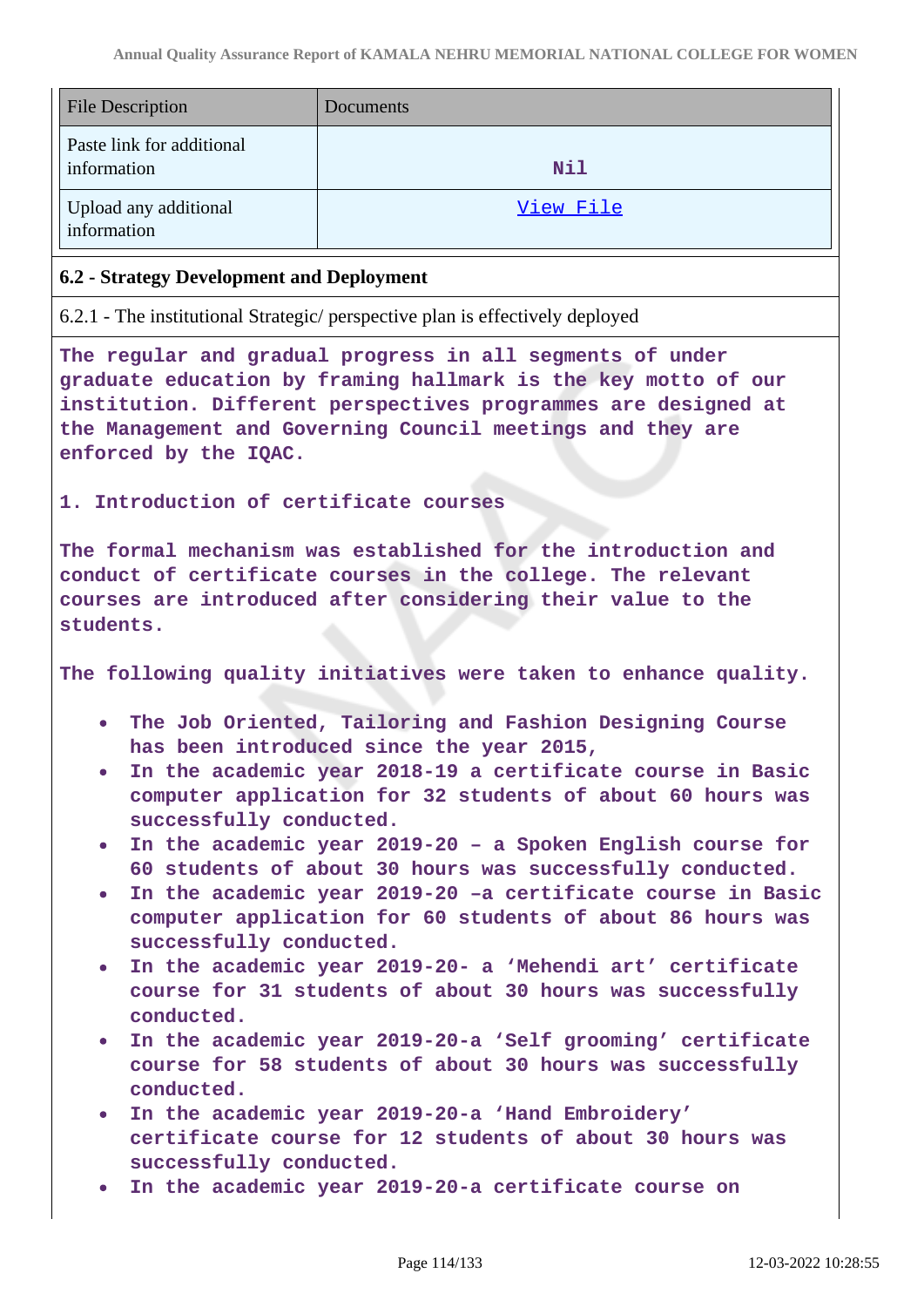| <b>File Description</b>                  | Documents |
|------------------------------------------|-----------|
| Paste link for additional<br>information | Nil       |
| Upload any additional<br>information     | View File |

## **6.2 - Strategy Development and Deployment**

6.2.1 - The institutional Strategic/ perspective plan is effectively deployed

**The regular and gradual progress in all segments of under graduate education by framing hallmark is the key motto of our institution. Different perspectives programmes are designed at the Management and Governing Council meetings and they are enforced by the IQAC.**

**1. Introduction of certificate courses**

**The formal mechanism was established for the introduction and conduct of certificate courses in the college. The relevant courses are introduced after considering their value to the students.**

**The following quality initiatives were taken to enhance quality.** 

- **The Job Oriented, Tailoring and Fashion Designing Course has been introduced since the year 2015,**
- **In the academic year 2018-19 a certificate course in Basic computer application for 32 students of about 60 hours was successfully conducted.**
- **In the academic year 2019-20 a Spoken English course for 60 students of about 30 hours was successfully conducted.**
- **In the academic year 2019-20 –a certificate course in Basic computer application for 60 students of about 86 hours was successfully conducted.**
- **In the academic year 2019-20- a 'Mehendi art' certificate course for 31 students of about 30 hours was successfully conducted.**
- **In the academic year 2019-20-a 'Self grooming' certificate course for 58 students of about 30 hours was successfully conducted.**
- **In the academic year 2019-20-a 'Hand Embroidery' certificate course for 12 students of about 30 hours was successfully conducted.**
- **In the academic year 2019-20-a certificate course on**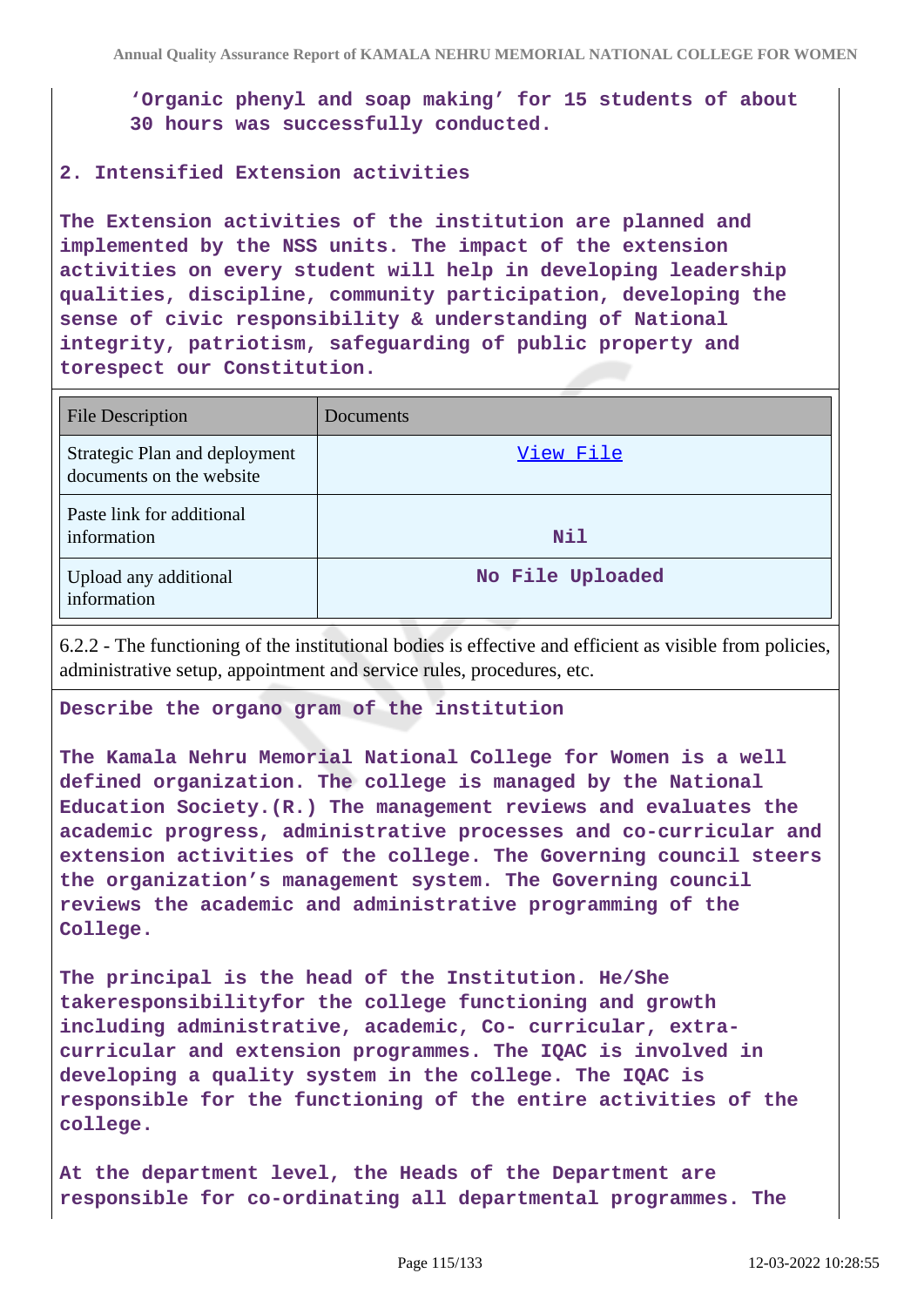**'Organic phenyl and soap making' for 15 students of about 30 hours was successfully conducted.**

## **2. Intensified Extension activities**

**The Extension activities of the institution are planned and implemented by the NSS units. The impact of the extension activities on every student will help in developing leadership qualities, discipline, community participation, developing the sense of civic responsibility & understanding of National integrity, patriotism, safeguarding of public property and torespect our Constitution.**

| <b>File Description</b>                                   | Documents        |
|-----------------------------------------------------------|------------------|
| Strategic Plan and deployment<br>documents on the website | View File        |
| Paste link for additional<br>information                  | Nil              |
| Upload any additional<br>information                      | No File Uploaded |

6.2.2 - The functioning of the institutional bodies is effective and efficient as visible from policies, administrative setup, appointment and service rules, procedures, etc.

#### **Describe the organo gram of the institution**

**The Kamala Nehru Memorial National College for Women is a well defined organization. The college is managed by the National Education Society.(R.) The management reviews and evaluates the academic progress, administrative processes and co-curricular and extension activities of the college. The Governing council steers the organization's management system. The Governing council reviews the academic and administrative programming of the College.**

**The principal is the head of the Institution. He/She takeresponsibilityfor the college functioning and growth including administrative, academic, Co- curricular, extracurricular and extension programmes. The IQAC is involved in developing a quality system in the college. The IQAC is responsible for the functioning of the entire activities of the college.**

**At the department level, the Heads of the Department are responsible for co-ordinating all departmental programmes. The**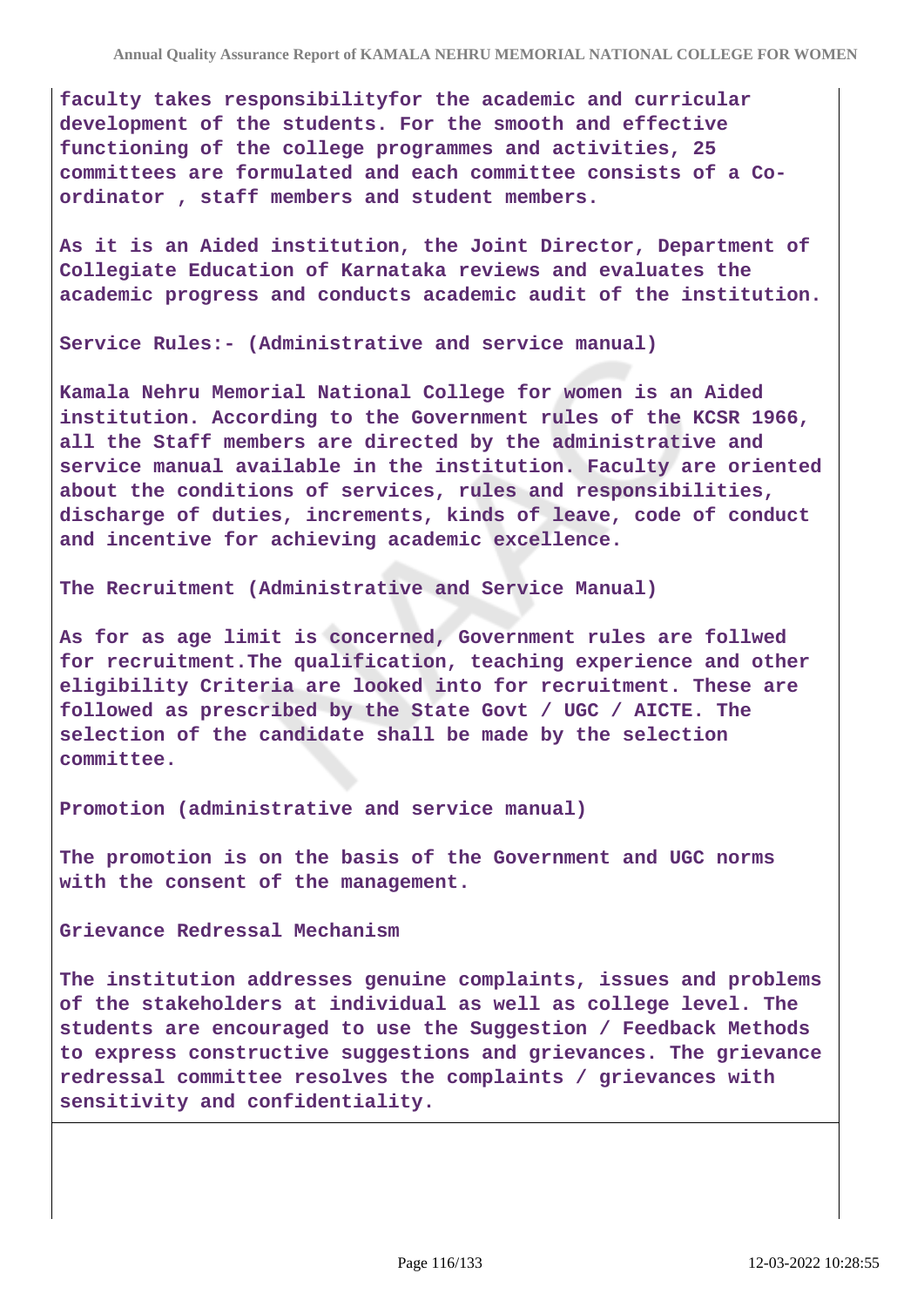**faculty takes responsibilityfor the academic and curricular development of the students. For the smooth and effective functioning of the college programmes and activities, 25 committees are formulated and each committee consists of a Coordinator , staff members and student members.**

**As it is an Aided institution, the Joint Director, Department of Collegiate Education of Karnataka reviews and evaluates the academic progress and conducts academic audit of the institution.**

**Service Rules:- (Administrative and service manual)**

**Kamala Nehru Memorial National College for women is an Aided institution. According to the Government rules of the KCSR 1966, all the Staff members are directed by the administrative and service manual available in the institution. Faculty are oriented about the conditions of services, rules and responsibilities, discharge of duties, increments, kinds of leave, code of conduct and incentive for achieving academic excellence.**

**The Recruitment (Administrative and Service Manual)**

**As for as age limit is concerned, Government rules are follwed for recruitment.The qualification, teaching experience and other eligibility Criteria are looked into for recruitment. These are followed as prescribed by the State Govt / UGC / AICTE. The selection of the candidate shall be made by the selection committee.**

**Promotion (administrative and service manual)**

**The promotion is on the basis of the Government and UGC norms with the consent of the management.**

**Grievance Redressal Mechanism**

**The institution addresses genuine complaints, issues and problems of the stakeholders at individual as well as college level. The students are encouraged to use the Suggestion / Feedback Methods to express constructive suggestions and grievances. The grievance redressal committee resolves the complaints / grievances with sensitivity and confidentiality.**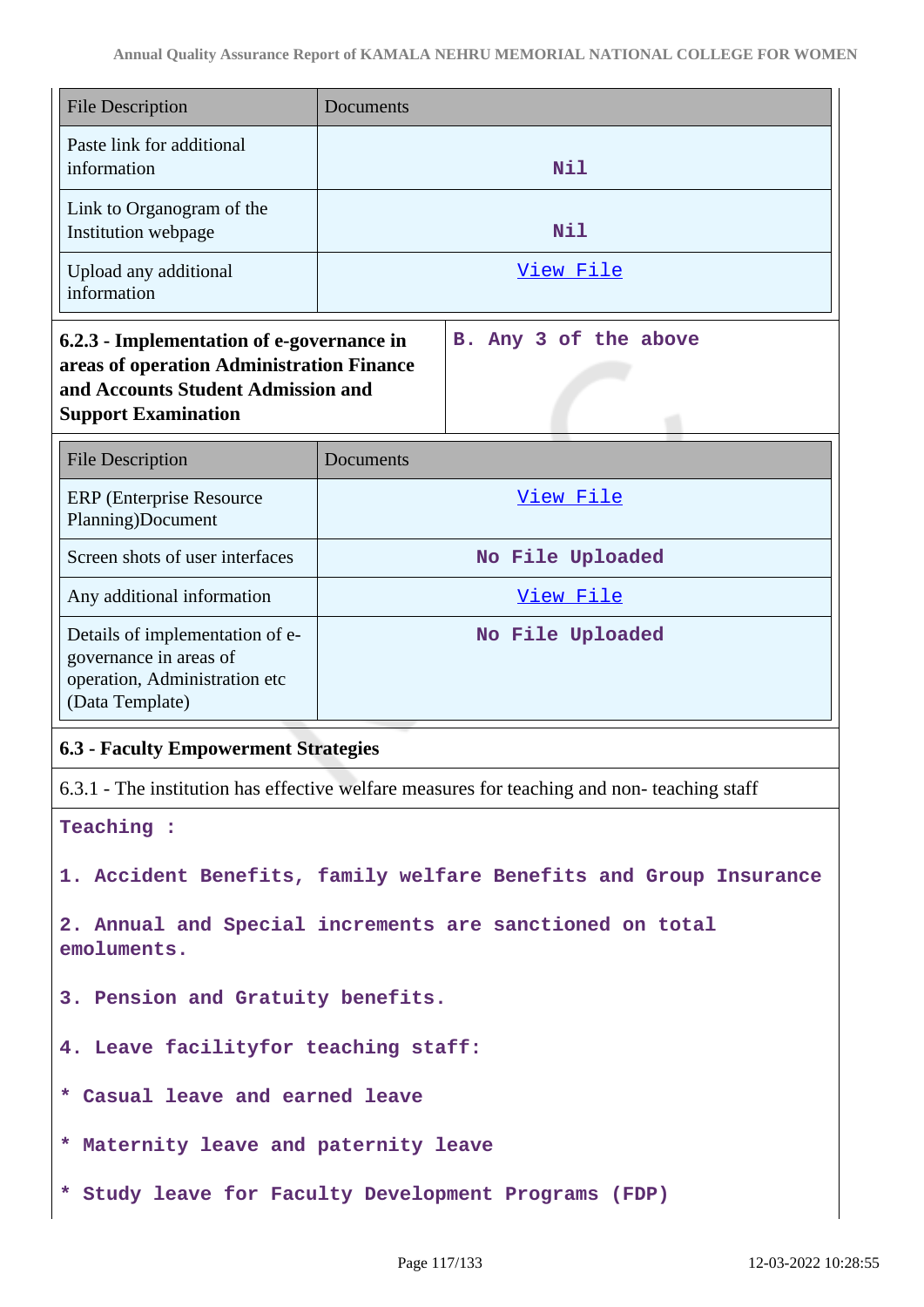| <b>File Description</b>                                                                                                                                    | Documents                            |
|------------------------------------------------------------------------------------------------------------------------------------------------------------|--------------------------------------|
| Paste link for additional<br>information                                                                                                                   | Nil                                  |
| Link to Organogram of the<br>Institution webpage                                                                                                           | <b>Nil</b>                           |
| Upload any additional<br>information                                                                                                                       | View File                            |
| 6.2.3 - Implementation of e-governance in<br>areas of operation Administration Finance<br>and Accounts Student Admission and<br><b>Support Examination</b> | Any 3 of the above<br>B <sub>1</sub> |
| <b>File Description</b>                                                                                                                                    | Documents                            |
| <b>ERP</b> (Enterprise Resource<br>Planning)Document                                                                                                       | View File                            |
| Screen shots of user interfaces                                                                                                                            | No File Uploaded                     |
| Any additional information                                                                                                                                 | View File                            |
| Details of implementation of e-<br>governance in areas of<br>operation, Administration etc<br>(Data Template)                                              | No File Uploaded                     |
| <b>6.3 - Faculty Empowerment Strategies</b>                                                                                                                |                                      |
|                                                                                                                                                            |                                      |

**Teaching :**

**1. Accident Benefits, family welfare Benefits and Group Insurance**

**2. Annual and Special increments are sanctioned on total emoluments.**

**3. Pension and Gratuity benefits.**

- **4. Leave facilityfor teaching staff:**
- **\* Casual leave and earned leave**
- **\* Maternity leave and paternity leave**
- **\* Study leave for Faculty Development Programs (FDP)**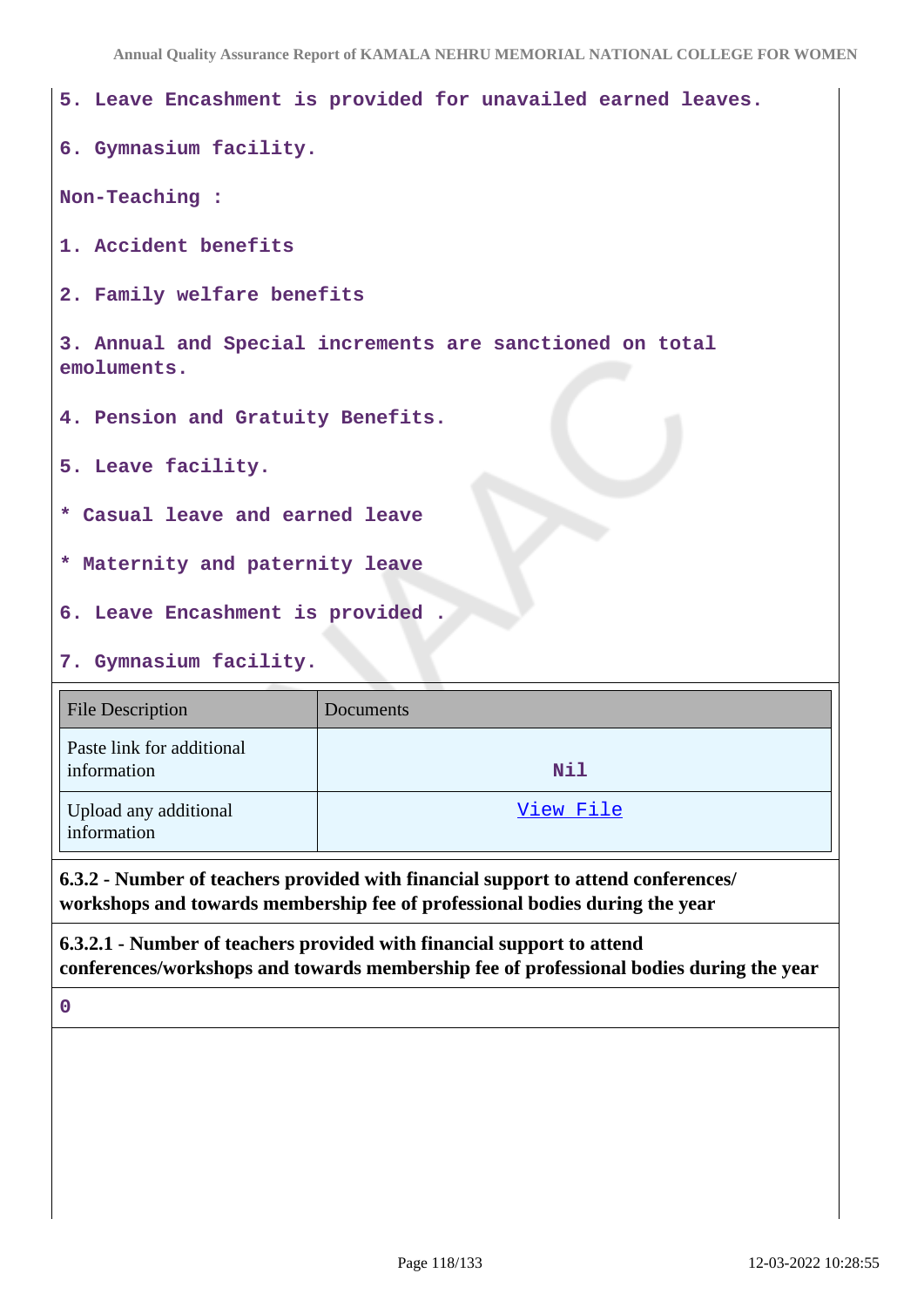**Annual Quality Assurance Report of KAMALA NEHRU MEMORIAL NATIONAL COLLEGE FOR WOMEN**

| 5. Leave Encashment is provided for unavailed earned leaves.            |
|-------------------------------------------------------------------------|
| 6. Gymnasium facility.                                                  |
| Non-Teaching :                                                          |
| 1. Accident benefits                                                    |
| 2. Family welfare benefits                                              |
| 3. Annual and Special increments are sanctioned on total<br>emoluments. |
| 4. Pension and Gratuity Benefits.                                       |
| 5. Leave facility.                                                      |
| * Casual leave and earned leave                                         |
| * Maternity and paternity leave                                         |
| 6. Leave Encashment is provided.                                        |
| 7. Gymnasium facility.                                                  |

# File Description Documents Paste link for additional information **Nil** Upload any additional information [View File](https://assessmentonline.naac.gov.in/storage/app/public/aqar/13746/13746_71_166.pdf?1647061132)

**6.3.2 - Number of teachers provided with financial support to attend conferences/ workshops and towards membership fee of professional bodies during the year**

**6.3.2.1 - Number of teachers provided with financial support to attend conferences/workshops and towards membership fee of professional bodies during the year**

**0**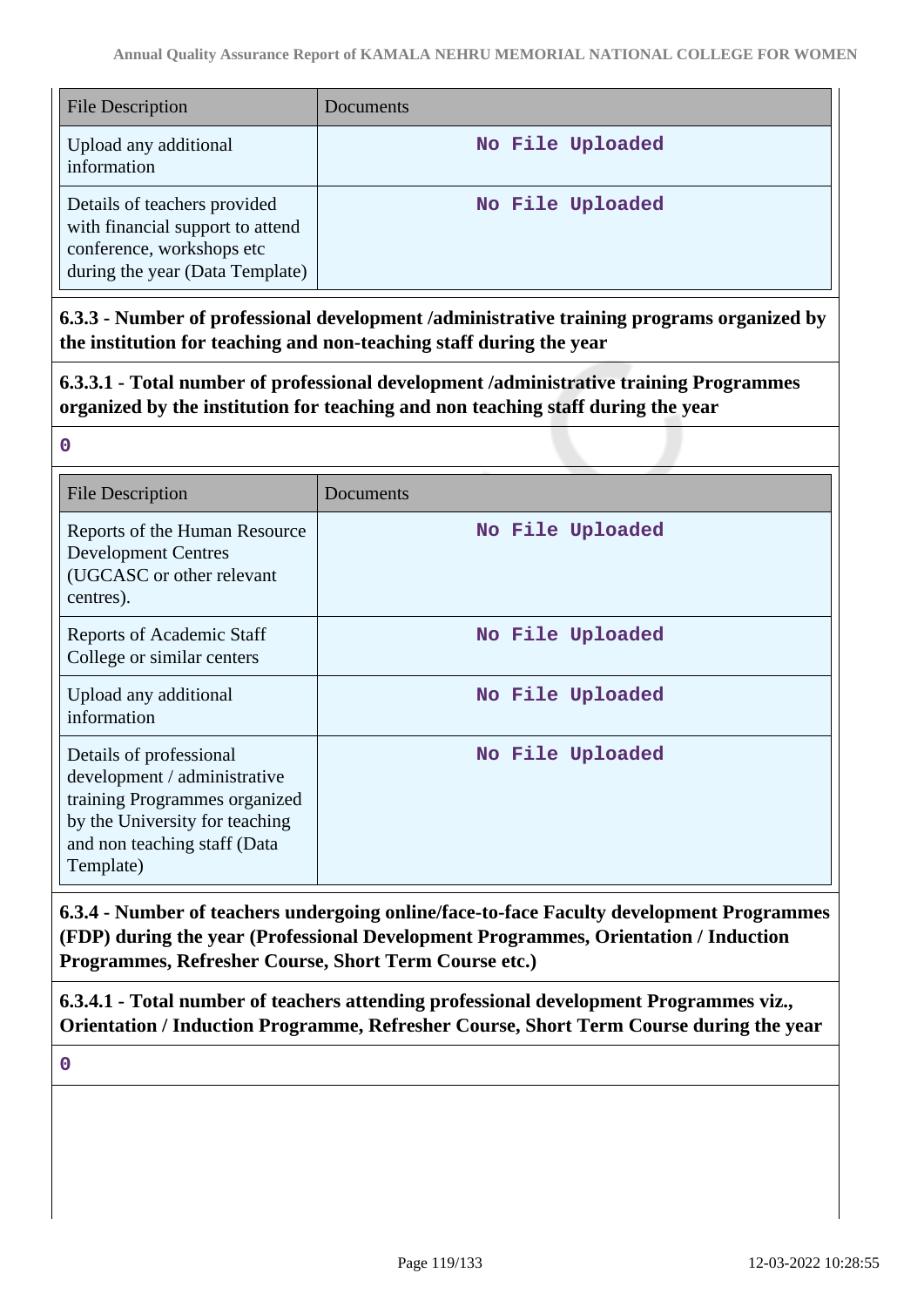| <b>File Description</b>                                                                                                          | Documents        |
|----------------------------------------------------------------------------------------------------------------------------------|------------------|
| Upload any additional<br>information                                                                                             | No File Uploaded |
| Details of teachers provided<br>with financial support to attend<br>conference, workshops etc<br>during the year (Data Template) | No File Uploaded |

**6.3.3 - Number of professional development /administrative training programs organized by the institution for teaching and non-teaching staff during the year**

**6.3.3.1 - Total number of professional development /administrative training Programmes organized by the institution for teaching and non teaching staff during the year**

| <b>File Description</b>                                                                                                                                                 | Documents        |
|-------------------------------------------------------------------------------------------------------------------------------------------------------------------------|------------------|
| Reports of the Human Resource<br><b>Development Centres</b><br>(UGCASC or other relevant<br>centres).                                                                   | No File Uploaded |
| Reports of Academic Staff<br>College or similar centers                                                                                                                 | No File Uploaded |
| Upload any additional<br>information                                                                                                                                    | No File Uploaded |
| Details of professional<br>development / administrative<br>training Programmes organized<br>by the University for teaching<br>and non teaching staff (Data<br>Template) | No File Uploaded |

**6.3.4 - Number of teachers undergoing online/face-to-face Faculty development Programmes (FDP) during the year (Professional Development Programmes, Orientation / Induction Programmes, Refresher Course, Short Term Course etc.)**

**6.3.4.1 - Total number of teachers attending professional development Programmes viz., Orientation / Induction Programme, Refresher Course, Short Term Course during the year**

**0**

**0**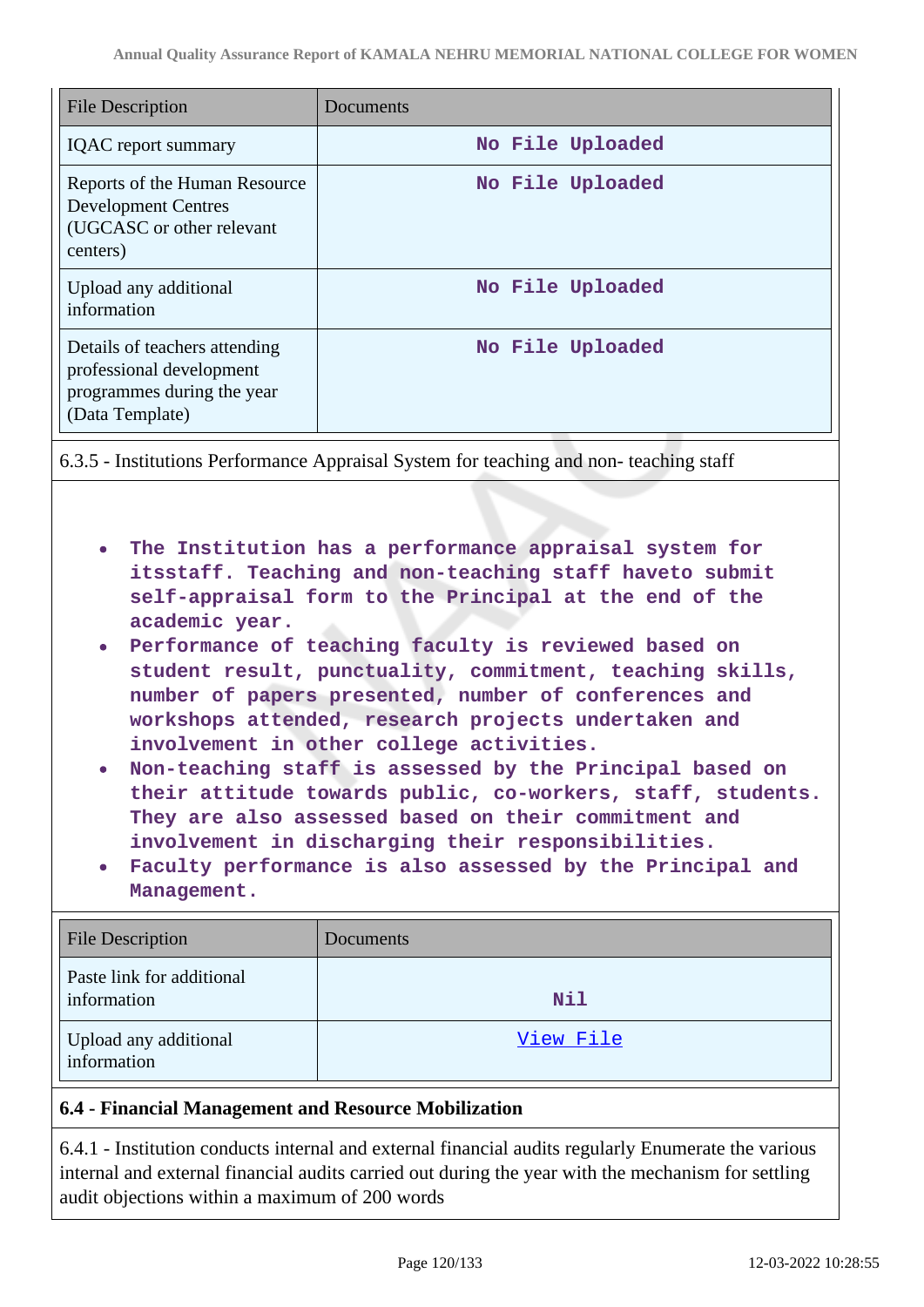| <b>File Description</b>                                                                                    | Documents        |
|------------------------------------------------------------------------------------------------------------|------------------|
| <b>IQAC</b> report summary                                                                                 | No File Uploaded |
| Reports of the Human Resource<br><b>Development Centres</b><br>(UGCASC or other relevant<br>centers)       | No File Uploaded |
| Upload any additional<br>information                                                                       | No File Uploaded |
| Details of teachers attending<br>professional development<br>programmes during the year<br>(Data Template) | No File Uploaded |

6.3.5 - Institutions Performance Appraisal System for teaching and non- teaching staff

- **The Institution has a performance appraisal system for itsstaff. Teaching and non-teaching staff haveto submit self-appraisal form to the Principal at the end of the academic year.**
- **Performance of teaching faculty is reviewed based on student result, punctuality, commitment, teaching skills, number of papers presented, number of conferences and workshops attended, research projects undertaken and involvement in other college activities.**
- **Non-teaching staff is assessed by the Principal based on their attitude towards public, co-workers, staff, students. They are also assessed based on their commitment and involvement in discharging their responsibilities.**
- **Faculty performance is also assessed by the Principal and Management.**

| <b>File Description</b>                  | Documents  |
|------------------------------------------|------------|
| Paste link for additional<br>information | <b>Nil</b> |
| Upload any additional<br>information     | View File  |

## **6.4 - Financial Management and Resource Mobilization**

6.4.1 - Institution conducts internal and external financial audits regularly Enumerate the various internal and external financial audits carried out during the year with the mechanism for settling audit objections within a maximum of 200 words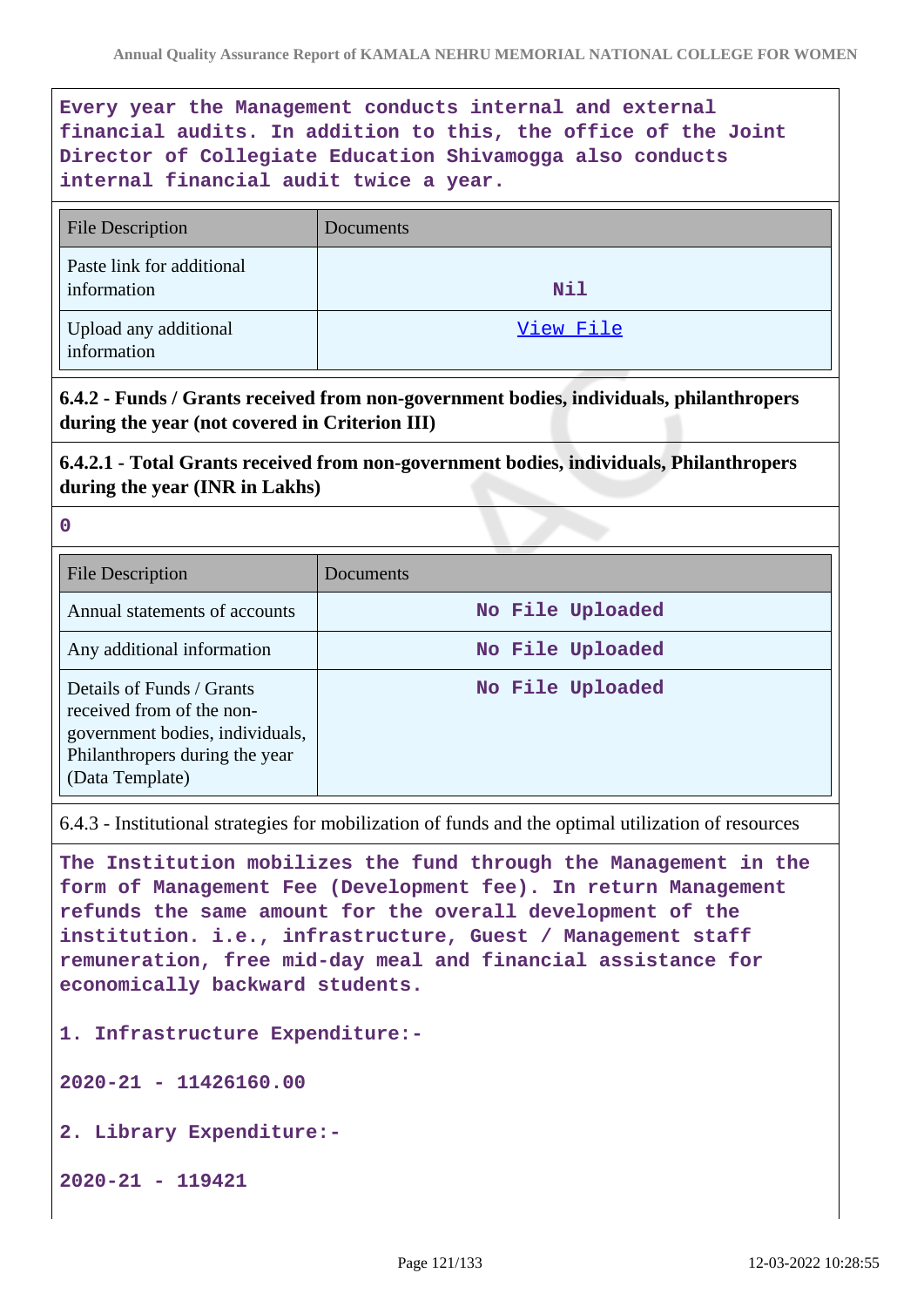## **Every year the Management conducts internal and external financial audits. In addition to this, the office of the Joint Director of Collegiate Education Shivamogga also conducts internal financial audit twice a year.**

| <b>File Description</b>                  | Documents  |
|------------------------------------------|------------|
| Paste link for additional<br>information | <b>Nil</b> |
| Upload any additional<br>information     | View File  |

**6.4.2 - Funds / Grants received from non-government bodies, individuals, philanthropers during the year (not covered in Criterion III)**

**6.4.2.1 - Total Grants received from non-government bodies, individuals, Philanthropers during the year (INR in Lakhs)**

**0**

| <b>File Description</b>                                                                                                                        | Documents        |
|------------------------------------------------------------------------------------------------------------------------------------------------|------------------|
| Annual statements of accounts                                                                                                                  | No File Uploaded |
| Any additional information                                                                                                                     | No File Uploaded |
| Details of Funds / Grants<br>received from of the non-<br>government bodies, individuals,<br>Philanthropers during the year<br>(Data Template) | No File Uploaded |

6.4.3 - Institutional strategies for mobilization of funds and the optimal utilization of resources

**The Institution mobilizes the fund through the Management in the form of Management Fee (Development fee). In return Management refunds the same amount for the overall development of the institution. i.e., infrastructure, Guest / Management staff remuneration, free mid-day meal and financial assistance for economically backward students.**

**1. Infrastructure Expenditure:-**

**2020-21 - 11426160.00**

**2. Library Expenditure:-** 

**2020-21 - 119421**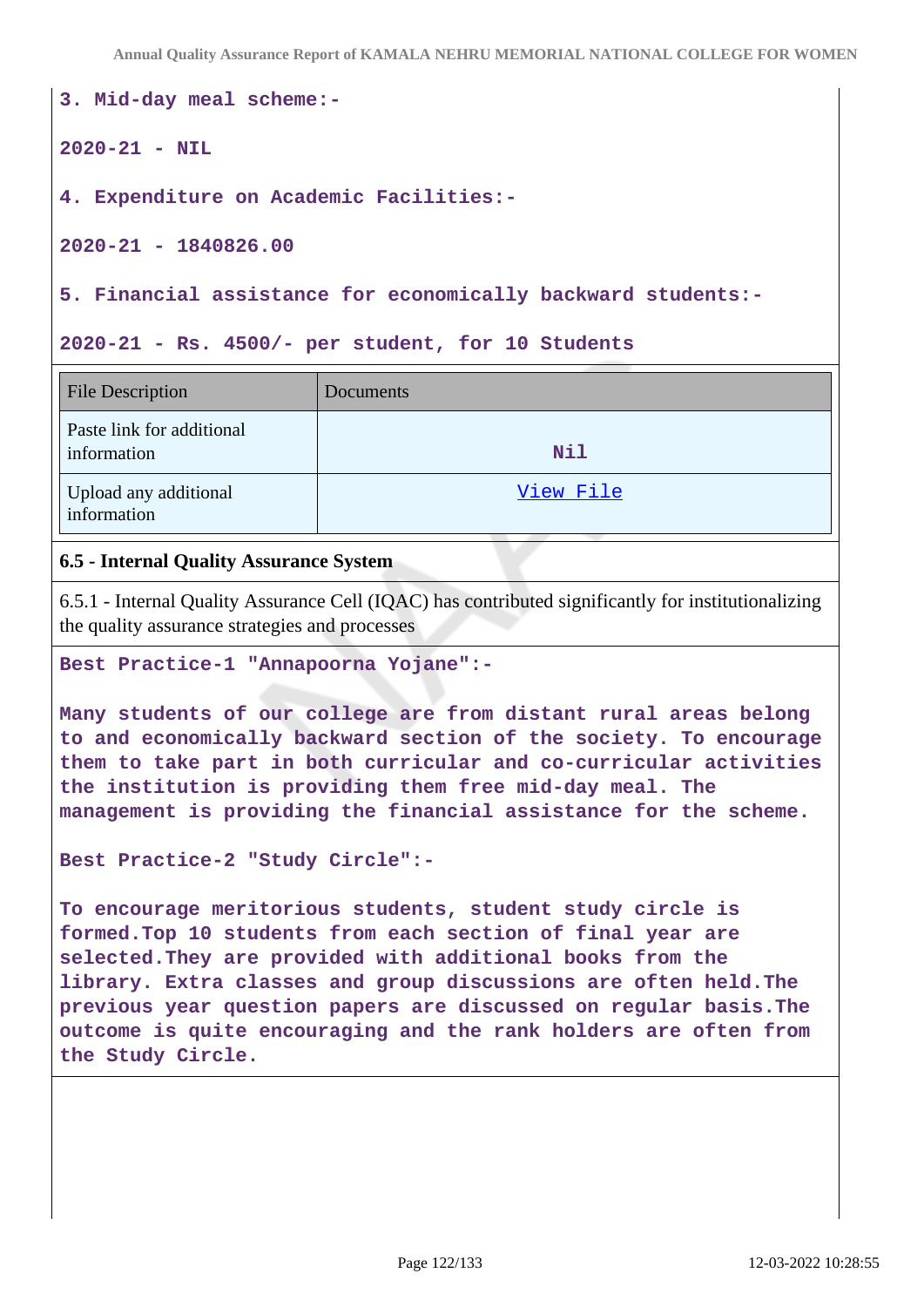**Annual Quality Assurance Report of KAMALA NEHRU MEMORIAL NATIONAL COLLEGE FOR WOMEN**

**3. Mid-day meal scheme:-**

**2020-21 - NIL**

**4. Expenditure on Academic Facilities:-**

**2020-21 - 1840826.00**

**5. Financial assistance for economically backward students:-**

**2020-21 - Rs. 4500/- per student, for 10 Students**

| <b>File Description</b>                  | Documents  |
|------------------------------------------|------------|
| Paste link for additional<br>information | <b>Nil</b> |
| Upload any additional<br>information     | View File  |

## **6.5 - Internal Quality Assurance System**

6.5.1 - Internal Quality Assurance Cell (IQAC) has contributed significantly for institutionalizing the quality assurance strategies and processes

#### **Best Practice-1 "Annapoorna Yojane":-**

**Many students of our college are from distant rural areas belong to and economically backward section of the society. To encourage them to take part in both curricular and co-curricular activities the institution is providing them free mid-day meal. The management is providing the financial assistance for the scheme.**

**Best Practice-2 "Study Circle":-**

**To encourage meritorious students, student study circle is formed.Top 10 students from each section of final year are selected.They are provided with additional books from the library. Extra classes and group discussions are often held.The previous year question papers are discussed on regular basis.The outcome is quite encouraging and the rank holders are often from the Study Circle.**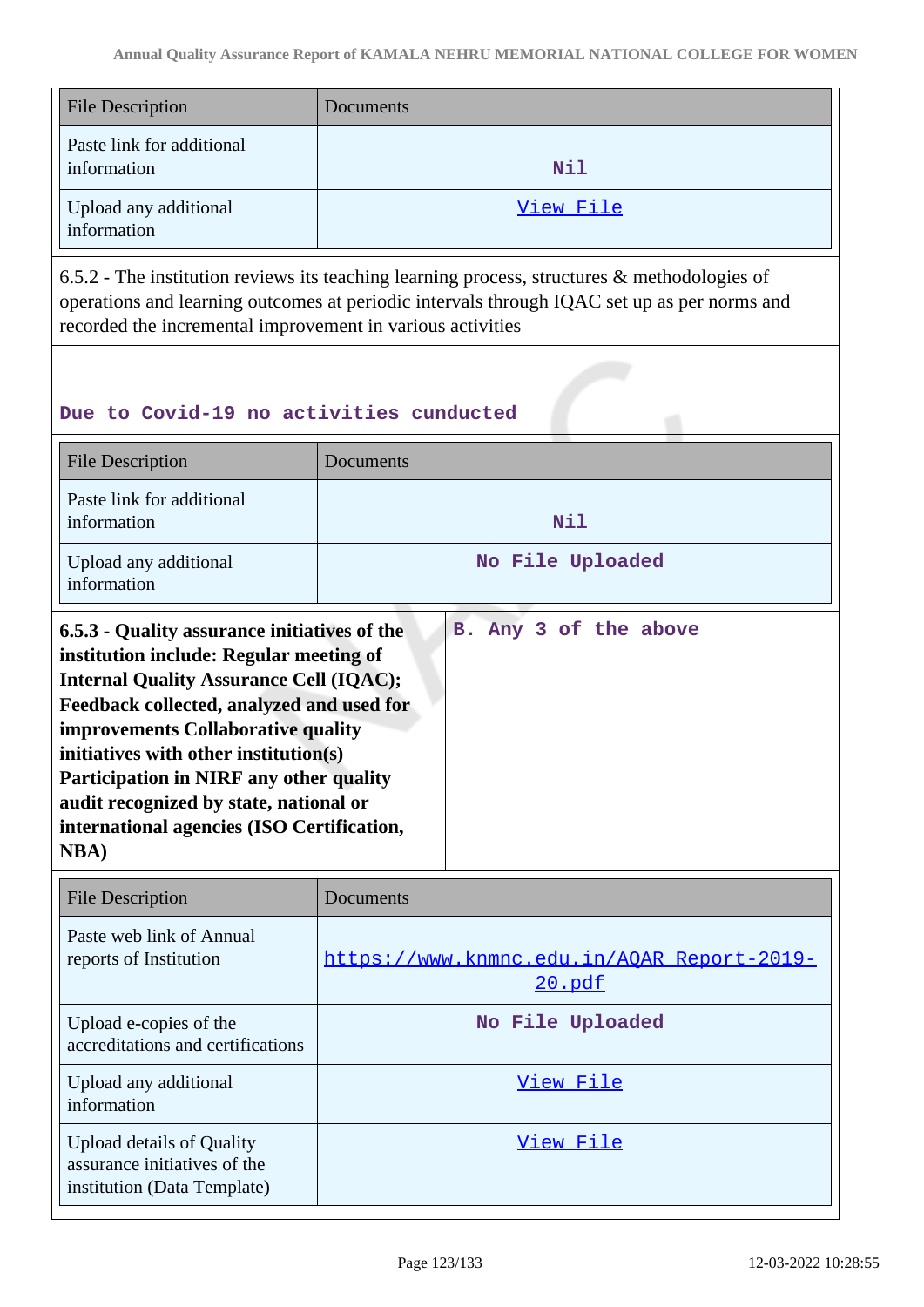| <b>File Description</b>                  | Documents |
|------------------------------------------|-----------|
| Paste link for additional<br>information | Nil       |
| Upload any additional<br>information     | View File |

6.5.2 - The institution reviews its teaching learning process, structures & methodologies of operations and learning outcomes at periodic intervals through IQAC set up as per norms and recorded the incremental improvement in various activities

## **Due to Covid-19 no activities cunducted**

| <b>File Description</b>                                                                                                                                                                                                                                                                                                                                                                                                         | Documents             |  |  |
|---------------------------------------------------------------------------------------------------------------------------------------------------------------------------------------------------------------------------------------------------------------------------------------------------------------------------------------------------------------------------------------------------------------------------------|-----------------------|--|--|
| Paste link for additional<br>information                                                                                                                                                                                                                                                                                                                                                                                        | Nil                   |  |  |
| Upload any additional<br>information                                                                                                                                                                                                                                                                                                                                                                                            | No File Uploaded      |  |  |
| 6.5.3 - Quality assurance initiatives of the<br>institution include: Regular meeting of<br><b>Internal Quality Assurance Cell (IQAC);</b><br>Feedback collected, analyzed and used for<br>improvements Collaborative quality<br>initiatives with other institution(s)<br><b>Participation in NIRF any other quality</b><br>audit recognized by state, national or<br>international agencies (ISO Certification,<br><b>NBA</b> ) | B. Any 3 of the above |  |  |

| <b>File Description</b>                                                                         | Documents                                            |
|-------------------------------------------------------------------------------------------------|------------------------------------------------------|
| Paste web link of Annual<br>reports of Institution                                              | https://www.knmnc.edu.in/AQAR Report-2019-<br>20.pdf |
| Upload e-copies of the<br>accreditations and certifications                                     | No File Uploaded                                     |
| Upload any additional<br>information                                                            | View File                                            |
| <b>Upload details of Quality</b><br>assurance initiatives of the<br>institution (Data Template) | View File                                            |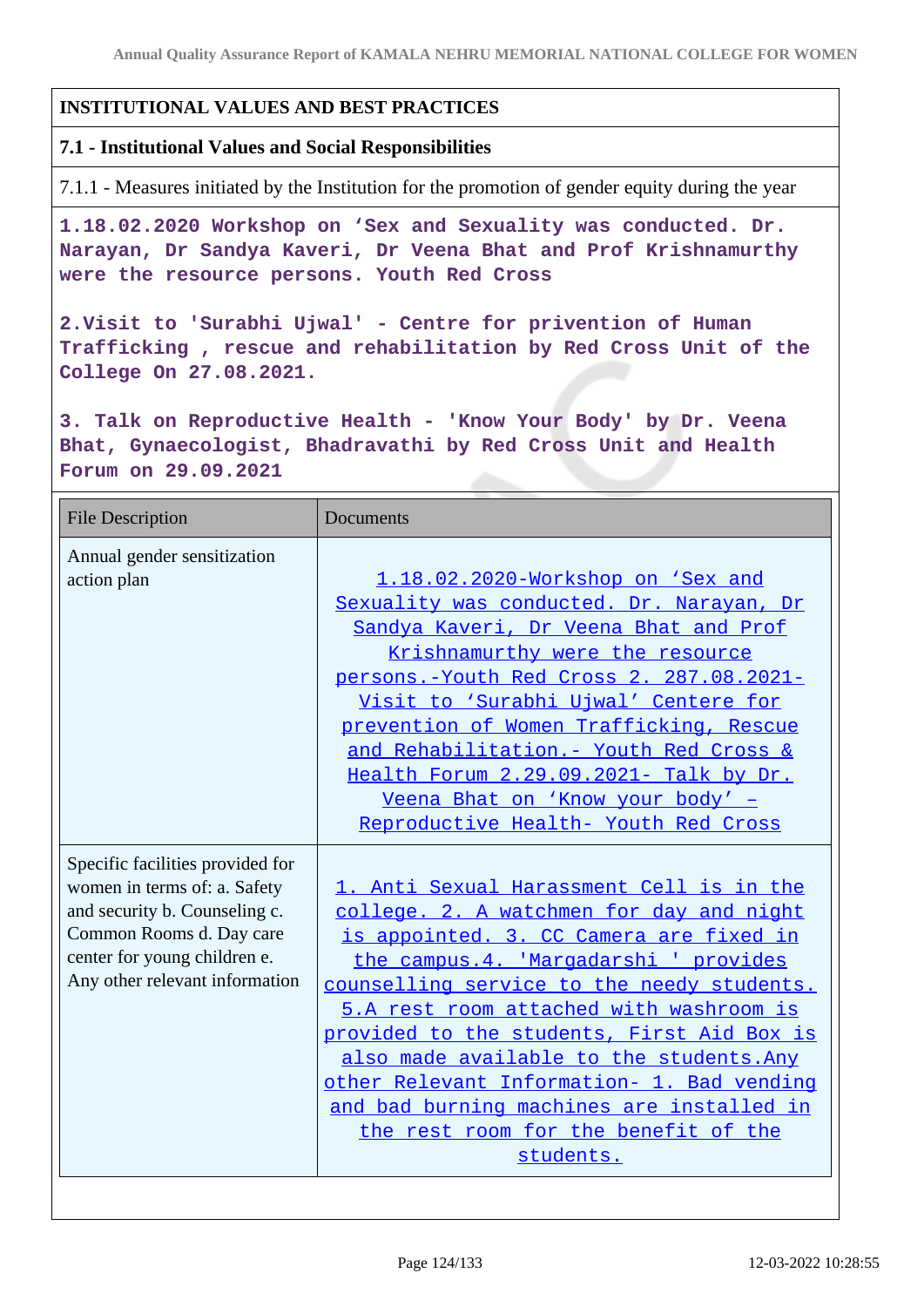## **INSTITUTIONAL VALUES AND BEST PRACTICES**

#### **7.1 - Institutional Values and Social Responsibilities**

7.1.1 - Measures initiated by the Institution for the promotion of gender equity during the year

**1.18.02.2020 Workshop on 'Sex and Sexuality was conducted. Dr. Narayan, Dr Sandya Kaveri, Dr Veena Bhat and Prof Krishnamurthy were the resource persons. Youth Red Cross**

**2.Visit to 'Surabhi Ujwal' - Centre for privention of Human Trafficking , rescue and rehabilitation by Red Cross Unit of the College On 27.08.2021.**

**3. Talk on Reproductive Health - 'Know Your Body' by Dr. Veena Bhat, Gynaecologist, Bhadravathi by Red Cross Unit and Health Forum on 29.09.2021**

| <b>File Description</b>                                                                                                                                                                         | <b>Documents</b>                                                                                                                                                                                                                                                                                                                                                                                                                                                                                             |
|-------------------------------------------------------------------------------------------------------------------------------------------------------------------------------------------------|--------------------------------------------------------------------------------------------------------------------------------------------------------------------------------------------------------------------------------------------------------------------------------------------------------------------------------------------------------------------------------------------------------------------------------------------------------------------------------------------------------------|
| Annual gender sensitization<br>action plan                                                                                                                                                      | 1.18.02.2020-Workshop on 'Sex and<br>Sexuality was conducted. Dr. Narayan, Dr<br>Sandya Kaveri, Dr Veena Bhat and Prof<br>Krishnamurthy were the resource<br>persons.-Youth Red Cross 2. 287.08.2021-<br>Visit to 'Surabhi Ujwal' Centere for<br>prevention of Women Trafficking, Rescue<br>and Rehabilitation. - Youth Red Cross &<br>Health Forum 2.29.09.2021- Talk by Dr.<br>Veena Bhat on 'Know your body' -<br>Reproductive Health- Youth Red Cross                                                    |
| Specific facilities provided for<br>women in terms of: a. Safety<br>and security b. Counseling c.<br>Common Rooms d. Day care<br>center for young children e.<br>Any other relevant information | 1. Anti Sexual Harassment Cell is in the<br>college. 2. A watchmen for day and night<br>is appointed. 3. CC Camera are fixed in<br>the campus. 4. 'Margadarshi ' provides<br>counselling service to the needy students.<br>5.A rest room attached with washroom is<br>provided to the students, First Aid Box is<br>also made available to the students. Any<br>other Relevant Information- 1. Bad vending<br>and bad burning machines are installed in<br>the rest room for the benefit of the<br>students. |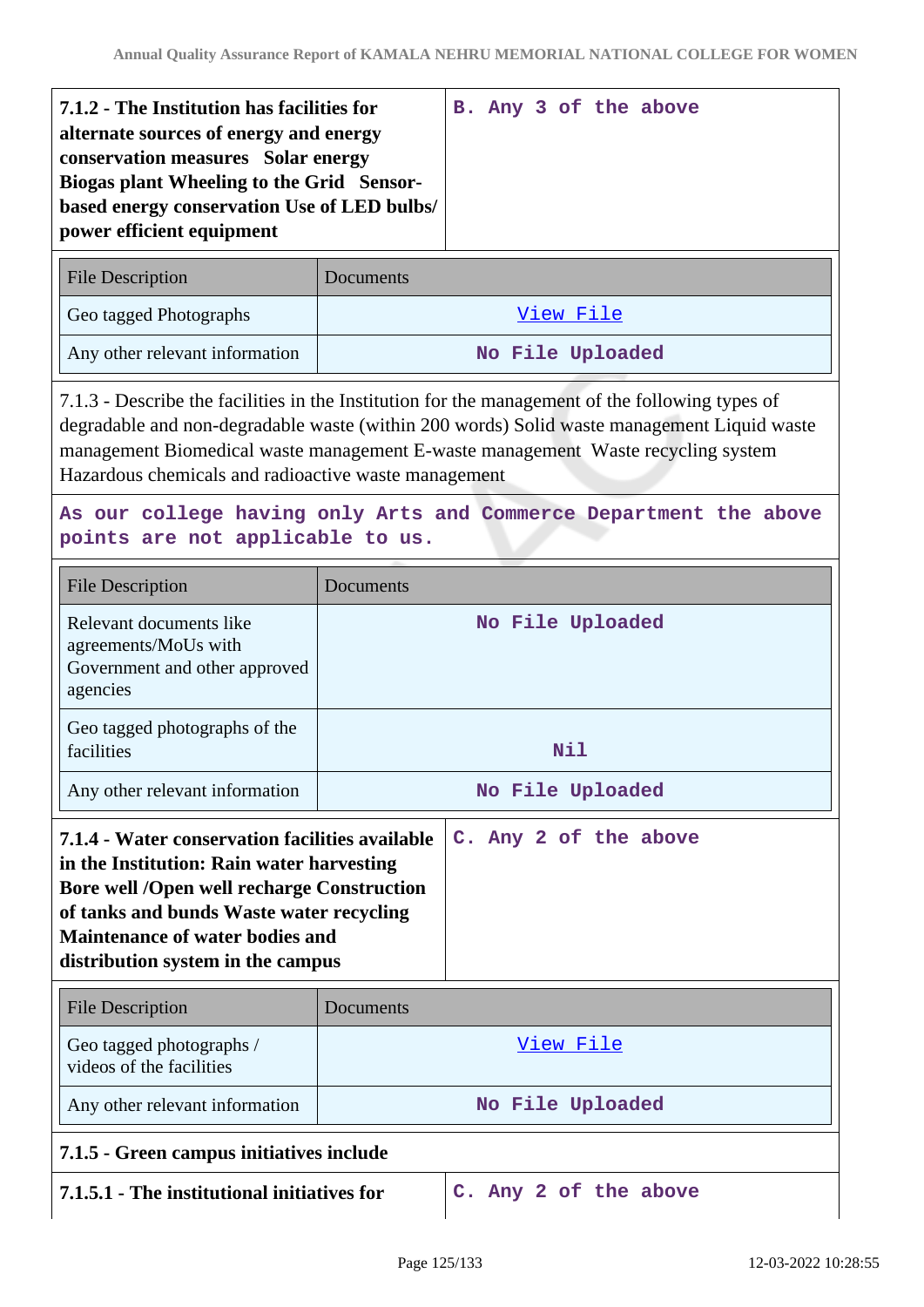| 7.1.2 - The Institution has facilities for<br>alternate sources of energy and energy<br>conservation measures Solar energy<br>Biogas plant Wheeling to the Grid Sensor-<br>based energy conservation Use of LED bulbs/<br>power efficient equipment |  |  |  | B. Any 3 of the above |
|-----------------------------------------------------------------------------------------------------------------------------------------------------------------------------------------------------------------------------------------------------|--|--|--|-----------------------|
| <b>File Description</b><br>Documents                                                                                                                                                                                                                |  |  |  |                       |

| Geo tagged Photographs         | View File        |
|--------------------------------|------------------|
| Any other relevant information | No File Uploaded |

7.1.3 - Describe the facilities in the Institution for the management of the following types of degradable and non-degradable waste (within 200 words) Solid waste management Liquid waste management Biomedical waste management E-waste management Waste recycling system Hazardous chemicals and radioactive waste management

## **As our college having only Arts and Commerce Department the above points are not applicable to us.**

| <b>File Description</b>                                                                                                                                                                                                   | Documents        |                       |  |  |
|---------------------------------------------------------------------------------------------------------------------------------------------------------------------------------------------------------------------------|------------------|-----------------------|--|--|
| Relevant documents like<br>agreements/MoUs with<br>Government and other approved<br>agencies                                                                                                                              | No File Uploaded |                       |  |  |
| Geo tagged photographs of the<br>facilities                                                                                                                                                                               | Nil              |                       |  |  |
| Any other relevant information                                                                                                                                                                                            | No File Uploaded |                       |  |  |
| in the Institution: Rain water harvesting<br><b>Bore well /Open well recharge Construction</b><br>of tanks and bunds Waste water recycling<br><b>Maintenance of water bodies and</b><br>distribution system in the campus |                  |                       |  |  |
| <b>File Description</b>                                                                                                                                                                                                   | Documents        |                       |  |  |
| Geo tagged photographs /<br>videos of the facilities                                                                                                                                                                      | View File        |                       |  |  |
| Any other relevant information                                                                                                                                                                                            | No File Uploaded |                       |  |  |
| 7.1.5 - Green campus initiatives include                                                                                                                                                                                  |                  |                       |  |  |
| 7.1.5.1 - The institutional initiatives for                                                                                                                                                                               |                  | C. Any 2 of the above |  |  |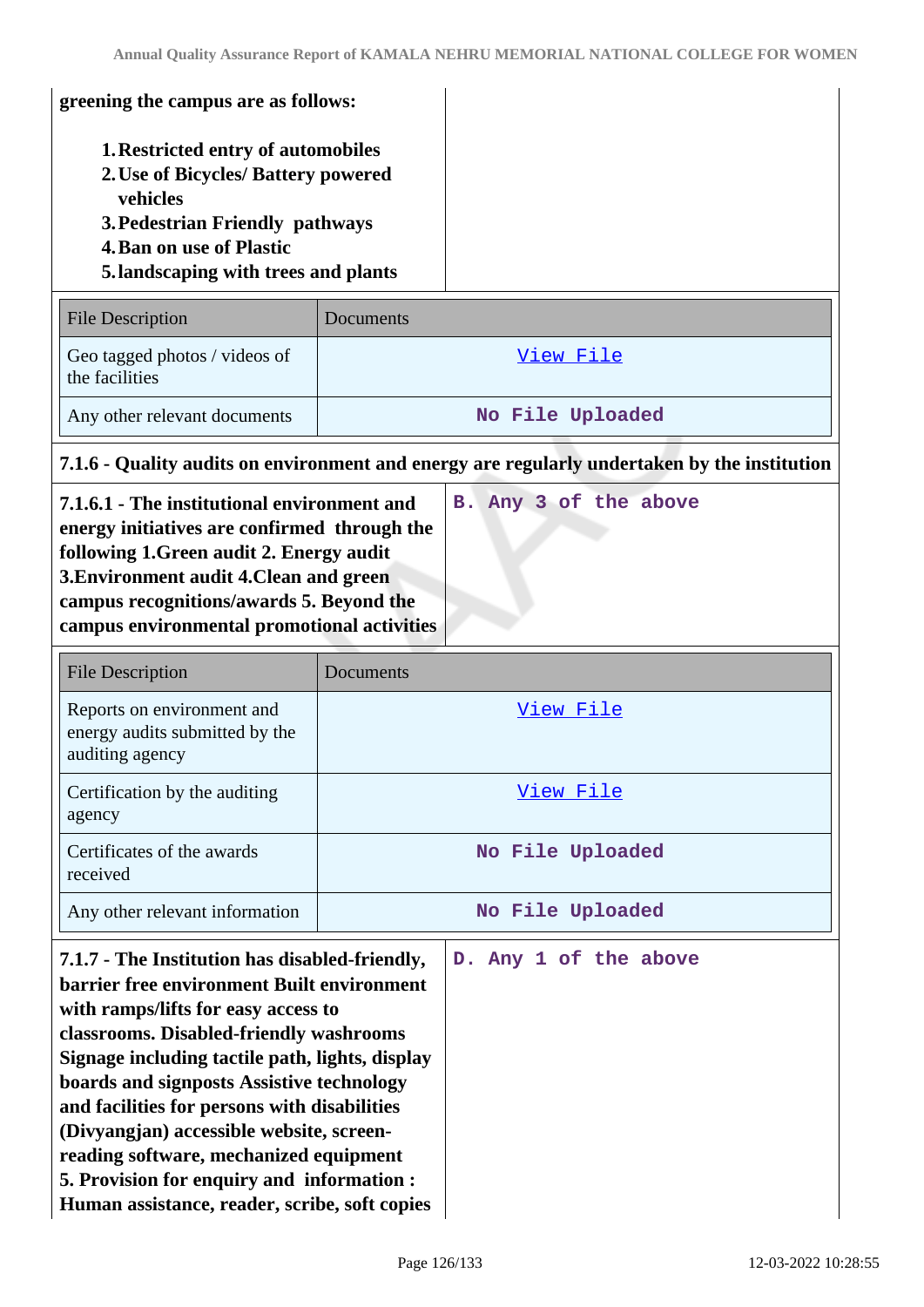| greening the campus are as follows:                                                                                                                                                                                                                                                                                                                                                                                                                                                                                 |                  |                                                                                              |  |  |
|---------------------------------------------------------------------------------------------------------------------------------------------------------------------------------------------------------------------------------------------------------------------------------------------------------------------------------------------------------------------------------------------------------------------------------------------------------------------------------------------------------------------|------------------|----------------------------------------------------------------------------------------------|--|--|
| <b>1. Restricted entry of automobiles</b><br>2. Use of Bicycles/ Battery powered<br>vehicles<br>3. Pedestrian Friendly pathways<br><b>4. Ban on use of Plastic</b><br>5. landscaping with trees and plants                                                                                                                                                                                                                                                                                                          |                  |                                                                                              |  |  |
| <b>File Description</b>                                                                                                                                                                                                                                                                                                                                                                                                                                                                                             | Documents        |                                                                                              |  |  |
| Geo tagged photos / videos of<br>the facilities                                                                                                                                                                                                                                                                                                                                                                                                                                                                     | <u>View File</u> |                                                                                              |  |  |
| Any other relevant documents                                                                                                                                                                                                                                                                                                                                                                                                                                                                                        |                  | No File Uploaded                                                                             |  |  |
|                                                                                                                                                                                                                                                                                                                                                                                                                                                                                                                     |                  | 7.1.6 - Quality audits on environment and energy are regularly undertaken by the institution |  |  |
| 7.1.6.1 - The institutional environment and<br>energy initiatives are confirmed through the<br>following 1. Green audit 2. Energy audit<br>3. Environment audit 4. Clean and green<br>campus recognitions/awards 5. Beyond the<br>campus environmental promotional activities                                                                                                                                                                                                                                       |                  | B. Any 3 of the above                                                                        |  |  |
| <b>File Description</b>                                                                                                                                                                                                                                                                                                                                                                                                                                                                                             | Documents        |                                                                                              |  |  |
| Reports on environment and<br>energy audits submitted by the<br>auditing agency                                                                                                                                                                                                                                                                                                                                                                                                                                     |                  | View File                                                                                    |  |  |
| Certification by the auditing<br>agency                                                                                                                                                                                                                                                                                                                                                                                                                                                                             |                  | View File                                                                                    |  |  |
| Certificates of the awards<br>received                                                                                                                                                                                                                                                                                                                                                                                                                                                                              |                  | No File Uploaded                                                                             |  |  |
| Any other relevant information                                                                                                                                                                                                                                                                                                                                                                                                                                                                                      |                  | No File Uploaded                                                                             |  |  |
| 7.1.7 - The Institution has disabled-friendly,<br>barrier free environment Built environment<br>with ramps/lifts for easy access to<br>classrooms. Disabled-friendly washrooms<br>Signage including tactile path, lights, display<br>boards and signposts Assistive technology<br>and facilities for persons with disabilities<br>(Divyangjan) accessible website, screen-<br>reading software, mechanized equipment<br>5. Provision for enquiry and information :<br>Human assistance, reader, scribe, soft copies |                  | D. Any 1 of the above                                                                        |  |  |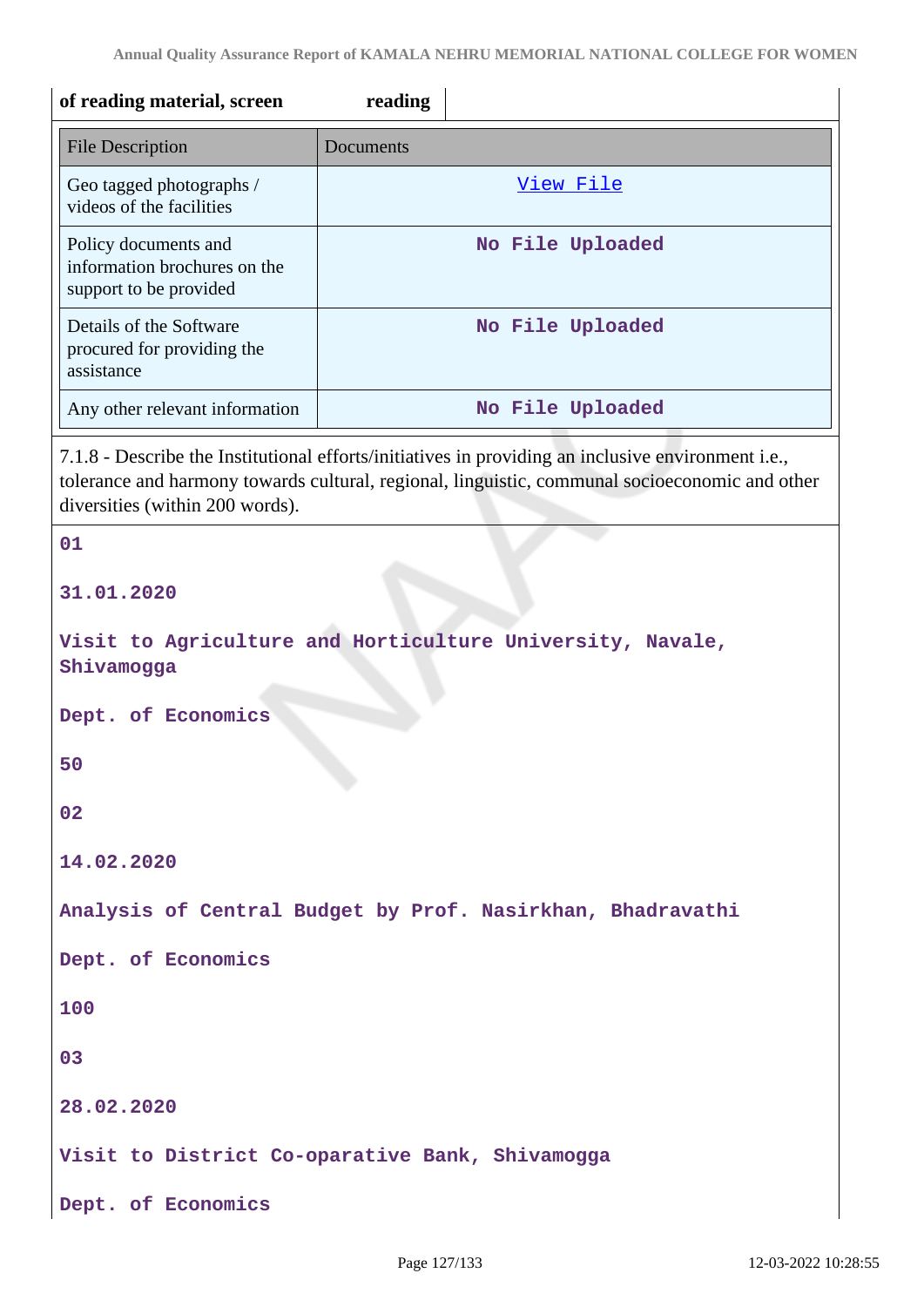| of reading material, screen                                                    | reading                                                                                                                                                                                              |
|--------------------------------------------------------------------------------|------------------------------------------------------------------------------------------------------------------------------------------------------------------------------------------------------|
| <b>File Description</b>                                                        | Documents                                                                                                                                                                                            |
| Geo tagged photographs /<br>videos of the facilities                           | View File                                                                                                                                                                                            |
| Policy documents and<br>information brochures on the<br>support to be provided | No File Uploaded                                                                                                                                                                                     |
| Details of the Software<br>procured for providing the<br>assistance            | No File Uploaded                                                                                                                                                                                     |
| Any other relevant information                                                 | No File Uploaded                                                                                                                                                                                     |
| diversities (within 200 words).                                                | 7.1.8 - Describe the Institutional efforts/initiatives in providing an inclusive environment i.e.,<br>tolerance and harmony towards cultural, regional, linguistic, communal socioeconomic and other |
| 01                                                                             |                                                                                                                                                                                                      |
| 31.01.2020                                                                     |                                                                                                                                                                                                      |
| Shivamogga                                                                     | Visit to Agriculture and Horticulture University, Navale,                                                                                                                                            |
| Dept. of Economics                                                             |                                                                                                                                                                                                      |
| 50                                                                             |                                                                                                                                                                                                      |
| 02                                                                             |                                                                                                                                                                                                      |
| 14.02.2020                                                                     |                                                                                                                                                                                                      |
|                                                                                | Analysis of Central Budget by Prof. Nasirkhan, Bhadravathi                                                                                                                                           |
| Dept. of Economics                                                             |                                                                                                                                                                                                      |
| 100                                                                            |                                                                                                                                                                                                      |
| 03                                                                             |                                                                                                                                                                                                      |
| 28.02.2020                                                                     |                                                                                                                                                                                                      |
|                                                                                | Visit to District Co-oparative Bank, Shivamogga                                                                                                                                                      |
| Dept. of Economics                                                             |                                                                                                                                                                                                      |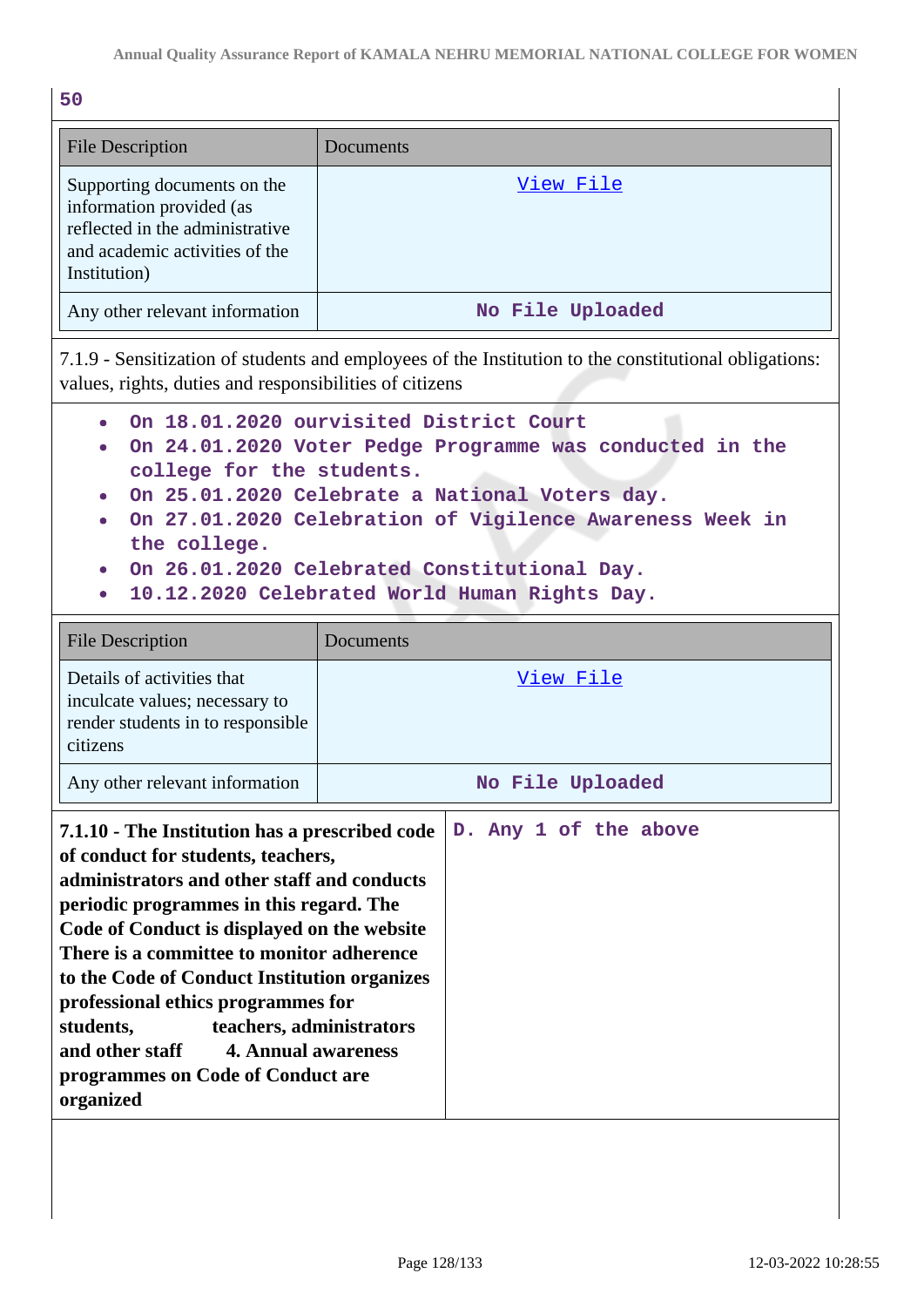| ۰.<br>×<br>o esta | ۰,<br>$\overline{\phantom{a}}$ |
|-------------------|--------------------------------|

| <b>File Description</b>                                                                                                                      | Documents        |
|----------------------------------------------------------------------------------------------------------------------------------------------|------------------|
| Supporting documents on the<br>information provided (as<br>reflected in the administrative<br>and academic activities of the<br>Institution) | View File        |
| Any other relevant information                                                                                                               | No File Uploaded |

7.1.9 - Sensitization of students and employees of the Institution to the constitutional obligations: values, rights, duties and responsibilities of citizens

- **On 18.01.2020 ourvisited District Court**
- **On 24.01.2020 Voter Pedge Programme was conducted in the college for the students.**
- **On 25.01.2020 Celebrate a National Voters day.**
- **On 27.01.2020 Celebration of Vigilence Awareness Week in the college.**
- **On 26.01.2020 Celebrated Constitutional Day.**
- **10.12.2020 Celebrated World Human Rights Day.**

| <b>File Description</b>                                                                                                                                                                                                                                                                                                                                                                                                                                                                                      | Documents             |
|--------------------------------------------------------------------------------------------------------------------------------------------------------------------------------------------------------------------------------------------------------------------------------------------------------------------------------------------------------------------------------------------------------------------------------------------------------------------------------------------------------------|-----------------------|
| Details of activities that<br>inculcate values; necessary to<br>render students in to responsible<br>citizens                                                                                                                                                                                                                                                                                                                                                                                                | <u>View File</u>      |
| Any other relevant information                                                                                                                                                                                                                                                                                                                                                                                                                                                                               | No File Uploaded      |
| 7.1.10 - The Institution has a prescribed code<br>of conduct for students, teachers,<br>administrators and other staff and conducts<br>periodic programmes in this regard. The<br>Code of Conduct is displayed on the website<br>There is a committee to monitor adherence<br>to the Code of Conduct Institution organizes<br>professional ethics programmes for<br>teachers, administrators<br>students,<br>and other staff<br><b>4. Annual awareness</b><br>programmes on Code of Conduct are<br>organized | D. Any 1 of the above |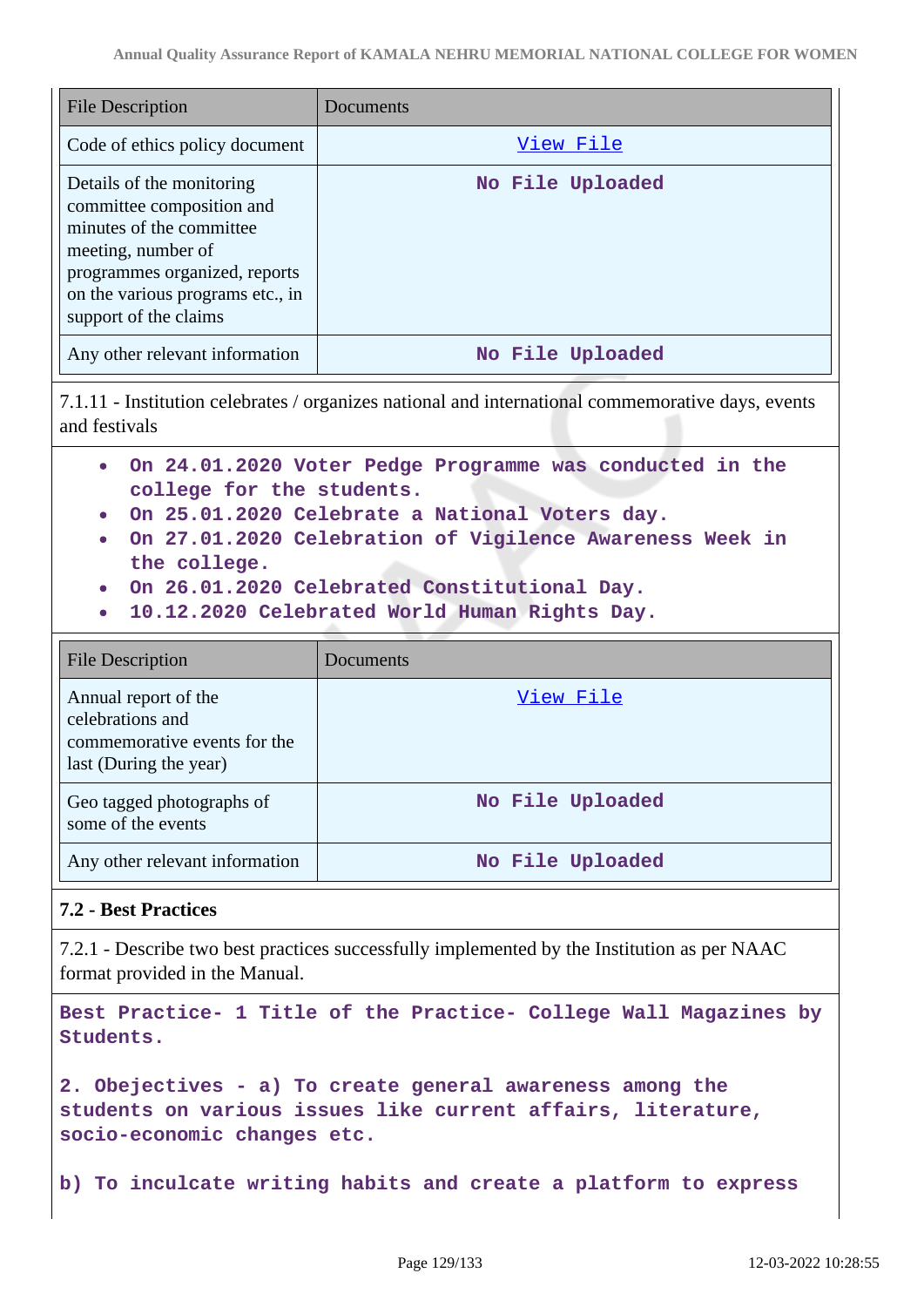| File Description                                                                                                                                                                                       | Documents        |
|--------------------------------------------------------------------------------------------------------------------------------------------------------------------------------------------------------|------------------|
| Code of ethics policy document                                                                                                                                                                         | View File        |
| Details of the monitoring<br>committee composition and<br>minutes of the committee<br>meeting, number of<br>programmes organized, reports<br>on the various programs etc., in<br>support of the claims | No File Uploaded |
| Any other relevant information                                                                                                                                                                         | No File Uploaded |

7.1.11 - Institution celebrates / organizes national and international commemorative days, events and festivals

- **On 24.01.2020 Voter Pedge Programme was conducted in the college for the students.**
- **On 25.01.2020 Celebrate a National Voters day.**
- **On 27.01.2020 Celebration of Vigilence Awareness Week in the college.**
- **On 26.01.2020 Celebrated Constitutional Day.**
- **10.12.2020 Celebrated World Human Rights Day.**

| File Description                                                                                   | Documents        |
|----------------------------------------------------------------------------------------------------|------------------|
| Annual report of the<br>celebrations and<br>commemorative events for the<br>last (During the year) | View File        |
| Geo tagged photographs of<br>some of the events                                                    | No File Uploaded |
| Any other relevant information                                                                     | No File Uploaded |

## **7.2 - Best Practices**

7.2.1 - Describe two best practices successfully implemented by the Institution as per NAAC format provided in the Manual.

**Best Practice- 1 Title of the Practice- College Wall Magazines by Students.**

**2. Obejectives - a) To create general awareness among the students on various issues like current affairs, literature, socio-economic changes etc.**

**b) To inculcate writing habits and create a platform to express**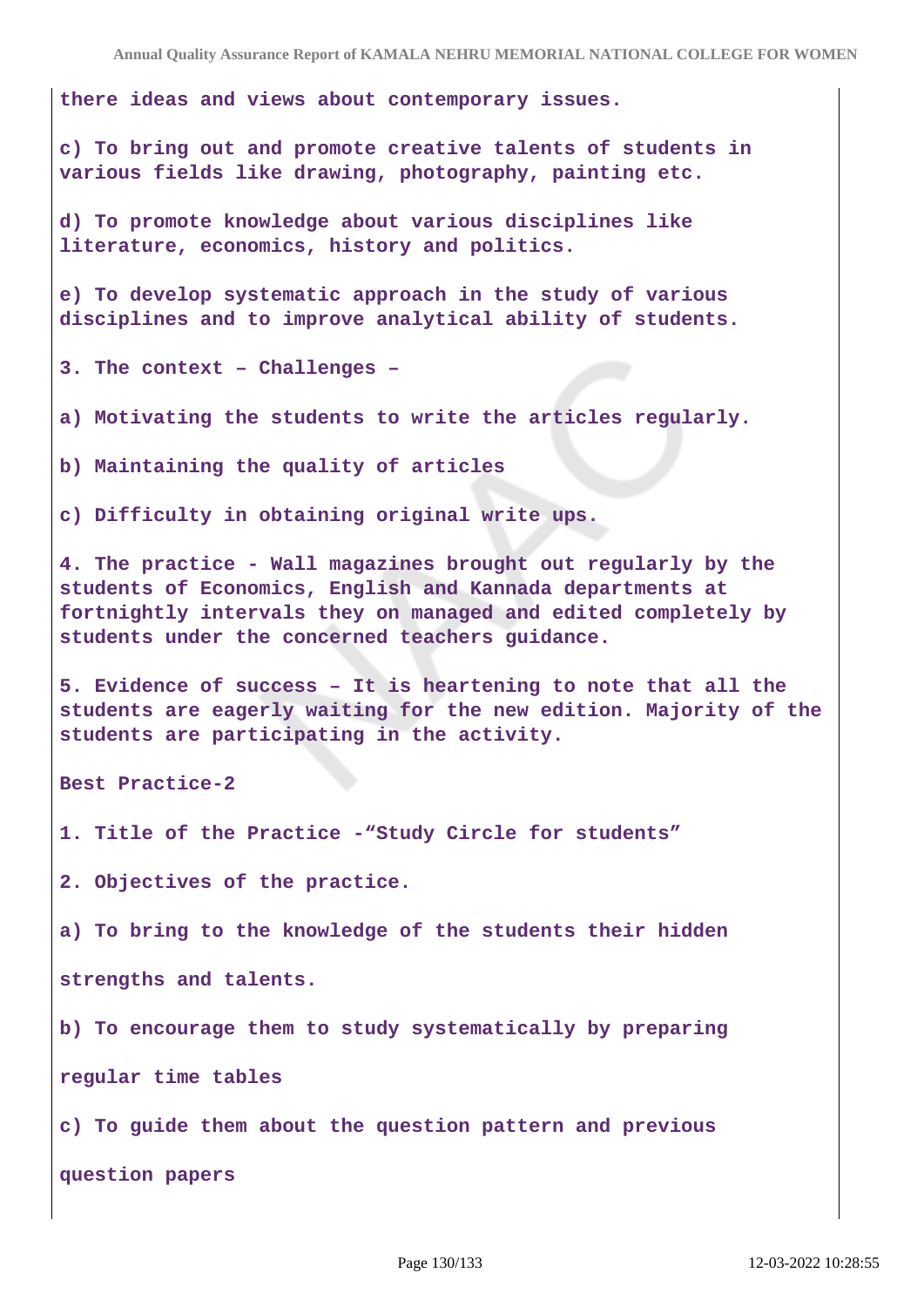**there ideas and views about contemporary issues.**

**c) To bring out and promote creative talents of students in various fields like drawing, photography, painting etc.**

**d) To promote knowledge about various disciplines like literature, economics, history and politics.**

**e) To develop systematic approach in the study of various disciplines and to improve analytical ability of students.**

**3. The context – Challenges –**

**a) Motivating the students to write the articles regularly.**

**b) Maintaining the quality of articles**

**c) Difficulty in obtaining original write ups.**

**4. The practice - Wall magazines brought out regularly by the students of Economics, English and Kannada departments at fortnightly intervals they on managed and edited completely by students under the concerned teachers guidance.**

**5. Evidence of success – It is heartening to note that all the students are eagerly waiting for the new edition. Majority of the students are participating in the activity.**

**Best Practice-2**

**1. Title of the Practice -"Study Circle for students"**

**2. Objectives of the practice.**

**a) To bring to the knowledge of the students their hidden**

**strengths and talents.**

**b) To encourage them to study systematically by preparing**

**regular time tables**

**c) To guide them about the question pattern and previous**

**question papers**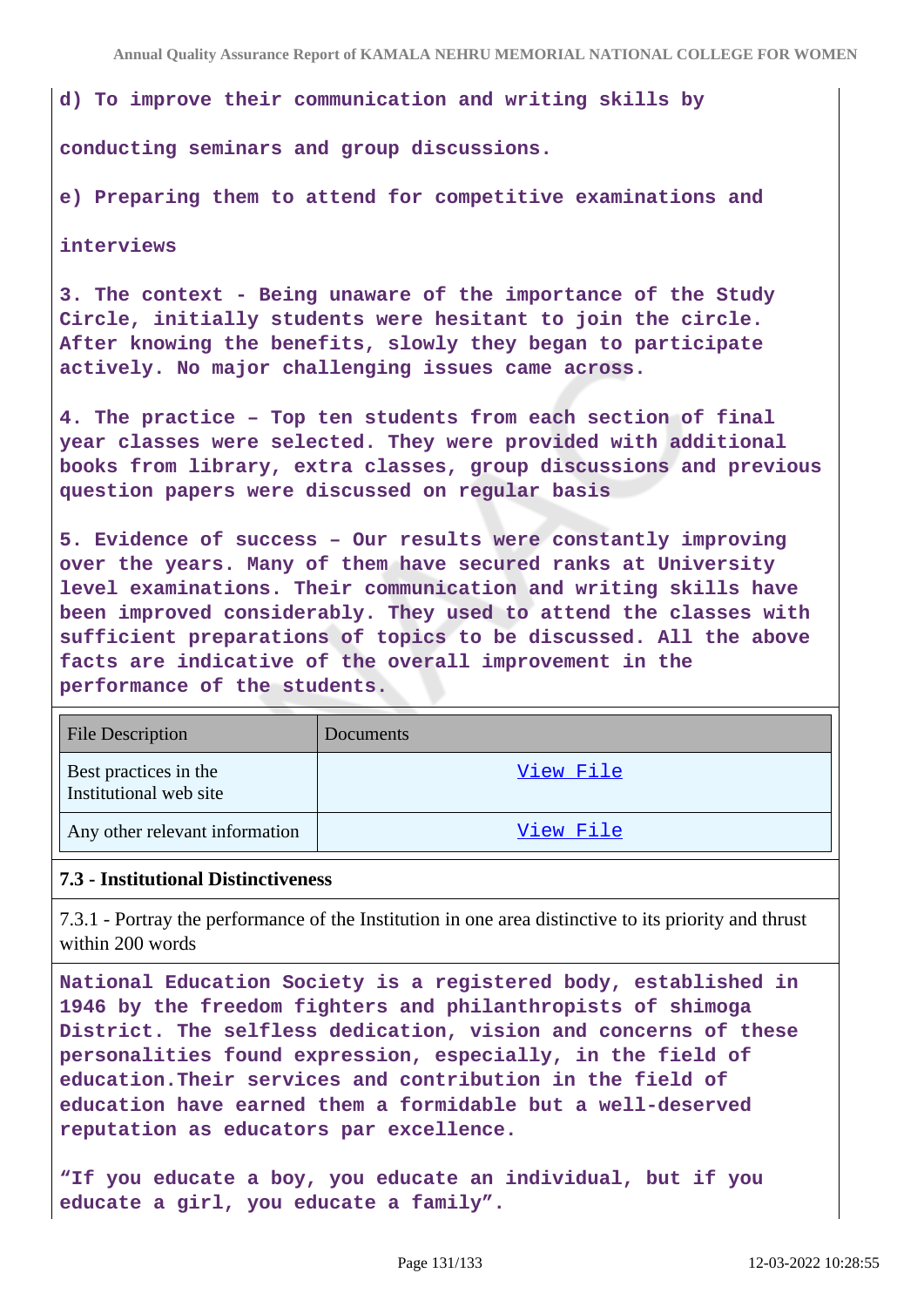**d) To improve their communication and writing skills by**

**conducting seminars and group discussions.**

**e) Preparing them to attend for competitive examinations and**

**interviews**

**3. The context - Being unaware of the importance of the Study Circle, initially students were hesitant to join the circle. After knowing the benefits, slowly they began to participate actively. No major challenging issues came across.**

**4. The practice – Top ten students from each section of final year classes were selected. They were provided with additional books from library, extra classes, group discussions and previous question papers were discussed on regular basis**

**5. Evidence of success – Our results were constantly improving over the years. Many of them have secured ranks at University level examinations. Their communication and writing skills have been improved considerably. They used to attend the classes with sufficient preparations of topics to be discussed. All the above facts are indicative of the overall improvement in the performance of the students.**

| <b>File Description</b>                         | Documents |
|-------------------------------------------------|-----------|
| Best practices in the<br>Institutional web site | View File |
| Any other relevant information                  | View File |

## **7.3 - Institutional Distinctiveness**

7.3.1 - Portray the performance of the Institution in one area distinctive to its priority and thrust within 200 words

**National Education Society is a registered body, established in 1946 by the freedom fighters and philanthropists of shimoga District. The selfless dedication, vision and concerns of these personalities found expression, especially, in the field of education.Their services and contribution in the field of education have earned them a formidable but a well-deserved reputation as educators par excellence.**

**"If you educate a boy, you educate an individual, but if you educate a girl, you educate a family".**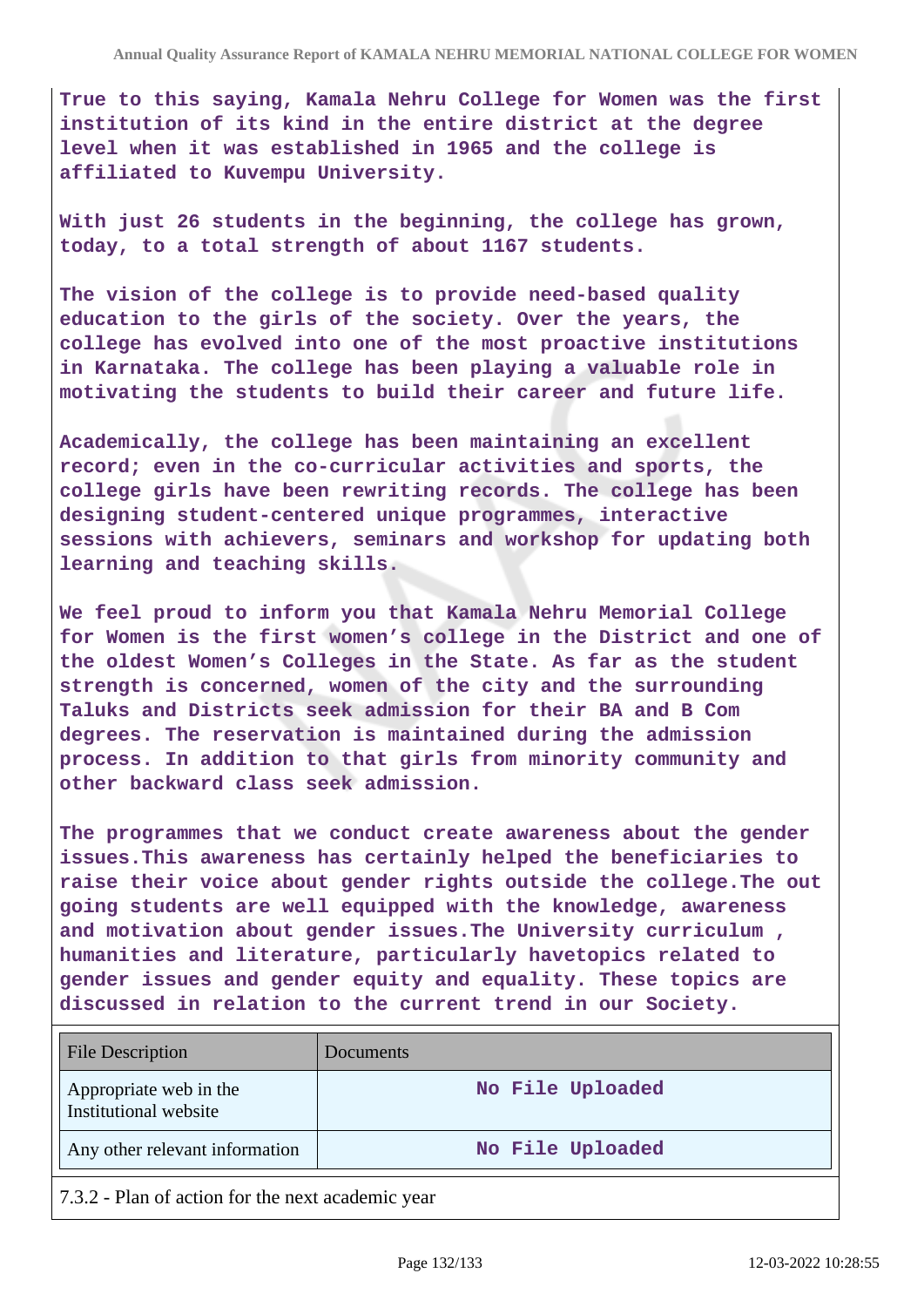**True to this saying, Kamala Nehru College for Women was the first institution of its kind in the entire district at the degree level when it was established in 1965 and the college is affiliated to Kuvempu University.**

**With just 26 students in the beginning, the college has grown, today, to a total strength of about 1167 students.**

**The vision of the college is to provide need-based quality education to the girls of the society. Over the years, the college has evolved into one of the most proactive institutions in Karnataka. The college has been playing a valuable role in motivating the students to build their career and future life.**

**Academically, the college has been maintaining an excellent record; even in the co-curricular activities and sports, the college girls have been rewriting records. The college has been designing student-centered unique programmes, interactive sessions with achievers, seminars and workshop for updating both learning and teaching skills.**

**We feel proud to inform you that Kamala Nehru Memorial College for Women is the first women's college in the District and one of the oldest Women's Colleges in the State. As far as the student strength is concerned, women of the city and the surrounding Taluks and Districts seek admission for their BA and B Com degrees. The reservation is maintained during the admission process. In addition to that girls from minority community and other backward class seek admission.**

**The programmes that we conduct create awareness about the gender issues.This awareness has certainly helped the beneficiaries to raise their voice about gender rights outside the college.The out going students are well equipped with the knowledge, awareness and motivation about gender issues.The University curriculum , humanities and literature, particularly havetopics related to gender issues and gender equity and equality. These topics are discussed in relation to the current trend in our Society.**

| <b>File Description</b>                         | Documents        |
|-------------------------------------------------|------------------|
| Appropriate web in the<br>Institutional website | No File Uploaded |
| Any other relevant information                  | No File Uploaded |

7.3.2 - Plan of action for the next academic year